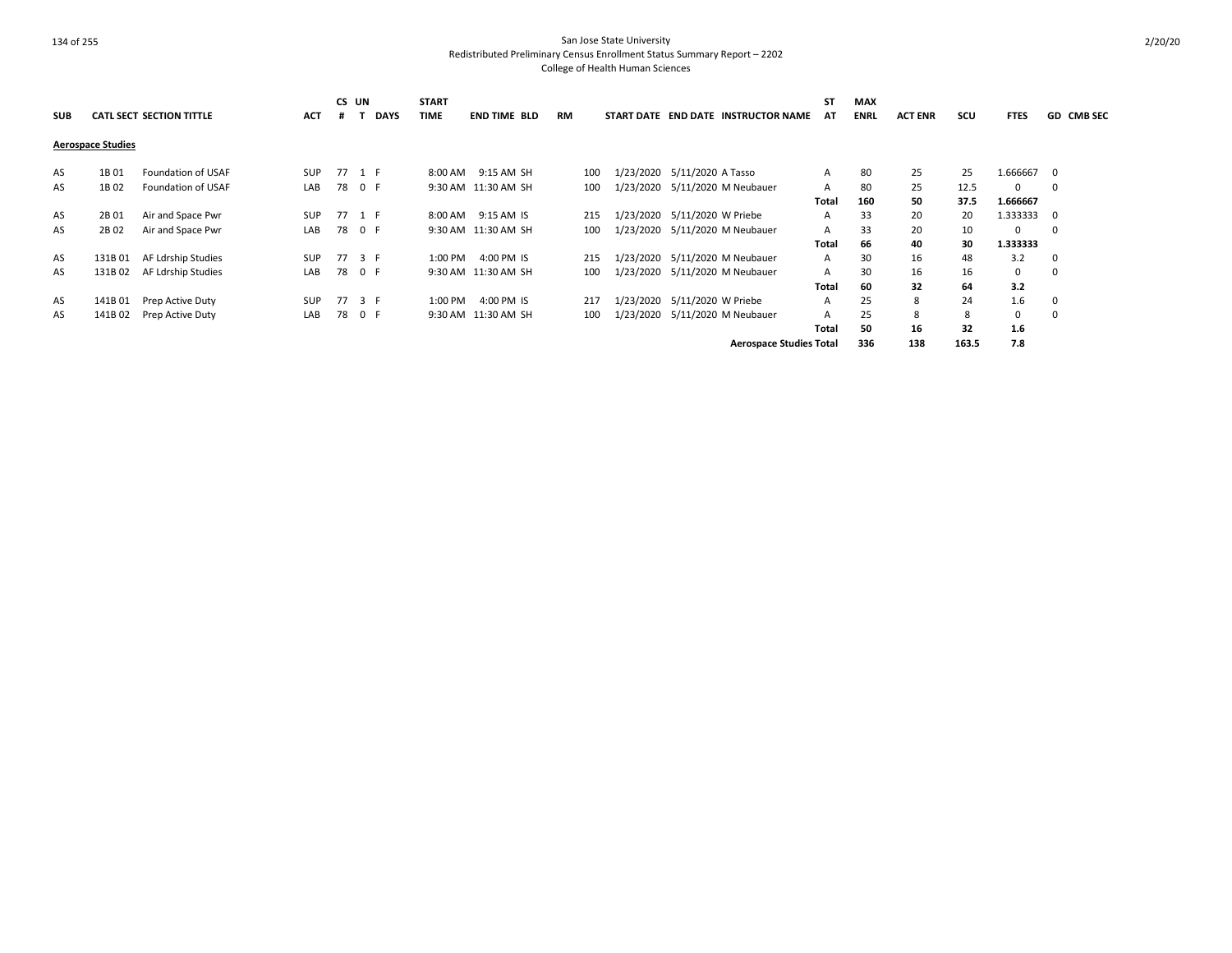| <b>SUB</b> |                          | <b>CATL SECT SECTION TITTLE</b> | <b>ACT</b> | Ħ  | CS UN<br><b>DAYS</b> | <b>START</b><br><b>TIME</b> | <b>END TIME BLD</b> | <b>RM</b> |     |                              | START DATE END DATE INSTRUCTOR NAME | <b>ST</b><br>AT | <b>MAX</b><br><b>ENRL</b> | <b>ACT ENR</b> | SCU   | <b>FTES</b> | <b>GD CMB SEC</b> |
|------------|--------------------------|---------------------------------|------------|----|----------------------|-----------------------------|---------------------|-----------|-----|------------------------------|-------------------------------------|-----------------|---------------------------|----------------|-------|-------------|-------------------|
|            | <b>Aerospace Studies</b> |                                 |            |    |                      |                             |                     |           |     |                              |                                     |                 |                           |                |       |             |                   |
| AS         | 1B 01                    | Foundation of USAF              | <b>SUP</b> |    | 77 1 F               | 8:00 AM                     | 9:15 AM SH          | 100       |     | 1/23/2020 5/11/2020 A Tasso  |                                     | A               | 80                        | 25             | 25    | 1.666667    | - 0               |
| AS         | 1B 02                    | Foundation of USAF              | LAB        | 78 | 0 F                  |                             | 9:30 AM 11:30 AM SH |           | 100 |                              | 1/23/2020 5/11/2020 M Neubauer      | A               | 80                        | 25             | 12.5  | 0           | 0                 |
|            |                          |                                 |            |    |                      |                             |                     |           |     |                              |                                     | Total           | 160                       | 50             | 37.5  | 1.666667    |                   |
| AS         | 2B 01                    | Air and Space Pwr               | <b>SUP</b> |    | 77 1 F               | 8:00 AM                     | 9:15 AM IS          |           | 215 | 1/23/2020 5/11/2020 W Priebe |                                     | A               | 33                        | 20             | 20    | 1.333333    | $\Omega$          |
| AS         | 2B 02                    | Air and Space Pwr               | LAB        |    | 78 0 F               |                             | 9:30 AM 11:30 AM SH |           | 100 |                              | 1/23/2020 5/11/2020 M Neubauer      | A               | 33                        | 20             | 10    | $\Omega$    | $\Omega$          |
|            |                          |                                 |            |    |                      |                             |                     |           |     |                              |                                     | Total           | 66                        | 40             | 30    | 1.333333    |                   |
| AS         | 131B 01                  | AF Ldrship Studies              | <b>SUP</b> |    | 77 3 F               | 1:00 PM                     | 4:00 PM IS          |           | 215 |                              | 1/23/2020 5/11/2020 M Neubauer      | $\mathsf{A}$    | 30                        | 16             | 48    | 3.2         | $\Omega$          |
| AS         | 131B 02                  | AF Ldrship Studies              | LAB        | 78 | 0 F                  |                             | 9:30 AM 11:30 AM SH |           | 100 | 1/23/2020                    | 5/11/2020 M Neubauer                | A               | 30                        | 16             | 16    | 0           |                   |
|            |                          |                                 |            |    |                      |                             |                     |           |     |                              |                                     | Total           | 60                        | 32             | 64    | 3.2         |                   |
| AS         | 141B 01                  | Prep Active Duty                | <b>SUP</b> | 77 | 3 F                  | 1:00 PM                     | 4:00 PM IS          |           | 217 | 1/23/2020 5/11/2020 W Priebe |                                     | A               | 25                        | 8              | 24    | 1.6         |                   |
| AS         | 141B 02                  | Prep Active Duty                | LAB        | 78 | 0 F                  |                             | 9:30 AM 11:30 AM SH |           | 100 |                              | 1/23/2020 5/11/2020 M Neubauer      | A               | 25                        | 8              | 8     | 0           |                   |
|            |                          |                                 |            |    |                      |                             |                     |           |     |                              |                                     | Total           | 50                        | 16             | 32    | 1.6         |                   |
|            |                          |                                 |            |    |                      |                             |                     |           |     |                              | <b>Aerospace Studies Total</b>      |                 | 336                       | 138            | 163.5 | 7.8         |                   |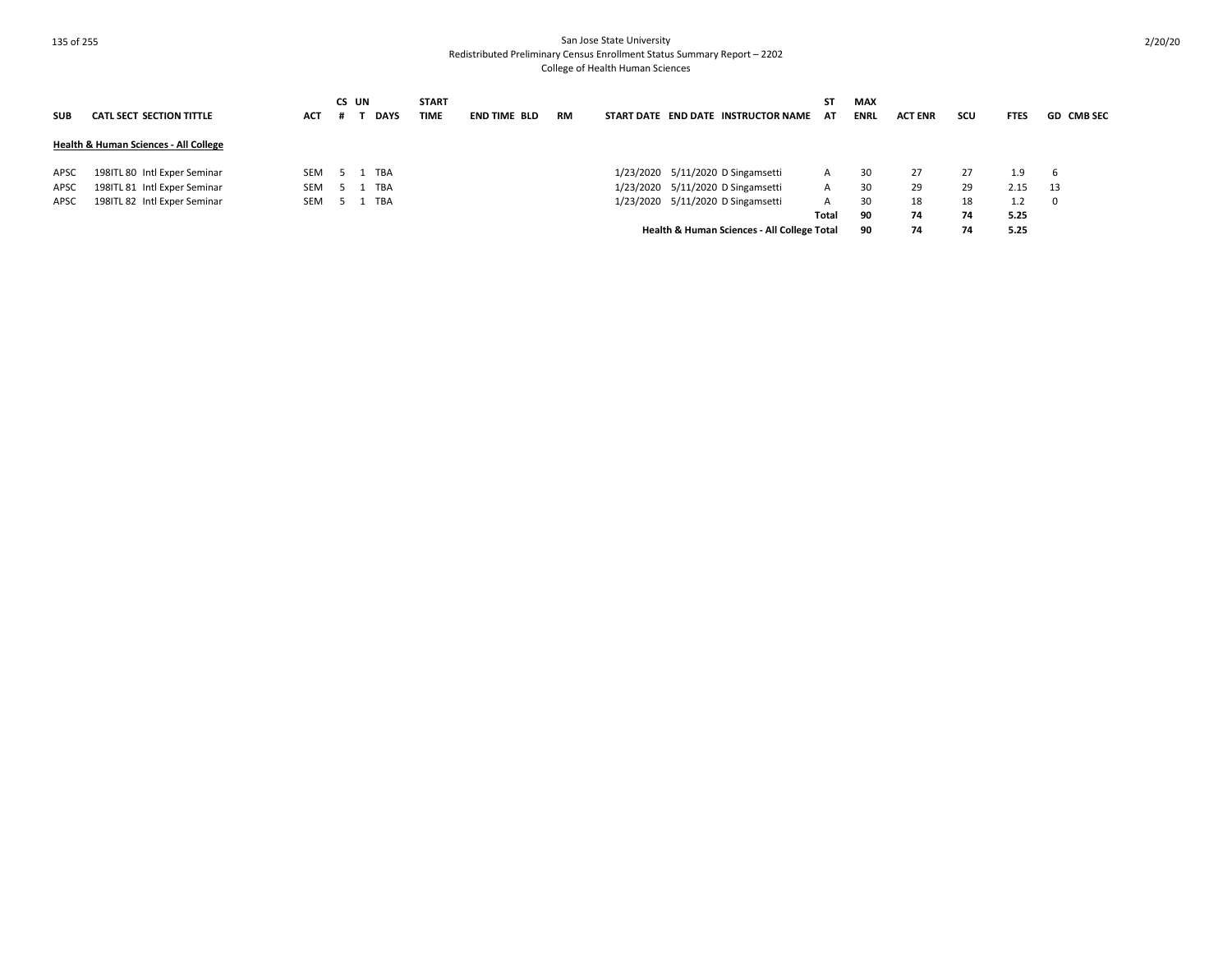| <b>SUB</b> | <b>CATL SECT SECTION TITTLE</b>       | <b>ACT</b> | CS UN | <b>DAYS</b> | <b>START</b><br><b>TIME</b> | <b>END TIME BLD</b> | <b>RM</b> | START DATE END DATE INSTRUCTOR NAME         | SΤ<br>AT | <b>MAX</b><br><b>ENRL</b> | <b>ACT ENR</b> | scu | <b>FTES</b> | <b>GD CMB SEC</b> |
|------------|---------------------------------------|------------|-------|-------------|-----------------------------|---------------------|-----------|---------------------------------------------|----------|---------------------------|----------------|-----|-------------|-------------------|
|            | Health & Human Sciences - All College |            |       |             |                             |                     |           |                                             |          |                           |                |     |             |                   |
| APSC       | 198ITL 80 Intl Exper Seminar          | <b>SEM</b> |       | TBA         |                             |                     |           | 1/23/2020 5/11/2020 D Singamsetti           | A        | 30                        | 27             | 27  | 1.9         | b                 |
| APSC       | 198ITL 81 Intl Exper Seminar          | <b>SEM</b> |       | <b>TBA</b>  |                             |                     |           | 1/23/2020 5/11/2020 D Singamsetti           | A        | 30                        | 29             | 29  | 2.15        | - 13              |
| APSC       | 198ITL 82 Intl Exper Seminar          | <b>SEM</b> |       | TBA         |                             |                     |           | 1/23/2020 5/11/2020 D Singamsetti           | A        | 30                        | 18             | 18  | 1.2         | 0                 |
|            |                                       |            |       |             |                             |                     |           |                                             | Total    | 90                        | 74             | 74  | 5.25        |                   |
|            |                                       |            |       |             |                             |                     |           | Health & Human Sciences - All College Total |          | 90                        | 74             | 74  | 5.25        |                   |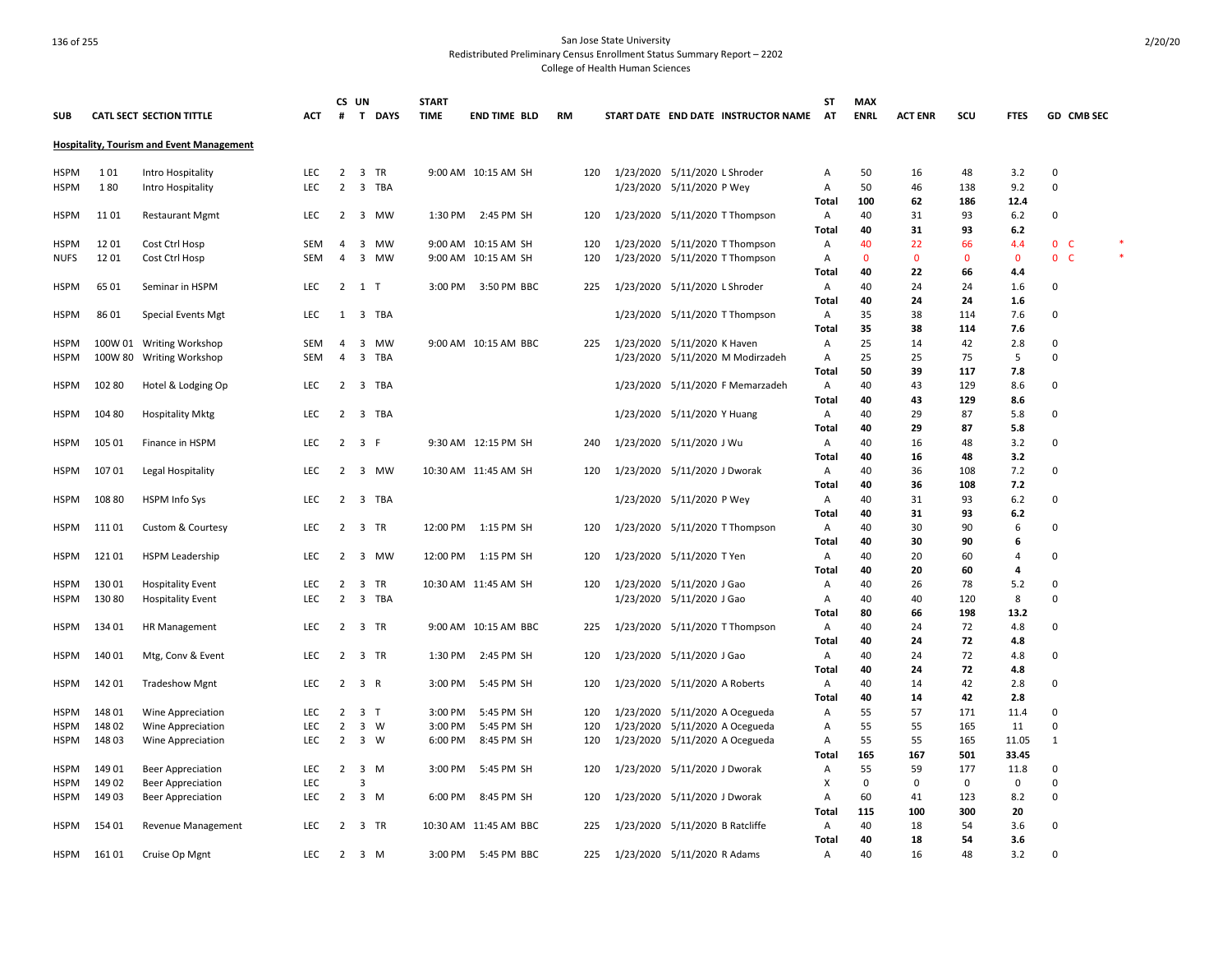|             |         |                                                  |            | CS UN          |                         |           | <b>START</b> |                       |           |     |           |                                     | ST                | <b>MAX</b>  |                |           |                |                |            |  |
|-------------|---------|--------------------------------------------------|------------|----------------|-------------------------|-----------|--------------|-----------------------|-----------|-----|-----------|-------------------------------------|-------------------|-------------|----------------|-----------|----------------|----------------|------------|--|
| <b>SUB</b>  |         | CATL SECT SECTION TITTLE                         | ACT        | #              |                         | T DAYS    | <b>TIME</b>  | <b>END TIME BLD</b>   | <b>RM</b> |     |           | START DATE END DATE INSTRUCTOR NAME | AT                | <b>ENRL</b> | <b>ACT ENR</b> | scu       | <b>FTES</b>    |                | GD CMB SEC |  |
|             |         | <b>Hospitality, Tourism and Event Management</b> |            |                |                         |           |              |                       |           |     |           |                                     |                   |             |                |           |                |                |            |  |
| HSPM        | 101     | Intro Hospitality                                | <b>LEC</b> | 2              |                         | 3 TR      |              | 9:00 AM 10:15 AM SH   |           | 120 |           | 1/23/2020 5/11/2020 L Shroder       | Α                 | 50          | 16             | 48        | 3.2            | 0              |            |  |
| <b>HSPM</b> | 180     | Intro Hospitality                                | <b>LEC</b> | 2              |                         | 3 TBA     |              |                       |           |     |           | 1/23/2020 5/11/2020 P Wey           | Α                 | 50          | 46             | 138       | 9.2            | $\Omega$       |            |  |
|             |         |                                                  |            |                |                         |           |              |                       |           |     |           |                                     | Total             | 100         | 62             | 186       | 12.4           |                |            |  |
| <b>HSPM</b> | 11 01   | <b>Restaurant Mgmt</b>                           | <b>LEC</b> | $\overline{2}$ | 3                       | MW        | 1:30 PM      | 2:45 PM SH            |           | 120 |           | 1/23/2020 5/11/2020 T Thompson      | Α                 | 40          | 31             | 93        | 6.2            | 0              |            |  |
|             |         |                                                  |            |                |                         |           |              |                       |           |     |           |                                     | Total             | 40          | 31             | 93        | 6.2            |                |            |  |
| <b>HSPM</b> | 12 01   | Cost Ctrl Hosp                                   | <b>SEM</b> | 4              | 3                       | MW        |              | 9:00 AM 10:15 AM SH   |           | 120 |           | 1/23/2020 5/11/2020 T Thompson      | Α                 | 40          | 22             | 66        | 4.4            | 0 <sub>c</sub> |            |  |
| <b>NUFS</b> | 12 01   | Cost Ctrl Hosp                                   | <b>SEM</b> | 4              | 3                       | <b>MW</b> |              | 9:00 AM 10:15 AM SH   |           | 120 |           | 1/23/2020 5/11/2020 T Thompson      | $\overline{A}$    | $\Omega$    | $\mathbf{0}$   | $\Omega$  | $\mathbf{0}$   | 0 <sub>c</sub> |            |  |
|             |         |                                                  |            |                |                         |           |              |                       |           |     |           |                                     | Total             | 40          | 22             | 66        | 4.4            |                |            |  |
| HSPM        | 6501    | Seminar in HSPM                                  | <b>LEC</b> | 2              | 1 T                     |           | 3:00 PM      | 3:50 PM BBC           |           | 225 |           | 1/23/2020 5/11/2020 L Shroder       | Α                 | 40          | 24             | 24        | 1.6            | 0              |            |  |
|             |         |                                                  |            |                |                         |           |              |                       |           |     |           |                                     | <b>Total</b>      | 40          | 24             | 24        | 1.6            |                |            |  |
| <b>HSPM</b> | 86 01   | <b>Special Events Mgt</b>                        | <b>LEC</b> | 1              | 3                       | TBA       |              |                       |           |     | 1/23/2020 | 5/11/2020 T Thompson                | Α                 | 35          | 38             | 114       | 7.6            | $\Omega$       |            |  |
|             |         |                                                  |            |                |                         |           |              |                       |           |     |           |                                     | Total             | 35          | 38             | 114       | 7.6            |                |            |  |
| <b>HSPM</b> | 100W 01 | <b>Writing Workshop</b>                          | <b>SEM</b> | 4              | 3                       | MW        |              | 9:00 AM 10:15 AM BBC  |           | 225 |           | 1/23/2020 5/11/2020 K Haven         | Α                 | 25          | 14             | 42        | 2.8            | 0              |            |  |
| <b>HSPM</b> | 100W 80 | <b>Writing Workshop</b>                          | <b>SEM</b> | 4              | 3                       | TBA       |              |                       |           |     |           | 1/23/2020 5/11/2020 M Modirzadeh    | Α                 | 25          | 25             | 75        | 5              | 0              |            |  |
|             |         |                                                  |            |                |                         |           |              |                       |           |     |           |                                     | Total             | 50          | 39             | 117       | 7.8            |                |            |  |
| <b>HSPM</b> | 102 80  | Hotel & Lodging Op                               | <b>LEC</b> | $2^{\circ}$    |                         | 3 TBA     |              |                       |           |     |           | 1/23/2020 5/11/2020 F Memarzadeh    | Α                 | 40          | 43             | 129       | 8.6            | $\Omega$       |            |  |
|             |         |                                                  |            |                |                         |           |              |                       |           |     |           |                                     | <b>Total</b>      | 40          | 43             | 129       | 8.6            |                |            |  |
| <b>HSPM</b> | 104 80  | <b>Hospitality Mktg</b>                          | LEC        | 2              |                         | 3 TBA     |              |                       |           |     |           | 1/23/2020 5/11/2020 Y Huang         | Α                 | 40          | 29             | 87        | 5.8            | 0              |            |  |
|             |         |                                                  |            |                |                         |           |              |                       |           |     |           |                                     | Total             | 40          | 29             | 87        | 5.8            |                |            |  |
| <b>HSPM</b> | 105 01  | Finance in HSPM                                  | <b>LEC</b> | 2              | 3 F                     |           |              | 9:30 AM 12:15 PM SH   |           | 240 |           | 1/23/2020 5/11/2020 J Wu            | Α                 | 40          | 16             | 48        | 3.2            | 0              |            |  |
|             |         |                                                  |            |                |                         |           |              |                       |           |     |           |                                     | <b>Total</b>      | 40          | 16             | 48        | 3.2            |                |            |  |
| <b>HSPM</b> | 10701   | Legal Hospitality                                | <b>LEC</b> | $\overline{2}$ | $\overline{\mathbf{3}}$ | MW        |              | 10:30 AM 11:45 AM SH  |           | 120 |           | 1/23/2020 5/11/2020 J Dworak        | Α                 | 40          | 36             | 108       | 7.2            | 0              |            |  |
|             |         |                                                  |            |                |                         |           |              |                       |           |     |           |                                     | Total             | 40          | 36             | 108<br>93 | 7.2<br>6.2     |                |            |  |
| HSPM        | 108 80  | HSPM Info Sys                                    | <b>LEC</b> | $\overline{2}$ |                         | 3 TBA     |              |                       |           |     |           | 1/23/2020 5/11/2020 P Wey           | Α<br><b>Total</b> | 40<br>40    | 31<br>31       | 93        | 6.2            | 0              |            |  |
| <b>HSPM</b> | 11101   |                                                  | <b>LEC</b> | 2              |                         | 3 TR      | 12:00 PM     | 1:15 PM SH            |           | 120 |           |                                     |                   | 40          | 30             | 90        | 6              | 0              |            |  |
|             |         | Custom & Courtesy                                |            |                |                         |           |              |                       |           |     |           | 1/23/2020 5/11/2020 T Thompson      | A<br>Total        | 40          | 30             | 90        | -6             |                |            |  |
| <b>HSPM</b> | 121 01  | <b>HSPM Leadership</b>                           | <b>LEC</b> | 2              | $\overline{\mathbf{3}}$ | MW        | 12:00 PM     | 1:15 PM SH            |           | 120 |           | 1/23/2020 5/11/2020 T Yen           | Α                 | 40          | 20             | 60        | $\overline{4}$ | 0              |            |  |
|             |         |                                                  |            |                |                         |           |              |                       |           |     |           |                                     | Total             | 40          | 20             | 60        | 4              |                |            |  |
| <b>HSPM</b> | 130 01  | <b>Hospitality Event</b>                         | <b>LEC</b> | 2              | 3                       | TR        |              | 10:30 AM 11:45 AM SH  |           | 120 | 1/23/2020 | 5/11/2020 J Gao                     | Α                 | 40          | 26             | 78        | 5.2            | $\Omega$       |            |  |
| HSPM        | 13080   | <b>Hospitality Event</b>                         | LEC        | $\overline{2}$ |                         | 3 TBA     |              |                       |           |     |           | 1/23/2020 5/11/2020 J Gao           | Α                 | 40          | 40             | 120       | 8              | 0              |            |  |
|             |         |                                                  |            |                |                         |           |              |                       |           |     |           |                                     | Total             | 80          | 66             | 198       | 13.2           |                |            |  |
| HSPM        | 134 01  | <b>HR Management</b>                             | <b>LEC</b> | 2              |                         | 3 TR      |              | 9:00 AM 10:15 AM BBC  |           | 225 |           | 1/23/2020 5/11/2020 T Thompson      | Α                 | 40          | 24             | 72        | 4.8            | 0              |            |  |
|             |         |                                                  |            |                |                         |           |              |                       |           |     |           |                                     | <b>Total</b>      | 40          | 24             | 72        | 4.8            |                |            |  |
| <b>HSPM</b> | 140 01  | Mtg, Conv & Event                                | <b>LEC</b> | 2              |                         | 3 TR      | 1:30 PM      | 2:45 PM SH            |           | 120 |           | 1/23/2020 5/11/2020 J Gao           | Α                 | 40          | 24             | 72        | 4.8            | 0              |            |  |
|             |         |                                                  |            |                |                         |           |              |                       |           |     |           |                                     | Total             | 40          | 24             | 72        | 4.8            |                |            |  |
| <b>HSPM</b> | 142 01  | <b>Tradeshow Mgnt</b>                            | <b>LEC</b> | $\overline{2}$ | 3 R                     |           | 3:00 PM      | 5:45 PM SH            |           | 120 |           | 1/23/2020 5/11/2020 A Roberts       | A                 | 40          | 14             | 42        | 2.8            | 0              |            |  |
|             |         |                                                  |            |                |                         |           |              |                       |           |     |           |                                     | Total             | 40          | 14             | 42        | 2.8            |                |            |  |
| <b>HSPM</b> | 148 01  | Wine Appreciation                                | <b>LEC</b> | 2              | 3 <sub>T</sub>          |           | 3:00 PM      | 5:45 PM SH            |           | 120 |           | 1/23/2020 5/11/2020 A Ocegueda      | Α                 | 55          | 57             | 171       | 11.4           | 0              |            |  |
| <b>HSPM</b> | 14802   | Wine Appreciation                                | <b>LEC</b> | 2              | 3                       | W         | 3:00 PM      | 5:45 PM SH            |           | 120 |           | 1/23/2020 5/11/2020 A Ocegueda      | Α                 | 55          | 55             | 165       | 11             | $\Omega$       |            |  |
| <b>HSPM</b> | 148 03  | Wine Appreciation                                | <b>LEC</b> | 2              |                         | 3 W       | 6:00 PM      | 8:45 PM SH            |           | 120 |           | 1/23/2020 5/11/2020 A Ocegueda      | Α                 | 55          | 55             | 165       | 11.05          | 1              |            |  |
|             |         |                                                  |            |                |                         |           |              |                       |           |     |           |                                     | <b>Total</b>      | 165         | 167            | 501       | 33.45          |                |            |  |
| <b>HSPM</b> | 149 01  | <b>Beer Appreciation</b>                         | <b>LEC</b> | $\overline{2}$ | 3                       | M         | 3:00 PM      | 5:45 PM SH            |           | 120 |           | 1/23/2020 5/11/2020 J Dworak        | A                 | 55          | 59             | 177       | 11.8           | 0              |            |  |
| <b>HSPM</b> | 149 02  | Beer Appreciation                                | LEC        |                | 3                       |           |              |                       |           |     |           |                                     | X                 | 0           | 0              | 0         | 0              | 0              |            |  |
| HSPM        | 14903   | <b>Beer Appreciation</b>                         | <b>LEC</b> | $\overline{2}$ |                         | 3 M       | 6:00 PM      | 8:45 PM SH            |           | 120 |           | 1/23/2020 5/11/2020 J Dworak        | A                 | 60          | 41             | 123       | 8.2            | 0              |            |  |
|             |         |                                                  |            |                |                         |           |              |                       |           |     |           |                                     | <b>Total</b>      | 115         | 100            | 300       | 20             |                |            |  |
| HSPM        | 154 01  | Revenue Management                               | <b>LEC</b> | 2              |                         | 3 TR      |              | 10:30 AM 11:45 AM BBC |           | 225 |           | 1/23/2020 5/11/2020 B Ratcliffe     | Α                 | 40          | 18             | 54        | 3.6            | $\Omega$       |            |  |
|             |         |                                                  |            |                |                         |           |              |                       |           |     |           |                                     | <b>Total</b>      | 40          | 18             | 54        | 3.6            |                |            |  |
| HSPM        | 16101   | Cruise Op Mgnt                                   | <b>LEC</b> | 2              |                         | 3 M       | 3:00 PM      | 5:45 PM BBC           |           | 225 |           | 1/23/2020 5/11/2020 R Adams         | Α                 | 40          | 16             | 48        | 3.2            | 0              |            |  |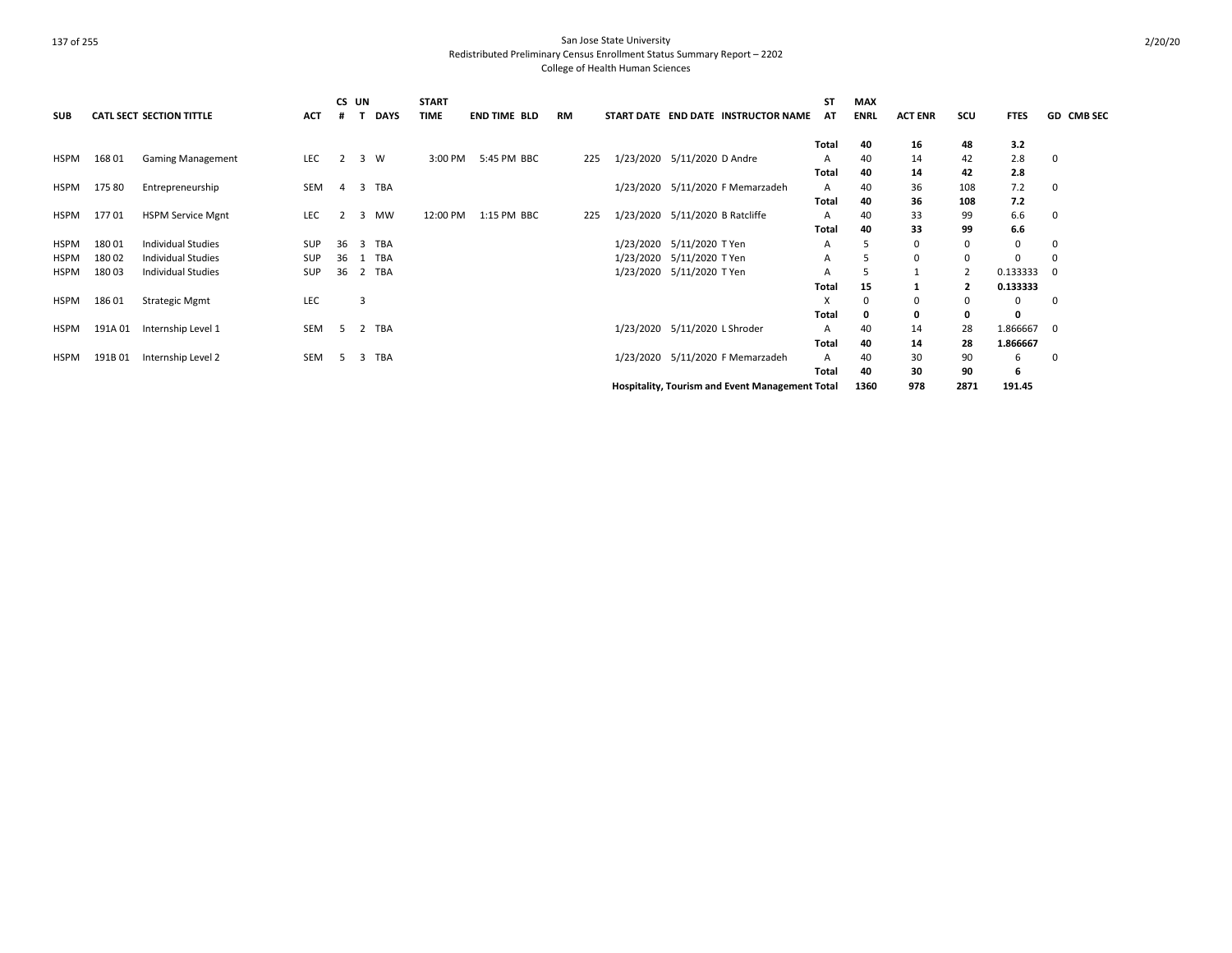| <b>SUB</b>  |         | <b>CATL SECT SECTION TITTLE</b> | <b>ACT</b> |                | CS UN | <b>DAYS</b> | <b>START</b><br><b>TIME</b> | <b>END TIME BLD</b> | <b>RM</b> |     |                             |                               | START DATE END DATE INSTRUCTOR NAME                    | <b>ST</b><br>AT | <b>MAX</b><br><b>ENRL</b> | <b>ACT ENR</b> | scu            | <b>FTES</b> | <b>GD CMB SEC</b> |
|-------------|---------|---------------------------------|------------|----------------|-------|-------------|-----------------------------|---------------------|-----------|-----|-----------------------------|-------------------------------|--------------------------------------------------------|-----------------|---------------------------|----------------|----------------|-------------|-------------------|
|             |         |                                 |            |                |       |             |                             |                     |           |     |                             |                               |                                                        | Total           | 40                        | 16             | 48             | 3.2         |                   |
| HSPM        | 16801   | <b>Gaming Management</b>        | LEC        | 2              | 3     | <b>W</b>    | 3:00 PM                     | 5:45 PM BBC         |           | 225 | 1/23/2020 5/11/2020 D Andre |                               |                                                        | A               | 40                        | 14             | 42             | 2.8         | 0                 |
|             |         |                                 |            |                |       |             |                             |                     |           |     |                             |                               |                                                        | Total           | 40                        | 14             | 42             | 2.8         |                   |
| HSPM        | 175 80  | Entrepreneurship                | SEM        | $\overline{4}$ | 3     | <b>TBA</b>  |                             |                     |           |     |                             |                               | 1/23/2020 5/11/2020 F Memarzadeh                       | A               | 40                        | 36             | 108            | 7.2         | 0                 |
|             |         |                                 |            |                |       |             |                             |                     |           |     |                             |                               |                                                        | Total           | 40                        | 36             | 108            | 7.2         |                   |
| <b>HSPM</b> | 17701   | <b>HSPM Service Mgnt</b>        | LEC        |                | 3     | MW          | 12:00 PM                    | 1:15 PM BBC         |           | 225 |                             |                               | 1/23/2020 5/11/2020 B Ratcliffe                        | А               | 40                        | 33             | 99             | 6.6         | 0                 |
|             |         |                                 |            |                |       |             |                             |                     |           |     |                             |                               |                                                        | Total           | 40                        | 33             | 99             | 6.6         |                   |
| <b>HSPM</b> | 18001   | <b>Individual Studies</b>       | SUP        | 36             | 3     | <b>TBA</b>  |                             |                     |           |     |                             | 1/23/2020 5/11/2020 T Yen     |                                                        | A               |                           | 0              | 0              | 0           | 0                 |
| <b>HSPM</b> | 180 02  | <b>Individual Studies</b>       | SUP        | 36             |       | <b>TBA</b>  |                             |                     |           |     |                             | 1/23/2020 5/11/2020 T Yen     |                                                        | A               | 5                         | $\Omega$       | 0              | $\Omega$    |                   |
| <b>HSPM</b> | 180 03  | <b>Individual Studies</b>       | <b>SUP</b> | 36             | 2     | <b>TBA</b>  |                             |                     |           |     |                             | 1/23/2020 5/11/2020 T Yen     |                                                        |                 |                           |                | $\overline{2}$ | 0.133333    | 0                 |
|             |         |                                 |            |                |       |             |                             |                     |           |     |                             |                               |                                                        | Total           | 15                        |                | $\overline{2}$ | 0.133333    |                   |
| HSPM        | 18601   | <b>Strategic Mgmt</b>           | LEC        |                | 3     |             |                             |                     |           |     |                             |                               |                                                        | x               | 0                         | 0              | 0              | 0           | 0                 |
|             |         |                                 |            |                |       |             |                             |                     |           |     |                             |                               |                                                        | Total           | $\Omega$                  | 0              | 0              | 0           |                   |
| <b>HSPM</b> | 191A 01 | Internship Level 1              | <b>SEM</b> | -5             | 2     | <b>TBA</b>  |                             |                     |           |     |                             | 1/23/2020 5/11/2020 L Shroder |                                                        | A               | 40                        | 14             | 28             | 1.866667    | 0                 |
|             |         |                                 |            |                |       |             |                             |                     |           |     |                             |                               |                                                        | Total           | 40                        | 14             | 28             | 1.866667    |                   |
| HSPM        | 191B 01 | Internship Level 2              | SEM        | -5             | 3     | <b>TBA</b>  |                             |                     |           |     |                             |                               | 1/23/2020 5/11/2020 F Memarzadeh                       | A               | 40                        | 30             | 90             | 6           | 0                 |
|             |         |                                 |            |                |       |             |                             |                     |           |     |                             |                               |                                                        | Total           | 40                        | 30             | 90             | 6           |                   |
|             |         |                                 |            |                |       |             |                             |                     |           |     |                             |                               | <b>Hospitality, Tourism and Event Management Total</b> |                 | 1360                      | 978            | 2871           | 191.45      |                   |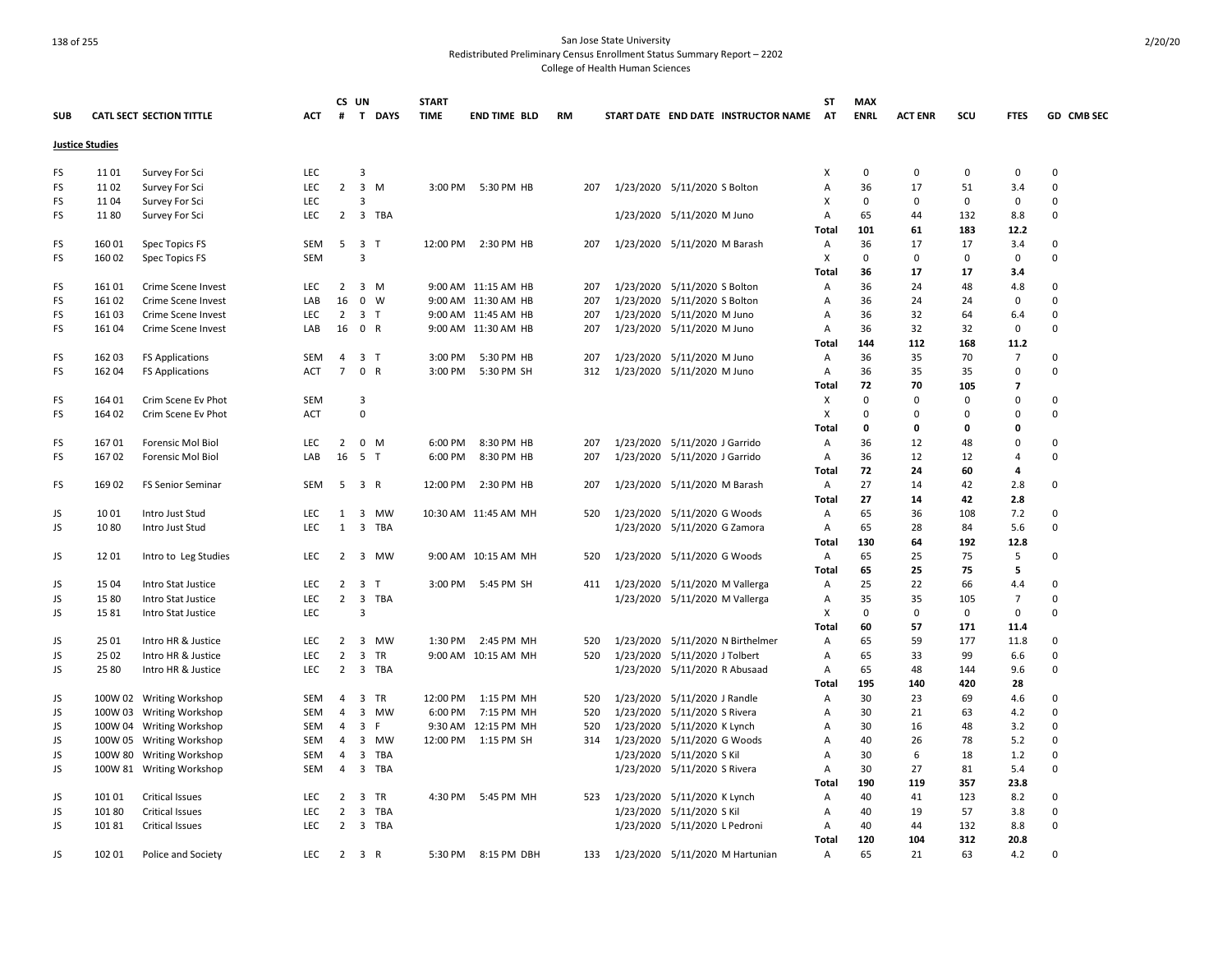### 138 of 255 San Jose State University Redistributed Preliminary Census Enrollment Status Summary Report – 2202

College of Health Human Sciences

|            |                        |                                 |            | CS UN          |                               | <b>START</b> |                      |           |  |                                     | ST                | <b>MAX</b>  |                |             |                |            |
|------------|------------------------|---------------------------------|------------|----------------|-------------------------------|--------------|----------------------|-----------|--|-------------------------------------|-------------------|-------------|----------------|-------------|----------------|------------|
| <b>SUB</b> |                        | <b>CATL SECT SECTION TITTLE</b> | <b>ACT</b> | #              | $\mathbf{T}$<br><b>DAYS</b>   | <b>TIME</b>  | <b>END TIME BLD</b>  | <b>RM</b> |  | START DATE END DATE INSTRUCTOR NAME | <b>AT</b>         | <b>ENRL</b> | <b>ACT ENR</b> | scu         | <b>FTES</b>    | GD CMB SEC |
|            | <b>Justice Studies</b> |                                 |            |                |                               |              |                      |           |  |                                     |                   |             |                |             |                |            |
| FS         | 11 01                  | Survey For Sci                  | <b>LEC</b> |                | 3                             |              |                      |           |  |                                     | х                 | 0           | $\mathbf 0$    | 0           | 0              | 0          |
| FS         | 11 02                  | Survey For Sci                  | <b>LEC</b> | $\overline{2}$ | $\mathbf{3}$<br>M             | 3:00 PM      | 5:30 PM HB           | 207       |  | 1/23/2020 5/11/2020 S Bolton        | Α                 | 36          | 17             | 51          | 3.4            | $\Omega$   |
| FS         | 1104                   | Survey For Sci                  | LEC        |                | 3                             |              |                      |           |  |                                     | х                 | $\mathbf 0$ | $\Omega$       | $\mathbf 0$ | 0              | $\Omega$   |
| FS         | 1180                   | Survey For Sci                  | <b>LEC</b> | $\overline{2}$ | 3 TBA                         |              |                      |           |  | 1/23/2020 5/11/2020 M Juno          | Α                 | 65          | 44             | 132         | 8.8            | 0          |
|            |                        |                                 |            |                |                               |              |                      |           |  |                                     | Total             | 101         | 61             | 183         | 12.2           |            |
| FS         | 16001                  | Spec Topics FS                  | SEM        |                | 5 3 T                         | 12:00 PM     | 2:30 PM HB           | 207       |  | 1/23/2020 5/11/2020 M Barash        | Α                 | 36          | 17             | 17          | 3.4            | $\Omega$   |
| FS         | 160 02                 | Spec Topics FS                  | SEM        |                | 3                             |              |                      |           |  |                                     | X                 | $\mathbf 0$ | $\Omega$       | $\mathbf 0$ | $\Omega$       | $\Omega$   |
|            |                        |                                 |            |                |                               |              |                      |           |  |                                     | Total             | 36          | 17             | 17          | 3.4            |            |
| FS         | 16101                  | Crime Scene Invest              | LEC        | $\overline{2}$ | $3 \, M$                      |              | 9:00 AM 11:15 AM HB  | 207       |  | 1/23/2020 5/11/2020 S Bolton        | Α                 | 36          | 24             | 48          | 4.8            | 0          |
| FS         | 16102                  | Crime Scene Invest              | LAB        | 16             | $\mathbf{0}$<br>W             |              | 9:00 AM 11:30 AM HB  | 207       |  | 1/23/2020 5/11/2020 S Bolton        | Α                 | 36          | 24             | 24          | 0              | $\Omega$   |
| FS         | 16103                  | Crime Scene Invest              | LEC        |                | $2 \quad 3 \quad T$           |              | 9:00 AM 11:45 AM HB  | 207       |  | 1/23/2020 5/11/2020 M Juno          | Α                 | 36          | 32             | 64          | 6.4            | $\Omega$   |
| FS         | 16104                  | Crime Scene Invest              | LAB        | 16             | 0 R                           |              | 9:00 AM 11:30 AM HB  | 207       |  | 1/23/2020 5/11/2020 M Juno          | Α                 | 36          | 32             | 32          | 0              | $\Omega$   |
|            |                        |                                 |            |                |                               |              |                      |           |  |                                     | Total             | 144         | 112            | 168         | 11.2           |            |
| FS         | 162 03                 | <b>FS Applications</b>          | SEM        | 4              | 3 <sub>T</sub>                | 3:00 PM      | 5:30 PM HB           | 207       |  | 1/23/2020 5/11/2020 M Juno          | Α                 | 36          | 35             | 70          | $\overline{7}$ | $\Omega$   |
| FS         | 162 04                 | <b>FS Applications</b>          | <b>ACT</b> | $\overline{7}$ | 0 R                           | 3:00 PM      | 5:30 PM SH           | 312       |  | 1/23/2020 5/11/2020 M Juno          | Α                 | 36          | 35             | 35          | $\Omega$       | $\Omega$   |
|            |                        |                                 |            |                |                               |              |                      |           |  |                                     | <b>Total</b>      | 72          | 70             | 105         | $\overline{7}$ |            |
| FS         | 164 01                 | Crim Scene Ev Phot              | SEM        |                | 3                             |              |                      |           |  |                                     | X                 | $\mathsf 0$ | $\mathbf 0$    | $\mathbf 0$ | $\mathbf 0$    | 0          |
| FS         | 164 02                 | Crim Scene Ev Phot              | <b>ACT</b> |                | $\Omega$                      |              |                      |           |  |                                     | Х                 | 0           | $\Omega$       | $\mathbf 0$ | $\Omega$       | $\Omega$   |
|            |                        |                                 |            |                |                               |              |                      |           |  |                                     | Total             | 0           | 0              | 0           | $\mathbf 0$    |            |
| FS         | 16701                  | Forensic Mol Biol               | <b>LEC</b> | $\overline{2}$ | 0<br>M                        | 6:00 PM      | 8:30 PM HB           | 207       |  | 1/23/2020 5/11/2020 J Garrido       | Α                 | 36          | 12             | 48          | $\Omega$       | $\Omega$   |
| FS         | 16702                  | Forensic Mol Biol               | LAB        | 16             | 5 T                           | 6:00 PM      | 8:30 PM HB           | 207       |  | 1/23/2020 5/11/2020 J Garrido       | Α                 | 36          | 12             | 12          | $\overline{4}$ | $\Omega$   |
|            |                        |                                 |            |                |                               |              |                      |           |  |                                     | Total             | 72          | 24             | 60          | $\overline{a}$ |            |
| FS         | 169 02                 |                                 | SEM        | 5              | 3 R                           | 12:00 PM     | 2:30 PM HB           | 207       |  | 1/23/2020 5/11/2020 M Barash        |                   | 27          | 14             | 42          | 2.8            | $\Omega$   |
|            |                        | <b>FS Senior Seminar</b>        |            |                |                               |              |                      |           |  |                                     | Α<br><b>Total</b> | 27          | 14             |             | 2.8            |            |
|            | 1001                   |                                 | LEC        |                |                               |              |                      |           |  |                                     |                   | 65          |                | 42          | 7.2            | 0          |
| JS         |                        | Intro Just Stud                 |            | 1              | 3<br>MW                       |              | 10:30 AM 11:45 AM MH | 520       |  | 1/23/2020 5/11/2020 G Woods         | Α                 |             | 36             | 108         |                |            |
| JS         | 1080                   | Intro Just Stud                 | <b>LEC</b> | $\mathbf{1}$   | 3 TBA                         |              |                      |           |  | 1/23/2020 5/11/2020 G Zamora        | Α                 | 65          | 28             | 84          | 5.6            | $\Omega$   |
|            |                        |                                 |            |                |                               |              |                      |           |  |                                     | Total             | 130         | 64             | 192         | 12.8           |            |
| JS         | 1201                   | Intro to Leg Studies            | <b>LEC</b> | 2              | 3 MW                          |              | 9:00 AM 10:15 AM MH  | 520       |  | 1/23/2020 5/11/2020 G Woods         | Α                 | 65          | 25             | 75          | 5              | $\Omega$   |
|            |                        |                                 |            |                |                               |              |                      |           |  |                                     | Total             | 65          | 25             | 75          | 5              |            |
| JS         | 15 04                  | Intro Stat Justice              | <b>LEC</b> | 2              | 3<br>T                        | 3:00 PM      | 5:45 PM SH           | 411       |  | 1/23/2020 5/11/2020 M Vallerga      | Α                 | 25          | 22             | 66          | 4.4            | $\Omega$   |
| JS         | 15 80                  | Intro Stat Justice              | LEC        | $\overline{2}$ | 3 TBA                         |              |                      |           |  | 1/23/2020 5/11/2020 M Vallerga      | Α                 | 35          | 35             | 105         | $\overline{7}$ | $\Omega$   |
| JS         | 1581                   | Intro Stat Justice              | <b>LEC</b> |                | 3                             |              |                      |           |  |                                     | Х                 | $\mathbf 0$ | 0              | 0           | $\mathbf 0$    | $\Omega$   |
|            |                        |                                 |            |                |                               |              |                      |           |  |                                     | <b>Total</b>      | 60          | 57             | 171         | 11.4           |            |
| JS         | 25 01                  | Intro HR & Justice              | LEC        | $\overline{2}$ | 3 MW                          | 1:30 PM      | 2:45 PM MH           | 520       |  | 1/23/2020 5/11/2020 N Birthelmer    | Α                 | 65          | 59             | 177         | 11.8           | $\Omega$   |
| JS         | 25 02                  | Intro HR & Justice              | <b>LEC</b> | $\overline{2}$ | 3<br>TR                       |              | 9:00 AM 10:15 AM MH  | 520       |  | 1/23/2020 5/11/2020 J Tolbert       | Α                 | 65          | 33             | 99          | 6.6            | $\Omega$   |
| JS         | 25 80                  | Intro HR & Justice              | <b>LEC</b> | $\overline{2}$ | 3 TBA                         |              |                      |           |  | 1/23/2020 5/11/2020 R Abusaad       | Α                 | 65          | 48             | 144         | 9.6            | $\Omega$   |
|            |                        |                                 |            |                |                               |              |                      |           |  |                                     | Total             | 195         | 140            | 420         | 28             |            |
| JS         |                        | 100W 02 Writing Workshop        | SEM        | 4              | 3<br><b>TR</b>                | 12:00 PM     | 1:15 PM MH           | 520       |  | 1/23/2020 5/11/2020 J Randle        | Α                 | 30          | 23             | 69          | 4.6            | 0          |
| JS         |                        | 100W 03 Writing Workshop        | <b>SEM</b> | $\overline{4}$ | 3<br>MW                       | 6:00 PM      | 7:15 PM MH           | 520       |  | 1/23/2020 5/11/2020 S Rivera        | A                 | 30          | 21             | 63          | 4.2            | $\Omega$   |
| JS         |                        | 100W 04 Writing Workshop        | SEM        | $\overline{4}$ | $\overline{3}$<br>F.          |              | 9:30 AM 12:15 PM MH  | 520       |  | 1/23/2020 5/11/2020 K Lynch         | Α                 | 30          | 16             | 48          | 3.2            | $\Omega$   |
| JS         |                        | 100W 05 Writing Workshop        | SEM        | $\overline{4}$ | 3<br>MW                       |              | 12:00 PM 1:15 PM SH  | 314       |  | 1/23/2020 5/11/2020 G Woods         | Α                 | 40          | 26             | 78          | 5.2            | $\Omega$   |
| JS         |                        | 100W 80 Writing Workshop        | SEM        | 4              | 3<br>TBA                      |              |                      |           |  | 1/23/2020 5/11/2020 S Kil           | Α                 | 30          | 6              | 18          | 1.2            | 0          |
| JS         |                        | 100W 81 Writing Workshop        | <b>SEM</b> | $\overline{4}$ | 3<br>TBA                      |              |                      |           |  | 1/23/2020 5/11/2020 S Rivera        | Α                 | 30          | 27             | 81          | 5.4            | $\Omega$   |
|            |                        |                                 |            |                |                               |              |                      |           |  |                                     | Total             | 190         | 119            | 357         | 23.8           |            |
| JS         | 101 01                 | <b>Critical Issues</b>          | LEC        | $\overline{2}$ | $\overline{\mathbf{3}}$<br>TR | 4:30 PM      | 5:45 PM MH           | 523       |  | 1/23/2020 5/11/2020 K Lynch         | Α                 | 40          | 41             | 123         | 8.2            | $\Omega$   |
| JS         | 10180                  | <b>Critical Issues</b>          | <b>LEC</b> | 2              | 3<br>TBA                      |              |                      |           |  | 1/23/2020 5/11/2020 S Kil           | Α                 | 40          | 19             | 57          | 3.8            | 0          |
| JS         | 10181                  | <b>Critical Issues</b>          | <b>LEC</b> | 2              | 3 TBA                         |              |                      |           |  | 1/23/2020 5/11/2020 L Pedroni       | Α                 | 40          | 44             | 132         | 8.8            | $\Omega$   |
|            |                        |                                 |            |                |                               |              |                      |           |  |                                     | Total             | 120         | 104            | 312         | 20.8           |            |
| JS         | 102 01                 | Police and Society              | LEC        |                | $2 \quad 3 \quad R$           | 5:30 PM      | 8:15 PM DBH          | 133       |  | 1/23/2020 5/11/2020 M Hartunian     | Α                 | 65          | 21             | 63          | 4.2            | $\Omega$   |
|            |                        |                                 |            |                |                               |              |                      |           |  |                                     |                   |             |                |             |                |            |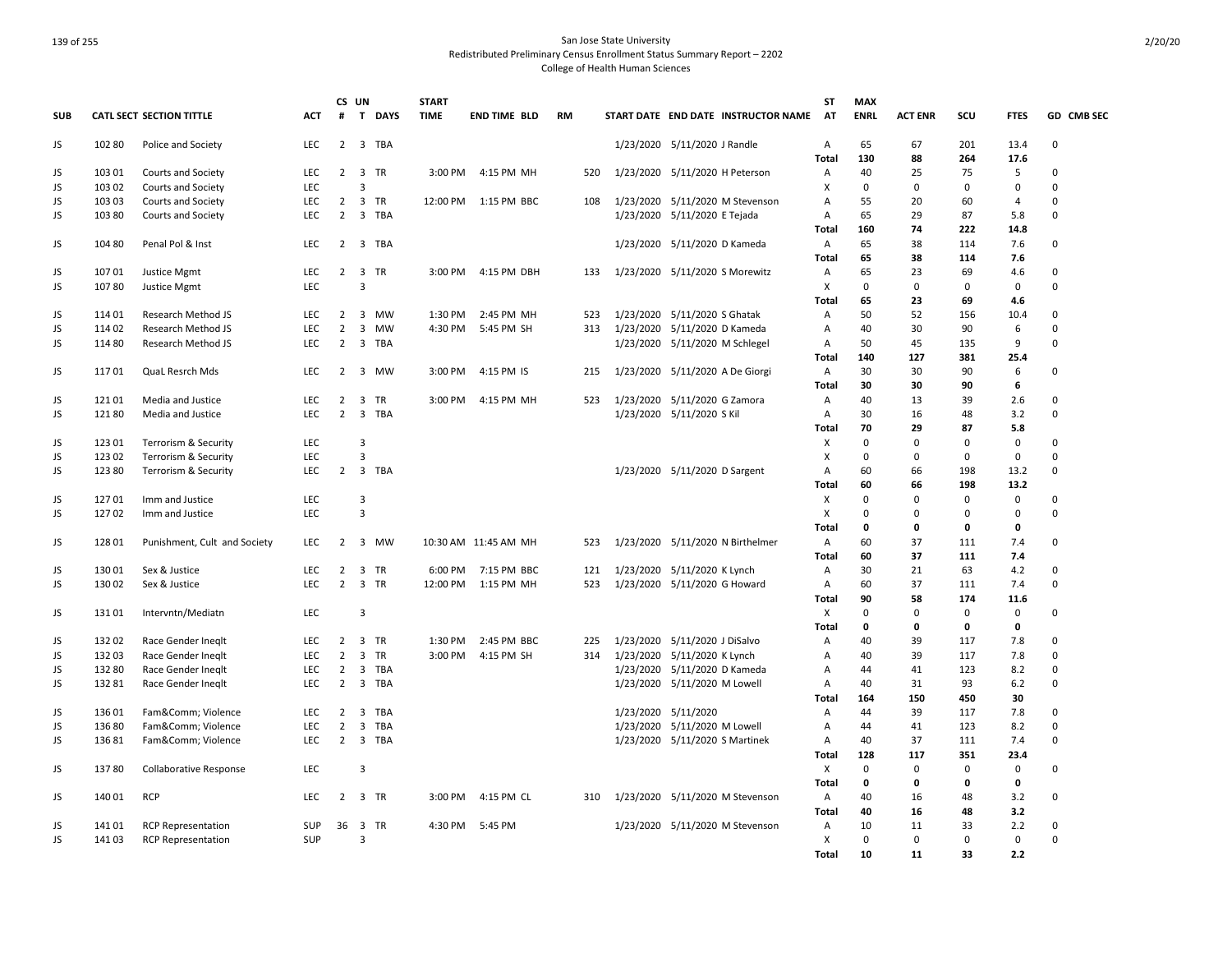|            |        |                                 |            |                               | CS UN                   | <b>START</b>               |                      |           |                               |                                     | ST                | <b>MAX</b>        |                |                |                    |                  |
|------------|--------|---------------------------------|------------|-------------------------------|-------------------------|----------------------------|----------------------|-----------|-------------------------------|-------------------------------------|-------------------|-------------------|----------------|----------------|--------------------|------------------|
| <b>SUB</b> |        | <b>CATL SECT SECTION TITTLE</b> | <b>ACT</b> | #                             | T                       | <b>DAYS</b><br><b>TIME</b> | <b>END TIME BLD</b>  | <b>RM</b> |                               | START DATE END DATE INSTRUCTOR NAME | <b>AT</b>         | <b>ENRL</b>       | <b>ACT ENR</b> | scu            | <b>FTES</b>        | GD CMB SEC       |
| JS         | 102 80 | Police and Society              | <b>LEC</b> | $\overline{2}$                | 3 TBA                   |                            |                      |           | 1/23/2020 5/11/2020 J Randle  |                                     | Α                 | 65                | 67             | 201            | 13.4               | $\mathbf 0$      |
|            |        |                                 |            |                               |                         |                            |                      |           |                               |                                     | Total             | 130               | 88             | 264            | 17.6               |                  |
| JS         | 103 01 | Courts and Society              | <b>LEC</b> | $\overline{2}$                | 3 TR                    | 3:00 PM                    | 4:15 PM MH           | 520       |                               | 1/23/2020 5/11/2020 H Peterson      | Α                 | 40                | 25             | 75             | 5                  | $\mathbf 0$      |
| JS         | 103 02 | Courts and Society              | <b>LEC</b> |                               | 3                       |                            |                      |           |                               |                                     | X                 | $\mathbf 0$       | 0              | 0              | $\mathbf 0$        | $\mathbf 0$      |
| JS         | 103 03 | Courts and Society              | LEC        | $\overline{2}$                | 3 TR                    |                            | 12:00 PM 1:15 PM BBC | 108       |                               | 1/23/2020 5/11/2020 M Stevenson     | Α                 | 55                | 20             | 60             | $\overline{4}$     | 0                |
| JS         | 103 80 | Courts and Society              | LEC        | $\overline{2}$                | 3 TBA                   |                            |                      |           | 1/23/2020 5/11/2020 E Tejada  |                                     | A                 | 65                | 29             | 87             | 5.8                | 0                |
|            |        |                                 |            |                               |                         |                            |                      |           |                               |                                     | Total             | 160               | 74             | 222            | 14.8               |                  |
| JS         | 10480  | Penal Pol & Inst                | <b>LEC</b> | $\overline{2}$                | 3 TBA                   |                            |                      |           | 1/23/2020 5/11/2020 D Kameda  |                                     | A                 | 65                | 38             | 114            | 7.6                | 0                |
|            |        |                                 |            |                               |                         |                            |                      |           |                               |                                     | <b>Total</b>      | 65                | 38             | 114            | 7.6                |                  |
| JS         | 107 01 | Justice Mgmt                    | LEC        | $2^{\circ}$                   | 3 TR                    | 3:00 PM                    | 4:15 PM DBH          | 133       |                               | 1/23/2020 5/11/2020 S Morewitz      | A                 | 65                | 23             | 69             | 4.6                | $\mathbf 0$      |
| JS.        | 10780  | Justice Mgmt                    | LEC        |                               | $\overline{3}$          |                            |                      |           |                               |                                     | X                 | $\mathbf 0$       | 0              | 0              | $\mathbf 0$        | $\mathbf 0$      |
|            |        |                                 |            |                               |                         |                            |                      |           |                               |                                     | Total             | 65                | 23             | 69             | 4.6                |                  |
| JS         | 114 01 | Research Method JS              | LEC        | 2                             | 3 MW                    | 1:30 PM                    | 2:45 PM MH           | 523       | 1/23/2020 5/11/2020 S Ghatak  |                                     | A                 | 50                | 52             | 156            | 10.4               | 0                |
| JS         | 114 02 | Research Method JS              | LEC        | $\overline{2}$                | 3<br>MW                 | 4:30 PM                    | 5:45 PM SH           | 313       | 1/23/2020 5/11/2020 D Kameda  |                                     | Α                 | 40                | 30             | 90             | 6                  | $\mathsf 0$      |
| JS         | 114 80 | Research Method JS              | LEC        | $\overline{2}$                | 3 TBA                   |                            |                      |           |                               | 1/23/2020 5/11/2020 M Schlegel      | Α                 | 50                | 45             | 135            | 9                  | 0                |
|            |        |                                 |            |                               |                         |                            |                      |           |                               |                                     | Total             | 140               | 127            | 381            | 25.4               |                  |
| JS         | 11701  | QuaL Resrch Mds                 | <b>LEC</b> | $\overline{2}$                | 3 MW                    | 3:00 PM                    | 4:15 PM IS           | 215       |                               | 1/23/2020 5/11/2020 A De Giorgi     | A                 | 30                | 30             | 90             | 6                  | 0                |
|            |        |                                 |            |                               |                         |                            |                      |           |                               |                                     | <b>Total</b>      | 30                | 30             | 90             | 6                  |                  |
| JS         | 121 01 | Media and Justice               | LEC        | $\overline{2}$                | TR<br>3                 | 3:00 PM                    | 4:15 PM MH           | 523       | 1/23/2020 5/11/2020 G Zamora  |                                     | Α                 | 40                | 13             | 39             | 2.6                | 0                |
| JS         | 12180  | Media and Justice               | LEC        | $2^{\circ}$                   | 3 TBA                   |                            |                      |           | 1/23/2020 5/11/2020 S Kil     |                                     | Α                 | 30                | 16             | 48             | 3.2                | $\mathsf 0$      |
|            |        |                                 |            |                               |                         |                            |                      |           |                               |                                     | Total             | 70                | 29             | 87             | 5.8                |                  |
| JS         | 123 01 | Terrorism & Security            | LEC        |                               | $\overline{3}$          |                            |                      |           |                               |                                     | Χ                 | $\mathbf 0$       | 0              | $\Omega$       | 0                  | $\mathbf 0$      |
| JS         | 123 02 | Terrorism & Security            | LEC        |                               | $\overline{3}$          |                            |                      |           |                               |                                     | X                 | 0                 | 0              | 0              | $\mathbf 0$        | $\mathbf 0$      |
| JS         | 123 80 | Terrorism & Security            | LEC        | 2                             | 3 TBA                   |                            |                      |           | 1/23/2020 5/11/2020 D Sargent |                                     | Α                 | 60                | 66             | 198            | 13.2               | $\mathbf 0$      |
|            |        |                                 |            |                               |                         |                            |                      |           |                               |                                     | Total             | 60                | 66             | 198            | 13.2               |                  |
| JS         | 12701  | Imm and Justice                 | LEC        |                               | $\overline{3}$          |                            |                      |           |                               |                                     | Χ                 | $\mathsf 0$       | $\Omega$       | 0              | 0                  | 0                |
| JS         | 127 02 | Imm and Justice                 | LEC        |                               | $\overline{\mathbf{3}}$ |                            |                      |           |                               |                                     | X                 | $\mathbf 0$       | 0              | 0              | $\mathbf 0$        | $\mathbf 0$      |
|            |        |                                 |            |                               |                         |                            |                      |           |                               |                                     | Total             | 0                 | 0              | 0              | 0                  |                  |
| JS         | 128 01 | Punishment, Cult and Society    | <b>LEC</b> | 2                             | 3 MW                    |                            | 10:30 AM 11:45 AM MH | 523       |                               | 1/23/2020 5/11/2020 N Birthelmer    | Α                 | 60                | 37             | 111            | 7.4                | 0                |
|            |        |                                 |            |                               |                         |                            |                      |           |                               |                                     | <b>Total</b>      | 60                | 37             | 111            | 7.4                |                  |
| JS         | 13001  | Sex & Justice                   | <b>LEC</b> | 2                             | 3 TR                    | 6:00 PM                    | 7:15 PM BBC          | 121       | 1/23/2020 5/11/2020 K Lynch   |                                     | Α                 | 30                | 21             | 63             | 4.2                | $\mathbf 0$      |
| JS         | 13002  | Sex & Justice                   | LEC        | $\overline{2}$                | 3 TR                    | 12:00 PM                   | 1:15 PM MH           | 523       | 1/23/2020 5/11/2020 G Howard  |                                     | $\overline{A}$    | 60                | 37             | 111            | 7.4                | $\mathbf 0$      |
|            |        |                                 |            |                               |                         |                            |                      |           |                               |                                     | Total             | 90                | 58             | 174            | 11.6               |                  |
| JS         | 131 01 | Intervntn/Mediatn               | LEC        |                               | $\overline{3}$          |                            |                      |           |                               |                                     | X                 | $\overline{0}$    | $\Omega$       | 0              | 0                  | 0                |
|            |        |                                 |            |                               |                         |                            |                      |           |                               |                                     | Total             | 0                 | 0              | 0              | 0                  |                  |
| JS         | 132 02 | Race Gender Ineglt              | LEC        | $\overline{2}$                | 3 TR                    | 1:30 PM                    | 2:45 PM BBC          | 225       | 1/23/2020 5/11/2020 J DiSalvo |                                     | A                 | 40                | 39             | 117            | 7.8                | $\mathbf 0$      |
| JS         | 132 03 | Race Gender Ineglt              | <b>LEC</b> | $\overline{2}$                | $\overline{3}$<br>TR    | 3:00 PM                    | 4:15 PM SH           | 314       | 1/23/2020 5/11/2020 K Lynch   |                                     | $\overline{A}$    | 40                | 39             | 117            | 7.8                | $\mathbf 0$      |
| JS         | 132 80 | Race Gender Ineglt              | LEC        | $\overline{2}$                | 3 TBA                   |                            |                      |           | 1/23/2020 5/11/2020 D Kameda  |                                     | Α                 | 44                | 41             | 123            | 8.2                | 0                |
| JS         | 13281  | Race Gender Ineqlt              | <b>LEC</b> | $\overline{2}$                | 3 TBA                   |                            |                      |           | 1/23/2020 5/11/2020 M Lowell  |                                     | $\overline{A}$    | 40                | 31             | 93             | 6.2                | $\mathbf 0$      |
|            |        |                                 |            |                               |                         |                            |                      |           |                               |                                     | Total             | 164               | 150            | 450            | 30                 |                  |
| JS         | 136 01 | Fam&Comm Violence               | LEC        | $\overline{2}$                | 3 TBA                   |                            |                      |           | 1/23/2020 5/11/2020           |                                     | A                 | 44                | 39             | 117            | 7.8                | 0                |
| JS         | 13680  | Fam&Comm Violence               | LEC        | $\overline{2}$<br>$2^{\circ}$ | 3<br>TBA<br>3 TBA       |                            |                      |           | 1/23/2020 5/11/2020 M Lowell  |                                     | Α                 | 44                | 41             | 123            | 8.2                | 0<br>0           |
| JS         | 13681  | Fam&Comm Violence               | <b>LEC</b> |                               |                         |                            |                      |           |                               | 1/23/2020 5/11/2020 S Martinek      | Α                 | 40                | 37             | 111            | 7.4                |                  |
|            |        |                                 |            |                               |                         |                            |                      |           |                               |                                     | Total             | 128               | 117            | 351            | 23.4               | 0                |
| JS         | 13780  | <b>Collaborative Response</b>   | <b>LEC</b> |                               | 3                       |                            |                      |           |                               |                                     | X<br><b>Total</b> | $\mathbf 0$<br>0  | $\Omega$<br>0  | $\Omega$<br>0  | $\mathbf 0$<br>0   |                  |
|            |        |                                 |            |                               |                         |                            |                      |           |                               |                                     |                   |                   |                |                |                    |                  |
| JS         | 140 01 | <b>RCP</b>                      | LEC        | $\overline{2}$                | 3 TR                    | 3:00 PM                    | 4:15 PM CL           | 310       |                               | 1/23/2020 5/11/2020 M Stevenson     | Α                 | 40                | 16             | 48             | 3.2                | 0                |
|            |        |                                 |            |                               |                         |                            |                      |           |                               |                                     | Total             | 40                | 16             | 48             | 3.2                |                  |
| JS         | 14101  | <b>RCP Representation</b>       | <b>SUP</b> | 36                            | 3 TR<br>3               | 4:30 PM                    | 5:45 PM              |           |                               | 1/23/2020 5/11/2020 M Stevenson     | A                 | 10<br>$\mathbf 0$ | 11             | 33<br>$\Omega$ | 2.2<br>$\mathbf 0$ | 0<br>$\mathbf 0$ |
| JS         | 14103  | <b>RCP Representation</b>       | SUP        |                               |                         |                            |                      |           |                               |                                     | X                 |                   | 0              | 33             |                    |                  |
|            |        |                                 |            |                               |                         |                            |                      |           |                               |                                     | Total             | 10                | 11             |                | 2.2                |                  |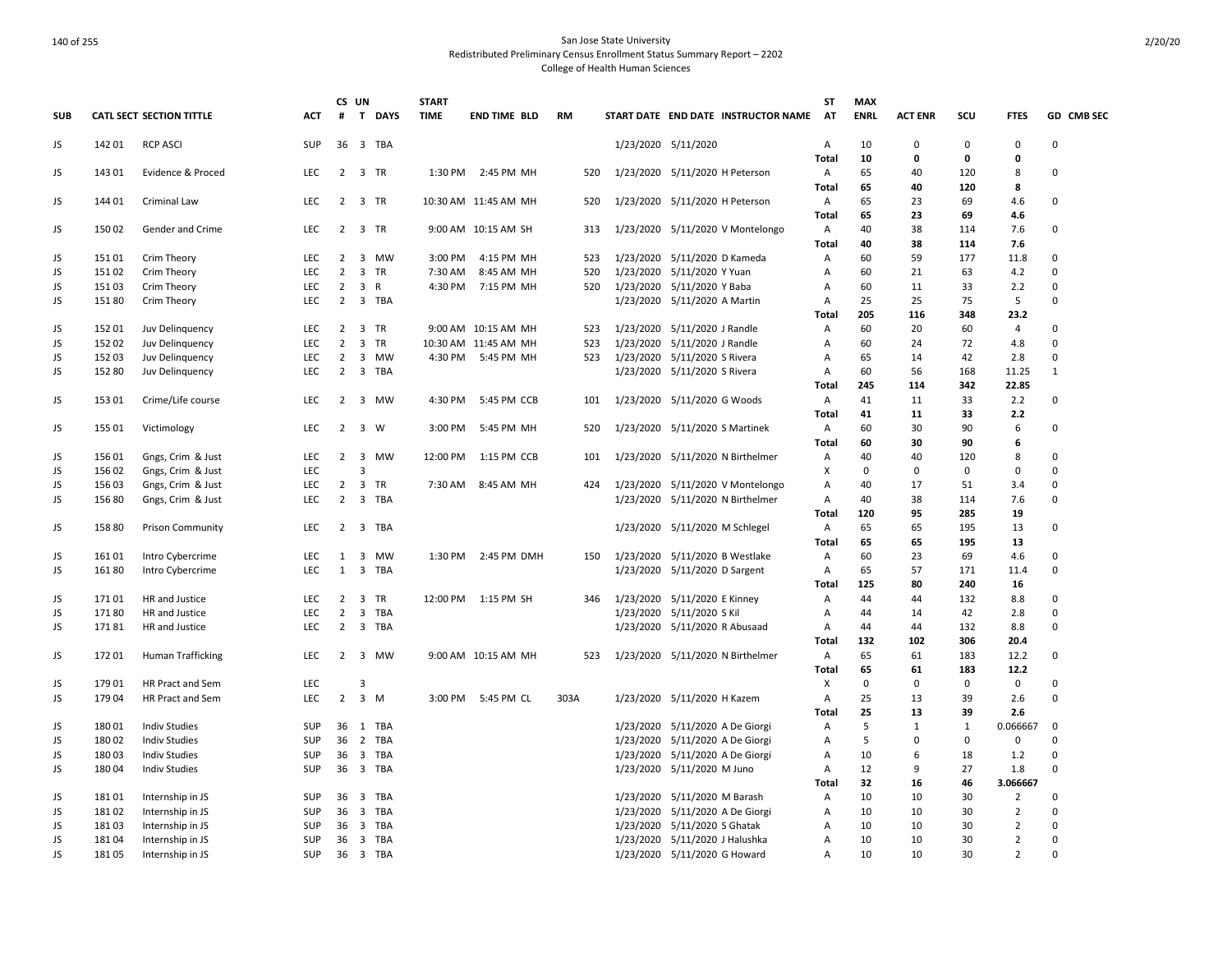|            |        |                          |            |                | CS UN                   |          | <b>START</b> |                      |      |                               |                                     | ST             | <b>MAX</b>  |                |             |                |              |
|------------|--------|--------------------------|------------|----------------|-------------------------|----------|--------------|----------------------|------|-------------------------------|-------------------------------------|----------------|-------------|----------------|-------------|----------------|--------------|
| <b>SUB</b> |        | CATL SECT SECTION TITTLE | ACT        | #              |                         | T DAYS   | <b>TIME</b>  | <b>END TIME BLD</b>  | RM   |                               | START DATE END DATE INSTRUCTOR NAME | AT             | <b>ENRL</b> | <b>ACT ENR</b> | scu         | <b>FTES</b>    | GD CMB SEC   |
| JS         | 14201  | <b>RCP ASCI</b>          | <b>SUP</b> |                |                         | 36 3 TBA |              |                      |      | 1/23/2020 5/11/2020           |                                     | A              | 10          | $\Omega$       | 0           | 0              | $\Omega$     |
|            |        |                          |            |                |                         |          |              |                      |      |                               |                                     | <b>Total</b>   | 10          | 0              | $\mathbf 0$ | 0              |              |
| JS         | 143 01 | Evidence & Proced        | <b>LEC</b> | $\overline{2}$ |                         | 3 TR     | 1:30 PM      | 2:45 PM MH           | 520  |                               | 1/23/2020 5/11/2020 H Peterson      | Α              | 65          | 40             | 120         | 8              | 0            |
|            |        |                          |            |                |                         |          |              |                      |      |                               |                                     | <b>Total</b>   | 65          | 40             | 120         | 8              |              |
| JS         | 144 01 | Criminal Law             | <b>LEC</b> |                | 2 3 TR                  |          |              | 10:30 AM 11:45 AM MH | 520  |                               | 1/23/2020 5/11/2020 H Peterson      | A              | 65          | 23             | 69          | 4.6            | $\Omega$     |
|            |        |                          |            |                |                         |          |              |                      |      |                               |                                     | Total          | 65          | 23             | 69          | 4.6            |              |
| JS         | 15002  | Gender and Crime         | <b>LEC</b> | $2^{\circ}$    |                         | 3 TR     |              | 9:00 AM 10:15 AM SH  | 313  |                               | 1/23/2020 5/11/2020 V Montelongo    | Α              | 40          | 38             | 114         | 7.6            | $\Omega$     |
|            |        |                          |            |                |                         |          |              |                      |      |                               |                                     | Total          | 40          | 38             | 114         | 7.6            |              |
| JS         | 151 01 | Crim Theory              | <b>LEC</b> | 2              | 3                       | MW       | 3:00 PM      | 4:15 PM MH           | 523  |                               | 1/23/2020 5/11/2020 D Kameda        | $\mathsf{A}$   | 60          | 59             | 177         | 11.8           | $\Omega$     |
| JS         | 151 02 | Crim Theory              | LEC        | $\overline{2}$ |                         | 3 TR     | 7:30 AM      | 8:45 AM MH           | 520  | 1/23/2020 5/11/2020 Y Yuan    |                                     | Α              | 60          | 21             | 63          | 4.2            | $\Omega$     |
| JS         | 151 03 | Crim Theory              | <b>LEC</b> | 2              |                         | 3 R      | 4:30 PM      | 7:15 PM MH           | 520  | 1/23/2020 5/11/2020 Y Baba    |                                     | Α              | 60          | 11             | 33          | 2.2            | $\Omega$     |
| JS         | 15180  | Crim Theory              | <b>LEC</b> | $\overline{2}$ |                         | 3 TBA    |              |                      |      | 1/23/2020 5/11/2020 A Martin  |                                     | A              | 25          | 25             | 75          | 5              | $\Omega$     |
|            |        |                          |            |                |                         |          |              |                      |      |                               |                                     | <b>Total</b>   | 205         | 116            | 348         | 23.2           |              |
| JS         | 152 01 | Juv Delinquency          | <b>LEC</b> | 2              |                         | 3 TR     |              | 9:00 AM 10:15 AM MH  | 523  | 1/23/2020 5/11/2020 J Randle  |                                     | Α              | 60          | 20             | 60          | 4              | $\Omega$     |
| JS         | 152 02 | Juv Delinquency          | <b>LEC</b> | $\overline{2}$ | $\overline{\mathbf{3}}$ | TR       |              | 10:30 AM 11:45 AM MH | 523  | 1/23/2020 5/11/2020 J Randle  |                                     | Α              | 60          | 24             | 72          | 4.8            | $\Omega$     |
| JS         | 15203  | Juv Delinguency          | <b>LEC</b> | $\overline{2}$ |                         | 3 MW     | 4:30 PM      | 5:45 PM MH           | 523  | 1/23/2020 5/11/2020 S Rivera  |                                     | A              | 65          | 14             | 42          | 2.8            | $\Omega$     |
| JS         | 152 80 | Juv Delinquency          | LEC        | $\overline{2}$ |                         | 3 TBA    |              |                      |      | 1/23/2020 5/11/2020 S Rivera  |                                     | Α              | 60          | 56             | 168         | 11.25          | $\mathbf{1}$ |
|            |        |                          |            |                |                         |          |              |                      |      |                               |                                     | Total          | 245         | 114            | 342         | 22.85          |              |
| JS         | 153 01 | Crime/Life course        | <b>LEC</b> | 2              |                         | 3 MW     | 4:30 PM      | 5:45 PM CCB          | 101  | 1/23/2020 5/11/2020 G Woods   |                                     | Α              | 41          | 11             | 33          | 2.2            | 0            |
|            |        |                          |            |                |                         |          |              |                      |      |                               |                                     | <b>Total</b>   | 41          | 11             | 33          | 2.2            |              |
| JS         | 155 01 | Victimology              | LEC        | $2^{\circ}$    |                         | 3 W      | 3:00 PM      | 5:45 PM MH           | 520  |                               | 1/23/2020 5/11/2020 S Martinek      | Α              | 60          | 30             | 90          | 6              | $\Omega$     |
|            |        |                          |            |                |                         |          |              |                      |      |                               |                                     | Total          | 60          | 30             | 90          | 6              |              |
| JS         | 156 01 | Gngs, Crim & Just        | <b>LEC</b> | $\overline{2}$ |                         | 3 MW     | 12:00 PM     | 1:15 PM CCB          | 101  |                               | 1/23/2020 5/11/2020 N Birthelmer    | Α              | 40          | 40             | 120         | 8              | $\mathbf 0$  |
| JS         | 156 02 | Gngs, Crim & Just        | <b>LEC</b> |                | 3                       |          |              |                      |      |                               |                                     | X              | 0           | 0              | 0           | 0              | $\Omega$     |
| JS         | 156 03 | Gngs, Crim & Just        | <b>LEC</b> | $\overline{2}$ | $\overline{\mathbf{3}}$ | TR       | 7:30 AM      | 8:45 AM MH           | 424  |                               | 1/23/2020 5/11/2020 V Montelongo    | Α              | 40          | 17             | 51          | 3.4            | $\Omega$     |
| JS         | 156 80 | Gngs, Crim & Just        | <b>LEC</b> | $\overline{2}$ |                         | 3 TBA    |              |                      |      |                               | 1/23/2020 5/11/2020 N Birthelmer    | $\overline{A}$ | 40          | 38             | 114         | 7.6            | $\Omega$     |
|            |        |                          |            |                |                         |          |              |                      |      |                               |                                     | Total          | 120         | 95             | 285         | 19             |              |
| JS         | 158 80 | <b>Prison Community</b>  | <b>LEC</b> |                |                         | 2 3 TBA  |              |                      |      |                               | 1/23/2020 5/11/2020 M Schlegel      | Α              | 65          | 65             | 195         | 13             | 0            |
|            |        |                          |            |                |                         |          |              |                      |      |                               |                                     | Total          | 65          | 65             | 195         | 13             |              |
| JS         | 16101  | Intro Cybercrime         | <b>LEC</b> | 1              | $\overline{\mathbf{3}}$ | MW       |              | 1:30 PM 2:45 PM DMH  | 150  |                               | 1/23/2020 5/11/2020 B Westlake      | $\overline{A}$ | 60          | 23             | 69          | 4.6            | $\Omega$     |
| JS         | 16180  | Intro Cybercrime         | <b>LEC</b> | 1              |                         | 3 TBA    |              |                      |      | 1/23/2020 5/11/2020 D Sargent |                                     | Α              | 65          | 57             | 171         | 11.4           | $\Omega$     |
|            |        |                          |            |                |                         |          |              |                      |      |                               |                                     | Total          | 125         | 80             | 240         | 16             |              |
| JS         | 17101  | HR and Justice           | LEC        | $\overline{2}$ | $\overline{\mathbf{3}}$ | TR       |              | 12:00 PM 1:15 PM SH  | 346  | 1/23/2020 5/11/2020 E Kinney  |                                     | Α              | 44          | 44             | 132         | 8.8            | 0            |
| JS.        | 17180  | HR and Justice           | <b>LEC</b> | $\overline{2}$ |                         | 3 TBA    |              |                      |      | 1/23/2020 5/11/2020 S Kil     |                                     | Α              | 44          | 14             | 42          | 2.8            | $\Omega$     |
| JS         | 17181  | HR and Justice           | <b>LEC</b> | $\overline{2}$ |                         | 3 TBA    |              |                      |      |                               | 1/23/2020 5/11/2020 R Abusaad       | A              | 44          | 44             | 132         | 8.8            | $\Omega$     |
|            |        |                          |            |                |                         |          |              |                      |      |                               |                                     | <b>Total</b>   | 132         | 102            | 306         | 20.4           |              |
| JS         | 17201  | Human Trafficking        | LEC        | $2^{\circ}$    |                         | 3 MW     |              | 9:00 AM 10:15 AM MH  | 523  |                               | 1/23/2020 5/11/2020 N Birthelmer    | A              | 65          | 61             | 183         | 12.2           | 0            |
|            |        |                          |            |                |                         |          |              |                      |      |                               |                                     | <b>Total</b>   | 65          | 61             | 183         | 12.2           |              |
| JS         | 17901  | HR Pract and Sem         | <b>LEC</b> |                | 3                       |          |              |                      |      |                               |                                     | X              | $\mathbf 0$ | 0              | 0           | $\mathbf 0$    | $\Omega$     |
| JS         | 179 04 | HR Pract and Sem         | <b>LEC</b> | $2^{\circ}$    |                         | $3 \, M$ | 3:00 PM      | 5:45 PM CL           | 303A | 1/23/2020 5/11/2020 H Kazem   |                                     | Α              | 25          | 13             | 39          | 2.6            | $\Omega$     |
|            |        |                          |            |                |                         |          |              |                      |      |                               |                                     | <b>Total</b>   | 25          | 13             | 39          | 2.6            |              |
| JS         | 18001  | <b>Indiv Studies</b>     | SUP        |                |                         | 36 1 TBA |              |                      |      |                               | 1/23/2020 5/11/2020 A De Giorgi     | Α              | 5           | $\mathbf{1}$   | 1           | 0.066667       | $\mathbf 0$  |
| JS         | 180 02 | <b>Indiv Studies</b>     | <b>SUP</b> | 36             |                         | 2 TBA    |              |                      |      |                               | 1/23/2020 5/11/2020 A De Giorgi     | A              | 5           | 0              | 0           | 0              | $\Omega$     |
| JS         | 180 03 | <b>Indiv Studies</b>     | SUP        | 36             |                         | 3 TBA    |              |                      |      |                               | 1/23/2020 5/11/2020 A De Giorgi     | Α              | 10          | 6              | 18          | 1.2            | $\Omega$     |
| JS         | 180 04 | <b>Indiv Studies</b>     | <b>SUP</b> | 36             |                         | 3 TBA    |              |                      |      | 1/23/2020 5/11/2020 M Juno    |                                     | A              | 12          | q              | 27          | 1.8            | $\Omega$     |
|            |        |                          |            |                |                         |          |              |                      |      |                               |                                     | <b>Total</b>   | 32          | 16             | 46          | 3.066667       |              |
| JS         | 18101  | Internship in JS         | SUP        |                |                         | 36 3 TBA |              |                      |      | 1/23/2020 5/11/2020 M Barash  |                                     | Α              | 10          | 10             | 30          | 2              | $\Omega$     |
| JS         | 18102  | Internship in JS         | SUP        | 36             |                         | 3 TBA    |              |                      |      |                               | 1/23/2020 5/11/2020 A De Giorgi     | Α              | 10          | 10             | 30          | $\overline{2}$ | $\Omega$     |
| JS         | 18103  | Internship in JS         | SUP        | 36             |                         | 3 TBA    |              |                      |      | 1/23/2020 5/11/2020 S Ghatak  |                                     | A              | 10          | 10             | 30          | $\overline{2}$ | 0            |
| JS         | 18104  | Internship in JS         | SUP        | 36             |                         | 3 TBA    |              |                      |      |                               | 1/23/2020 5/11/2020 J Halushka      | Α              | 10          | 10             | 30          | $\overline{2}$ | $\Omega$     |
| JS         | 18105  | Internship in JS         | SUP        |                |                         | 36 3 TBA |              |                      |      | 1/23/2020 5/11/2020 G Howard  |                                     | Α              | 10          | 10             | 30          | $\overline{2}$ | $\Omega$     |
|            |        |                          |            |                |                         |          |              |                      |      |                               |                                     |                |             |                |             |                |              |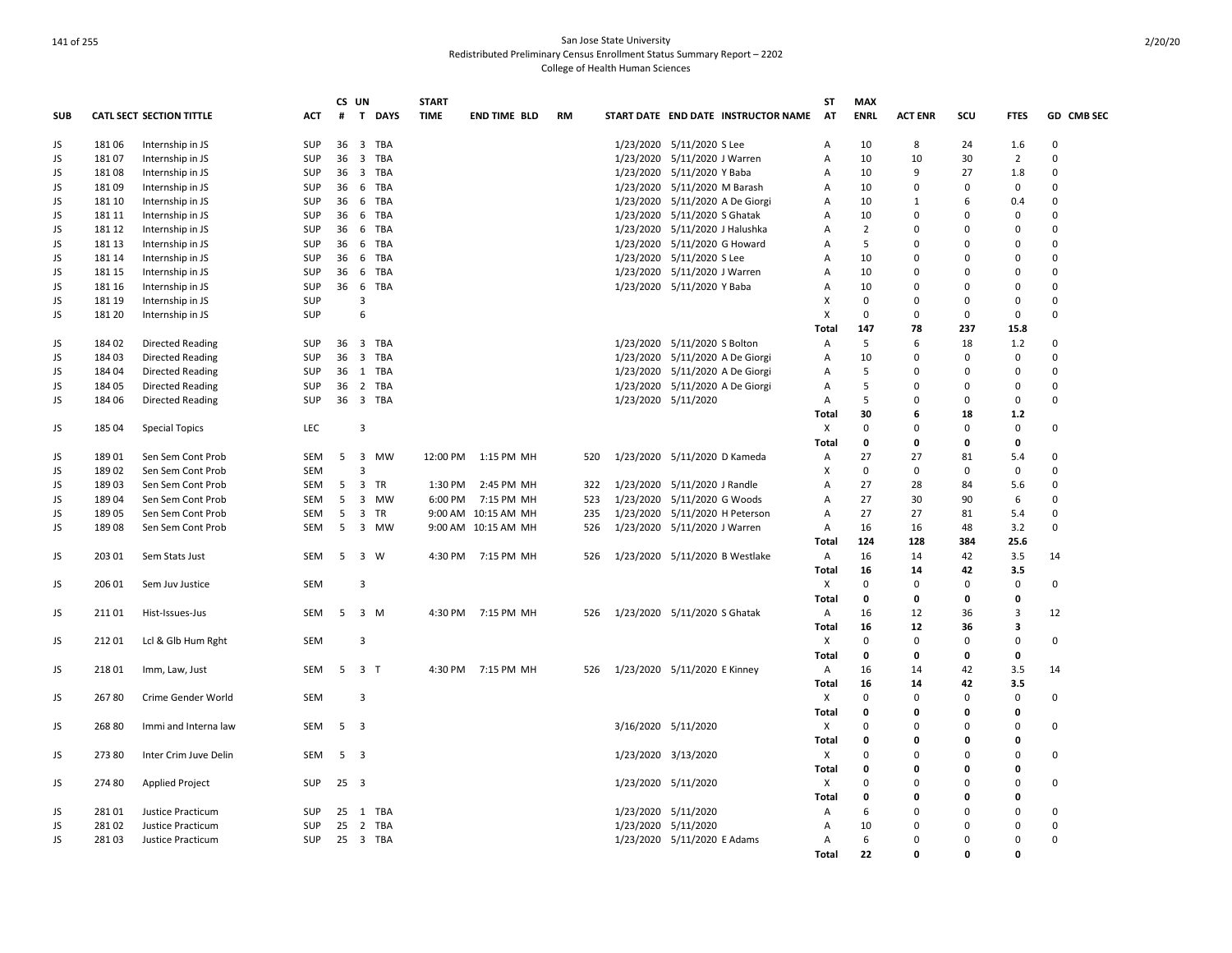|            |        |                                 |            | CS UN          |                               | <b>START</b> |                     |     |                                |                                     | <b>ST</b>      | <b>MAX</b>     |                |             |                |             |
|------------|--------|---------------------------------|------------|----------------|-------------------------------|--------------|---------------------|-----|--------------------------------|-------------------------------------|----------------|----------------|----------------|-------------|----------------|-------------|
| <b>SUB</b> |        | <b>CATL SECT SECTION TITTLE</b> | <b>ACT</b> | #              | $\mathbf{T}$<br><b>DAYS</b>   | <b>TIME</b>  | <b>END TIME BLD</b> | RM  |                                | START DATE END DATE INSTRUCTOR NAME | <b>AT</b>      | <b>ENRL</b>    | <b>ACT ENR</b> | SCU         | <b>FTES</b>    | GD CMB SEC  |
| JS         | 18106  | Internship in JS                | SUP        | 36             | 3 TBA                         |              |                     |     | 1/23/2020 5/11/2020 S Lee      |                                     | Α              | 10             | 8              | 24          | 1.6            | $\mathbf 0$ |
| JS         | 18107  | Internship in JS                | <b>SUP</b> | 36             | 3 TBA                         |              |                     |     | 1/23/2020 5/11/2020 J Warren   |                                     | Α              | 10             | 10             | 30          | $\overline{2}$ | 0           |
| JS         | 18108  | Internship in JS                | SUP        | 36             | 3 TBA                         |              |                     |     | 1/23/2020 5/11/2020 Y Baba     |                                     | Α              | 10             | 9              | 27          | 1.8            | $\Omega$    |
| JS         | 18109  | Internship in JS                | SUP        | 36             | 6 TBA                         |              |                     |     | 1/23/2020 5/11/2020 M Barash   |                                     | Α              | 10             | $\Omega$       | 0           | $\mathbf 0$    | 0           |
| JS         | 181 10 | Internship in JS                | SUP        | 36             | 6 TBA                         |              |                     |     |                                | 1/23/2020 5/11/2020 A De Giorgi     | Α              | 10             | 1              | 6           | 0.4            | $\Omega$    |
| JS         | 181 11 | Internship in JS                | SUP        | 36             | 6<br>TBA                      |              |                     |     | 1/23/2020 5/11/2020 S Ghatak   |                                     | Α              | 10             | $\Omega$       | $\Omega$    | $\mathbf 0$    | $\Omega$    |
| JS         | 181 12 | Internship in JS                | SUP        | 36             | 6 TBA                         |              |                     |     | 1/23/2020 5/11/2020 J Halushka |                                     | A              | $\overline{2}$ | $\Omega$       | $\Omega$    | $\Omega$       | $\Omega$    |
| JS         | 181 13 | Internship in JS                | SUP        | 36             | 6 TBA                         |              |                     |     | 1/23/2020 5/11/2020 G Howard   |                                     | Α              | 5              | $\Omega$       | $\Omega$    | $\mathbf 0$    | $\mathbf 0$ |
| JS         | 181 14 | Internship in JS                | SUP        | 36             | 6 TBA                         |              |                     |     | 1/23/2020 5/11/2020 S Lee      |                                     | Α              | 10             | $\Omega$       | $\Omega$    | $\Omega$       | $\Omega$    |
| JS         | 181 15 | Internship in JS                | SUP        | 36             | 6 TBA                         |              |                     |     | 1/23/2020 5/11/2020 J Warren   |                                     | Α              | 10             | 0              | $\Omega$    | $\mathbf 0$    | $\mathbf 0$ |
| JS         | 181 16 | Internship in JS                | SUP        | 36             | 6 TBA                         |              |                     |     | 1/23/2020 5/11/2020 Y Baba     |                                     | Α              | 10             | 0              | $\Omega$    | 0              | $\Omega$    |
| JS         | 181 19 | Internship in JS                | SUP        |                | 3                             |              |                     |     |                                |                                     | X              | 0              | $\Omega$       | $\Omega$    | $\mathbf 0$    | $\Omega$    |
| JS         | 181 20 | Internship in JS                | SUP        |                | 6                             |              |                     |     |                                |                                     | X              | 0              | $\mathbf 0$    | 0           | $\mathbf 0$    | $\mathbf 0$ |
|            |        |                                 |            |                |                               |              |                     |     |                                |                                     | Total          | 147            | 78             | 237         | 15.8           |             |
|            | 184 02 |                                 | SUP        | 36             | 3 TBA                         |              |                     |     | 1/23/2020 5/11/2020 S Bolton   |                                     |                | 5              | 6              | 18          | 1.2            | 0           |
| JS         |        | <b>Directed Reading</b>         |            |                |                               |              |                     |     |                                |                                     | A              |                |                |             |                |             |
| JS         | 184 03 | <b>Directed Reading</b>         | <b>SUP</b> | 36             | 3 TBA                         |              |                     |     |                                | 1/23/2020 5/11/2020 A De Giorgi     | A              | 10             | $\Omega$       | $\Omega$    | $\mathbf 0$    | $\Omega$    |
| JS         | 18404  | <b>Directed Reading</b>         | SUP        | 36             | 1 TBA                         |              |                     |     |                                | 1/23/2020 5/11/2020 A De Giorgi     | Α              | 5              | $\Omega$       | $\Omega$    | $\mathbf 0$    | $\mathbf 0$ |
| JS         | 18405  | <b>Directed Reading</b>         | <b>SUP</b> | 36             | 2 TBA                         |              |                     |     |                                | 1/23/2020 5/11/2020 A De Giorgi     | A              | 5              | $\Omega$       | $\Omega$    | $\mathbf 0$    | $\Omega$    |
| JS         | 184 06 | Directed Reading                | SUP        | 36             | 3 TBA                         |              |                     |     | 1/23/2020 5/11/2020            |                                     | Α              | 5              | $\Omega$       | $\Omega$    | $\mathbf 0$    | $\Omega$    |
|            |        |                                 |            |                |                               |              |                     |     |                                |                                     | Total          | 30             | 6              | 18          | $1.2$          |             |
| JS         | 185 04 | <b>Special Topics</b>           | <b>LEC</b> |                | 3                             |              |                     |     |                                |                                     | X              | 0              | $\Omega$       | $\Omega$    | $\mathbf 0$    | $\Omega$    |
|            |        |                                 |            |                |                               |              |                     |     |                                |                                     | Total          | 0              | 0              | 0           | $\mathbf 0$    |             |
| JS         | 18901  | Sen Sem Cont Prob               | SEM        | -5             | 3 MW                          |              | 12:00 PM 1:15 PM MH | 520 | 1/23/2020 5/11/2020 D Kameda   |                                     | Α              | 27             | 27             | 81          | 5.4            | $\Omega$    |
| JS         | 18902  | Sen Sem Cont Prob               | SEM        |                | 3                             |              |                     |     |                                |                                     | X              | 0              | 0              | $\Omega$    | $\mathbf 0$    | 0           |
| JS         | 18903  | Sen Sem Cont Prob               | SEM        | 5              | $\overline{\mathbf{3}}$<br>TR | 1:30 PM      | 2:45 PM MH          | 322 | 1/23/2020 5/11/2020 J Randle   |                                     | A              | 27             | 28             | 84          | 5.6            | 0           |
| JS         | 18904  | Sen Sem Cont Prob               | SEM        | 5              | 3 MW                          | 6:00 PM      | 7:15 PM MH          | 523 | 1/23/2020 5/11/2020 G Woods    |                                     | Α              | 27             | 30             | 90          | 6              | $\mathbf 0$ |
| JS         | 18905  | Sen Sem Cont Prob               | SEM        | 5              | 3 TR                          |              | 9:00 AM 10:15 AM MH | 235 | 1/23/2020 5/11/2020 H Peterson |                                     | $\overline{A}$ | 27             | 27             | 81          | 5.4            | $\Omega$    |
| JS         | 18908  | Sen Sem Cont Prob               | SEM        | 5              | 3 MW                          |              | 9:00 AM 10:15 AM MH | 526 | 1/23/2020 5/11/2020 J Warren   |                                     | A              | 16             | 16             | 48          | 3.2            | $\mathbf 0$ |
|            |        |                                 |            |                |                               |              |                     |     |                                |                                     | Total          | 124            | 128            | 384         | 25.6           |             |
| JS         | 203 01 | Sem Stats Just                  | SEM        | 5              | 3 W                           |              | 4:30 PM 7:15 PM MH  | 526 |                                | 1/23/2020 5/11/2020 B Westlake      | A              | 16             | 14             | 42          | 3.5            | 14          |
|            |        |                                 |            |                |                               |              |                     |     |                                |                                     | Total          | 16             | 14             | 42          | 3.5            |             |
| JS         | 206 01 | Sem Juv Justice                 | SEM        |                | 3                             |              |                     |     |                                |                                     | X              | 0              | $\Omega$       | 0           | $\mathbf 0$    | 0           |
|            |        |                                 |            |                |                               |              |                     |     |                                |                                     | Total          | 0              | 0              | 0           | 0              |             |
| JS         | 21101  | Hist-Issues-Jus                 | SEM        | 5              | 3 M                           | 4:30 PM      | 7:15 PM MH          | 526 | 1/23/2020 5/11/2020 S Ghatak   |                                     | $\mathsf{A}$   | 16             | 12             | 36          | 3              | 12          |
|            |        |                                 |            |                |                               |              |                     |     |                                |                                     | Total          | 16             | 12             | 36          | 3              |             |
| JS         | 21201  | Lcl & Glb Hum Rght              | <b>SEM</b> |                | 3                             |              |                     |     |                                |                                     | Χ              | $\Omega$       | $\Omega$       | $\Omega$    | $\mathbf 0$    | $\Omega$    |
|            |        |                                 |            |                |                               |              |                     |     |                                |                                     | Total          | 0              | 0              | $\mathbf 0$ | $\mathbf 0$    |             |
|            | 21801  |                                 | SEM        |                | 5 3 T                         |              | 4:30 PM 7:15 PM MH  | 526 | 1/23/2020 5/11/2020 E Kinney   |                                     |                | 16             | 14             | 42          | 3.5            | 14          |
| JS         |        | Imm, Law, Just                  |            |                |                               |              |                     |     |                                |                                     | A              | 16             |                | 42          | 3.5            |             |
|            |        |                                 |            |                |                               |              |                     |     |                                |                                     | Total          |                | 14<br>$\Omega$ |             |                |             |
| JS         | 26780  | Crime Gender World              | SEM        |                | 3                             |              |                     |     |                                |                                     | X              | 0              |                | 0           | $\mathbf 0$    | 0           |
|            |        |                                 |            |                |                               |              |                     |     |                                |                                     | Total          | 0              | 0              | $\mathbf 0$ | 0              |             |
| JS         | 26880  | Immi and Interna law            | SEM        | 5 <sub>3</sub> |                               |              |                     |     | 3/16/2020 5/11/2020            |                                     | X              | 0              | $\Omega$       | $\Omega$    | $\mathbf 0$    | 0           |
|            |        |                                 |            |                |                               |              |                     |     |                                |                                     | Total          | 0              | 0              | $\mathbf 0$ | 0              |             |
| JS         | 273 80 | Inter Crim Juve Delin           | SEM        | 5 <sub>3</sub> |                               |              |                     |     | 1/23/2020 3/13/2020            |                                     | X              | 0              | $\Omega$       | $\Omega$    | $\mathbf 0$    | $\mathbf 0$ |
|            |        |                                 |            |                |                               |              |                     |     |                                |                                     | Total          | $\Omega$       | O              | $\Omega$    | $\mathbf{0}$   |             |
| JS         | 274 80 | <b>Applied Project</b>          | <b>SUP</b> | $25 \quad 3$   |                               |              |                     |     | 1/23/2020 5/11/2020            |                                     | X              | 0              | $\Omega$       | $\Omega$    | $\mathbf 0$    | 0           |
|            |        |                                 |            |                |                               |              |                     |     |                                |                                     | Total          | 0              | 0              | $\Omega$    | 0              |             |
| JS         | 28101  | Justice Practicum               | SUP        | 25             | 1 TBA                         |              |                     |     | 1/23/2020 5/11/2020            |                                     | A              | 6              | $\Omega$       | $\Omega$    | 0              | 0           |
| JS         | 28102  | Justice Practicum               | <b>SUP</b> | 25             | 2 TBA                         |              |                     |     | 1/23/2020 5/11/2020            |                                     | A              | 10             | $\Omega$       | $\Omega$    | $\mathbf 0$    | 0           |
| JS         | 28103  | Justice Practicum               | SUP        |                | 25 3 TBA                      |              |                     |     | 1/23/2020 5/11/2020 E Adams    |                                     | $\mathsf{A}$   | 6              | $\Omega$       | 0           | $\mathbf 0$    | 0           |
|            |        |                                 |            |                |                               |              |                     |     |                                |                                     | Total          | 22             | <sup>0</sup>   | $\Omega$    | $\Omega$       |             |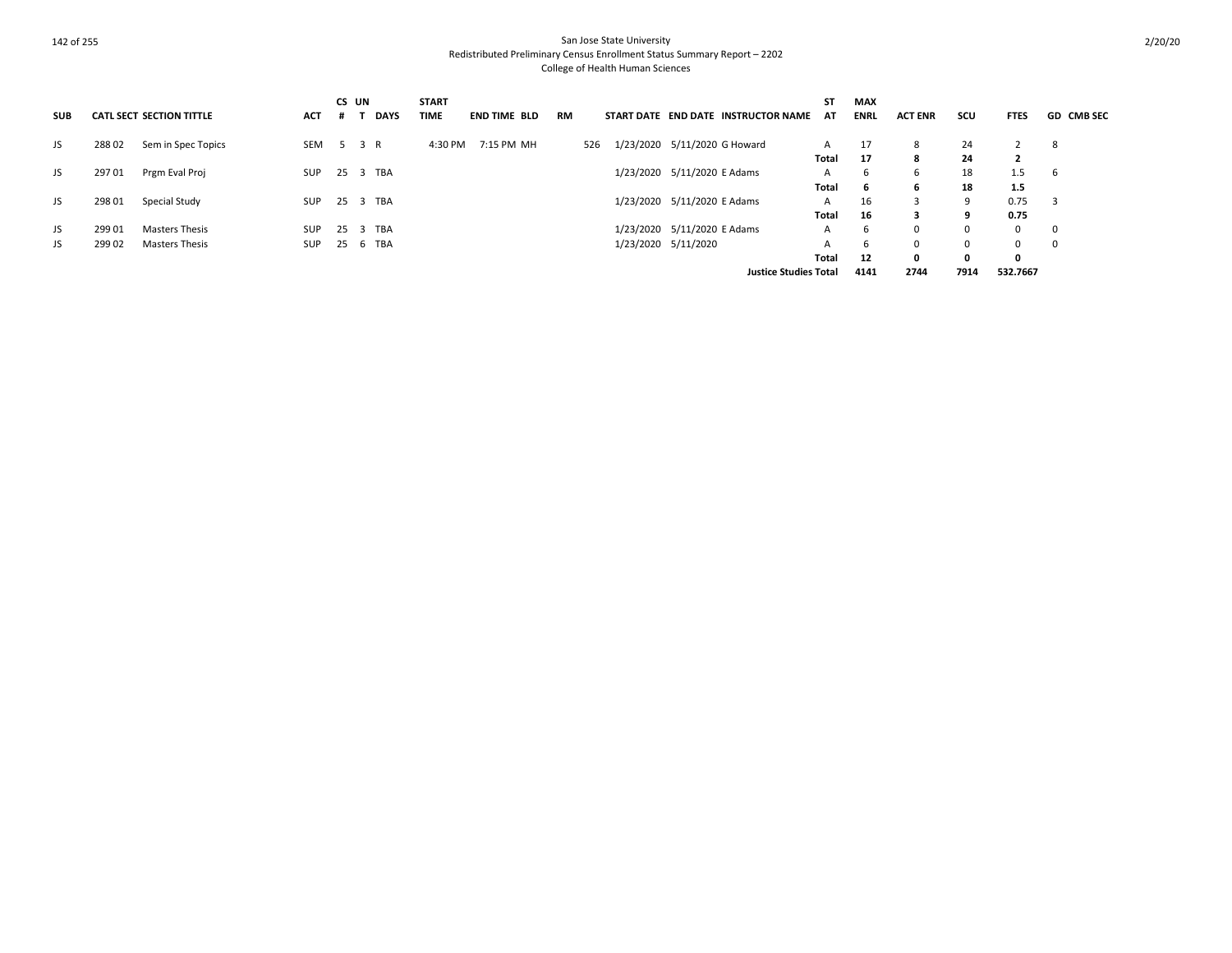| <b>SUB</b> |        | <b>CATL SECT SECTION TITTLE</b> | <b>ACT</b> | .# | CS UN<br><b>DAYS</b> | <b>START</b><br><b>TIME</b> | <b>END TIME BLD</b> | <b>RM</b> | START DATE END DATE INSTRUCTOR NAME | ST<br>AT | <b>MAX</b><br><b>ENRL</b> | <b>ACT ENR</b> | scu      | <b>FTES</b>    | <b>GD CMB SEC</b> |
|------------|--------|---------------------------------|------------|----|----------------------|-----------------------------|---------------------|-----------|-------------------------------------|----------|---------------------------|----------------|----------|----------------|-------------------|
| JS         | 28802  | Sem in Spec Topics              | SEM        |    | 5 3 R                | 4:30 PM                     | 7:15 PM MH          | 526       | 1/23/2020 5/11/2020 G Howard        | A        | 17                        | 8              | 24       |                | 8                 |
|            |        |                                 |            |    |                      |                             |                     |           |                                     | Total    | 17                        | 8              | 24       | $\overline{2}$ |                   |
| JS         | 29701  | Prgm Eval Proj                  | <b>SUP</b> |    | 25 3 TBA             |                             |                     |           | 1/23/2020 5/11/2020 E Adams         | A        | -6                        | 6              | 18       | 1.5            | 6                 |
|            |        |                                 |            |    |                      |                             |                     |           |                                     | Total    | -6                        | 6              | 18       | 1.5            |                   |
| JS         | 298 01 | Special Study                   | <b>SUP</b> |    | 25 3 TBA             |                             |                     |           | 1/23/2020 5/11/2020 E Adams         | A        | 16                        | 3              | 9        | 0.75           | - 3               |
|            |        |                                 |            |    |                      |                             |                     |           |                                     | Total    | 16                        | 3              | 9        | 0.75           |                   |
| JS         | 299 01 | <b>Masters Thesis</b>           | <b>SUP</b> | 25 | 3 TBA                |                             |                     |           | 1/23/2020 5/11/2020 E Adams         | A        | 6                         | $\Omega$       | $\Omega$ | $\mathbf{0}$   | $\mathbf 0$       |
| JS.        | 299 02 | <b>Masters Thesis</b>           | <b>SUP</b> |    | 25 6 TBA             |                             |                     |           | 1/23/2020 5/11/2020                 |          | -6                        | 0              | $\Omega$ | $\Omega$       |                   |
|            |        |                                 |            |    |                      |                             |                     |           |                                     | Total    | 12                        | 0              | 0        | 0              |                   |
|            |        |                                 |            |    |                      |                             |                     |           | <b>Justice Studies Total</b>        |          | 4141                      | 2744           | 7914     | 532.7667       |                   |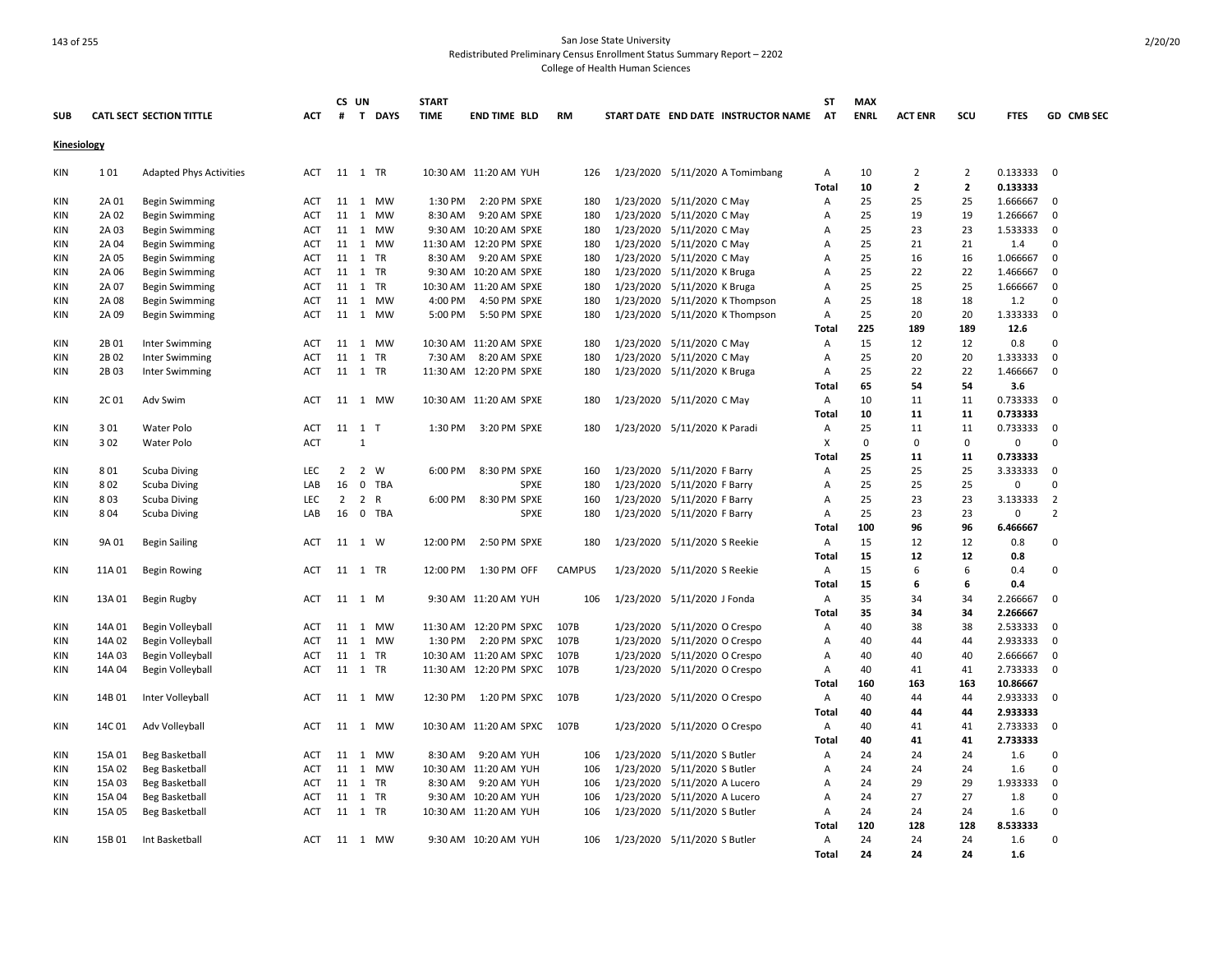|             |        |                                 |            |                | CS UN          |              | <b>START</b> |                         |               |           |                              |                                     | ST             | <b>MAX</b>  |                |                |             |                |
|-------------|--------|---------------------------------|------------|----------------|----------------|--------------|--------------|-------------------------|---------------|-----------|------------------------------|-------------------------------------|----------------|-------------|----------------|----------------|-------------|----------------|
| <b>SUB</b>  |        | <b>CATL SECT SECTION TITTLE</b> | <b>ACT</b> | #              | T              | <b>DAYS</b>  | <b>TIME</b>  | <b>END TIME BLD</b>     | <b>RM</b>     |           |                              | START DATE END DATE INSTRUCTOR NAME | AT             | <b>ENRL</b> | <b>ACT ENR</b> | SCU            | <b>FTES</b> | GD CMB SEC     |
| Kinesiology |        |                                 |            |                |                |              |              |                         |               |           |                              |                                     |                |             |                |                |             |                |
| <b>KIN</b>  | 101    | <b>Adapted Phys Activities</b>  | ACT        |                | 11 1 TR        |              |              | 10:30 AM 11:20 AM YUH   | 126           |           |                              | 1/23/2020 5/11/2020 A Tomimbang     | $\mathsf{A}$   | 10          | $\overline{2}$ | 2              | 0.13333300  |                |
|             |        |                                 |            |                |                |              |              |                         |               |           |                              |                                     | <b>Total</b>   | 10          | $\overline{2}$ | $\overline{2}$ | 0.133333    |                |
| KIN         | 2A 01  | <b>Begin Swimming</b>           | <b>ACT</b> | 11             |                | 1 MW         | 1:30 PM      | 2:20 PM SPXE            | 180           |           | 1/23/2020 5/11/2020 C May    |                                     | $\overline{A}$ | 25          | 25             | 25             | 1.666667    | 0              |
| KIN         | 2A 02  | <b>Begin Swimming</b>           | ACT        | 11             | 1              | <b>MW</b>    | 8:30 AM      | 9:20 AM SPXE            | 180           |           | 1/23/2020 5/11/2020 C May    |                                     | Α              | 25          | 19             | 19             | 1.266667    | 0              |
| KIN         | 2A 03  | <b>Begin Swimming</b>           | <b>ACT</b> |                |                | 11 1 MW      |              | 9:30 AM 10:20 AM SPXE   | 180           |           | 1/23/2020 5/11/2020 C May    |                                     | A              | 25          | 23             | 23             | 1.533333    | 0              |
| KIN         | 2A 04  | <b>Begin Swimming</b>           | ACT        | 11             |                | 1 MW         |              | 11:30 AM 12:20 PM SPXE  | 180           | 1/23/2020 | 5/11/2020 C May              |                                     | Α              | 25          | 21             | 21             | 1.4         | 0              |
| KIN         | 2A 05  | <b>Begin Swimming</b>           | <b>ACT</b> | 11             | 1 TR           |              | 8:30 AM      | 9:20 AM SPXE            | 180           | 1/23/2020 | 5/11/2020 C May              |                                     | A              | 25          | 16             | 16             | 1.066667    | 0              |
| <b>KIN</b>  | 2A 06  | <b>Begin Swimming</b>           | <b>ACT</b> | 11             | 1 TR           |              |              | 9:30 AM 10:20 AM SPXE   | 180           | 1/23/2020 | 5/11/2020 K Bruga            |                                     | A              | 25          | 22             | 22             | 1.466667    | 0              |
| KIN         | 2A 07  | <b>Begin Swimming</b>           | ACT        |                | 11 1           | <b>TR</b>    |              | 10:30 AM 11:20 AM SPXE  | 180           | 1/23/2020 | 5/11/2020 K Bruga            |                                     | A              | 25          | 25             | 25             | 1.666667    | 0              |
| KIN         | 2A 08  | Begin Swimming                  | ACT        | 11             |                | 1 MW         | 4:00 PM      | 4:50 PM SPXE            | 180           | 1/23/2020 |                              | 5/11/2020 K Thompson                | Α              | 25          | 18             | 18             | 1.2         | $\mathbf 0$    |
| KIN         | 2A 09  | <b>Begin Swimming</b>           | ACT        | 11             |                | 1 MW         | 5:00 PM      | 5:50 PM SPXE            | 180           |           |                              | 1/23/2020 5/11/2020 K Thompson      | Α              | 25          | 20             | 20             | 1.333333    | 0              |
|             |        |                                 |            |                |                |              |              |                         |               |           |                              |                                     | Total          | 225         | 189            | 189            | 12.6        |                |
| <b>KIN</b>  | 2B 01  | <b>Inter Swimming</b>           | <b>ACT</b> |                |                | 11 1 MW      |              | 10:30 AM 11:20 AM SPXE  | 180           |           | 1/23/2020 5/11/2020 C May    |                                     | A              | 15          | 12             | 12             | 0.8         | $\Omega$       |
| KIN         | 2B 02  | Inter Swimming                  | ACT        | 11             | 1              | TR           | 7:30 AM      | 8:20 AM SPXE            | 180           | 1/23/2020 | 5/11/2020 C May              |                                     | Α              | 25          | 20             | 20             | 1.333333    | $\mathsf 0$    |
| KIN         | 2B03   | Inter Swimming                  | ACT        |                | 11 1 TR        |              |              | 11:30 AM 12:20 PM SPXE  | 180           |           | 1/23/2020 5/11/2020 K Bruga  |                                     | Α              | 25          | 22             | 22             | 1.466667    | 0              |
|             |        |                                 |            |                |                |              |              |                         |               |           |                              |                                     | Total          | 65          | 54             | 54             | 3.6         |                |
| KIN         | 2C01   | Adv Swim                        | <b>ACT</b> |                |                | 11 1 MW      |              | 10:30 AM 11:20 AM SPXE  | 180           |           | 1/23/2020 5/11/2020 C May    |                                     | A              | 10          | 11             | 11             | 0.733333    | $\Omega$       |
|             |        |                                 |            |                |                |              |              |                         |               |           |                              |                                     | Total          | 10          | 11             | 11             | 0.733333    |                |
| KIN         | 301    | Water Polo                      | <b>ACT</b> |                | 11 1 T         |              | 1:30 PM      | 3:20 PM SPXE            | 180           |           | 1/23/2020 5/11/2020 K Paradi |                                     | A              | 25          | 11             | 11             | 0.733333    | $\mathsf 0$    |
| KIN         | 302    | <b>Water Polo</b>               | <b>ACT</b> |                | $\mathbf{1}$   |              |              |                         |               |           |                              |                                     | X              | $\mathbf 0$ | $\Omega$       | $\Omega$       | 0           | $\Omega$       |
|             |        |                                 |            |                |                |              |              |                         |               |           |                              |                                     | Total          | 25          | 11             | 11             | 0.733333    |                |
| <b>KIN</b>  | 801    | Scuba Diving                    | <b>LEC</b> | $\overline{2}$ | $\overline{2}$ | W            | 6:00 PM      | 8:30 PM SPXE            | 160           |           | 1/23/2020 5/11/2020 F Barry  |                                     | A              | 25          | 25             | 25             | 3.333333    | $\Omega$       |
| KIN         | 802    | <b>Scuba Diving</b>             | LAB        | 16             | $\mathbf 0$    | <b>TBA</b>   |              | SPXE                    | 180           | 1/23/2020 | 5/11/2020 F Barry            |                                     | А              | 25          | 25             | 25             | 0           | $\pmb{0}$      |
| <b>KIN</b>  | 803    | Scuba Diving                    | LEC        | 2              | $\overline{2}$ | $\mathsf{R}$ | 6:00 PM      | 8:30 PM SPXE            | 160           | 1/23/2020 | 5/11/2020 F Barry            |                                     | Α              | 25          | 23             | 23             | 3.133333    | 2              |
| KIN         | 804    | Scuba Diving                    | LAB        | 16             | $\mathbf 0$    | TBA          |              | SPXE                    | 180           |           | 1/23/2020 5/11/2020 F Barry  |                                     | Α              | 25          | 23             | 23             | 0           | $\overline{2}$ |
|             |        |                                 |            |                |                |              |              |                         |               |           |                              |                                     | <b>Total</b>   | 100         | 96             | 96             | 6.466667    |                |
| KIN         | 9A 01  | <b>Begin Sailing</b>            | ACT        | 11             | 1 W            |              | 12:00 PM     | 2:50 PM SPXE            | 180           |           | 1/23/2020 5/11/2020 S Reekie |                                     | Α              | 15          | 12             | 12             | 0.8         | $\Omega$       |
|             |        |                                 |            |                |                |              |              |                         |               |           |                              |                                     | Total          | 15          | 12             | 12             | 0.8         |                |
| KIN         | 11A 01 | <b>Begin Rowing</b>             | ACT        |                | 11 1 TR        |              | 12:00 PM     | 1:30 PM OFF             | <b>CAMPUS</b> |           | 1/23/2020 5/11/2020 S Reekie |                                     | Α              | 15          | 6              | 6              | 0.4         | 0              |
|             |        |                                 |            |                |                |              |              |                         |               |           |                              |                                     | Total          | 15          | 6              | 6              | 0.4         |                |
| KIN         | 13A 01 | Begin Rugby                     | ACT        |                | 11 1 M         |              |              | 9:30 AM 11:20 AM YUH    | 106           |           | 1/23/2020 5/11/2020 J Fonda  |                                     | Α              | 35          | 34             | 34             | 2.266667    | 0              |
|             |        |                                 |            |                |                |              |              |                         |               |           |                              |                                     | Total          | 35          | 34             | 34             | 2.266667    |                |
| KIN         | 14A 01 | Begin Volleyball                | ACT        | 11             | 1              | MW           |              | 11:30 AM  12:20 PM SPXC | 107B          | 1/23/2020 | 5/11/2020 O Crespo           |                                     | Α              | 40          | 38             | 38             | 2.533333    | 0              |
| KIN         | 14A 02 | Begin Volleyball                | ACT        | 11             |                | 1 MW         | 1:30 PM      | 2:20 PM SPXC            | 107B          |           | 1/23/2020 5/11/2020 O Crespo |                                     | Α              | 40          | 44             | 44             | 2.933333    | 0              |
| KIN         | 14A 03 | Begin Volleyball                | ACT        | 11             | 1              | TR           |              | 10:30 AM 11:20 AM SPXC  | 107B          | 1/23/2020 | 5/11/2020 O Crespo           |                                     | Α              | 40          | 40             | 40             | 2.666667    | 0              |
| <b>KIN</b>  | 14A 04 | Begin Volleyball                | ACT        |                | 11 1 TR        |              |              | 11:30 AM 12:20 PM SPXC  | 107B          |           | 1/23/2020 5/11/2020 O Crespo |                                     | Α              | 40          | 41             | 41             | 2.733333    | $\Omega$       |
|             |        |                                 |            |                |                |              |              |                         |               |           |                              |                                     | Total          | 160         | 163            | 163            | 10.86667    |                |
| KIN         | 14B 01 | Inter Volleyball                | ACT        |                |                | 11 1 MW      | 12:30 PM     | 1:20 PM SPXC            | 107B          |           | 1/23/2020 5/11/2020 O Crespo |                                     | A              | 40          | 44             | 44             | 2.933333    | $\mathbf 0$    |
|             |        |                                 |            |                |                |              |              |                         |               |           |                              |                                     | Total          | 40          | 44             | 44             | 2.933333    |                |
| KIN         | 14C 01 | Adv Volleyball                  | ACT        | 11             |                | 1 MW         |              | 10:30 AM 11:20 AM SPXC  | 107B          |           | 1/23/2020 5/11/2020 O Crespo |                                     | Α              | 40          | 41             | 41             | 2.733333    | 0              |
|             |        |                                 |            |                |                |              |              |                         |               |           |                              |                                     | Total          | 40          | 41             | 41             | 2.733333    |                |
|             | 15A 01 | <b>Beg Basketball</b>           | <b>ACT</b> | 11             |                | 1 MW         | 8:30 AM      | 9:20 AM YUH             | 106           | 1/23/2020 | 5/11/2020 S Butler           |                                     | Α              | 24          | 24             | 24             | 1.6         | 0              |
| KIN<br>KIN  | 15A 02 | Beg Basketball                  | ACT        | 11             | 1              | <b>MW</b>    |              | 10:30 AM 11:20 AM YUH   | 106           | 1/23/2020 | 5/11/2020 S Butler           |                                     | A              | 24          | 24             | 24             | 1.6         | $\Omega$       |
| <b>KIN</b>  | 15A 03 | Beg Basketball                  | ACT        | 11             | 1              | TR           | 8:30 AM      | 9:20 AM YUH             | 106           | 1/23/2020 | 5/11/2020 A Lucero           |                                     | Α              | 24          | 29             | 29             | 1.933333    | $\pmb{0}$      |
| <b>KIN</b>  | 15A 04 |                                 | <b>ACT</b> | 11             | 1 TR           |              |              | 9:30 AM 10:20 AM YUH    | 106           |           |                              |                                     | Α              | 24          | 27             | 27             | 1.8         | $\Omega$       |
|             |        | Beg Basketball                  |            | 11             |                | <b>TR</b>    |              |                         |               |           | 1/23/2020 5/11/2020 A Lucero |                                     | A              | 24          | 24             | 24             | 1.6         | $\Omega$       |
| KIN         | 15A 05 | Beg Basketball                  | ACT        |                | $\mathbf{1}$   |              |              | 10:30 AM 11:20 AM YUH   | 106           |           | 1/23/2020 5/11/2020 S Butler |                                     | Total          | 120         | 128            | 128            | 8.533333    |                |
|             |        |                                 |            |                |                |              |              |                         |               |           |                              |                                     |                |             |                |                |             |                |
| KIN         | 15B 01 | Int Basketball                  | ACT        | 11             |                | 1 MW         |              | 9:30 AM 10:20 AM YUH    | 106           |           | 1/23/2020 5/11/2020 S Butler |                                     | Α              | 24          | 24             | 24             | 1.6         | $\Omega$       |
|             |        |                                 |            |                |                |              |              |                         |               |           |                              |                                     | <b>Total</b>   | 24          | 24             | 24             | 1.6         |                |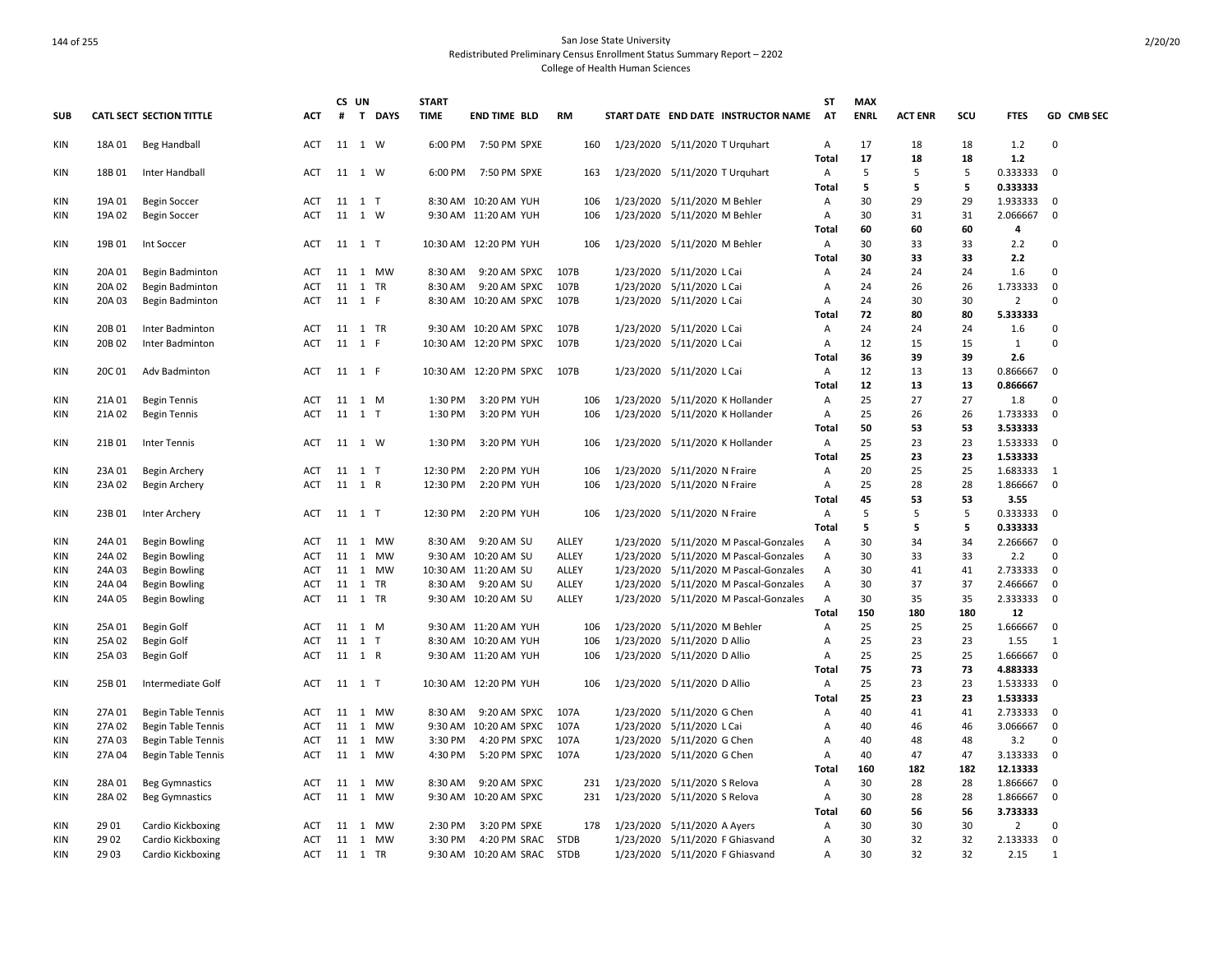|                   |                  |                                 |                   |    | CS UN             | <b>START</b> |                                                 |              |           |                                 |                                       | SΤ             | <b>MAX</b>  |                |          |                     |                      |
|-------------------|------------------|---------------------------------|-------------------|----|-------------------|--------------|-------------------------------------------------|--------------|-----------|---------------------------------|---------------------------------------|----------------|-------------|----------------|----------|---------------------|----------------------|
| <b>SUB</b>        |                  | <b>CATL SECT SECTION TITTLE</b> | <b>ACT</b>        | #  | T DAYS            | <b>TIME</b>  | <b>END TIME BLD</b>                             | <b>RM</b>    |           |                                 | START DATE END DATE INSTRUCTOR NAME   | <b>AT</b>      | <b>ENRL</b> | <b>ACT ENR</b> | scu      | <b>FTES</b>         | GD CMB SEC           |
| KIN               | 18A 01           | Beg Handball                    | <b>ACT</b>        |    | 11 1 W            | 6:00 PM      | 7:50 PM SPXE                                    | 160          |           | 1/23/2020 5/11/2020 T Urquhart  |                                       | A              | 17          | 18             | 18       | 1.2                 | $\Omega$             |
|                   |                  |                                 |                   |    |                   |              |                                                 |              |           |                                 |                                       | <b>Total</b>   | 17          | 18             | 18       | 1.2                 |                      |
| KIN               | 18B 01           | Inter Handball                  | ACT               |    | 11 1 W            | 6:00 PM      | 7:50 PM SPXE                                    | 163          |           | 1/23/2020 5/11/2020 T Urquhart  |                                       | Α              | 5           | 5              | 5        | 0.333333            | $\mathbf 0$          |
|                   |                  |                                 |                   |    |                   |              |                                                 |              |           |                                 |                                       | Total          | 5           | 5              | 5        | 0.333333            |                      |
| <b>KIN</b>        | 19A 01           | <b>Begin Soccer</b>             | ACT               |    | 11 1 T            |              | 8:30 AM 10:20 AM YUH                            | 106          |           | 1/23/2020 5/11/2020 M Behler    |                                       | Α              | 30          | 29             | 29       | 1.933333            | 0                    |
| <b>KIN</b>        | 19A 02           | <b>Begin Soccer</b>             | <b>ACT</b>        |    | 11 1 W            |              | 9:30 AM 11:20 AM YUH                            | 106          |           | 1/23/2020 5/11/2020 M Behler    |                                       | $\overline{A}$ | 30          | 31             | 31       | 2.066667            | $\mathbf 0$          |
|                   |                  |                                 |                   |    |                   |              |                                                 |              |           |                                 |                                       | Total          | 60          | 60             | 60       | 4                   |                      |
| KIN               | 19B 01           | Int Soccer                      | ACT               |    | 11 1 T            |              | 10:30 AM 12:20 PM YUH                           | 106          |           | 1/23/2020 5/11/2020 M Behler    |                                       | A              | 30          | 33             | 33       | 2.2                 | 0                    |
|                   |                  |                                 |                   |    |                   |              |                                                 |              |           |                                 |                                       | <b>Total</b>   | 30          | 33             | 33       | 2.2                 |                      |
| <b>KIN</b>        | 20A 01           | <b>Begin Badminton</b>          | <b>ACT</b>        |    | 11 1 MW           | 8:30 AM      | 9:20 AM SPXC                                    | 107B         |           | 1/23/2020 5/11/2020 L Cai       |                                       | $\overline{A}$ | 24          | 24             | 24       | 1.6                 | $\Omega$             |
| <b>KIN</b>        | 20A 02           | Begin Badminton                 | <b>ACT</b>        |    | 11 1 TR           | 8:30 AM      | 9:20 AM SPXC                                    | 107B         |           | 1/23/2020 5/11/2020 L Cai       |                                       | Α              | 24          | 26             | 26       | 1.733333            | $\mathbf 0$          |
| <b>KIN</b>        | 20A 03           | Begin Badminton                 | <b>ACT</b>        |    | 11 1 F            |              | 8:30 AM 10:20 AM SPXC                           | 107B         |           | 1/23/2020 5/11/2020 L Cai       |                                       | Α              | 24          | 30             | 30       | $\overline{2}$      | $\Omega$             |
|                   |                  |                                 |                   |    |                   |              |                                                 |              |           |                                 |                                       | Total          | 72          | 80             | 80       | 5.333333            |                      |
| KIN               | 20B 01           | Inter Badminton                 | <b>ACT</b>        |    | 11 1 TR<br>11 1 F |              | 9:30 AM 10:20 AM SPXC<br>10:30 AM 12:20 PM SPXC | 107B<br>107B |           | 1/23/2020 5/11/2020 L Cai       |                                       | $\overline{A}$ | 24<br>12    | 24             | 24       | 1.6<br>$\mathbf{1}$ | $\Omega$<br>$\Omega$ |
| <b>KIN</b>        | 20B 02           | Inter Badminton                 | <b>ACT</b>        |    |                   |              |                                                 |              |           | 1/23/2020 5/11/2020 L Cai       |                                       | Α              | 36          | 15<br>39       | 15<br>39 | 2.6                 |                      |
|                   | 20C 01           |                                 |                   |    |                   |              | 10:30 AM 12:20 PM SPXC                          | 107B         |           |                                 |                                       | <b>Total</b>   | 12          |                |          | 0.866667            | $\mathbf 0$          |
| <b>KIN</b>        |                  | Adv Badminton                   | <b>ACT</b>        |    | 11 1 F            |              |                                                 |              |           | 1/23/2020 5/11/2020 L Cai       |                                       | A<br>Total     | 12          | 13<br>13       | 13<br>13 | 0.866667            |                      |
|                   |                  |                                 |                   |    |                   | 1:30 PM      |                                                 |              |           |                                 |                                       |                | 25          | 27             | 27       |                     | 0                    |
| KIN<br><b>KIN</b> | 21A 01<br>21A 02 | <b>Begin Tennis</b>             | ACT<br><b>ACT</b> | 11 | 1 M<br>11 1 T     | 1:30 PM      | 3:20 PM YUH<br>3:20 PM YUH                      | 106<br>106   | 1/23/2020 |                                 | 5/11/2020 K Hollander                 | Α<br>Α         | 25          | 26             | 26       | 1.8<br>1.733333     | $\mathbf 0$          |
|                   |                  | <b>Begin Tennis</b>             |                   |    |                   |              |                                                 |              |           | 1/23/2020 5/11/2020 K Hollander |                                       | <b>Total</b>   | 50          | 53             | 53       | 3.533333            |                      |
| KIN               | 21B 01           | Inter Tennis                    | ACT               |    | 11 1 W            | 1:30 PM      | 3:20 PM YUH                                     | 106          |           | 1/23/2020 5/11/2020 K Hollander |                                       | A              | 25          | 23             | 23       | 1.533333            | $\mathbf 0$          |
|                   |                  |                                 |                   |    |                   |              |                                                 |              |           |                                 |                                       | Total          | 25          | 23             | 23       | 1.533333            |                      |
| <b>KIN</b>        | 23A 01           | Begin Archery                   | <b>ACT</b>        |    | 11 1 T            | 12:30 PM     | 2:20 PM YUH                                     | 106          |           | 1/23/2020 5/11/2020 N Fraire    |                                       | Α              | 20          | 25             | 25       | 1.683333            | 1                    |
| <b>KIN</b>        | 23A 02           | Begin Archery                   | <b>ACT</b>        |    | 11 1 R            | 12:30 PM     | 2:20 PM YUH                                     | 106          |           | 1/23/2020 5/11/2020 N Fraire    |                                       | A              | 25          | 28             | 28       | 1.866667            | $\mathbf 0$          |
|                   |                  |                                 |                   |    |                   |              |                                                 |              |           |                                 |                                       | <b>Total</b>   | 45          | 53             | 53       | 3.55                |                      |
| KIN               | 23B 01           | Inter Archery                   | ACT               |    | 11 1 T            | 12:30 PM     | 2:20 PM YUH                                     | 106          |           | 1/23/2020 5/11/2020 N Fraire    |                                       | A              | 5           | 5              | 5        | 0.333333            | 0                    |
|                   |                  |                                 |                   |    |                   |              |                                                 |              |           |                                 |                                       | <b>Total</b>   | 5           | 5              | 5        | 0.333333            |                      |
| KIN               | 24A 01           | <b>Begin Bowling</b>            | <b>ACT</b>        |    | 11 1 MW           | 8:30 AM      | 9:20 AM SU                                      | ALLEY        |           |                                 | 1/23/2020 5/11/2020 M Pascal-Gonzales | $\mathsf{A}$   | 30          | 34             | 34       | 2.266667            | 0                    |
| <b>KIN</b>        | 24A 02           | <b>Begin Bowling</b>            | <b>ACT</b>        |    | 11 1 MW           |              | 9:30 AM 10:20 AM SU                             | ALLEY        |           |                                 | 1/23/2020 5/11/2020 M Pascal-Gonzales | $\overline{A}$ | 30          | 33             | 33       | 2.2                 | $\Omega$             |
| <b>KIN</b>        | 24A 03           | <b>Begin Bowling</b>            | ACT               |    | 11 1 MW           |              | 10:30 AM 11:20 AM SU                            | ALLEY        |           |                                 | 1/23/2020 5/11/2020 M Pascal-Gonzales | Α              | 30          | 41             | 41       | 2.733333            | $\mathbf 0$          |
| KIN               | 24A 04           | Begin Bowling                   | ACT               | 11 | 1 TR              | 8:30 AM      | 9:20 AM SU                                      | ALLEY        | 1/23/2020 |                                 | 5/11/2020 M Pascal-Gonzales           | Α              | 30          | 37             | 37       | 2.466667            | 0                    |
| KIN               | 24A 05           | Begin Bowling                   | ACT               |    | 11 1 TR           |              | 9:30 AM 10:20 AM SU                             | ALLEY        |           |                                 | 1/23/2020 5/11/2020 M Pascal-Gonzales | Α              | 30          | 35             | 35       | 2.333333            | 0                    |
|                   |                  |                                 |                   |    |                   |              |                                                 |              |           |                                 |                                       | Total          | 150         | 180            | 180      | 12                  |                      |
| KIN               | 25A 01           | <b>Begin Golf</b>               | <b>ACT</b>        |    | 11 1 M            |              | 9:30 AM 11:20 AM YUH                            | 106          |           | 1/23/2020 5/11/2020 M Behler    |                                       | $\overline{A}$ | 25          | 25             | 25       | 1.666667            | $\mathbf 0$          |
| KIN               | 25A 02           | Begin Golf                      | ACT               |    | 11 1 T            |              | 8:30 AM 10:20 AM YUH                            | 106          |           | 1/23/2020 5/11/2020 D Allio     |                                       | А              | 25          | 23             | 23       | 1.55                | $\mathbf{1}$         |
| KIN               | 25A 03           | Begin Golf                      | ACT               |    | 11 1 R            |              | 9:30 AM 11:20 AM YUH                            | 106          |           | 1/23/2020 5/11/2020 D Allio     |                                       | Α              | 25          | 25             | 25       | 1.666667            | 0                    |
|                   |                  |                                 |                   |    |                   |              |                                                 |              |           |                                 |                                       | <b>Total</b>   | 75          | 73             | 73       | 4.883333            |                      |
| <b>KIN</b>        | 25B 01           | Intermediate Golf               | ACT               |    | 11 1 T            |              | 10:30 AM 12:20 PM YUH                           | 106          |           | 1/23/2020 5/11/2020 D Allio     |                                       | Α              | 25          | 23             | 23       | 1.533333            | $\Omega$             |
|                   |                  |                                 |                   |    |                   |              |                                                 |              |           |                                 |                                       | <b>Total</b>   | 25          | 23             | 23       | 1.533333            |                      |
| KIN               | 27A 01           | <b>Begin Table Tennis</b>       | <b>ACT</b>        |    | 11 1 MW           | 8:30 AM      | 9:20 AM SPXC                                    | 107A         |           | 1/23/2020 5/11/2020 G Chen      |                                       | А              | 40          | 41             | 41       | 2.733333            | $\mathbf 0$          |
| KIN               | 27A 02           | <b>Begin Table Tennis</b>       | ACT               | 11 | 1 MW              |              | 9:30 AM 10:20 AM SPXC                           | 107A         |           | 1/23/2020 5/11/2020 L Cai       |                                       | Α              | 40          | 46             | 46       | 3.066667            | 0                    |
| KIN               | 27A 03           | <b>Begin Table Tennis</b>       | ACT               |    | 11 1 MW           | 3:30 PM      | 4:20 PM SPXC                                    | 107A         |           | 1/23/2020 5/11/2020 G Chen      |                                       | Α              | 40          | 48             | 48       | 3.2                 | $\Omega$             |
| <b>KIN</b>        | 27A 04           | <b>Begin Table Tennis</b>       | <b>ACT</b>        |    | 11 1 MW           | 4:30 PM      | 5:20 PM SPXC                                    | 107A         |           | 1/23/2020 5/11/2020 G Chen      |                                       | A              | 40          | 47             | 47       | 3.133333            | $\mathbf 0$          |
|                   |                  |                                 |                   |    |                   |              |                                                 |              |           |                                 |                                       | <b>Total</b>   | 160         | 182            | 182      | 12.13333            |                      |
| KIN               | 28A 01           | <b>Beg Gymnastics</b>           | ACT               |    | 11 1 MW           | 8:30 AM      | 9:20 AM SPXC                                    | 231          |           | 1/23/2020 5/11/2020 S Relova    |                                       | A              | 30          | 28             | 28       | 1.866667            | 0                    |
| <b>KIN</b>        | 28A 02           | <b>Beg Gymnastics</b>           | ACT               |    | 11 1 MW           |              | 9:30 AM 10:20 AM SPXC                           | 231          |           | 1/23/2020 5/11/2020 S Relova    |                                       | Α              | 30          | 28             | 28       | 1.866667            | 0                    |
|                   |                  |                                 |                   |    |                   |              |                                                 |              |           |                                 |                                       | Total          | 60          | 56             | 56       | 3.733333            |                      |
| <b>KIN</b>        | 29 01            | Cardio Kickboxing               | <b>ACT</b>        |    | 11 1 MW           | 2:30 PM      | 3:20 PM SPXE                                    | 178          |           | 1/23/2020 5/11/2020 A Ayers     |                                       | Α              | 30          | 30             | 30       | $\overline{2}$      | $\Omega$             |
| <b>KIN</b>        | 29 02            | Cardio Kickboxing               | <b>ACT</b>        |    | 11 1 MW           | 3:30 PM      | 4:20 PM SRAC                                    | <b>STDB</b>  |           |                                 | 1/23/2020 5/11/2020 F Ghiasvand       | A              | 30          | 32             | 32       | 2.133333            | $\mathbf 0$          |
| <b>KIN</b>        | 29 03            | Cardio Kickboxing               | ACT               |    | 11 1 TR           |              | 9:30 AM 10:20 AM SRAC                           | <b>STDB</b>  |           |                                 | 1/23/2020 5/11/2020 F Ghiasvand       | Α              | 30          | 32             | 32       | 2.15                | $\mathbf{1}$         |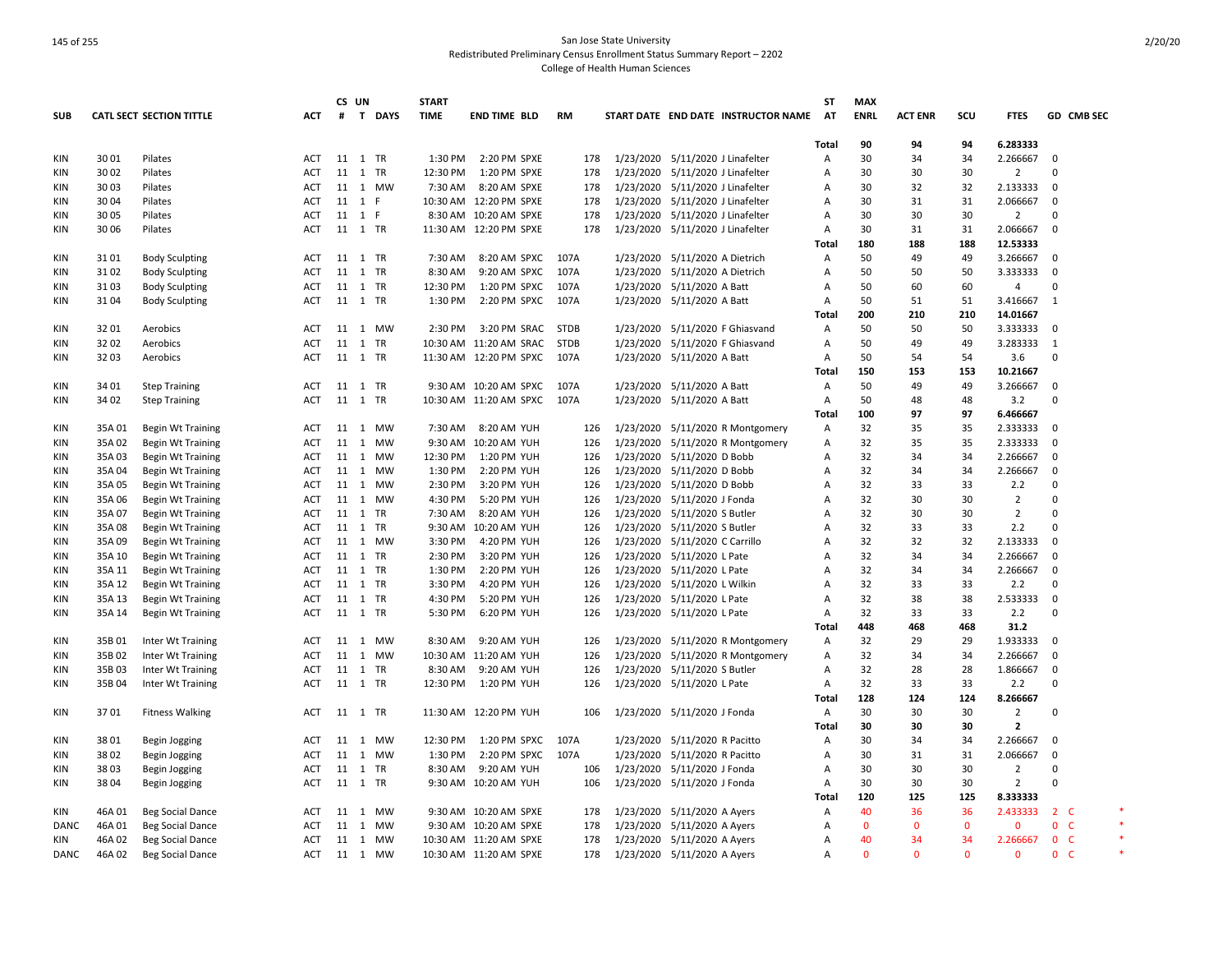|            |        |                                 |            | CS UN   |                 | <b>START</b> |                        |             |                                  |                                  |                                     | <b>ST</b>      | <b>MAX</b>   |                |              |                |             |                                  |  |
|------------|--------|---------------------------------|------------|---------|-----------------|--------------|------------------------|-------------|----------------------------------|----------------------------------|-------------------------------------|----------------|--------------|----------------|--------------|----------------|-------------|----------------------------------|--|
| <b>SUB</b> |        | <b>CATL SECT SECTION TITTLE</b> | ACT        |         | # T DAYS        | <b>TIME</b>  | <b>END TIME BLD</b>    | <b>RM</b>   |                                  |                                  | START DATE END DATE INSTRUCTOR NAME | AT             | <b>ENRL</b>  | <b>ACT ENR</b> | scu          | <b>FTES</b>    |             | GD CMB SEC                       |  |
|            |        |                                 |            |         |                 |              |                        |             |                                  |                                  |                                     |                |              |                |              |                |             |                                  |  |
|            |        |                                 |            |         |                 |              |                        |             |                                  |                                  |                                     | <b>Total</b>   | 90           | 94             | 94<br>34     | 6.283333       |             |                                  |  |
| KIN        | 30 01  | Pilates                         | ACT        | 11 1 TR |                 | 1:30 PM      | 2:20 PM SPXE           | 178         | 1/23/2020 5/11/2020 J Linafelter |                                  |                                     | Α              | 30           | 34             |              | 2.266667       | $\mathbf 0$ |                                  |  |
| KIN        | 30 02  | Pilates                         | ACT        | 11 1 TR |                 | 12:30 PM     | 1:20 PM SPXE           | 178         |                                  | 1/23/2020 5/11/2020 J Linafelter |                                     | Α              | 30           | 30             | 30           | $\overline{2}$ | 0           |                                  |  |
| KIN        | 30 03  | Pilates                         | ACT        | 11 1    | <b>MW</b>       | 7:30 AM      | 8:20 AM SPXE           | 178         |                                  | 1/23/2020 5/11/2020 J Linafelter |                                     | Α              | 30           | 32             | 32           | 2.133333       | $\mathbf 0$ |                                  |  |
| KIN        | 30 04  | Pilates                         | <b>ACT</b> | 11 1    | F               |              | 10:30 AM 12:20 PM SPXE | 178         | 1/23/2020 5/11/2020 J Linafelter |                                  |                                     | A              | 30           | 31             | 31           | 2.066667       | $\mathbf 0$ |                                  |  |
| <b>KIN</b> | 30 05  | Pilates                         | <b>ACT</b> | 11 1    | F               | 8:30 AM      | 10:20 AM SPXE          | 178         | 1/23/2020 5/11/2020 J Linafelter |                                  |                                     | A              | 30           | 30             | 30           | $\overline{2}$ | $\Omega$    |                                  |  |
| <b>KIN</b> | 30 06  | Pilates                         | <b>ACT</b> | 11 1 TR |                 |              | 11:30 AM 12:20 PM SPXE | 178         | 1/23/2020 5/11/2020 J Linafelter |                                  |                                     | A              | 30           | 31             | 31           | 2.066667       | $\mathsf 0$ |                                  |  |
|            |        |                                 |            |         |                 |              |                        |             |                                  |                                  |                                     | Total          | 180          | 188            | 188          | 12.53333       |             |                                  |  |
| KIN        | 3101   | <b>Body Sculpting</b>           | ACT        | 11 1 TR |                 | 7:30 AM      | 8:20 AM SPXC           | 107A        |                                  | 1/23/2020 5/11/2020 A Dietrich   |                                     | Α              | 50           | 49             | 49           | 3.266667       | $\mathbf 0$ |                                  |  |
| <b>KIN</b> | 31 02  | <b>Body Sculpting</b>           | <b>ACT</b> | 11 1 TR |                 | 8:30 AM      | 9:20 AM SPXC           | 107A        |                                  | 1/23/2020 5/11/2020 A Dietrich   |                                     | A              | 50           | 50             | 50           | 3.333333       | $\mathbf 0$ |                                  |  |
| KIN        | 31 03  | <b>Body Sculpting</b>           | <b>ACT</b> | 11 1 TR |                 | 12:30 PM     | 1:20 PM SPXC           | 107A        |                                  | 1/23/2020 5/11/2020 A Batt       |                                     | Α              | 50           | 60             | 60           | $\overline{4}$ | 0           |                                  |  |
| <b>KIN</b> | 31 04  | <b>Body Sculpting</b>           | <b>ACT</b> | 11 1 TR |                 | 1:30 PM      | 2:20 PM SPXC           | 107A        |                                  | 1/23/2020 5/11/2020 A Batt       |                                     | Α              | 50           | 51             | 51           | 3.416667       | 1           |                                  |  |
|            |        |                                 |            |         |                 |              |                        |             |                                  |                                  |                                     | Total          | 200          | 210            | 210          | 14.01667       |             |                                  |  |
| <b>KIN</b> | 32 01  | Aerobics                        | <b>ACT</b> | 11 1    | <b>MW</b>       | 2:30 PM      | 3:20 PM SRAC           | <b>STDB</b> |                                  |                                  | 1/23/2020 5/11/2020 F Ghiasvand     | A              | 50           | 50             | 50           | 3.333333       | 0           |                                  |  |
| KIN        | 32 02  | Aerobics                        | ACT        | 11 1 TR |                 |              | 10:30 AM 11:20 AM SRAC | <b>STDB</b> |                                  |                                  | 1/23/2020 5/11/2020 F Ghiasvand     | Α              | 50           | 49             | 49           | 3.283333       | 1           |                                  |  |
| KIN        | 3203   | Aerobics                        | <b>ACT</b> |         | 11 1 TR         |              | 11:30 AM 12:20 PM SPXC | 107A        |                                  | 1/23/2020 5/11/2020 A Batt       |                                     | A              | 50           | 54             | 54           | 3.6            | 0           |                                  |  |
|            |        |                                 |            |         |                 |              |                        |             |                                  |                                  |                                     | Total          | 150          | 153            | 153          | 10.21667       |             |                                  |  |
| KIN        | 34 01  | <b>Step Training</b>            | ACT        | 11 1 TR |                 |              | 9:30 AM 10:20 AM SPXC  | 107A        |                                  | 1/23/2020 5/11/2020 A Batt       |                                     | Α              | 50           | 49             | 49           | 3.266667       | $\Omega$    |                                  |  |
| <b>KIN</b> | 34 02  | <b>Step Training</b>            | ACT        | 11 1    | TR              |              | 10:30 AM 11:20 AM SPXC | 107A        |                                  | 1/23/2020 5/11/2020 A Batt       |                                     | Α              | 50           | 48             | 48           | 3.2            | 0           |                                  |  |
|            |        |                                 |            |         |                 |              |                        |             |                                  |                                  |                                     | Total          | 100          | 97             | 97           | 6.466667       |             |                                  |  |
| KIN        | 35A 01 | <b>Begin Wt Training</b>        | ACT        | 11 1    | <b>MW</b>       | 7:30 AM      | 8:20 AM YUH            | 126         |                                  |                                  | 1/23/2020 5/11/2020 R Montgomery    | Α              | 32           | 35             | 35           | 2.333333       | $\mathbf 0$ |                                  |  |
| KIN        | 35A 02 | <b>Begin Wt Training</b>        | ACT        | 11 1    | <b>MW</b>       | 9:30 AM      | 10:20 AM YUH           | 126         |                                  |                                  | 1/23/2020 5/11/2020 R Montgomery    | А              | 32           | 35             | 35           | 2.333333       | $\mathbf 0$ |                                  |  |
| KIN        | 35A 03 | <b>Begin Wt Training</b>        | ACT        | 11 1    | <b>MW</b>       | 12:30 PM     | 1:20 PM YUH            | 126         | 1/23/2020 5/11/2020 D Bobb       |                                  |                                     | Α              | 32           | 34             | 34           | 2.266667       | 0           |                                  |  |
| KIN        | 35A 04 | Begin Wt Training               | ACT        | 11 1    | <b>MW</b>       | 1:30 PM      | 2:20 PM YUH            | 126         | 1/23/2020 5/11/2020 D Bobb       |                                  |                                     | Α              | 32           | 34             | 34           | 2.266667       | 0           |                                  |  |
| <b>KIN</b> | 35A 05 | <b>Begin Wt Training</b>        | <b>ACT</b> | 11 1    | <b>MW</b>       | 2:30 PM      | 3:20 PM YUH            | 126         | 1/23/2020 5/11/2020 D Bobb       |                                  |                                     | A              | 32           | 33             | 33           | 2.2            | 0           |                                  |  |
| <b>KIN</b> | 35A 06 | <b>Begin Wt Training</b>        | <b>ACT</b> |         | 11 1 MW         | 4:30 PM      | 5:20 PM YUH            | 126         | 1/23/2020 5/11/2020 J Fonda      |                                  |                                     | Α              | 32           | 30             | 30           | $\overline{2}$ | $\Omega$    |                                  |  |
| KIN        | 35A 07 | Begin Wt Training               | ACT        | 11 1    | TR              | 7:30 AM      | 8:20 AM YUH            | 126         | 1/23/2020 5/11/2020 S Butler     |                                  |                                     | Α              | 32           | 30             | 30           | $\overline{2}$ | $\Omega$    |                                  |  |
| <b>KIN</b> | 35A 08 | Begin Wt Training               | <b>ACT</b> | 11 1 TR |                 | 9:30 AM      | 10:20 AM YUH           | 126         | 1/23/2020 5/11/2020 S Butler     |                                  |                                     | Α              | 32           | 33             | 33           | 2.2            | 0           |                                  |  |
| KIN        | 35A 09 | <b>Begin Wt Training</b>        | ACT        | 11 1    | MW              | 3:30 PM      | 4:20 PM YUH            | 126         | 1/23/2020 5/11/2020 C Carrillo   |                                  |                                     | A              | 32           | 32             | 32           | 2.133333       | $\mathbf 0$ |                                  |  |
| <b>KIN</b> | 35A 10 | <b>Begin Wt Training</b>        | <b>ACT</b> | 11 1 TR |                 | 2:30 PM      | 3:20 PM YUH            | 126         | 1/23/2020 5/11/2020 L Pate       |                                  |                                     | A              | 32           | 34             | 34           | 2.266667       | $\mathbf 0$ |                                  |  |
| <b>KIN</b> | 35A 11 | <b>Begin Wt Training</b>        | <b>ACT</b> | 11 1 TR |                 | 1:30 PM      | 2:20 PM YUH            | 126         | 1/23/2020 5/11/2020 L Pate       |                                  |                                     | A              | 32           | 34             | 34           | 2.266667       | $\mathbf 0$ |                                  |  |
| KIN        | 35A 12 | <b>Begin Wt Training</b>        | <b>ACT</b> | 11 1 TR |                 | 3:30 PM      | 4:20 PM YUH            | 126         | 1/23/2020 5/11/2020 L Wilkin     |                                  |                                     | Α              | 32           | 33             | 33           | 2.2            | 0           |                                  |  |
| KIN        | 35A 13 | Begin Wt Training               | ACT        | 11 1 TR |                 | 4:30 PM      | 5:20 PM YUH            | 126         | 1/23/2020 5/11/2020 L Pate       |                                  |                                     | Α              | 32           | 38             | 38           | 2.533333       | $\mathbf 0$ |                                  |  |
| KIN        | 35A 14 | <b>Begin Wt Training</b>        | ACT        | 11 1 TR |                 | 5:30 PM      | 6:20 PM YUH            | 126         | 1/23/2020 5/11/2020 L Pate       |                                  |                                     | A              | 32           | 33             | 33           | 2.2            | 0           |                                  |  |
|            |        |                                 |            |         |                 |              |                        |             |                                  |                                  |                                     | <b>Total</b>   | 448          | 468            | 468          | 31.2           |             |                                  |  |
| KIN        | 35B01  | Inter Wt Training               | ACT        | 11 1    | <b>MW</b>       | 8:30 AM      | 9:20 AM YUH            | 126         |                                  |                                  | 1/23/2020 5/11/2020 R Montgomery    | Α              | 32           | 29             | 29           | 1.933333       | $\mathbf 0$ |                                  |  |
| KIN        | 35B 02 | Inter Wt Training               | ACT        | 11 1    | <b>MW</b>       |              | 10:30 AM 11:20 AM YUH  | 126         |                                  |                                  | 1/23/2020 5/11/2020 R Montgomery    | Α              | 32           | 34             | 34           | 2.266667       | $\mathbf 0$ |                                  |  |
| KIN        | 35B03  | Inter Wt Training               | ACT        | 11 1    | TR              | 8:30 AM      | 9:20 AM YUH            | 126         |                                  | 1/23/2020 5/11/2020 S Butler     |                                     | $\overline{A}$ | 32           | 28             | 28           | 1.866667       | $\mathbf 0$ |                                  |  |
| <b>KIN</b> | 35B 04 | Inter Wt Training               | <b>ACT</b> | 11 1 TR |                 | 12:30 PM     | 1:20 PM YUH            | 126         | 1/23/2020 5/11/2020 L Pate       |                                  |                                     | Α              | 32           | 33             | 33           | 2.2            | 0           |                                  |  |
|            |        |                                 |            |         |                 |              |                        |             |                                  |                                  |                                     | Total          | 128          | 124            | 124          | 8.266667       |             |                                  |  |
| KIN        | 3701   | <b>Fitness Walking</b>          | ACT        |         | 11  1  TR       |              | 11:30 AM 12:20 PM YUH  | 106         | 1/23/2020 5/11/2020 J Fonda      |                                  |                                     | Α              | 30           | 30             | 30           | $\overline{2}$ | $\Omega$    |                                  |  |
|            |        |                                 |            |         |                 |              |                        |             |                                  |                                  |                                     | Total          | 30           | 30             | 30           | $\overline{2}$ |             |                                  |  |
| KIN        | 3801   | Begin Jogging                   | ACT        | 11 1    | <b>MW</b>       | 12:30 PM     | 1:20 PM SPXC           | 107A        |                                  | 1/23/2020 5/11/2020 R Pacitto    |                                     | Α              | 30           | 34             | 34           | 2.266667       | $\mathbf 0$ |                                  |  |
| KIN        | 3802   | <b>Begin Jogging</b>            | <b>ACT</b> | 11 1    | <b>MW</b>       | 1:30 PM      | 2:20 PM SPXC           | 107A        |                                  | 1/23/2020 5/11/2020 R Pacitto    |                                     | A              | 30           | 31             | 31           | 2.066667       | $\mathbf 0$ |                                  |  |
| KIN        | 3803   | Begin Jogging                   | ACT        | 11 1    | <b>TR</b>       | 8:30 AM      | 9:20 AM YUH            | 106         | 1/23/2020 5/11/2020 J Fonda      |                                  |                                     | Α              | 30           | 30             | 30           | $\overline{2}$ | 0           |                                  |  |
| KIN        | 38 04  |                                 | ACT        | 11 1 TR |                 |              | 9:30 AM 10:20 AM YUH   | 106         | 1/23/2020 5/11/2020 J Fonda      |                                  |                                     | А              | 30           | 30             | 30           | $\overline{2}$ | 0           |                                  |  |
|            |        | Begin Jogging                   |            |         |                 |              |                        |             |                                  |                                  |                                     | Total          | 120          | 125            | 125          | 8.333333       |             |                                  |  |
| KIN        | 46A 01 | Beg Social Dance                | ACT        | 11 1    | <b>MW</b>       | 9:30 AM      | 10:20 AM SPXE          | 178         |                                  | 1/23/2020 5/11/2020 A Ayers      |                                     | A              | 40           | 36             | 36           | 2.433333       |             | 2 <sub>c</sub>                   |  |
| DANC       | 46A01  | <b>Beg Social Dance</b>         | ACT        | 11 1    | <b>MW</b>       |              | 9:30 AM 10:20 AM SPXE  | 178         | 1/23/2020 5/11/2020 A Ayers      |                                  |                                     | Α              | $\mathbf{0}$ | $\mathbf{0}$   | $\mathbf{0}$ | $\mathbf{0}$   |             | 0 <sup>o</sup>                   |  |
|            |        |                                 |            |         |                 |              |                        |             |                                  |                                  |                                     |                | 40           | 34             | 34           | 2.266667       |             |                                  |  |
| KIN        | 46A 02 | <b>Beg Social Dance</b>         | ACT        | 11 1    | MW<br><b>MW</b> |              | 10:30 AM 11:20 AM SPXE | 178         | 1/23/2020 5/11/2020 A Ayers      |                                  |                                     | Α              | $\Omega$     | $\Omega$       | $\Omega$     | $\mathbf{0}$   |             | 0 <sup>o</sup><br>0 <sup>o</sup> |  |
| DANC       | 46A 02 | <b>Beg Social Dance</b>         | ACT        | 11 1    |                 |              | 10:30 AM 11:20 AM SPXE | 178         | 1/23/2020 5/11/2020 A Ayers      |                                  |                                     | Α              |              |                |              |                |             |                                  |  |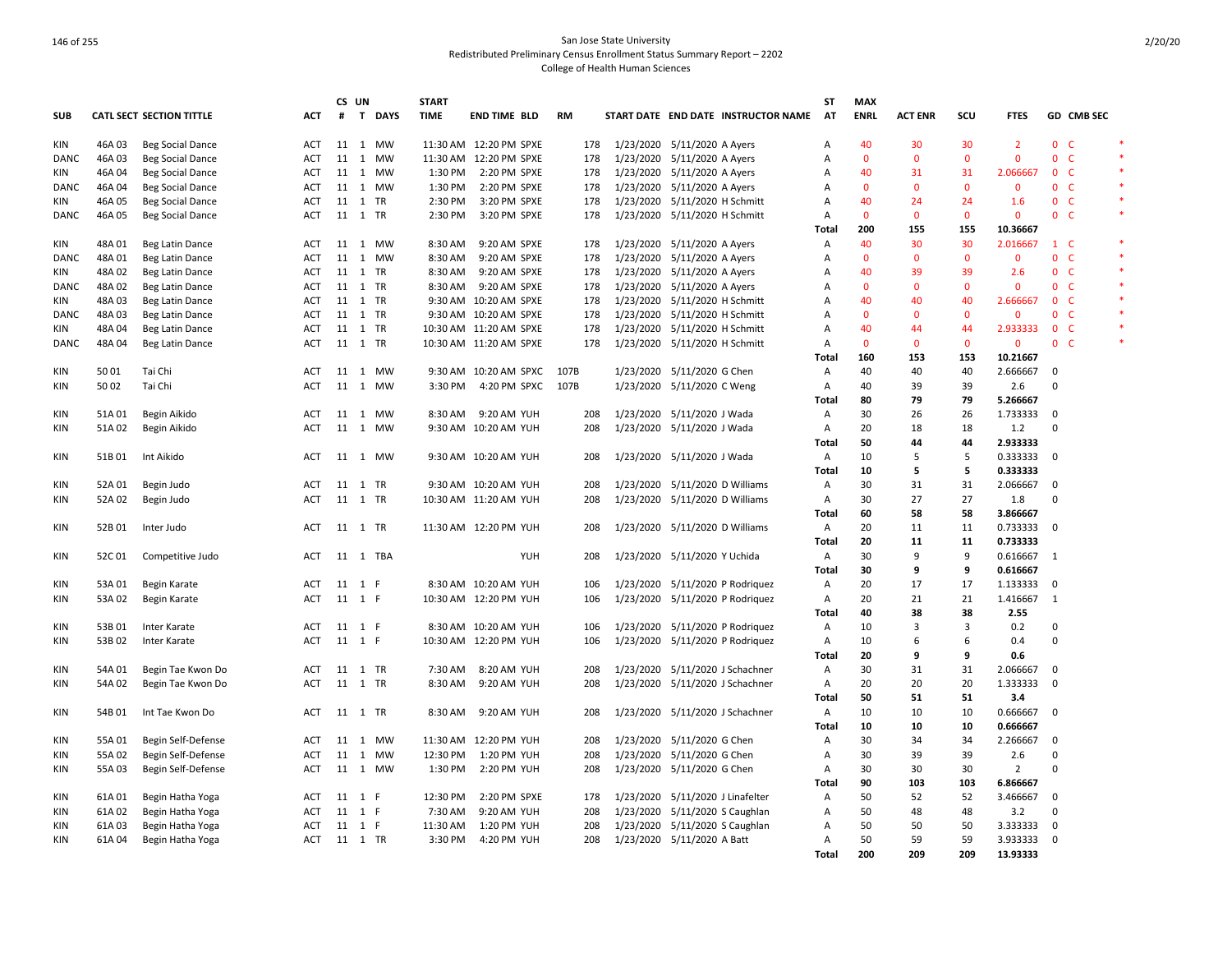|             |        |                                 |            |         | CS UN |           | <b>START</b> |                        |           |                                     |                | <b>ST</b><br><b>MAX</b> |                |              |                |                          |            |        |
|-------------|--------|---------------------------------|------------|---------|-------|-----------|--------------|------------------------|-----------|-------------------------------------|----------------|-------------------------|----------------|--------------|----------------|--------------------------|------------|--------|
| <b>SUB</b>  |        | <b>CATL SECT SECTION TITTLE</b> | <b>ACT</b> | #       |       | T DAYS    | <b>TIME</b>  | <b>END TIME BLD</b>    | <b>RM</b> | START DATE END DATE INSTRUCTOR NAME | <b>AT</b>      | <b>ENRL</b>             | <b>ACT ENR</b> | SCU          | <b>FTES</b>    |                          | GD CMB SEC |        |
| KIN         | 46A 03 | <b>Beg Social Dance</b>         | ACT        |         |       | 11 1 MW   |              | 11:30 AM 12:20 PM SPXE | 178       | 1/23/2020 5/11/2020 A Ayers         | Α              | 40                      | 30             | 30           | $\overline{2}$ | 0 <sub>c</sub>           |            | $\ast$ |
| DANC        | 46A 03 | <b>Beg Social Dance</b>         | ACT        | 11 1    |       | MW        |              | 11:30 AM 12:20 PM SPXE | 178       | 1/23/2020 5/11/2020 A Ayers         | Α              | $\Omega$                | $\Omega$       | $\Omega$     | $\Omega$       | $\mathbf{0}$             | -C         |        |
| KIN         | 46A 04 | <b>Beg Social Dance</b>         | ACT        | 11 1    |       | MW        | 1:30 PM      | 2:20 PM SPXE           | 178       | 1/23/2020 5/11/2020 A Ayers         | Α              | 40                      | 31             | 31           | 2.066667       | 0 <sub>c</sub>           |            |        |
| DANC        | 46A 04 | <b>Beg Social Dance</b>         | ACT        |         |       | 11 1 MW   | 1:30 PM      | 2:20 PM SPXE           | 178       | 1/23/2020 5/11/2020 A Ayers         | Α              | $\mathbf{0}$            | $\mathbf{0}$   | $\mathbf 0$  | $\mathbf 0$    | 0 <sub>c</sub>           |            |        |
| KIN         | 46A 05 | <b>Beg Social Dance</b>         | ACT        | 11 1 TR |       |           | 2:30 PM      | 3:20 PM SPXE           | 178       | 1/23/2020 5/11/2020 H Schmitt       | Α              | 40                      | 24             | 24           | 1.6            | 0 <sub>c</sub>           |            |        |
| DANC        | 46A05  | <b>Beg Social Dance</b>         | ACT        | 11 1 TR |       |           | 2:30 PM      | 3:20 PM SPXE           | 178       | 1/23/2020 5/11/2020 H Schmitt       | Α              | $\mathbf{0}$            | $\overline{0}$ | $\mathbf{0}$ | $\mathbf 0$    | 0 <sub>c</sub>           |            | $\ast$ |
|             |        |                                 |            |         |       |           |              |                        |           |                                     | Total          | 200                     | 155            | 155          | 10.36667       |                          |            |        |
| KIN         | 48A 01 | Beg Latin Dance                 | ACT        |         |       | 11 1 MW   | 8:30 AM      | 9:20 AM SPXE           | 178       | 1/23/2020 5/11/2020 A Ayers         | $\overline{A}$ | 40                      | 30             | 30           | 2.016667       | $1\quad C$               |            | $\ast$ |
| <b>DANC</b> | 48A 01 | Beg Latin Dance                 | ACT        |         |       | 11 1 MW   | 8:30 AM      | 9:20 AM SPXE           | 178       | 1/23/2020 5/11/2020 A Ayers         | A              | $\Omega$                | $\mathbf{0}$   | $\mathbf{0}$ | $\mathbf{0}$   | 0 <sub>c</sub>           |            | $\ast$ |
| KIN         | 48A 02 | Beg Latin Dance                 | ACT        | 11 1 TR |       |           | 8:30 AM      | 9:20 AM SPXE           | 178       | 1/23/2020 5/11/2020 A Ayers         | A              | 40                      | 39             | 39           | 2.6            | 0 <sub>c</sub>           |            | $\ast$ |
| <b>DANC</b> | 48A 02 | Beg Latin Dance                 | <b>ACT</b> | 11 1 TR |       |           | 8:30 AM      | 9:20 AM SPXE           | 178       | 1/23/2020 5/11/2020 A Ayers         | A              | $\Omega$                | $\Omega$       | $\Omega$     | $\mathbf{0}$   | 0 <sup>o</sup>           |            | $\ast$ |
| KIN         | 48A03  | Beg Latin Dance                 | <b>ACT</b> | 11 1 TR |       |           |              | 9:30 AM 10:20 AM SPXE  | 178       | 1/23/2020 5/11/2020 H Schmitt       | A              | 40                      | 40             | 40           | 2.666667       | 0 <sup>o</sup>           |            |        |
| DANC        | 48A 03 | Beg Latin Dance                 | ACT        | 11 1 TR |       |           |              | 9:30 AM 10:20 AM SPXE  | 178       | 1/23/2020 5/11/2020 H Schmitt       | Α              | $\mathbf{0}$            | $\Omega$       | $\mathbf{0}$ | $\mathbf 0$    | 0 <sub>c</sub>           |            | $\ast$ |
| KIN         | 48A 04 | Beg Latin Dance                 | ACT        | 11 1 TR |       |           |              | 10:30 AM 11:20 AM SPXE | 178       | 1/23/2020 5/11/2020 H Schmitt       | A              | 40                      | 44             | 44           | 2.933333       | 0 <sub>c</sub>           |            |        |
| DANC        | 48A 04 | Beg Latin Dance                 | ACT        | 11 1 TR |       |           |              | 10:30 AM 11:20 AM SPXE | 178       | 1/23/2020 5/11/2020 H Schmitt       | Α              | $\mathbf{0}$            | 0              | $\mathbf 0$  | $\mathbf 0$    | 0 <sup>o</sup>           |            | $\ast$ |
|             |        |                                 |            |         |       |           |              |                        |           |                                     | Total          | 160                     | 153            | 153          | 10.21667       |                          |            |        |
| <b>KIN</b>  | 50 01  | Tai Chi                         | ACT        |         |       | 11 1 MW   |              | 9:30 AM 10:20 AM SPXC  | 107B      | 1/23/2020 5/11/2020 G Chen          | Α              | 40                      | 40             | 40           | 2.666667       | $\mathbf 0$              |            |        |
| <b>KIN</b>  | 50 02  | Tai Chi                         | <b>ACT</b> |         |       | 11 1 MW   | 3:30 PM      | 4:20 PM SPXC           | 107B      | 1/23/2020 5/11/2020 C Weng          | A              | 40                      | 39             | 39           | 2.6            | $\Omega$                 |            |        |
|             |        |                                 |            |         |       |           |              |                        |           |                                     | Total          | 80                      | 79             | 79           | 5.266667       |                          |            |        |
| KIN         | 51A01  | Begin Aikido                    | ACT        |         |       | 11 1 MW   | 8:30 AM      | 9:20 AM YUH            | 208       | 1/23/2020 5/11/2020 J Wada          | Α              | 30                      | 26             | 26           | 1.733333       | 0                        |            |        |
| <b>KIN</b>  | 51A 02 | Begin Aikido                    | <b>ACT</b> | 11 1    |       | <b>MW</b> |              | 9:30 AM 10:20 AM YUH   | 208       | 1/23/2020 5/11/2020 J Wada          | A              | 20                      | 18             | 18           | 1.2            | $\Omega$                 |            |        |
|             |        |                                 |            |         |       |           |              |                        |           |                                     | Total          | 50                      | 44             | 44           | 2.933333       |                          |            |        |
| KIN         | 51B01  | Int Aikido                      | ACT        |         |       | 11 1 MW   |              | 9:30 AM 10:20 AM YUH   | 208       | 1/23/2020 5/11/2020 J Wada          | Α              | 10                      | 5              | 5            | 0.333333       | $\overline{0}$           |            |        |
|             |        |                                 |            |         |       |           |              |                        |           |                                     | Total          | 10                      | 5              | 5            | 0.333333       |                          |            |        |
| KIN         | 52A 01 | Begin Judo                      | ACT        | 11 1 TR |       |           |              | 9:30 AM 10:20 AM YUH   | 208       | 1/23/2020 5/11/2020 D Williams      | Α              | 30                      | 31             | 31           | 2.066667       | 0                        |            |        |
| <b>KIN</b>  | 52A 02 | Begin Judo                      | ACT        | 11 1 TR |       |           |              | 10:30 AM 11:20 AM YUH  | 208       | 1/23/2020 5/11/2020 D Williams      | Α              | 30                      | 27             | 27           | 1.8            | $\Omega$                 |            |        |
|             |        |                                 |            |         |       |           |              |                        |           |                                     | Total          | 60                      | 58             | 58           | 3.866667       |                          |            |        |
| KIN         | 52B01  | Inter Judo                      | ACT        | 11 1 TR |       |           |              | 11:30 AM 12:20 PM YUH  | 208       | 1/23/2020 5/11/2020 D Williams      | A              | 20                      | 11             | 11           | 0.733333 0     |                          |            |        |
|             |        |                                 |            |         |       |           |              |                        |           |                                     | <b>Total</b>   | 20                      | 11             | 11           | 0.733333       |                          |            |        |
| ΚIΝ         | 52C01  | Competitive Judo                | ACT        |         |       | 11 1 TBA  |              | YUH                    | 208       | 1/23/2020 5/11/2020 Y Uchida        | Α              | 30                      | 9              | 9            | 0.616667 1     |                          |            |        |
|             |        |                                 |            |         |       |           |              |                        |           |                                     | Total          | 30                      | 9              | 9            | 0.616667       |                          |            |        |
| <b>KIN</b>  | 53A 01 | Begin Karate                    | <b>ACT</b> | 11 1 F  |       |           |              | 8:30 AM 10:20 AM YUH   | 106       | 1/23/2020 5/11/2020 P Rodriquez     | $\overline{A}$ | 20                      | 17             | 17           | 1.133333       | $\mathbf 0$              |            |        |
| KIN         | 53A 02 | Begin Karate                    | <b>ACT</b> | 11 1 F  |       |           |              | 10:30 AM 12:20 PM YUH  | 106       | 1/23/2020 5/11/2020 P Rodriquez     | Α              | 20                      | 21             | 21           | 1.416667       | $\overline{1}$           |            |        |
|             |        |                                 |            |         |       |           |              |                        |           |                                     | Total          | 40                      | 38             | 38           | 2.55           |                          |            |        |
| KIN         | 53B01  | Inter Karate                    | ACT        | 11 1 F  |       |           |              | 8:30 AM 10:20 AM YUH   | 106       | 1/23/2020 5/11/2020 P Rodriquez     | Α              | 10                      | 3              | 3            | 0.2            | $\overline{0}$           |            |        |
| <b>KIN</b>  | 53B02  | Inter Karate                    | <b>ACT</b> | 11 1 F  |       |           |              | 10:30 AM 12:20 PM YUH  | 106       | 1/23/2020 5/11/2020 P Rodriquez     | A              | 10                      | 6              | 6            | 0.4            | 0                        |            |        |
|             |        |                                 |            |         |       |           |              |                        |           |                                     | Total          | 20                      | 9              | 9            | 0.6            |                          |            |        |
| <b>KIN</b>  | 54A 01 | Begin Tae Kwon Do               | ACT        | 11 1 TR |       |           | 7:30 AM      | 8:20 AM YUH            | 208       | 1/23/2020 5/11/2020 J Schachner     | Α              | 30                      | 31             | 31           | 2.066667       | 0                        |            |        |
| KIN         | 54A 02 | Begin Tae Kwon Do               | ACT        | 11 1 TR |       |           | 8:30 AM      | 9:20 AM YUH            | 208       | 1/23/2020 5/11/2020 J Schachner     | Α              | 20                      | 20             | 20           | 1.333333       | $\mathbf 0$              |            |        |
|             |        |                                 |            |         |       |           |              |                        |           |                                     | <b>Total</b>   | 50                      | 51             | 51           | 3.4            |                          |            |        |
| KIN         | 54B01  | Int Tae Kwon Do                 | ACT        | 11 1 TR |       |           | 8:30 AM      | 9:20 AM YUH            | 208       | 1/23/2020 5/11/2020 J Schachner     | $\overline{A}$ | 10                      | 10             | 10           | 0.666667       | 0                        |            |        |
|             |        |                                 |            |         |       |           |              |                        |           |                                     | Total          | 10                      | 10             | 10           | 0.666667       |                          |            |        |
| <b>KIN</b>  | 55A 01 | Begin Self-Defense              | <b>ACT</b> |         |       | 11 1 MW   |              | 11:30 AM 12:20 PM YUH  | 208       | 1/23/2020 5/11/2020 G Chen          | A              | 30                      | 34             | 34           | 2.266667       | $\mathbf 0$              |            |        |
| <b>KIN</b>  | 55A 02 | Begin Self-Defense              | <b>ACT</b> | 11 1    |       | MW        | 12:30 PM     | 1:20 PM YUH            | 208       | 1/23/2020 5/11/2020 G Chen          | Α              | 30                      | 39             | 39           | 2.6            | $\Omega$                 |            |        |
| KIN         | 55A03  | Begin Self-Defense              | ACT        |         |       | 11 1 MW   | 1:30 PM      | 2:20 PM YUH            | 208       | 1/23/2020 5/11/2020 G Chen          | Α              | 30                      | 30             | 30           | $\overline{2}$ | $\mathbf 0$              |            |        |
|             |        |                                 |            |         |       |           |              |                        |           |                                     | Total          | 90                      | 103            | 103          | 6.866667       |                          |            |        |
| KIN         | 61A01  | Begin Hatha Yoga                | ACT        | 11 1 F  |       |           | 12:30 PM     | 2:20 PM SPXE           | 178       | 1/23/2020 5/11/2020 J Linafelter    | Α              | 50                      | 52             | 52           | 3.466667       | 0                        |            |        |
| KIN         | 61A 02 | Begin Hatha Yoga                | ACT        | 11 1 F  |       |           | 7:30 AM      | 9:20 AM YUH            | 208       | 1/23/2020 5/11/2020 S Caughlan      | Α              | 50                      | 48             | 48           | 3.2            | $\mathbf 0$              |            |        |
| <b>KIN</b>  | 61A03  | Begin Hatha Yoga                | ACT        | 11 1 F  |       |           | 11:30 AM     | 1:20 PM YUH            | 208       | 1/23/2020 5/11/2020 S Caughlan      | A              | 50                      | 50             | 50           | 3.333333       | 0                        |            |        |
| <b>KIN</b>  | 61A04  | Begin Hatha Yoga                | ACT        | 11 1 TR |       |           | 3:30 PM      | 4:20 PM YUH            | 208       | 1/23/2020 5/11/2020 A Batt          | A              | 50                      | 59             | 59           | 3.933333       | $\overline{\phantom{0}}$ |            |        |
|             |        |                                 |            |         |       |           |              |                        |           |                                     | <b>Total</b>   | 200                     | 209            | 209          | 13.93333       |                          |            |        |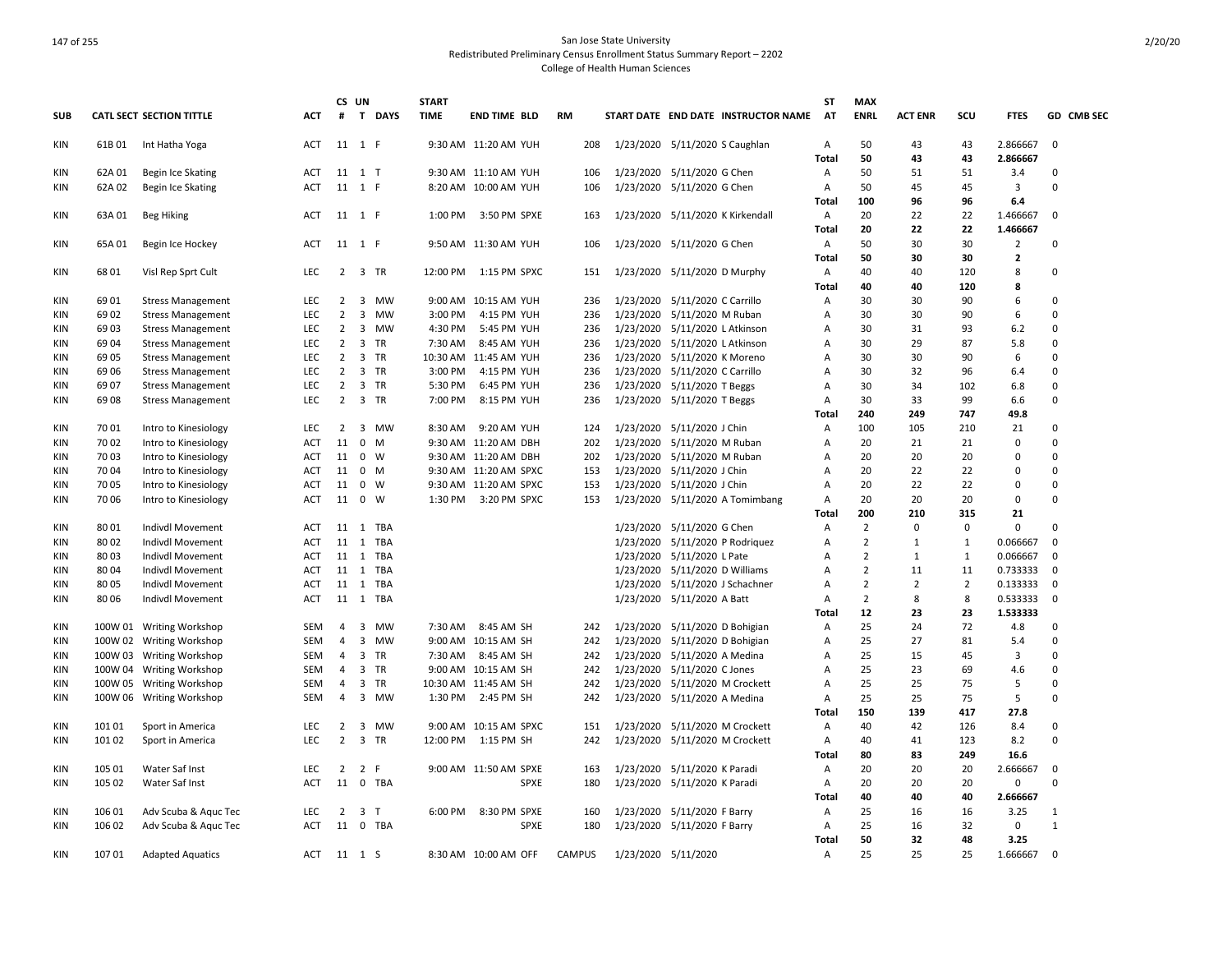|            |         |                                 |            | CS UN          |                             | <b>START</b> |                         |               |           |                                  |                                     | ST             | <b>MAX</b>     |                |                |                |              |
|------------|---------|---------------------------------|------------|----------------|-----------------------------|--------------|-------------------------|---------------|-----------|----------------------------------|-------------------------------------|----------------|----------------|----------------|----------------|----------------|--------------|
| <b>SUB</b> |         | <b>CATL SECT SECTION TITTLE</b> | <b>ACT</b> | #              | T DAYS                      | <b>TIME</b>  | END TIME BLD            | <b>RM</b>     |           |                                  | START DATE END DATE INSTRUCTOR NAME | <b>AT</b>      | <b>ENRL</b>    | <b>ACT ENR</b> | scu            | <b>FTES</b>    | GD CMB SEC   |
| KIN        | 61B 01  | Int Hatha Yoga                  | ACT        |                | 11 1 F                      |              | 9:30 AM 11:20 AM YUH    | 208           |           | 1/23/2020 5/11/2020 S Caughlan   |                                     | $\overline{A}$ | 50             | 43             | 43             | 2.866667       | 0            |
|            |         |                                 |            |                |                             |              |                         |               |           |                                  |                                     | Total          | 50             | 43             | 43             | 2.866667       |              |
| <b>KIN</b> | 62A 01  | Begin Ice Skating               | ACT        |                | 11 1 T                      |              | 9:30 AM 11:10 AM YUH    | 106           |           | 1/23/2020 5/11/2020 G Chen       |                                     | Α              | 50             | 51             | 51             | 3.4            | 0            |
| <b>KIN</b> | 62A 02  | Begin Ice Skating               | ACT        |                | 11 1 F                      |              | 8:20 AM 10:00 AM YUH    | 106           |           | 1/23/2020 5/11/2020 G Chen       |                                     | A              | 50             | 45             | 45             | 3              | $\Omega$     |
|            |         |                                 |            |                |                             |              |                         |               |           |                                  |                                     | <b>Total</b>   | 100            | 96             | 96             | 6.4            |              |
| KIN        | 63A 01  | Beg Hiking                      | ACT        |                | 11 1 F                      | 1:00 PM      | 3:50 PM SPXE            | 163           |           | 1/23/2020 5/11/2020 K Kirkendall |                                     | A              | 20             | 22             | 22             | 1.466667       | $\mathbf 0$  |
|            |         |                                 |            |                |                             |              |                         |               |           |                                  |                                     | Total          | 20             | 22             | 22             | 1.466667       |              |
| <b>KIN</b> | 65A01   | Begin Ice Hockey                | ACT        |                | 11 1 F                      |              | 9:50 AM 11:30 AM YUH    | 106           |           | 1/23/2020 5/11/2020 G Chen       |                                     | A              | 50             | 30             | 30             | 2              | $\Omega$     |
|            |         |                                 |            |                |                             |              |                         |               |           |                                  |                                     | <b>Total</b>   | 50             | 30             | 30             | $\overline{2}$ |              |
| ΚIΝ        | 6801    | Visl Rep Sprt Cult              | LEC        | $\overline{2}$ | 3 TR                        |              | 12:00 PM   1:15 PM SPXC | 151           |           | 1/23/2020 5/11/2020 D Murphy     |                                     | A              | 40             | 40             | 120            | 8              | 0            |
|            |         |                                 |            |                |                             |              |                         |               |           |                                  |                                     | Total          | 40             | 40             | 120            | 8              |              |
| KIN        | 6901    | <b>Stress Management</b>        | <b>LEC</b> | 2              | MW<br>3                     |              | 9:00 AM 10:15 AM YUH    | 236           |           | 1/23/2020 5/11/2020 C Carrillo   |                                     | A              | 30             | 30             | 90             | 6              | $\Omega$     |
| <b>KIN</b> | 69 02   | <b>Stress Management</b>        | LEC        | $\overline{2}$ | $\overline{3}$<br>MW        | 3:00 PM      | 4:15 PM YUH             | 236           |           | 1/23/2020 5/11/2020 M Ruban      |                                     | А              | 30             | 30             | 90             | 6              | $\Omega$     |
| <b>KIN</b> | 69 03   | <b>Stress Management</b>        | LEC        | 2              | 3<br>MW                     | 4:30 PM      | 5:45 PM YUH             | 236           |           | 1/23/2020 5/11/2020 L Atkinson   |                                     | Α              | 30             | 31             | 93             | 6.2            | $\mathbf 0$  |
| <b>KIN</b> | 69 04   | <b>Stress Management</b>        | <b>LEC</b> | $\overline{2}$ | 3<br>TR                     | 7:30 AM      | 8:45 AM YUH             | 236           |           | 1/23/2020 5/11/2020 L Atkinson   |                                     | А              | 30             | 29             | 87             | 5.8            | $\Omega$     |
| <b>KIN</b> | 69 05   | <b>Stress Management</b>        | <b>LEC</b> | $\overline{2}$ | $\overline{3}$<br><b>TR</b> |              | 10:30 AM 11:45 AM YUH   | 236           |           | 1/23/2020 5/11/2020 K Moreno     |                                     | A              | 30             | 30             | 90             | 6              | $\Omega$     |
| KIN        | 69 06   | <b>Stress Management</b>        | LEC        | $\overline{2}$ | 3<br><b>TR</b>              | 3:00 PM      | 4:15 PM YUH             | 236           |           | 1/23/2020 5/11/2020 C Carrillo   |                                     | А              | 30             | 32             | 96             | 6.4            | $\Omega$     |
| <b>KIN</b> | 6907    | <b>Stress Management</b>        | <b>LEC</b> | $\overline{2}$ | 3 TR                        | 5:30 PM      | 6:45 PM YUH             | 236           |           | 1/23/2020 5/11/2020 T Beggs      |                                     | Α              | 30             | 34             | 102            | 6.8            | $\Omega$     |
| <b>KIN</b> | 69 08   | <b>Stress Management</b>        | <b>LEC</b> | $\overline{2}$ | 3 TR                        | 7:00 PM      | 8:15 PM YUH             | 236           |           | 1/23/2020 5/11/2020 T Beggs      |                                     | А              | 30             | 33             | 99             | 6.6            | $\Omega$     |
|            |         |                                 |            |                |                             |              |                         |               |           |                                  |                                     | Total          | 240            | 249            | 747            | 49.8           |              |
| KIN        | 70 01   | Intro to Kinesiology            | LEC        | $\overline{2}$ | 3 MW                        | 8:30 AM      | 9:20 AM YUH             | 124           |           | 1/23/2020 5/11/2020 J Chin       |                                     | Α              | 100            | 105            | 210            | 21             | $\Omega$     |
| <b>KIN</b> | 70 02   | Intro to Kinesiology            | ACT        | 11             | $\mathbf{0}$<br>M           |              | 9:30 AM 11:20 AM DBH    | 202           |           | 1/23/2020 5/11/2020 M Ruban      |                                     | A              | 20             | 21             | 21             | 0              | $\Omega$     |
| <b>KIN</b> | 70 03   | Intro to Kinesiology            | ACT        | 11             | $\mathbf{0}$<br>W           |              | 9:30 AM 11:20 AM DBH    | 202           |           | 1/23/2020 5/11/2020 M Ruban      |                                     | А              | 20             | 20             | 20             | 0              | $\Omega$     |
| <b>KIN</b> | 70 04   | Intro to Kinesiology            | ACT        | 11             | $0 \mathsf{M}$              |              | 9:30 AM 11:20 AM SPXC   | 153           |           | 1/23/2020 5/11/2020 J Chin       |                                     | A              | 20             | 22             | 22             | 0              | $\Omega$     |
| <b>KIN</b> | 7005    |                                 | ACT        | 11             | $\mathbf{0}$<br>W           |              | 9:30 AM 11:20 AM SPXC   | 153           |           | 1/23/2020 5/11/2020 J Chin       |                                     | Α              | 20             | 22             | 22             | 0              | $\mathbf 0$  |
| <b>KIN</b> | 70 06   | Intro to Kinesiology            | ACT        |                | 11 0 W                      |              | 1:30 PM 3:20 PM SPXC    | 153           |           |                                  |                                     | $\overline{A}$ | 20             | 20             | 20             | 0              | $\Omega$     |
|            |         | Intro to Kinesiology            |            |                |                             |              |                         |               |           |                                  | 1/23/2020 5/11/2020 A Tomimbang     |                | 200            | 210            | 315            | 21             |              |
|            |         |                                 |            |                |                             |              |                         |               |           |                                  |                                     | Total          |                | $\Omega$       | $\Omega$       | 0              | $\Omega$     |
| KIN        | 80 01   | Indivdl Movement                | ACT        | 11             | TBA<br>1                    |              |                         |               |           | 1/23/2020 5/11/2020 G Chen       |                                     | Α              | $\overline{2}$ |                |                |                | $\mathbf 0$  |
| <b>KIN</b> | 80 02   | Indivdl Movement                | <b>ACT</b> | 11             | 1 TBA                       |              |                         |               |           |                                  | 1/23/2020 5/11/2020 P Rodriquez     | A              | $\overline{2}$ | $\mathbf{1}$   | 1              | 0.066667       |              |
| <b>KIN</b> | 80 03   | Indivdl Movement                | ACT        | 11 1           | TBA                         |              |                         |               |           | 1/23/2020 5/11/2020 L Pate       |                                     | A              | $\overline{2}$ | 1              | 1              | 0.066667       | 0            |
| <b>KIN</b> | 80 04   | Indivdl Movement                | ACT        |                | 11 1 TBA                    |              |                         |               |           | 1/23/2020 5/11/2020 D Williams   |                                     | A              | $\overline{2}$ | 11             | 11             | 0.733333       | $\mathbf 0$  |
| KIN        | 80 05   | Indivdl Movement                | ACT        | 11             | 1 TBA                       |              |                         |               |           | 1/23/2020 5/11/2020 J Schachner  |                                     | А              | $\overline{2}$ | 2              | $\overline{2}$ | 0.133333       | $\mathbf 0$  |
| <b>KIN</b> | 8006    | Indivdl Movement                | ACT        |                | 11 1 TBA                    |              |                         |               |           | 1/23/2020 5/11/2020 A Batt       |                                     | A              | $\overline{2}$ | 8              | 8              | 0.533333       | $\mathbf 0$  |
|            |         |                                 |            |                |                             |              |                         |               |           |                                  |                                     | <b>Total</b>   | 12             | 23             | 23             | 1.533333       |              |
| <b>KIN</b> | 100W 01 | <b>Writing Workshop</b>         | <b>SEM</b> | $\overline{4}$ | 3<br><b>MW</b>              | 7:30 AM      | 8:45 AM SH              | 242           | 1/23/2020 | 5/11/2020 D Bohigian             |                                     | Α              | 25             | 24             | 72             | 4.8            | $\Omega$     |
| <b>KIN</b> |         | 100W 02 Writing Workshop        | SEM        | $\overline{4}$ | 3<br><b>MW</b>              |              | 9:00 AM 10:15 AM SH     | 242           |           | 1/23/2020 5/11/2020 D Bohigian   |                                     | Α              | 25             | 27             | 81             | 5.4            | $\Omega$     |
| KIN        |         | 100W 03 Writing Workshop        | <b>SEM</b> | 4              | 3 TR                        | 7:30 AM      | 8:45 AM SH              | 242           |           | 1/23/2020 5/11/2020 A Medina     |                                     | Α              | 25             | 15             | 45             | 3              | $\Omega$     |
| <b>KIN</b> |         | 100W 04 Writing Workshop        | <b>SEM</b> | 4              | 3<br><b>TR</b>              |              | 9:00 AM 10:15 AM SH     | 242           |           | 1/23/2020 5/11/2020 C Jones      |                                     | A              | 25             | 23             | 69             | 4.6            | $\Omega$     |
| <b>KIN</b> |         | 100W 05 Writing Workshop        | SEM        | $\overline{4}$ | 3<br>TR                     |              | 10:30 AM 11:45 AM SH    | 242           |           | 1/23/2020 5/11/2020 M Crockett   |                                     | А              | 25             | 25             | 75             | 5              | $\Omega$     |
| <b>KIN</b> |         | 100W 06 Writing Workshop        | SEM        | $\overline{4}$ | 3 MW                        | 1:30 PM      | 2:45 PM SH              | 242           |           | 1/23/2020 5/11/2020 A Medina     |                                     | Α              | 25             | 25             | 75             | 5              | $\Omega$     |
|            |         |                                 |            |                |                             |              |                         |               |           |                                  |                                     | Total          | 150            | 139            | 417            | 27.8           |              |
| KIN        | 10101   | Sport in America                | <b>LEC</b> | $\overline{2}$ | 3<br>MW                     |              | 9:00 AM 10:15 AM SPXC   | 151           |           | 1/23/2020 5/11/2020 M Crockett   |                                     | A              | 40             | 42             | 126            | 8.4            | $\Omega$     |
| <b>KIN</b> | 10102   | Sport in America                | <b>LEC</b> | $\overline{2}$ | 3<br><b>TR</b>              | 12:00 PM     | 1:15 PM SH              | 242           |           | 1/23/2020 5/11/2020 M Crockett   |                                     | Α              | 40             | 41             | 123            | 8.2            | $\Omega$     |
|            |         |                                 |            |                |                             |              |                         |               |           |                                  |                                     | <b>Total</b>   | 80             | 83             | 249            | 16.6           |              |
| <b>KIN</b> | 105 01  | Water Saf Inst                  | LEC        | 2              | 2 F                         |              | 9:00 AM 11:50 AM SPXE   | 163           |           | 1/23/2020 5/11/2020 K Paradi     |                                     | A              | 20             | 20             | 20             | 2.666667       | 0            |
| <b>KIN</b> | 105 02  | Water Saf Inst                  | <b>ACT</b> | 11             | $\mathbf{0}$<br>TBA         |              | <b>SPXE</b>             | 180           |           | 1/23/2020 5/11/2020 K Paradi     |                                     | Α              | 20             | 20             | 20             | 0              | $\Omega$     |
|            |         |                                 |            |                |                             |              |                         |               |           |                                  |                                     | Total          | 40             | 40             | 40             | 2.666667       |              |
| KIN        | 106 01  | Adv Scuba & Aquc Tec            | <b>LEC</b> | $\overline{2}$ | 3<br>T                      | 6:00 PM      | 8:30 PM SPXE            | 160           |           | 1/23/2020 5/11/2020 F Barry      |                                     | Α              | 25             | 16             | 16             | 3.25           | $\mathbf{1}$ |
| KIN        | 106 02  | Adv Scuba & Aquc Tec            | ACT        |                | 11 0 TBA                    |              | <b>SPXE</b>             | 180           |           | 1/23/2020 5/11/2020 F Barry      |                                     | A              | 25             | 16             | 32             | 0              | $\mathbf{1}$ |
|            |         |                                 |            |                |                             |              |                         |               |           |                                  |                                     | <b>Total</b>   | 50             | 32             | 48             | 3.25           |              |
| <b>KIN</b> | 10701   | <b>Adapted Aquatics</b>         | ACT        |                | 11 1 S                      |              | 8:30 AM 10:00 AM OFF    | <b>CAMPUS</b> |           | 1/23/2020 5/11/2020              |                                     | $\overline{A}$ | 25             | 25             | 25             | 1.666667       | $\Omega$     |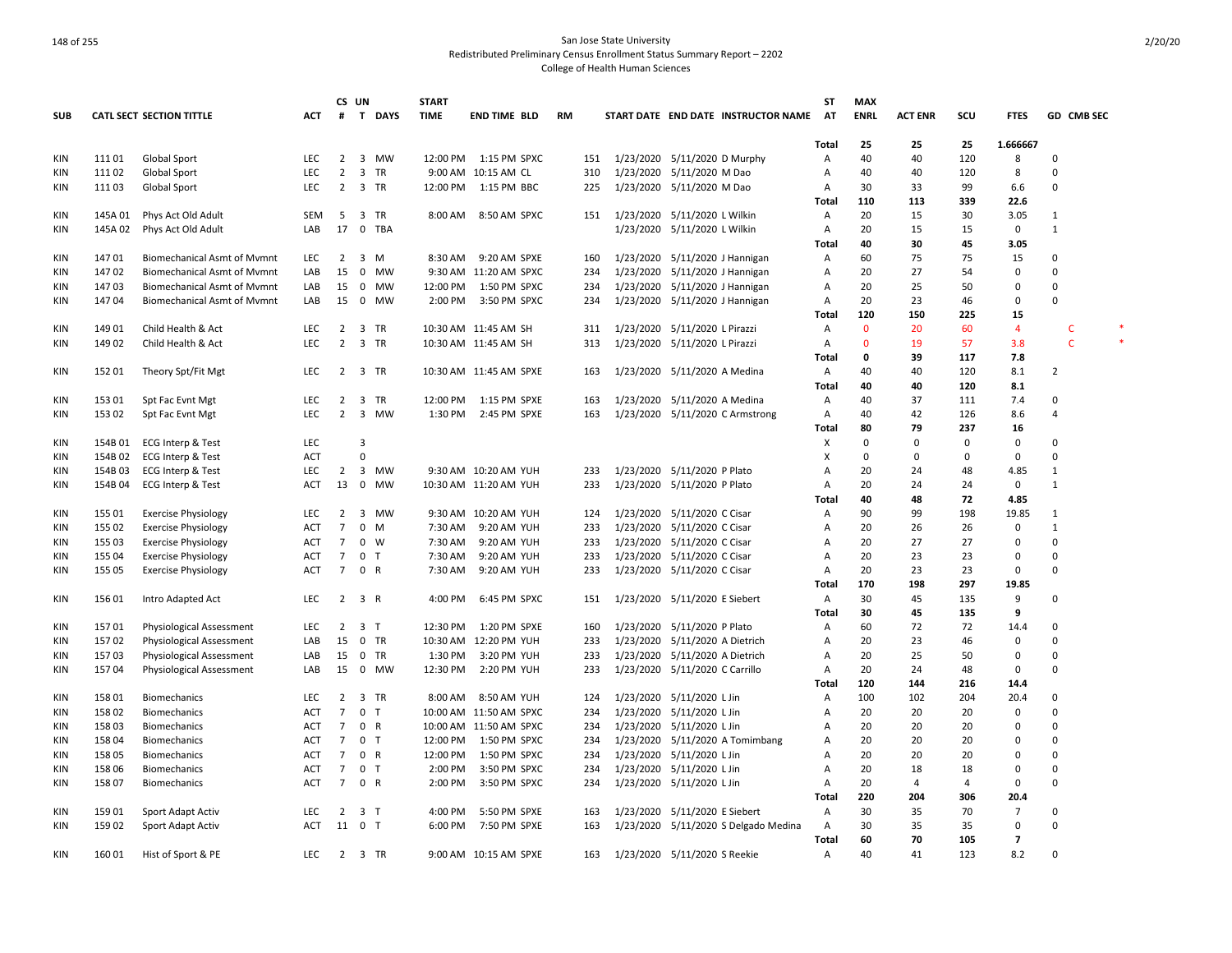|            |         |                                    |            |                | CS UN                   |           | <b>START</b> |                         |    |     |                                |                              |                                      | <b>ST</b>         | <b>MAX</b>  |                |           |                |              |  |
|------------|---------|------------------------------------|------------|----------------|-------------------------|-----------|--------------|-------------------------|----|-----|--------------------------------|------------------------------|--------------------------------------|-------------------|-------------|----------------|-----------|----------------|--------------|--|
| <b>SUB</b> |         | <b>CATL SECT SECTION TITTLE</b>    | ACT        |                |                         | # T DAYS  | <b>TIME</b>  | END TIME BLD            | RM |     |                                |                              | START DATE END DATE INSTRUCTOR NAME  | AT                | <b>ENRL</b> | <b>ACT ENR</b> | scu       | <b>FTES</b>    | GD CMB SEC   |  |
|            |         |                                    |            |                |                         |           |              |                         |    |     |                                |                              |                                      |                   |             |                |           |                |              |  |
| KIN        | 11101   | Global Sport                       | LEC        | $\overline{2}$ | $\overline{\mathbf{3}}$ | MW        |              | 12:00 PM   1:15 PM SPXC |    | 151 | 1/23/2020 5/11/2020 D Murphy   |                              |                                      | <b>Total</b><br>Α | 25<br>40    | 25<br>40       | 25<br>120 | 1.666667<br>8  | $\Omega$     |  |
| KIN        | 11102   | Global Sport                       | LEC        | $\overline{2}$ | $\overline{\mathbf{3}}$ | <b>TR</b> |              | 9:00 AM 10:15 AM CL     |    | 310 |                                | 1/23/2020 5/11/2020 M Dao    |                                      | Α                 | 40          | 40             | 120       | 8              | 0            |  |
| KIN        | 11103   | Global Sport                       | LEC        | $\overline{2}$ |                         | 3 TR      | 12:00 PM     | 1:15 PM BBC             |    | 225 |                                | 1/23/2020 5/11/2020 M Dao    |                                      | Α                 | 30          | 33             | 99        | 6.6            | 0            |  |
|            |         |                                    |            |                |                         |           |              |                         |    |     |                                |                              |                                      | Total             | 110         | 113            | 339       | 22.6           |              |  |
| KIN        | 145A 01 | Phys Act Old Adult                 | <b>SEM</b> | 5              | $\overline{\mathbf{3}}$ | <b>TR</b> | 8:00 AM      | 8:50 AM SPXC            |    | 151 | 1/23/2020 5/11/2020 L Wilkin   |                              |                                      | A                 | 20          | 15             | 30        | 3.05           | $\mathbf{1}$ |  |
| KIN        | 145A 02 | Phys Act Old Adult                 | LAB        | 17             |                         | 0 TBA     |              |                         |    |     |                                | 1/23/2020 5/11/2020 L Wilkin |                                      | Α                 | 20          | 15             | 15        | $\mathbf 0$    | $\mathbf{1}$ |  |
|            |         |                                    |            |                |                         |           |              |                         |    |     |                                |                              |                                      | Total             | 40          | 30             | 45        | 3.05           |              |  |
| KIN        | 14701   | <b>Biomechanical Asmt of Mymnt</b> | LEC        | $\overline{2}$ | $\overline{\mathbf{3}}$ | M         | 8:30 AM      | 9:20 AM SPXE            |    | 160 | 1/23/2020 5/11/2020 J Hannigan |                              |                                      | Α                 | 60          | 75             | 75        | 15             | 0            |  |
| KIN        | 14702   | <b>Biomechanical Asmt of Mvmnt</b> | LAB        | 15             | $\overline{0}$          | <b>MW</b> |              | 9:30 AM 11:20 AM SPXC   |    | 234 | 1/23/2020 5/11/2020 J Hannigan |                              |                                      | A                 | 20          | 27             | 54        | $\mathbf 0$    | $\Omega$     |  |
| <b>KIN</b> | 14703   | <b>Biomechanical Asmt of Mymnt</b> | LAB        | 15             | $\overline{\mathbf{0}}$ | MW        | 12:00 PM     | 1:50 PM SPXC            |    | 234 | 1/23/2020 5/11/2020 J Hannigan |                              |                                      | Α                 | 20          | 25             | 50        | $\mathbf 0$    | 0            |  |
| <b>KIN</b> | 14704   | <b>Biomechanical Asmt of Mvmnt</b> | LAB        | 15             | $\overline{0}$          | MW        | 2:00 PM      | 3:50 PM SPXC            |    | 234 | 1/23/2020 5/11/2020 J Hannigan |                              |                                      | Α                 | 20          | 23             | 46        | 0              | 0            |  |
|            |         |                                    |            |                |                         |           |              |                         |    |     |                                |                              |                                      | Total             | 120         | 150            | 225       | 15             |              |  |
| KIN        | 14901   | Child Health & Act                 | <b>LEC</b> | $\overline{2}$ |                         | 3 TR      |              | 10:30 AM 11:45 AM SH    |    | 311 | 1/23/2020 5/11/2020 L Pirazzi  |                              |                                      | A                 | $\Omega$    | 20             | 60        | $\overline{4}$ | C            |  |
| KIN        | 149 02  | Child Health & Act                 | <b>LEC</b> | $\overline{2}$ |                         | 3 TR      |              | 10:30 AM 11:45 AM SH    |    | 313 | 1/23/2020 5/11/2020 L Pirazzi  |                              |                                      | Α                 | $\Omega$    | 19             | 57        | 3.8            | $\mathsf{C}$ |  |
|            |         |                                    |            |                |                         |           |              |                         |    |     |                                |                              |                                      | <b>Total</b>      | 0           | 39             | 117       | 7.8            |              |  |
| KIN        | 152 01  | Theory Spt/Fit Mgt                 | <b>LEC</b> | $\overline{2}$ |                         | 3 TR      |              | 10:30 AM 11:45 AM SPXE  |    | 163 | 1/23/2020 5/11/2020 A Medina   |                              |                                      | Α                 | 40          | 40             | 120       | 8.1            | 2            |  |
|            |         |                                    |            |                |                         |           |              |                         |    |     |                                |                              |                                      | Total             | 40          | 40             | 120       | 8.1            |              |  |
| KIN        | 15301   | Spt Fac Evnt Mgt                   | LEC        | 2              | $\overline{\mathbf{3}}$ | TR        | 12:00 PM     | 1:15 PM SPXE            |    | 163 |                                | 1/23/2020 5/11/2020 A Medina |                                      | Α                 | 40          | 37             | 111       | 7.4            | 0            |  |
| KIN        | 15302   | Spt Fac Evnt Mgt                   | <b>LEC</b> | $\overline{2}$ |                         | 3 MW      | 1:30 PM      | 2:45 PM SPXE            |    | 163 |                                |                              | 1/23/2020 5/11/2020 C Armstrong      | Α                 | 40          | 42             | 126       | 8.6            | 4            |  |
|            |         |                                    |            |                |                         |           |              |                         |    |     |                                |                              |                                      | Total             | 80          | 79             | 237       | 16             |              |  |
| KIN        | 154B 01 | ECG Interp & Test                  | LEC        |                | 3                       |           |              |                         |    |     |                                |                              |                                      | х                 | $\Omega$    | 0              | $\Omega$  | $\mathbf 0$    | 0            |  |
| KIN        | 154B 02 | <b>ECG Interp &amp; Test</b>       | ACT        |                | $\mathbf 0$             |           |              |                         |    |     |                                |                              |                                      | X                 | 0           | 0              | 0         | 0              | 0            |  |
| KIN        | 154B 03 | <b>ECG Interp &amp; Test</b>       | LEC        | $\overline{2}$ | $\overline{\mathbf{3}}$ | MW        |              | 9:30 AM 10:20 AM YUH    |    | 233 | 1/23/2020 5/11/2020 P Plato    |                              |                                      | Α                 | 20          | 24             | 48        | 4.85           | 1            |  |
| KIN        | 154B 04 | <b>ECG Interp &amp; Test</b>       | <b>ACT</b> | 13             | $\overline{0}$          | <b>MW</b> |              | 10:30 AM 11:20 AM YUH   |    | 233 | 1/23/2020 5/11/2020 P Plato    |                              |                                      | A                 | 20          | 24             | 24        | $\mathbf 0$    | $\mathbf{1}$ |  |
|            |         |                                    |            |                |                         |           |              |                         |    |     |                                |                              |                                      | <b>Total</b>      | 40          | 48             | 72        | 4.85           |              |  |
| KIN        | 155 01  | <b>Exercise Physiology</b>         | LEC        | $\overline{2}$ | $\overline{\mathbf{3}}$ | MW        |              | 9:30 AM 10:20 AM YUH    |    | 124 | 1/23/2020 5/11/2020 C Cisar    |                              |                                      | Α                 | 90          | 99             | 198       | 19.85          | 1            |  |
| KIN        | 155 02  | <b>Exercise Physiology</b>         | ACT        | $\overline{7}$ | $\mathbf 0$             | M         | 7:30 AM      | 9:20 AM YUH             |    | 233 | 1/23/2020 5/11/2020 C Cisar    |                              |                                      | Α                 | 20          | 26             | 26        | 0              | $\mathbf{1}$ |  |
| KIN        | 155 03  | <b>Exercise Physiology</b>         | ACT        | $\overline{7}$ | $\mathbf 0$             | W         | 7:30 AM      | 9:20 AM YUH             |    | 233 | 1/23/2020 5/11/2020 C Cisar    |                              |                                      | Α                 | 20          | 27             | 27        | $\mathbf 0$    | 0            |  |
| <b>KIN</b> | 155 04  | <b>Exercise Physiology</b>         | ACT        | 7              | 0 <sub>T</sub>          |           | 7:30 AM      | 9:20 AM YUH             |    | 233 | 1/23/2020 5/11/2020 C Cisar    |                              |                                      | Α                 | 20          | 23             | 23        | $\mathbf 0$    | 0            |  |
| <b>KIN</b> | 155 05  | <b>Exercise Physiology</b>         | <b>ACT</b> | $\overline{7}$ | 0 R                     |           | 7:30 AM      | 9:20 AM YUH             |    | 233 | 1/23/2020 5/11/2020 C Cisar    |                              |                                      | Α                 | 20          | 23             | 23        | 0              | 0            |  |
|            |         |                                    |            |                |                         |           |              |                         |    |     |                                |                              |                                      | Total             | 170         | 198            | 297       | 19.85          |              |  |
| KIN        | 156 01  | Intro Adapted Act                  | LEC        |                | 2 3 R                   |           | 4:00 PM      | 6:45 PM SPXC            |    | 151 | 1/23/2020 5/11/2020 E Siebert  |                              |                                      | Α                 | 30          | 45             | 135       | 9              | 0            |  |
|            |         |                                    |            |                |                         |           |              |                         |    |     |                                |                              |                                      | Total             | 30          | 45             | 135       | 9              |              |  |
| KIN        | 15701   | Physiological Assessment           | <b>LEC</b> | $\overline{2}$ | 3 T                     |           | 12:30 PM     | 1:20 PM SPXE            |    | 160 | 1/23/2020 5/11/2020 P Plato    |                              |                                      | A                 | 60          | 72             | 72        | 14.4           | $\Omega$     |  |
| KIN        | 15702   | Physiological Assessment           | LAB        |                | 15 0                    | TR        |              | 10:30 AM 12:20 PM YUH   |    | 233 | 1/23/2020 5/11/2020 A Dietrich |                              |                                      | Α                 | 20          | 23             | 46        | $\mathbf 0$    | 0            |  |
| KIN        | 15703   | Physiological Assessment           | LAB        | 15             | $\overline{\mathbf{0}}$ | TR        | 1:30 PM      | 3:20 PM YUH             |    | 233 | 1/23/2020 5/11/2020 A Dietrich |                              |                                      | Α                 | 20          | 25             | 50        | 0              | 0            |  |
| KIN        | 15704   | Physiological Assessment           | LAB        |                | 15 0                    | MW        | 12:30 PM     | 2:20 PM YUH             |    | 233 | 1/23/2020 5/11/2020 C Carrillo |                              |                                      | Α                 | 20          | 24             | 48        | 0              | 0            |  |
|            |         |                                    |            |                |                         |           |              |                         |    |     |                                |                              |                                      | <b>Total</b>      | 120         | 144            | 216       | 14.4           |              |  |
| KIN        | 158 01  | <b>Biomechanics</b>                | <b>LEC</b> | $\overline{2}$ |                         | 3 TR      | 8:00 AM      | 8:50 AM YUH             |    | 124 | 1/23/2020 5/11/2020 L Jin      |                              |                                      | Α                 | 100         | 102            | 204       | 20.4           | $\Omega$     |  |
| KIN        | 158 02  | <b>Biomechanics</b>                | <b>ACT</b> | $\overline{7}$ | 0 <sub>T</sub>          |           |              | 10:00 AM 11:50 AM SPXC  |    | 234 | 1/23/2020 5/11/2020 L Jin      |                              |                                      | А                 | 20          | 20             | 20        | $\mathbf 0$    | 0            |  |
| KIN        | 15803   | <b>Biomechanics</b>                | ACT        | 7              | $\mathbf 0$             | R         |              | 10:00 AM 11:50 AM SPXC  |    | 234 | 1/23/2020 5/11/2020 L Jin      |                              |                                      | A                 | 20          | 20             | 20        | 0              | $\Omega$     |  |
| KIN        | 158 04  | <b>Biomechanics</b>                | <b>ACT</b> | $\overline{7}$ | 0 <sub>T</sub>          |           | 12:00 PM     | 1:50 PM SPXC            |    | 234 |                                |                              | 1/23/2020 5/11/2020 A Tomimbang      | Α                 | 20          | 20             | 20        | $\Omega$       | 0            |  |
| KIN        | 158 05  | <b>Biomechanics</b>                | <b>ACT</b> | $\overline{7}$ | 0 R                     |           | 12:00 PM     | 1:50 PM SPXC            |    | 234 | 1/23/2020 5/11/2020 L Jin      |                              |                                      | A                 | 20          | 20             | 20        | $\Omega$       | $\Omega$     |  |
| KIN        | 158 06  | <b>Biomechanics</b>                | <b>ACT</b> | $\overline{7}$ | 0 <sub>T</sub>          |           | 2:00 PM      | 3:50 PM SPXC            |    | 234 | 1/23/2020 5/11/2020 L Jin      |                              |                                      | Α                 | 20          | 18             | 18        | $\Omega$       | 0            |  |
| KIN        | 15807   | <b>Biomechanics</b>                | ACT        | 7              | 0 R                     |           | 2:00 PM      | 3:50 PM SPXC            |    | 234 | 1/23/2020 5/11/2020 L Jin      |                              |                                      | Α                 | 20          | 4              | 4         | 0              | 0            |  |
|            |         |                                    |            |                |                         |           |              |                         |    |     |                                |                              |                                      | Total             | 220         | 204            | 306       | 20.4           |              |  |
| KIN        | 159 01  | Sport Adapt Activ                  | <b>LEC</b> | $\overline{2}$ | 3 T                     |           | 4:00 PM      | 5:50 PM SPXE            |    | 163 | 1/23/2020 5/11/2020 E Siebert  |                              |                                      | Α                 | 30          | 35             | 70        | $\overline{7}$ | $\Omega$     |  |
| <b>KIN</b> | 159 02  | Sport Adapt Activ                  | ACT        |                | 11 0 T                  |           | 6:00 PM      | 7:50 PM SPXE            |    | 163 |                                |                              | 1/23/2020 5/11/2020 S Delgado Medina | Α                 | 30          | 35             | 35        | 0              | 0            |  |
|            |         |                                    |            |                |                         |           |              |                         |    |     |                                |                              |                                      | <b>Total</b>      | 60          | 70             | 105       | $\overline{7}$ |              |  |
| <b>KIN</b> | 16001   | Hist of Sport & PE                 | LEC        |                | 2 3 TR                  |           |              | 9:00 AM 10:15 AM SPXE   |    | 163 | 1/23/2020 5/11/2020 S Reekie   |                              |                                      | Α                 | 40          | 41             | 123       | 8.2            | 0            |  |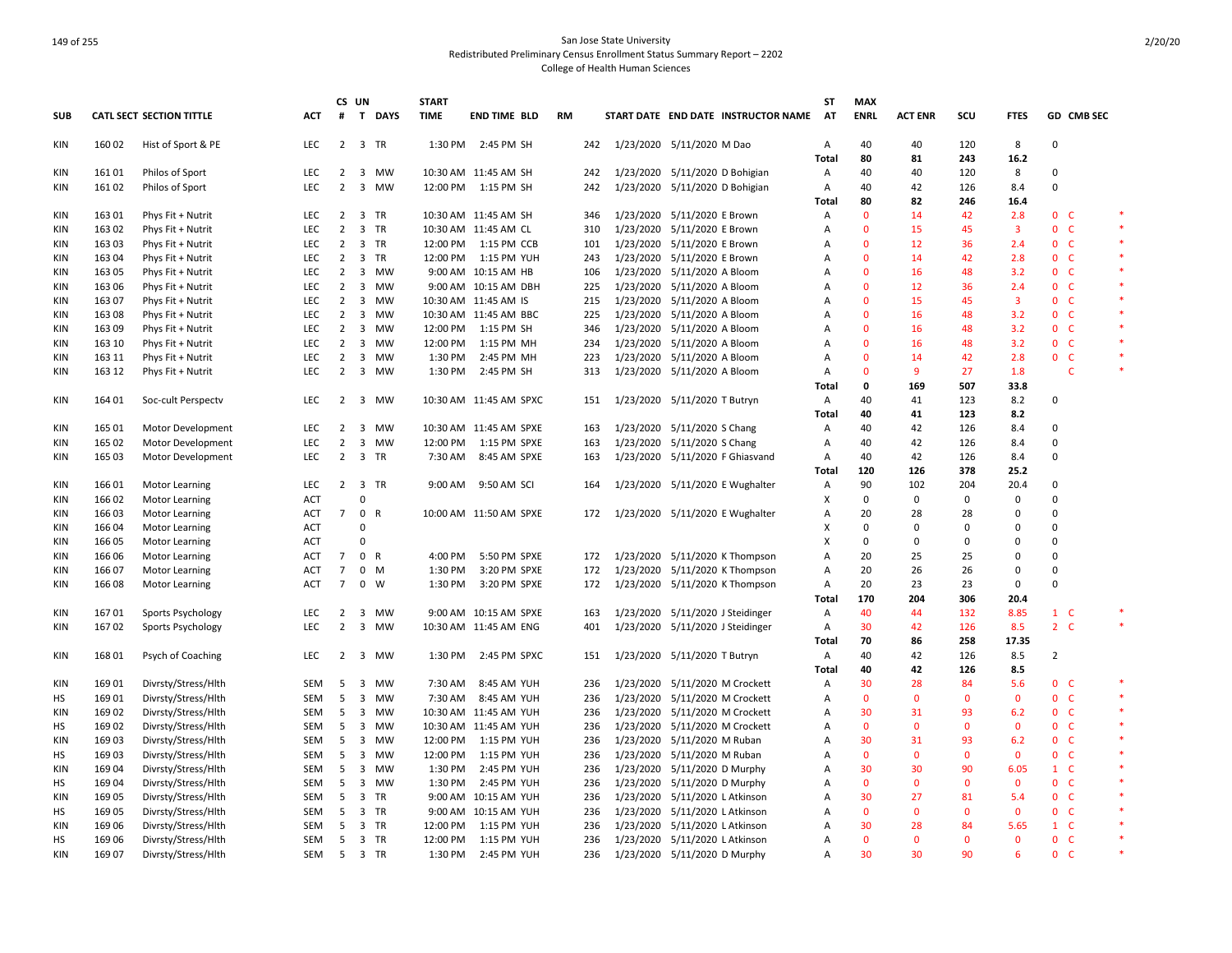|            |        |                                 |            |                | CS UN                   |           | <b>START</b> |                        |    |     |                                     | ST           | <b>MAX</b>   |                |                    |                     |                |            |         |
|------------|--------|---------------------------------|------------|----------------|-------------------------|-----------|--------------|------------------------|----|-----|-------------------------------------|--------------|--------------|----------------|--------------------|---------------------|----------------|------------|---------|
| <b>SUB</b> |        | <b>CATL SECT SECTION TITTLE</b> | ACT        | #              |                         | T DAYS    | <b>TIME</b>  | <b>END TIME BLD</b>    | RM |     | START DATE END DATE INSTRUCTOR NAME | <b>AT</b>    | <b>ENRL</b>  | <b>ACT ENR</b> | SCU                | <b>FTES</b>         |                | GD CMB SEC |         |
| KIN        | 160 02 | Hist of Sport & PE              | <b>LEC</b> | $2^{\circ}$    |                         | 3 TR      | 1:30 PM      | 2:45 PM SH             |    | 242 | 1/23/2020 5/11/2020 M Dao           | Α            | 40           | 40             | 120                | 8                   | 0              |            |         |
|            |        |                                 |            |                |                         |           |              |                        |    |     |                                     | <b>Total</b> | 80           | 81             | 243                | 16.2                |                |            |         |
| <b>KIN</b> | 16101  | Philos of Sport                 | <b>LEC</b> | 2              | $\overline{\mathbf{3}}$ | MW        |              | 10:30 AM 11:45 AM SH   |    | 242 | 1/23/2020 5/11/2020 D Bohigian      | Α            | 40           | 40             | 120                | 8                   | $\mathbf 0$    |            |         |
| KIN        | 16102  | Philos of Sport                 | <b>LEC</b> | $\overline{2}$ | $\overline{\mathbf{3}}$ | MW        |              | 12:00 PM 1:15 PM SH    |    | 242 | 1/23/2020 5/11/2020 D Bohigian      | Α            | 40           | 42             | 126                | 8.4                 | $\Omega$       |            |         |
|            |        |                                 |            |                |                         |           |              |                        |    |     |                                     | Total        | 80           | 82             | 246                | 16.4                |                |            |         |
| KIN        | 163 01 | Phys Fit + Nutrit               | <b>LEC</b> | $\overline{2}$ | $\overline{\mathbf{3}}$ | TR        |              | 10:30 AM 11:45 AM SH   |    | 346 | 1/23/2020 5/11/2020 E Brown         | A            | $\Omega$     | 14             | 42                 | 2.8                 | 0 <sup>o</sup> |            | $\ast$  |
| KIN        | 163 02 | Phys Fit + Nutrit               | <b>LEC</b> | $\overline{2}$ | $\overline{\mathbf{3}}$ | TR        |              | 10:30 AM 11:45 AM CL   |    | 310 | 1/23/2020 5/11/2020 E Brown         | A            | $\mathbf{0}$ | 15             | 45                 | 3                   | 0 <sub>c</sub> |            |         |
| <b>KIN</b> | 163 03 | Phys Fit + Nutrit               | <b>LEC</b> | $\overline{2}$ | $\overline{\mathbf{3}}$ | TR        |              | 12:00 PM 1:15 PM CCB   |    | 101 | 1/23/2020 5/11/2020 E Brown         | A            | $\Omega$     | 12             | 36                 | 2.4                 | 0 <sup>o</sup> |            | $\ast$  |
| KIN        | 16304  | Phys Fit + Nutrit               | LEC        | $\overline{2}$ | 3                       | TR        | 12:00 PM     | 1:15 PM YUH            |    | 243 | 1/23/2020 5/11/2020 E Brown         | Α            | $\mathbf 0$  | 14             | 42                 | 2.8                 | 0 <sub>c</sub> |            |         |
| KIN        | 163 05 | Phys Fit + Nutrit               | <b>LEC</b> | $\overline{2}$ | $\overline{\mathbf{3}}$ | MW        |              | 9:00 AM 10:15 AM HB    |    | 106 | 1/23/2020 5/11/2020 A Bloom         | A            | $\mathbf{0}$ | 16             | 48                 | 3.2                 | 0 <sup>o</sup> |            |         |
| KIN        | 163 06 | Phys Fit + Nutrit               | <b>LEC</b> | $\overline{2}$ | 3                       | MW        |              | 9:00 AM 10:15 AM DBH   |    | 225 | 1/23/2020 5/11/2020 A Bloom         | A            | $\mathbf{0}$ | 12             | 36                 | 2.4                 | $\mathbf{0}$   | - C        |         |
| <b>KIN</b> | 163 07 | Phys Fit + Nutrit               | <b>LEC</b> | $\overline{2}$ | $\overline{\mathbf{3}}$ | MW        |              | 10:30 AM 11:45 AM IS   |    | 215 | 1/23/2020 5/11/2020 A Bloom         | A            | $\mathbf{0}$ | 15             | 45                 | 3                   | 0 <sup>o</sup> |            | $\ast$  |
| <b>KIN</b> | 163 08 | Phys Fit + Nutrit               | LEC        | $\overline{2}$ | $\overline{3}$          | MW        |              | 10:30 AM 11:45 AM BBC  |    | 225 | 1/23/2020 5/11/2020 A Bloom         | Α            | $\mathbf 0$  | 16             | 48                 | 3.2                 | 0 <sub>c</sub> |            |         |
| KIN        | 16309  | Phys Fit + Nutrit               | LEC        | $\overline{2}$ | 3                       | <b>MW</b> | 12:00 PM     | 1:15 PM SH             |    | 346 | 1/23/2020 5/11/2020 A Bloom         | Α            | $\mathbf{0}$ | 16             | 48                 | 3.2                 | 0 <sup>o</sup> |            |         |
| KIN        | 163 10 | Phys Fit + Nutrit               | <b>LEC</b> | $\overline{2}$ | $\overline{\mathbf{3}}$ | MW        | 12:00 PM     | 1:15 PM MH             |    | 234 | 1/23/2020 5/11/2020 A Bloom         | A            | $\mathbf{0}$ | 16             | 48                 | 3.2                 | 0 <sup>o</sup> |            |         |
| <b>KIN</b> | 163 11 | Phys Fit + Nutrit               | <b>LEC</b> | $\overline{2}$ | $\overline{\mathbf{3}}$ | MW        | 1:30 PM      | 2:45 PM MH             |    | 223 | 1/23/2020 5/11/2020 A Bloom         | Α            | $\mathbf{0}$ | 14             | 42                 | 2.8                 | 0 <sub>c</sub> |            | $\ast$  |
| <b>KIN</b> | 163 12 | Phys Fit + Nutrit               | <b>LEC</b> | 2              |                         | 3 MW      | 1:30 PM      | 2:45 PM SH             |    | 313 | 1/23/2020 5/11/2020 A Bloom         | A            | $\Omega$     | 9              | 27                 | 1.8                 |                | C          |         |
|            |        |                                 |            |                |                         |           |              |                        |    |     |                                     | <b>Total</b> | 0            | 169            | 507                | 33.8                |                |            |         |
| KIN        | 164 01 | Soc-cult Perspectv              | LEC        | 2              | $\overline{\mathbf{3}}$ | МW        |              | 10:30 AM 11:45 AM SPXC |    | 151 | 1/23/2020 5/11/2020 T Butryn        | Α            | 40           | 41             | 123                | 8.2                 | 0              |            |         |
|            |        |                                 |            |                |                         |           |              |                        |    |     |                                     | Total        | 40           | 41             | 123                | 8.2                 |                |            |         |
| KIN        | 165 01 | Motor Development               | <b>LEC</b> | $\overline{2}$ | $\overline{\mathbf{3}}$ | MW        |              | 10:30 AM 11:45 AM SPXE |    | 163 | 1/23/2020 5/11/2020 S Chang         | Α            | 40           | 42             | 126                | 8.4                 | $\mathbf 0$    |            |         |
| KIN        | 165 02 | Motor Development               | <b>LEC</b> | $\overline{2}$ | 3                       | <b>MW</b> | 12:00 PM     | 1:15 PM SPXE           |    | 163 | 1/23/2020 5/11/2020 S Chang         | A            | 40           | 42             | 126                | 8.4                 | $\Omega$       |            |         |
| KIN        | 165 03 | Motor Development               | LEC.       | $\overline{2}$ |                         | 3 TR      |              | 7:30 AM 8:45 AM SPXE   |    | 163 | 1/23/2020 5/11/2020 F Ghiasvand     | Α            | 40           | 42             | 126                | 8.4                 | $\mathbf 0$    |            |         |
|            |        |                                 |            |                |                         |           |              |                        |    |     |                                     | Total        | 120          | 126            | 378                | 25.2                |                |            |         |
| KIN        | 16601  | <b>Motor Learning</b>           | <b>LEC</b> | $\overline{2}$ | $\overline{\mathbf{3}}$ | TR        | 9:00 AM      | 9:50 AM SCI            |    | 164 | 1/23/2020 5/11/2020 E Wughalter     | A            | 90           | 102            | 204                | 20.4                | $\mathbf 0$    |            |         |
| KIN        | 16602  | <b>Motor Learning</b>           | ACT        |                | $\mathbf 0$             |           |              |                        |    |     |                                     | x            | $\mathbf 0$  | 0              | $\mathbf 0$        | 0                   | $\Omega$       |            |         |
| KIN        | 16603  | <b>Motor Learning</b>           | <b>ACT</b> | $\overline{7}$ |                         | 0 R       |              | 10:00 AM 11:50 AM SPXE |    | 172 | 1/23/2020 5/11/2020 E Wughalter     | Α            | 20           | 28             | 28                 | 0                   | 0              |            |         |
| <b>KIN</b> | 166 04 | <b>Motor Learning</b>           | <b>ACT</b> |                | $\mathbf 0$             |           |              |                        |    |     |                                     | X            | $\mathsf 0$  | $\Omega$       | $\Omega$           | $\Omega$            | $\Omega$       |            |         |
| KIN        | 166 05 | Motor Learning                  | ACT        |                | $\mathbf 0$             |           |              |                        |    |     |                                     | x            | 0            | 0              | $\Omega$           | 0                   | 0              |            |         |
| KIN        | 166 06 | <b>Motor Learning</b>           | ACT        | $\overline{7}$ |                         | 0 R       | 4:00 PM      | 5:50 PM SPXE           |    | 172 | 1/23/2020 5/11/2020 K Thompson      | Α            | 20           | 25             | 25                 | $\mathbf 0$         | $\overline{0}$ |            |         |
| KIN        | 166 07 | <b>Motor Learning</b>           | ACT        | $\overline{7}$ |                         | $0$ M     | 1:30 PM      | 3:20 PM SPXE           |    | 172 | 1/23/2020 5/11/2020 K Thompson      | A            | 20           | 26             | 26                 | $\Omega$            | $\mathbf 0$    |            |         |
| <b>KIN</b> | 16608  | <b>Motor Learning</b>           | <b>ACT</b> | $\overline{7}$ | $\mathbf 0$             | W         | 1:30 PM      | 3:20 PM SPXE           |    | 172 | 1/23/2020 5/11/2020 K Thompson      | A            | 20           | 23             | 23                 | $\Omega$            | $\Omega$       |            |         |
|            |        |                                 |            |                |                         |           |              |                        |    |     |                                     | Total        | 170          | 204            | 306                | 20.4                |                |            |         |
| KIN        | 16701  | Sports Psychology               | <b>LEC</b> | $\overline{2}$ | 3                       | MW        |              | 9:00 AM 10:15 AM SPXE  |    | 163 | 1/23/2020 5/11/2020 J Steidinger    | Α            | 40           | 44             | 132                | 8.85                | $1 \quad C$    |            | $\ast$  |
| KIN        | 16702  | Sports Psychology               | <b>LEC</b> | $\overline{2}$ | $\overline{\mathbf{3}}$ | MW        |              | 10:30 AM 11:45 AM ENG  |    | 401 | 1/23/2020 5/11/2020 J Steidinger    | Α            | 30           | 42             | 126                | 8.5                 | $2 \quad C$    |            | $\ast$  |
|            |        |                                 |            |                |                         |           |              |                        |    |     |                                     | Total        | 70           | 86             | 258                | 17.35               |                |            |         |
| <b>KIN</b> | 168 01 | Psych of Coaching               | <b>LEC</b> | 2              | $\overline{\mathbf{3}}$ | MW        | 1:30 PM      | 2:45 PM SPXC           |    | 151 | 1/23/2020 5/11/2020 T Butryn        | Α            | 40           | 42             | 126                | 8.5                 | $\overline{2}$ |            |         |
|            |        |                                 |            |                |                         |           |              |                        |    |     |                                     | Total        | 40           | 42             | 126                | 8.5                 |                |            |         |
|            | 169 01 | Divrsty/Stress/Hlth             | SEM        | - 5            | $\overline{\mathbf{3}}$ | MW        | 7:30 AM      | 8:45 AM YUH            |    | 236 | 1/23/2020 5/11/2020 M Crockett      | Α            | 30           | 28             | 84                 | 5.6                 | 0 <sub>c</sub> |            | $\ast$  |
| KIN<br>HS  | 16901  | Divrsty/Stress/Hlth             | SEM        | 5              | 3                       | <b>MW</b> | 7:30 AM      | 8:45 AM YUH            |    | 236 | 1/23/2020 5/11/2020 M Crockett      | A            | $\mathbf{0}$ | $\Omega$       | $\Omega$           | $\mathbf{0}$        | 0 <sup>o</sup> |            | $\star$ |
|            |        |                                 |            |                |                         |           |              |                        |    |     |                                     |              | 30           | 31             |                    |                     | 0 <sub>c</sub> |            |         |
| KIN        | 16902  | Divrsty/Stress/Hlth             | SEM        | - 5            | $\overline{\mathbf{3}}$ | MW<br>MW  |              | 10:30 AM 11:45 AM YUH  |    | 236 | 1/23/2020 5/11/2020 M Crockett      | A            | $\mathbf{0}$ | $\Omega$       | 93<br>$\mathbf{0}$ | 6.2<br>$\mathbf{0}$ |                |            | $\ast$  |
| HS         | 16902  | Divrsty/Stress/Hlth             | SEM        | - 5            | $\overline{\mathbf{3}}$ |           |              | 10:30 AM 11:45 AM YUH  |    | 236 | 1/23/2020 5/11/2020 M Crockett      | A            | 30           | 31             | 93                 |                     | 0 <sup>o</sup> |            |         |
| <b>KIN</b> | 16903  | Divrsty/Stress/Hlth             | SEM        | - 5            | 3                       | <b>MW</b> | 12:00 PM     | 1:15 PM YUH            |    | 236 | 1/23/2020 5/11/2020 M Ruban         | A            |              |                |                    | 6.2                 | 0 <sub>c</sub> |            | $\ast$  |
| HS         | 16903  | Divrsty/Stress/Hlth             | SEM        | 5              | $\overline{\mathbf{3}}$ | MW        | 12:00 PM     | 1:15 PM YUH            |    | 236 | 1/23/2020 5/11/2020 M Ruban         | A            | $\mathbf{0}$ | $\mathbf 0$    | $\mathbf{0}$       | $\mathbf 0$         | 0 <sup>o</sup> |            |         |
| KIN        | 16904  | Divrsty/Stress/Hlth             | SEM        | - 5            | 3                       | <b>MW</b> | 1:30 PM      | 2:45 PM YUH            |    | 236 | 1/23/2020 5/11/2020 D Murphy        | A            | 30           | 30             | 90                 | 6.05                | $1 \quad C$    |            |         |
| HS         | 16904  | Divrsty/Stress/Hlth             | SEM        | - 5            | $\overline{\mathbf{3}}$ | MW        | 1:30 PM      | 2:45 PM YUH            |    | 236 | 1/23/2020 5/11/2020 D Murphy        | A            | $\mathbf 0$  | $\mathbf 0$    | $\mathbf 0$        | $\mathbf 0$         | 0 <sup>o</sup> |            |         |
| KIN        | 16905  | Divrsty/Stress/Hlth             | <b>SEM</b> | 5              | $\overline{\mathbf{3}}$ | <b>TR</b> |              | 9:00 AM 10:15 AM YUH   |    | 236 | 1/23/2020 5/11/2020 L Atkinson      | A            | 30           | 27             | 81                 | 5.4                 | 0 <sup>o</sup> |            |         |
| HS         | 16905  | Divrsty/Stress/Hlth             | SEM        | 5              | $\overline{3}$          | TR        |              | 9:00 AM 10:15 AM YUH   |    | 236 | 1/23/2020 5/11/2020 L Atkinson      | A            | $\mathbf{0}$ | $\mathbf{0}$   | $\mathbf{0}$       | $\mathbf{0}$        | 0 <sub>c</sub> |            |         |
| <b>KIN</b> | 16906  | Divrsty/Stress/Hlth             | SEM        | 5              |                         | 3 TR      | 12:00 PM     | 1:15 PM YUH            |    | 236 | 1/23/2020 5/11/2020 L Atkinson      | A            | 30           | 28             | 84                 | 5.65                | $1 \quad C$    |            |         |
| <b>HS</b>  | 169 06 | Divrsty/Stress/Hlth             | <b>SEM</b> | - 5            |                         | 3 TR      | 12:00 PM     | 1:15 PM YUH            |    | 236 | 1/23/2020 5/11/2020 L Atkinson      | Α            | $\mathbf 0$  | $\mathbf 0$    | $\mathbf{0}$       | $\mathbf 0$         | $\mathbf{0}$   | - C        | $\ast$  |
| <b>KIN</b> | 169 07 | Divrsty/Stress/Hlth             | <b>SEM</b> | -5             |                         | 3 TR      | 1:30 PM      | 2:45 PM YUH            |    | 236 | 1/23/2020 5/11/2020 D Murphy        | A            | 30           | 30             | 90                 | 6                   | 0 <sup>o</sup> |            | $\ast$  |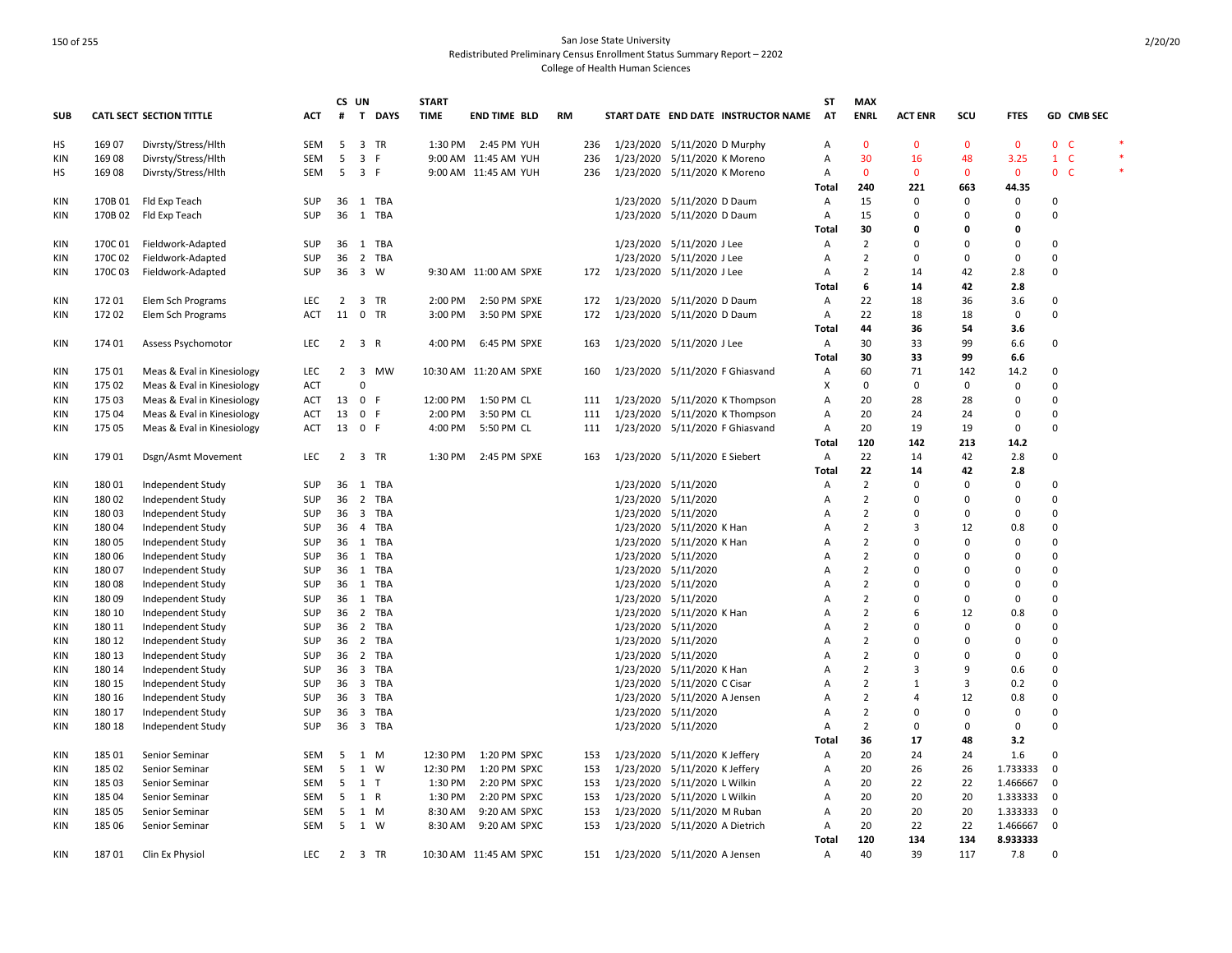|            |         |                                 |            |                 | CS UN                   |            | <b>START</b> |                        |    |     |                               |                                |                                     | SΤ           | <b>MAX</b>     |                |                |              |                         |        |
|------------|---------|---------------------------------|------------|-----------------|-------------------------|------------|--------------|------------------------|----|-----|-------------------------------|--------------------------------|-------------------------------------|--------------|----------------|----------------|----------------|--------------|-------------------------|--------|
| <b>SUB</b> |         | <b>CATL SECT SECTION TITTLE</b> | <b>ACT</b> | #               |                         | T DAYS     | <b>TIME</b>  | <b>END TIME BLD</b>    | RM |     |                               |                                | START DATE END DATE INSTRUCTOR NAME | <b>AT</b>    | <b>ENRL</b>    | <b>ACT ENR</b> | scu            | <b>FTES</b>  | GD CMB SEC              |        |
| HS         | 169 07  | Divrsty/Stress/Hlth             | <b>SEM</b> | -5              |                         | 3 TR       | 1:30 PM      | 2:45 PM YUH            |    | 236 | 1/23/2020 5/11/2020 D Murphy  |                                |                                     | A            | $\overline{0}$ | $\mathbf{0}$   | $\mathbf{0}$   | $\mathbf{0}$ | 0 <sub>c</sub>          | $\ast$ |
| KIN        | 16908   | Divrsty/Stress/Hlth             | SEM        | 5               | 3 F                     |            |              | 9:00 AM 11:45 AM YUH   |    | 236 |                               | 1/23/2020 5/11/2020 K Moreno   |                                     | Α            | 30             | 16             | 48             | 3.25         | $1 \quad C$             |        |
| HS         | 16908   | Divrsty/Stress/Hlth             | SEM        | 5               | 3 F                     |            |              | 9:00 AM 11:45 AM YUH   |    | 236 |                               | 1/23/2020 5/11/2020 K Moreno   |                                     | Α            | $\mathbf{0}$   | $\mathbf{0}$   | $\mathbf{0}$   | $\mathbf 0$  | 0 <sup>o</sup>          |        |
|            |         |                                 |            |                 |                         |            |              |                        |    |     |                               |                                |                                     | Total        | 240            | 221            | 663            | 44.35        |                         |        |
| KIN        | 170B 01 | Fld Exp Teach                   | <b>SUP</b> |                 |                         | 36 1 TBA   |              |                        |    |     |                               | 1/23/2020 5/11/2020 D Daum     |                                     | $\mathsf{A}$ | 15             | 0              | $\mathbf 0$    | 0            | $\Omega$                |        |
| KIN        | 170B 02 | Fld Exp Teach                   | SUP        |                 |                         | 36 1 TBA   |              |                        |    |     |                               | 1/23/2020 5/11/2020 D Daum     |                                     | Α            | 15             | $\Omega$       | 0              | $\Omega$     | $\Omega$                |        |
|            |         |                                 |            |                 |                         |            |              |                        |    |     |                               |                                |                                     | Total        | 30             | 0              | 0              | 0            |                         |        |
| KIN        | 170C01  | Fieldwork-Adapted               | <b>SUP</b> |                 |                         | 36 1 TBA   |              |                        |    |     |                               | 1/23/2020 5/11/2020 J Lee      |                                     | A            | $\overline{2}$ | $\Omega$       | $\Omega$       | $\Omega$     | 0                       |        |
| KIN        | 170C 02 | Fieldwork-Adapted               | <b>SUP</b> | 36              |                         | 2 TBA      |              |                        |    |     |                               | 1/23/2020 5/11/2020 J Lee      |                                     | $\mathsf{A}$ | $\overline{2}$ | $\Omega$       | $\Omega$       | $\mathbf{0}$ | $\Omega$                |        |
| KIN        | 170C 03 | Fieldwork-Adapted               | SUP        |                 | 36 3 W                  |            |              | 9:30 AM 11:00 AM SPXE  |    | 172 | 1/23/2020 5/11/2020 J Lee     |                                |                                     | Α            | $\overline{2}$ | 14             | 42             | 2.8          | $\mathbf 0$             |        |
|            |         |                                 |            |                 |                         |            |              |                        |    |     |                               |                                |                                     | Total        | 6              | 14             | 42             | 2.8          |                         |        |
| KIN        | 17201   | Elem Sch Programs               | <b>LEC</b> | 2               |                         | 3 TR       | 2:00 PM      | 2:50 PM SPXE           |    | 172 |                               | 1/23/2020 5/11/2020 D Daum     |                                     | A            | 22             | 18             | 36             | 3.6          | 0                       |        |
| KIN        | 17202   | Elem Sch Programs               | <b>ACT</b> | 11 0 TR         |                         |            | 3:00 PM      | 3:50 PM SPXE           |    | 172 | 1/23/2020 5/11/2020 D Daum    |                                |                                     | Α            | 22             | 18             | 18             | $\Omega$     | $\Omega$                |        |
|            |         |                                 |            |                 |                         |            |              |                        |    |     |                               |                                |                                     | Total        | 44             | 36             | 54             | 3.6          |                         |        |
| KIN        | 174 01  | Assess Psychomotor              | <b>LEC</b> | $\overline{2}$  | 3 R                     |            | 4:00 PM      | 6:45 PM SPXE           |    | 163 | 1/23/2020 5/11/2020 J Lee     |                                |                                     | Α            | 30             | 33             | 99             | 6.6          | $\Omega$                |        |
|            |         |                                 |            |                 |                         |            |              |                        |    |     |                               |                                |                                     |              |                | 33             |                |              |                         |        |
|            |         |                                 |            |                 |                         |            |              |                        |    |     |                               |                                |                                     | Total        | 30             |                | 99             | 6.6          |                         |        |
| KIN        | 175 01  | Meas & Eval in Kinesiology      | LEC        | $\overline{2}$  | $\overline{\mathbf{3}}$ | <b>MW</b>  |              | 10:30 AM 11:20 AM SPXE |    | 160 |                               |                                | 1/23/2020 5/11/2020 F Ghiasvand     | Α            | 60             | 71             | 142            | 14.2         | $\Omega$                |        |
| KIN        | 175 02  | Meas & Eval in Kinesiology      | ACT        |                 | $\Omega$                |            |              |                        |    |     |                               |                                |                                     | х            | 0              | 0              | 0              | 0            | 0                       |        |
| KIN        | 175 03  | Meas & Eval in Kinesiology      | ACT        | 13 0 F          |                         |            | 12:00 PM     | 1:50 PM CL             |    | 111 |                               |                                | 1/23/2020 5/11/2020 K Thompson      | Α            | 20             | 28             | 28             | 0            | 0                       |        |
| KIN        | 175 04  | Meas & Eval in Kinesiology      | <b>ACT</b> | 13              | 0 F                     |            | 2:00 PM      | 3:50 PM CL             |    | 111 |                               |                                | 1/23/2020 5/11/2020 K Thompson      | A            | 20             | 24             | 24             | $\Omega$     | 0                       |        |
| <b>KIN</b> | 175 05  | Meas & Eval in Kinesiology      | ACT        |                 | 13 0 F                  |            | 4:00 PM      | 5:50 PM CL             |    | 111 |                               |                                | 1/23/2020 5/11/2020 F Ghiasvand     | Α            | 20             | 19             | 19             | $\mathbf 0$  | $\mathbf 0$             |        |
|            |         |                                 |            |                 |                         |            |              |                        |    |     |                               |                                |                                     | Total        | 120            | 142            | 213            | 14.2         |                         |        |
| <b>KIN</b> | 17901   | Dsgn/Asmt Movement              | LEC        |                 |                         | 2 3 TR     |              | 1:30 PM 2:45 PM SPXE   |    | 163 | 1/23/2020 5/11/2020 E Siebert |                                |                                     | A            | 22             | 14             | 42             | 2.8          | 0                       |        |
|            |         |                                 |            |                 |                         |            |              |                        |    |     |                               |                                |                                     | Total        | 22             | 14             | 42             | 2.8          |                         |        |
| KIN        | 18001   | Independent Study               | SUP        |                 | 36 1                    | TBA        |              |                        |    |     | 1/23/2020 5/11/2020           |                                |                                     | A            | $\overline{2}$ | 0              | $\Omega$       | $\mathbf 0$  | $\Omega$                |        |
| KIN        | 180 02  | Independent Study               | <b>SUP</b> | 36              | $\overline{2}$          | TBA        |              |                        |    |     | 1/23/2020 5/11/2020           |                                |                                     | A            | $\overline{2}$ | $\Omega$       | $\Omega$       | $\Omega$     | $\Omega$                |        |
| <b>KIN</b> | 18003   | Independent Study               | <b>SUP</b> | 36              |                         | 3 TBA      |              |                        |    |     | 1/23/2020 5/11/2020           |                                |                                     | Α            | $\overline{2}$ | $\Omega$       | $\Omega$       | $\mathbf 0$  | 0                       |        |
| KIN        | 18004   | Independent Study               | <b>SUP</b> |                 |                         | 36  4  TBA |              |                        |    |     |                               | 1/23/2020 5/11/2020 K Han      |                                     | A            | $\overline{2}$ | $\overline{3}$ | 12             | 0.8          | $\Omega$                |        |
| KIN        | 18005   | Independent Study               | SUP        |                 |                         | 36 1 TBA   |              |                        |    |     |                               | 1/23/2020 5/11/2020 K Han      |                                     | Α            | $\overline{2}$ | $\Omega$       | $\Omega$       | $\mathbf 0$  | $\mathbf 0$             |        |
| KIN        | 18006   | Independent Study               | SUP        |                 |                         | 36 1 TBA   |              |                        |    |     | 1/23/2020 5/11/2020           |                                |                                     | A            | $\overline{2}$ | $\Omega$       | $\Omega$       | $\Omega$     | $\Omega$                |        |
| KIN        | 18007   | Independent Study               | <b>SUP</b> |                 |                         | 36 1 TBA   |              |                        |    |     | 1/23/2020 5/11/2020           |                                |                                     | A            | $\overline{2}$ | $\Omega$       | $\Omega$       | $\Omega$     | $\mathbf 0$             |        |
| KIN        | 18008   | Independent Study               | <b>SUP</b> |                 |                         | 36 1 TBA   |              |                        |    |     | 1/23/2020 5/11/2020           |                                |                                     | А            | $\overline{2}$ | $\Omega$       | $\Omega$       | $\Omega$     | $\Omega$                |        |
| KIN        | 18009   | Independent Study               | SUP        |                 |                         | 36 1 TBA   |              |                        |    |     | 1/23/2020 5/11/2020           |                                |                                     | Α            | $\overline{2}$ | $\Omega$       | $\overline{0}$ | $\mathbf 0$  | 0                       |        |
| KIN        | 180 10  | Independent Study               | <b>SUP</b> |                 |                         | 36 2 TBA   |              |                        |    |     |                               | 1/23/2020 5/11/2020 K Han      |                                     | A            | $\overline{2}$ | 6              | 12             | 0.8          | $\Omega$                |        |
| KIN        | 180 11  | Independent Study               | <b>SUP</b> | 36              | $\overline{2}$          | TBA        |              |                        |    |     | 1/23/2020 5/11/2020           |                                |                                     | A            | $\overline{2}$ | $\Omega$       | $\Omega$       | $\mathbf 0$  | $\mathbf 0$             |        |
| KIN        | 180 12  | Independent Study               | <b>SUP</b> |                 |                         | 36 2 TBA   |              |                        |    |     | 1/23/2020 5/11/2020           |                                |                                     | Α            | $\overline{2}$ | $\Omega$       | $\Omega$       | $\Omega$     | $\Omega$                |        |
| KIN        | 180 13  | Independent Study               | SUP        |                 |                         | 36 2 TBA   |              |                        |    |     | 1/23/2020 5/11/2020           |                                |                                     | Α            | $\overline{2}$ | $\Omega$       | $\Omega$       | 0            | $\Omega$                |        |
| KIN        | 180 14  | Independent Study               | <b>SUP</b> |                 |                         | 36 3 TBA   |              |                        |    |     |                               | 1/23/2020 5/11/2020 K Han      |                                     | A            | $\overline{2}$ | 3              | 9              | 0.6          | $\Omega$                |        |
| KIN        | 180 15  | Independent Study               | <b>SUP</b> | 36              |                         | 3 TBA      |              |                        |    |     |                               | 1/23/2020 5/11/2020 C Cisar    |                                     | A            | $\overline{2}$ | $\mathbf{1}$   | $\overline{3}$ | 0.2          | $\mathbf 0$             |        |
| KIN        | 180 16  | Independent Study               | <b>SUP</b> | 36 <sub>3</sub> |                         | TBA        |              |                        |    |     |                               | 1/23/2020 5/11/2020 A Jensen   |                                     | Α            | $\overline{2}$ | $\overline{4}$ | 12             | 0.8          | $\Omega$                |        |
|            | 180 17  |                                 | SUP        | 36              | $\overline{\mathbf{3}}$ | TBA        |              |                        |    |     | 1/23/2020 5/11/2020           |                                |                                     | Α            | $\overline{2}$ | $\Omega$       | 0              | 0            | $\Omega$                |        |
| KIN        | 180 18  | Independent Study               | <b>SUP</b> |                 |                         | 36 3 TBA   |              |                        |    |     |                               |                                |                                     | A            | 2              | $\Omega$       | $\mathbf 0$    | $\mathbf 0$  | $\Omega$                |        |
| KIN        |         | Independent Study               |            |                 |                         |            |              |                        |    |     | 1/23/2020 5/11/2020           |                                |                                     |              |                | 17             | 48             | 3.2          |                         |        |
|            |         |                                 |            |                 |                         |            |              |                        |    |     |                               |                                |                                     | Total        | 36             |                |                |              |                         |        |
| KIN        | 185 01  | Senior Seminar                  | SEM        | 5               |                         | 1 M        | 12:30 PM     | 1:20 PM SPXC           |    | 153 | 1/23/2020 5/11/2020 K Jeffery |                                |                                     | Α            | 20             | 24             | 24             | 1.6          | $\mathbf 0$             |        |
| KIN        | 185 02  | Senior Seminar                  | SEM        | 5               |                         | 1 W        | 12:30 PM     | 1:20 PM SPXC           |    | 153 |                               | 1/23/2020 5/11/2020 K Jeffery  |                                     | Α            | 20             | 26             | 26             | 1.733333     | $\mathbf 0$             |        |
| KIN        | 185 03  | Senior Seminar                  | SEM        | 5               | 1 T                     |            | 1:30 PM      | 2:20 PM SPXC           |    | 153 | 1/23/2020 5/11/2020 L Wilkin  |                                |                                     | Α            | 20             | 22             | 22             | 1.466667     | $\mathbf 0$             |        |
| KIN        | 185 04  | Senior Seminar                  | <b>SEM</b> | -5              | 1 R                     |            | 1:30 PM      | 2:20 PM SPXC           |    | 153 |                               | 1/23/2020 5/11/2020 L Wilkin   |                                     | A            | 20             | 20             | 20             | 1.333333     | $\overline{\mathbf{0}}$ |        |
| KIN        | 185 05  | Senior Seminar                  | SEM        | - 5             |                         | 1 M        | 8:30 AM      | 9:20 AM SPXC           |    | 153 |                               | 1/23/2020 5/11/2020 M Ruban    |                                     | Α            | 20             | 20             | 20             | 1.333333     | $\mathbf 0$             |        |
| KIN        | 185 06  | Senior Seminar                  | SEM        | -5              |                         | 1 W        | 8:30 AM      | 9:20 AM SPXC           |    | 153 |                               | 1/23/2020 5/11/2020 A Dietrich |                                     | Α            | 20             | 22             | 22             | 1.466667     | - 0                     |        |
|            |         |                                 |            |                 |                         |            |              |                        |    |     |                               |                                |                                     | Total        | 120            | 134            | 134            | 8.933333     |                         |        |
| <b>KIN</b> | 18701   | Clin Ex Physiol                 | <b>LEC</b> |                 | 2 3 TR                  |            |              | 10:30 AM 11:45 AM SPXC |    | 151 | 1/23/2020 5/11/2020 A Jensen  |                                |                                     | A            | 40             | 39             | 117            | 7.8          | $\Omega$                |        |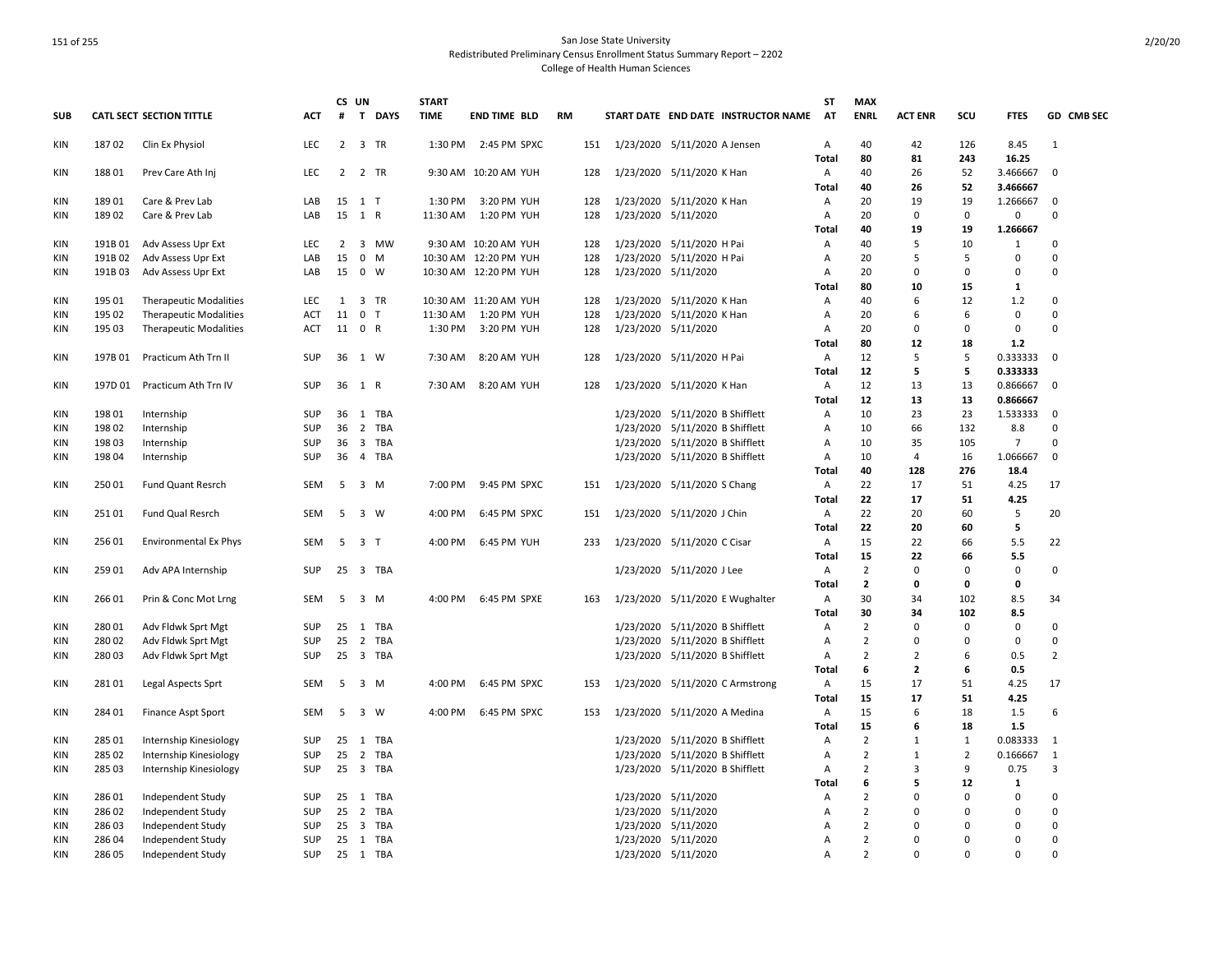|            |         |                                 |            | CS UN          |                                | <b>START</b> |                       |           |                                     | ST             | <b>MAX</b>     |                |             |                |                |
|------------|---------|---------------------------------|------------|----------------|--------------------------------|--------------|-----------------------|-----------|-------------------------------------|----------------|----------------|----------------|-------------|----------------|----------------|
| <b>SUB</b> |         | <b>CATL SECT SECTION TITTLE</b> | <b>ACT</b> | #              | T DAYS                         | <b>TIME</b>  | <b>END TIME BLD</b>   | <b>RM</b> | START DATE END DATE INSTRUCTOR NAME | <b>AT</b>      | <b>ENRL</b>    | <b>ACT ENR</b> | SCU         | <b>FTES</b>    | GD CMB SEC     |
| KIN        | 18702   | Clin Ex Physiol                 | <b>LEC</b> | $\overline{2}$ | 3 TR                           | 1:30 PM      | 2:45 PM SPXC          | 151       | 1/23/2020 5/11/2020 A Jensen        | A              | 40             | 42             | 126         | 8.45           | $\mathbf{1}$   |
|            |         |                                 |            |                |                                |              |                       |           |                                     | Total          | 80             | 81             | 243         | 16.25          |                |
| KIN        | 18801   | Prev Care Ath Inj               | LEC        | $\overline{2}$ | 2 TR                           |              | 9:30 AM 10:20 AM YUH  | 128       | 1/23/2020 5/11/2020 K Han           | Α              | 40             | 26             | 52          | 3.466667       | $\mathbf 0$    |
|            |         |                                 |            |                |                                |              |                       |           |                                     | Total          | 40             | 26             | 52          | 3.466667       |                |
| <b>KIN</b> | 18901   | Care & Prev Lab                 | LAB        |                | 15 1 T                         | 1:30 PM      | 3:20 PM YUH           | 128       | 1/23/2020 5/11/2020 K Han           | Α              | 20             | 19             | 19          | 1.266667       | $\mathbf 0$    |
| <b>KIN</b> | 18902   | Care & Prev Lab                 | LAB        | 15             | 1 R                            | 11:30 AM     | 1:20 PM YUH           | 128       | 1/23/2020 5/11/2020                 | Α              | 20             | $\mathbf 0$    | 0           | 0              | 0              |
|            |         |                                 |            |                |                                |              |                       |           |                                     | Total          | 40             | 19             | 19          | 1.266667       |                |
| KIN        | 191B 01 | Adv Assess Upr Ext              | LEC        | $\overline{2}$ | 3 MW                           |              | 9:30 AM 10:20 AM YUH  | 128       | 1/23/2020 5/11/2020 H Pai           | Α              | 40             | 5              | 10          | 1              | 0              |
| <b>KIN</b> | 191B 02 | Adv Assess Upr Ext              | LAB        | 15             | $0 \quad M$                    |              | 10:30 AM 12:20 PM YUH | 128       | 1/23/2020 5/11/2020 H Pai           | A              | 20             | 5              | 5           | 0              | 0              |
| <b>KIN</b> | 191B03  | Adv Assess Upr Ext              | LAB        |                | 15 0 W                         |              | 10:30 AM 12:20 PM YUH | 128       | 1/23/2020 5/11/2020                 | Α              | 20             | $\Omega$       | $\Omega$    | $\Omega$       | $\mathsf 0$    |
|            |         |                                 |            |                |                                |              |                       |           |                                     | Total          | 80             | 10             | 15          | 1              |                |
| KIN        | 195 01  | <b>Therapeutic Modalities</b>   | LEC        | 1              | 3 TR                           |              | 10:30 AM 11:20 AM YUH | 128       | 1/23/2020 5/11/2020 K Han           | Α              | 40             | 6              | 12          | 1.2            | 0              |
| <b>KIN</b> | 195 02  | <b>Therapeutic Modalities</b>   | <b>ACT</b> | 11             | $\mathbf{0}$<br>T              | 11:30 AM     | 1:20 PM YUH           | 128       | 1/23/2020 5/11/2020 K Han           | Α              | 20             | 6              | 6           | $\mathbf 0$    | $\mathbf 0$    |
| KIN        | 195 03  | <b>Therapeutic Modalities</b>   | ACT        |                | 11 0 R                         | 1:30 PM      | 3:20 PM YUH           | 128       | 1/23/2020 5/11/2020                 | Α              | 20             | $\Omega$       | $\Omega$    | $\mathbf 0$    | 0              |
|            |         |                                 |            |                |                                |              |                       |           |                                     | Total          | 80             | 12             | 18          | $1.2$          |                |
| KIN        | 197B 01 | Practicum Ath Trn II            | SUP        |                | 36 1 W                         | 7:30 AM      | 8:20 AM YUH           | 128       | 1/23/2020 5/11/2020 H Pai           | $\overline{A}$ | 12             | 5              | 5           | 0.333333       | $\mathbf 0$    |
|            |         |                                 |            |                |                                |              |                       |           |                                     | <b>Total</b>   | 12             | 5              | 5           | 0.333333       |                |
| <b>KIN</b> | 197D 01 | Practicum Ath Trn IV            | <b>SUP</b> |                | 36 1 R                         | 7:30 AM      | 8:20 AM YUH           | 128       | 1/23/2020 5/11/2020 K Han           | $\overline{A}$ | 12             | 13             | 13          | 0.866667       | $\mathbf 0$    |
|            |         |                                 |            |                |                                |              |                       |           |                                     | Total          | $12\,$         | 13             | 13          | 0.866667       |                |
| KIN        | 198 01  | Internship                      | SUP        |                | 36 1 TBA                       |              |                       |           | 1/23/2020 5/11/2020 B Shifflett     | $\overline{A}$ | 10             | 23             | 23          | 1.533333       | $\mathbf 0$    |
| <b>KIN</b> | 19802   | Internship                      | <b>SUP</b> | 36             | 2 TBA                          |              |                       |           | 1/23/2020 5/11/2020 B Shifflett     | A              | 10             | 66             | 132         | 8.8            | $\mathbf 0$    |
| KIN        | 19803   | Internship                      | <b>SUP</b> | 36             | $\overline{\mathbf{3}}$<br>TBA |              |                       |           | 1/23/2020 5/11/2020 B Shifflett     | Α              | 10             | 35             | 105         | $\overline{7}$ | 0              |
| <b>KIN</b> | 198 04  | Internship                      | SUP        | 36             | 4 TBA                          |              |                       |           | 1/23/2020 5/11/2020 B Shifflett     | Α              | 10             | $\overline{4}$ | 16          | 1.066667       | $\mathsf 0$    |
|            |         |                                 |            |                |                                |              |                       |           |                                     | <b>Total</b>   | 40             | 128            | 276         | 18.4           |                |
| <b>KIN</b> | 25001   | <b>Fund Quant Resrch</b>        | SEM        | 5              | 3 M                            | 7:00 PM      | 9:45 PM SPXC          | 151       | 1/23/2020 5/11/2020 S Chang         | Α              | 22             | 17             | 51          | 4.25           | 17             |
|            |         |                                 |            |                |                                |              |                       |           |                                     | <b>Total</b>   | 22             | 17             | 51          | 4.25           |                |
| KIN        | 251 01  | Fund Qual Resrch                | <b>SEM</b> | 5              | 3 W                            | 4:00 PM      | 6:45 PM SPXC          | 151       | 1/23/2020 5/11/2020 J Chin          | A              | 22             | 20             | 60          | 5              | 20             |
|            |         |                                 |            |                |                                |              |                       |           |                                     | Total          | 22             | 20             | 60          | 5              |                |
| KIN        | 256 01  | <b>Environmental Ex Phys</b>    | SEM        | 5              | 3 <sub>T</sub>                 | 4:00 PM      | 6:45 PM YUH           | 233       | 1/23/2020 5/11/2020 C Cisar         | A              | 15             | 22             | 66          | 5.5            | 22             |
|            |         |                                 |            |                |                                |              |                       |           |                                     | <b>Total</b>   | 15             | 22             | 66          | 5.5            |                |
| KIN        | 259 01  | Adv APA Internship              | SUP        |                | 25 3 TBA                       |              |                       |           | 1/23/2020 5/11/2020 J Lee           | A              | $\overline{2}$ | $\mathbf 0$    | $\mathbf 0$ | $\mathbf 0$    | $\mathsf 0$    |
|            |         |                                 |            |                |                                |              |                       |           |                                     | Total          | $\overline{2}$ | 0              | 0           | 0              |                |
| KIN        | 266 01  | Prin & Conc Mot Lrng            | SEM        | 5              | 3 M                            | 4:00 PM      | 6:45 PM SPXE          | 163       | 1/23/2020 5/11/2020 E Wughalter     | A              | 30             | 34             | 102         | 8.5            | 34             |
|            |         |                                 |            |                |                                |              |                       |           |                                     | Total          | 30             | 34             | 102         | 8.5            |                |
| KIN        | 28001   | Adv Fldwk Sprt Mgt              | SUP        | 25             | 1<br>TBA                       |              |                       |           | 1/23/2020 5/11/2020 B Shifflett     | Α              | $\overline{2}$ | $\Omega$       | 0           | $\mathbf 0$    | 0              |
| KIN        | 28002   | Adv Fldwk Sprt Mgt              | <b>SUP</b> | 25             | 2 TBA                          |              |                       |           | 1/23/2020 5/11/2020 B Shifflett     | Α              | $\overline{2}$ | $\Omega$       | 0           | 0              | 0              |
| KIN        | 280 03  | Adv Fldwk Sprt Mgt              | SUP        | 25             | 3 TBA                          |              |                       |           | 1/23/2020 5/11/2020 B Shifflett     | A              | $\overline{2}$ | $\overline{2}$ | 6           | 0.5            | $\overline{2}$ |
|            |         |                                 |            |                |                                |              |                       |           |                                     | Total          | 6              | $\overline{2}$ | 6           | 0.5            |                |
| <b>KIN</b> | 28101   | Legal Aspects Sprt              | <b>SEM</b> | 5              | 3 M                            | 4:00 PM      | 6:45 PM SPXC          | 153       | 1/23/2020 5/11/2020 C Armstrong     | A              | 15             | 17             | 51          | 4.25           | 17             |
|            |         |                                 |            |                |                                |              |                       |           |                                     | Total          | 15             | 17             | 51          | 4.25           |                |
| KIN        | 28401   | Finance Aspt Sport              | <b>SEM</b> | 5              | $\overline{\mathbf{3}}$<br>W   | 4:00 PM      | 6:45 PM SPXC          | 153       | 1/23/2020 5/11/2020 A Medina        | A              | 15             | 6              | 18          | 1.5            | 6              |
|            |         |                                 |            |                |                                |              |                       |           |                                     | Total          | 15             | 6              | 18          | 1.5            |                |
| <b>KIN</b> | 285 01  | Internship Kinesiology          | <b>SUP</b> | 25             | 1 TBA                          |              |                       |           | 1/23/2020 5/11/2020 B Shifflett     | Α              | $\overline{2}$ | $\mathbf{1}$   | 1           | 0.083333       | 1              |
| KIN        | 285 02  | Internship Kinesiology          | <b>SUP</b> | 25             | 2 TBA                          |              |                       |           | 1/23/2020 5/11/2020 B Shifflett     | Α              | $\overline{2}$ | $\mathbf{1}$   | 2           | 0.166667       | 1              |
| KIN        | 285 03  | Internship Kinesiology          | SUP        | 25             | 3 TBA                          |              |                       |           | 1/23/2020 5/11/2020 B Shifflett     | $\overline{A}$ | $\overline{2}$ | 3              | 9           | 0.75           | 3              |
|            |         |                                 |            |                |                                |              |                       |           |                                     | Total          | 6              | 5              | 12          | $\mathbf{1}$   |                |
| <b>KIN</b> | 28601   | Independent Study               | SUP        |                | 25 1 TBA                       |              |                       |           | 1/23/2020 5/11/2020                 | Α              | $\overline{2}$ | $\Omega$       | $\Omega$    | $\mathbf 0$    | 0              |
| KIN        | 28602   | Independent Study               | SUP        | 25             | 2 TBA                          |              |                       |           | 1/23/2020 5/11/2020                 | Α              | $\overline{2}$ | 0              | 0           | 0              | 0              |
| <b>KIN</b> | 28603   | Independent Study               | SUP        | 25             | 3 TBA                          |              |                       |           | 1/23/2020 5/11/2020                 | A              | $\overline{2}$ | $\Omega$       | $\Omega$    | 0              | 0              |
| <b>KIN</b> | 286 04  | Independent Study               | <b>SUP</b> |                | 25 1 TBA                       |              |                       |           | 1/23/2020 5/11/2020                 | A              | $\overline{2}$ | $\Omega$       | $\Omega$    | $\Omega$       | $\mathbf 0$    |
| <b>KIN</b> | 28605   | Independent Study               | SUP        |                | 25 1 TBA                       |              |                       |           | 1/23/2020 5/11/2020                 | $\overline{A}$ | $\overline{2}$ | $\Omega$       | $\Omega$    | $\Omega$       | $\Omega$       |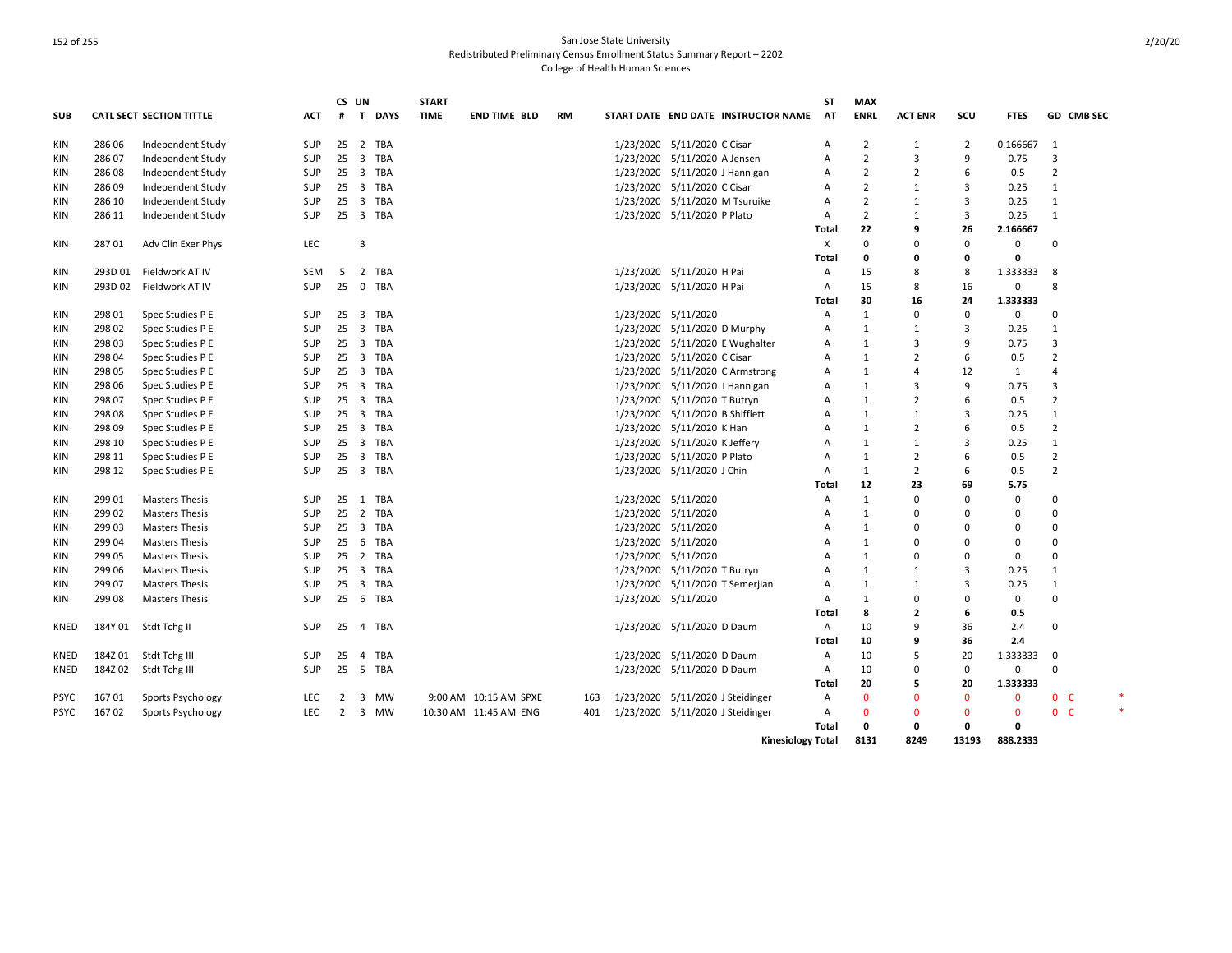|             |         |                                 |            | CS UN           |                         |            | <b>START</b> |                       |           |                                  |                                  |                                     | <b>ST</b>      | <b>MAX</b>     |                |                |              |                |            |  |
|-------------|---------|---------------------------------|------------|-----------------|-------------------------|------------|--------------|-----------------------|-----------|----------------------------------|----------------------------------|-------------------------------------|----------------|----------------|----------------|----------------|--------------|----------------|------------|--|
| <b>SUB</b>  |         | <b>CATL SECT SECTION TITTLE</b> | <b>ACT</b> | #               |                         | T DAYS     | <b>TIME</b>  | <b>END TIME BLD</b>   | <b>RM</b> |                                  |                                  | START DATE END DATE INSTRUCTOR NAME | AT             | <b>ENRL</b>    | <b>ACT ENR</b> | SCU            | <b>FTES</b>  |                | GD CMB SEC |  |
| KIN         | 28606   | Independent Study               | <b>SUP</b> |                 |                         | 25 2 TBA   |              |                       |           |                                  | 1/23/2020 5/11/2020 C Cisar      |                                     | A              | $\overline{2}$ | 1              | 2              | 0.166667     | -1             |            |  |
| <b>KIN</b>  | 286 07  | Independent Study               | <b>SUP</b> | $25 \quad 3$    |                         | <b>TBA</b> |              |                       |           |                                  | 1/23/2020 5/11/2020 A Jensen     |                                     | A              | $\overline{2}$ | 3              | 9              | 0.75         | 3              |            |  |
| KIN         | 28608   | Independent Study               | SUP        | $25 \quad 3$    |                         | <b>TBA</b> |              |                       |           |                                  | 1/23/2020 5/11/2020 J Hannigan   |                                     | Α              | $\overline{2}$ | 2              | 6              | 0.5          | $\overline{2}$ |            |  |
| <b>KIN</b>  | 286 09  | Independent Study               | <b>SUP</b> | $25 \quad 3$    |                         | TBA        |              |                       |           |                                  | 1/23/2020 5/11/2020 C Cisar      |                                     | A              | $\overline{2}$ | $\mathbf{1}$   | 3              | 0.25         | 1              |            |  |
| KIN         | 286 10  | Independent Study               | <b>SUP</b> | $25 \quad 3$    |                         | <b>TBA</b> |              |                       |           |                                  | 1/23/2020 5/11/2020 M Tsuruike   |                                     | A              | $\overline{2}$ | $\mathbf{1}$   | 3              | 0.25         | $\mathbf{1}$   |            |  |
| KIN         | 286 11  | Independent Study               | <b>SUP</b> | 25              | $\overline{\mathbf{3}}$ | <b>TBA</b> |              |                       |           |                                  | 1/23/2020 5/11/2020 P Plato      |                                     | Α              | $\overline{2}$ | $\mathbf{1}$   | 3              | 0.25         | $\mathbf{1}$   |            |  |
|             |         |                                 |            |                 |                         |            |              |                       |           |                                  |                                  |                                     | Total          | 22             | 9              | 26             | 2.166667     |                |            |  |
| KIN         | 28701   | Adv Clin Exer Phys              | LEC        |                 | $\overline{3}$          |            |              |                       |           |                                  |                                  |                                     | Х              | $\Omega$       | $\Omega$       | $\Omega$       | $\mathbf 0$  | $\Omega$       |            |  |
|             |         |                                 |            |                 |                         |            |              |                       |           |                                  |                                  |                                     | Total          | 0              | 0              | $\mathbf 0$    | 0            |                |            |  |
| KIN         | 293D 01 | Fieldwork AT IV                 | SEM        | 5               | $\overline{2}$          | <b>TBA</b> |              |                       |           |                                  | 1/23/2020 5/11/2020 H Pai        |                                     | Α              | 15             | 8              | 8              | 1.333333     | 8              |            |  |
| KIN         | 293D 02 | Fieldwork AT IV                 | <b>SUP</b> | 25              | $\mathbf 0$             | <b>TBA</b> |              |                       |           |                                  | 1/23/2020 5/11/2020 H Pai        |                                     | A              | 15             | 8              | 16             | $\mathbf 0$  | 8              |            |  |
|             |         |                                 |            |                 |                         |            |              |                       |           |                                  |                                  |                                     | <b>Total</b>   | 30             | 16             | 24             | 1.333333     |                |            |  |
| KIN         | 298 01  | Spec Studies P E                | SUP        | 25              | $\overline{\mathbf{3}}$ | <b>TBA</b> |              |                       |           |                                  | 1/23/2020 5/11/2020              |                                     | Α              | 1              | 0              | $\Omega$       | 0            | $\Omega$       |            |  |
| KIN         | 298 02  | Spec Studies P E                | <b>SUP</b> | 25              | $\overline{\mathbf{3}}$ | <b>TBA</b> |              |                       |           |                                  | 1/23/2020 5/11/2020 D Murphy     |                                     | A              | 1              | $\mathbf{1}$   | 3              | 0.25         | 1              |            |  |
| KIN         | 298 03  | Spec Studies P E                | <b>SUP</b> | $25 \quad 3$    |                         | TBA        |              |                       |           |                                  |                                  | 1/23/2020 5/11/2020 E Wughalter     | A              | 1              | 3              | 9              | 0.75         | 3              |            |  |
| KIN         | 298 04  | Spec Studies P E                | <b>SUP</b> | $25 \quad 3$    |                         | TBA        |              |                       |           |                                  | 1/23/2020 5/11/2020 C Cisar      |                                     | Α              | 1              | 2              | 6              | 0.5          | $\overline{2}$ |            |  |
| KIN         | 298 05  | Spec Studies P E                | <b>SUP</b> | $25 \quad 3$    |                         | <b>TBA</b> |              |                       |           |                                  |                                  | 1/23/2020 5/11/2020 C Armstrong     | Α              | 1              | 4              | 12             | 1            | 4              |            |  |
| KIN         | 298 06  | Spec Studies P E                | <b>SUP</b> |                 |                         | 25 3 TBA   |              |                       |           |                                  | 1/23/2020 5/11/2020 J Hannigan   |                                     | A              | $\mathbf{1}$   | 3              | $\mathbf{q}$   | 0.75         | 3              |            |  |
| KIN         | 298 07  | Spec Studies P E                | <b>SUP</b> | $25 \quad 3$    |                         | <b>TBA</b> |              |                       |           |                                  | 1/23/2020 5/11/2020 T Butryn     |                                     | Α              | 1              | 2              | 6              | 0.5          | $\overline{2}$ |            |  |
| <b>KIN</b>  | 298 08  | Spec Studies P E                | <b>SUP</b> |                 |                         | 25 3 TBA   |              |                       |           |                                  | 1/23/2020 5/11/2020 B Shifflett  |                                     | A              | 1              | $\mathbf{1}$   | 3              | 0.25         | 1              |            |  |
| KIN         | 29809   | Spec Studies P E                | <b>SUP</b> | $25 \quad 3$    |                         | <b>TBA</b> |              |                       |           |                                  | 1/23/2020 5/11/2020 K Han        |                                     | A              | 1              | $\overline{2}$ | 6              | 0.5          | $\overline{2}$ |            |  |
| KIN         | 298 10  | Spec Studies P E                | <b>SUP</b> | 25              | $\overline{\mathbf{3}}$ | <b>TBA</b> |              |                       |           |                                  | 1/23/2020 5/11/2020 K Jeffery    |                                     | Α              | 1              | $\mathbf{1}$   | $\overline{3}$ | 0.25         | $\mathbf{1}$   |            |  |
| <b>KIN</b>  | 298 11  | Spec Studies P E                | <b>SUP</b> | $25 \quad 3$    |                         | TBA        |              |                       |           |                                  | 1/23/2020 5/11/2020 P Plato      |                                     | A              | 1              | 2              | 6              | 0.5          | $\overline{2}$ |            |  |
| KIN         | 298 12  | Spec Studies P E                | <b>SUP</b> |                 |                         | 25 3 TBA   |              |                       |           |                                  | 1/23/2020 5/11/2020 J Chin       |                                     | A              | $\mathbf{1}$   | $\overline{2}$ | 6              | 0.5          | $\overline{2}$ |            |  |
|             |         |                                 |            |                 |                         |            |              |                       |           |                                  |                                  |                                     |                | 12             | 23             | 69             | 5.75         |                |            |  |
|             | 299 01  |                                 |            |                 |                         | 25 1 TBA   |              |                       |           |                                  |                                  |                                     | Total          | 1              | 0              | $\Omega$       | 0            | $\Omega$       |            |  |
| KIN         |         | <b>Masters Thesis</b>           | SUP        |                 |                         | <b>TBA</b> |              |                       |           |                                  | 1/23/2020 5/11/2020              |                                     | Α              | $\mathbf{1}$   | $\Omega$       | $\Omega$       | $\Omega$     | $\Omega$       |            |  |
| KIN         | 299 02  | <b>Masters Thesis</b>           | <b>SUP</b> | 25              | $\overline{2}$          |            |              |                       |           |                                  | 1/23/2020 5/11/2020              |                                     | A              |                |                |                |              |                |            |  |
| <b>KIN</b>  | 299 03  | <b>Masters Thesis</b>           | SUP        |                 |                         | 25 3 TBA   |              |                       |           |                                  | 1/23/2020 5/11/2020              |                                     | A              | 1              | $\Omega$       | $\Omega$       | $\Omega$     | $\Omega$       |            |  |
| KIN         | 29904   | <b>Masters Thesis</b>           | SUP        | 25 6            |                         | <b>TBA</b> |              |                       |           |                                  | 1/23/2020 5/11/2020              |                                     | Α              | 1              | $\Omega$       | $\Omega$       | $\Omega$     | $\Omega$       |            |  |
| <b>KIN</b>  | 299 05  | <b>Masters Thesis</b>           | <b>SUP</b> | 25 <sub>2</sub> |                         | <b>TBA</b> |              |                       |           |                                  | 1/23/2020 5/11/2020              |                                     | A              | 1              | $\Omega$       | $\Omega$       | $\mathbf 0$  | $\Omega$       |            |  |
| <b>KIN</b>  | 299 06  | <b>Masters Thesis</b>           | <b>SUP</b> | $25 \quad 3$    |                         | TBA        |              |                       |           |                                  | 1/23/2020 5/11/2020 T Butryn     |                                     | A              | 1              | $\mathbf{1}$   | 3              | 0.25         | 1              |            |  |
| KIN         | 299 07  | <b>Masters Thesis</b>           | <b>SUP</b> | $25 \quad 3$    |                         | <b>TBA</b> |              |                       |           |                                  | 1/23/2020 5/11/2020 T Semerjian  |                                     | $\overline{A}$ | 1              | 1              | 3              | 0.25         | 1              |            |  |
| KIN         | 299 08  | <b>Masters Thesis</b>           | <b>SUP</b> | 25              | 6                       | <b>TBA</b> |              |                       |           |                                  | 1/23/2020 5/11/2020              |                                     | Α              | 1              | $\Omega$       | 0              | 0            | 0              |            |  |
|             |         |                                 |            |                 |                         |            |              |                       |           |                                  |                                  |                                     | Total          | 8              | $\overline{2}$ | 6              | 0.5          |                |            |  |
| KNED        |         | 184Y 01 Stdt Tchg II            | <b>SUP</b> | 25              | $\overline{4}$          | <b>TBA</b> |              |                       |           |                                  | 1/23/2020 5/11/2020 D Daum       |                                     | Α              | 10             | 9              | 36             | 2.4          | $\Omega$       |            |  |
|             |         |                                 |            |                 |                         |            |              |                       |           |                                  |                                  |                                     | Total          | 10             | 9              | 36             | 2.4          |                |            |  |
| KNED        | 184Z 01 | Stdt Tchg III                   | SUP        | 25              | 4                       | <b>TBA</b> |              |                       |           |                                  | 1/23/2020 5/11/2020 D Daum       |                                     | Α              | 10             | 5              | 20             | 1.333333     | $\mathbf 0$    |            |  |
| KNED        | 184Z02  | Stdt Tchg III                   | <b>SUP</b> | 25              | 5                       | <b>TBA</b> |              |                       |           |                                  | 1/23/2020 5/11/2020 D Daum       |                                     | A              | 10             | $\Omega$       | $\mathbf 0$    | $\mathbf 0$  | $\Omega$       |            |  |
|             |         |                                 |            |                 |                         |            |              |                       |           |                                  |                                  |                                     | Total          | 20             | 5              | 20             | 1.333333     |                |            |  |
| <b>PSYC</b> | 16701   | Sports Psychology               | <b>LEC</b> | 2               | $\overline{\mathbf{3}}$ | MW         |              | 9:00 AM 10:15 AM SPXE | 163       |                                  | 1/23/2020 5/11/2020 J Steidinger |                                     | Α              | $\mathbf{0}$   | $\Omega$       | $\mathbf{0}$   | $\mathbf{0}$ | 0 <sup>o</sup> |            |  |
| <b>PSYC</b> | 16702   | Sports Psychology               | <b>LEC</b> | 2               | $\overline{\mathbf{3}}$ | MW         |              | 10:30 AM 11:45 AM ENG | 401       | 1/23/2020 5/11/2020 J Steidinger |                                  |                                     | Α              | $\Omega$       | $\Omega$       | $\Omega$       | $\Omega$     | 0 <sup>o</sup> |            |  |
|             |         |                                 |            |                 |                         |            |              |                       |           |                                  |                                  |                                     | Total          | 0              | 0              | 0              | 0            |                |            |  |
|             |         |                                 |            |                 |                         |            |              |                       |           |                                  |                                  | <b>Kinesiology Total</b>            |                | 8131           | 8249           | 13193          | 888.2333     |                |            |  |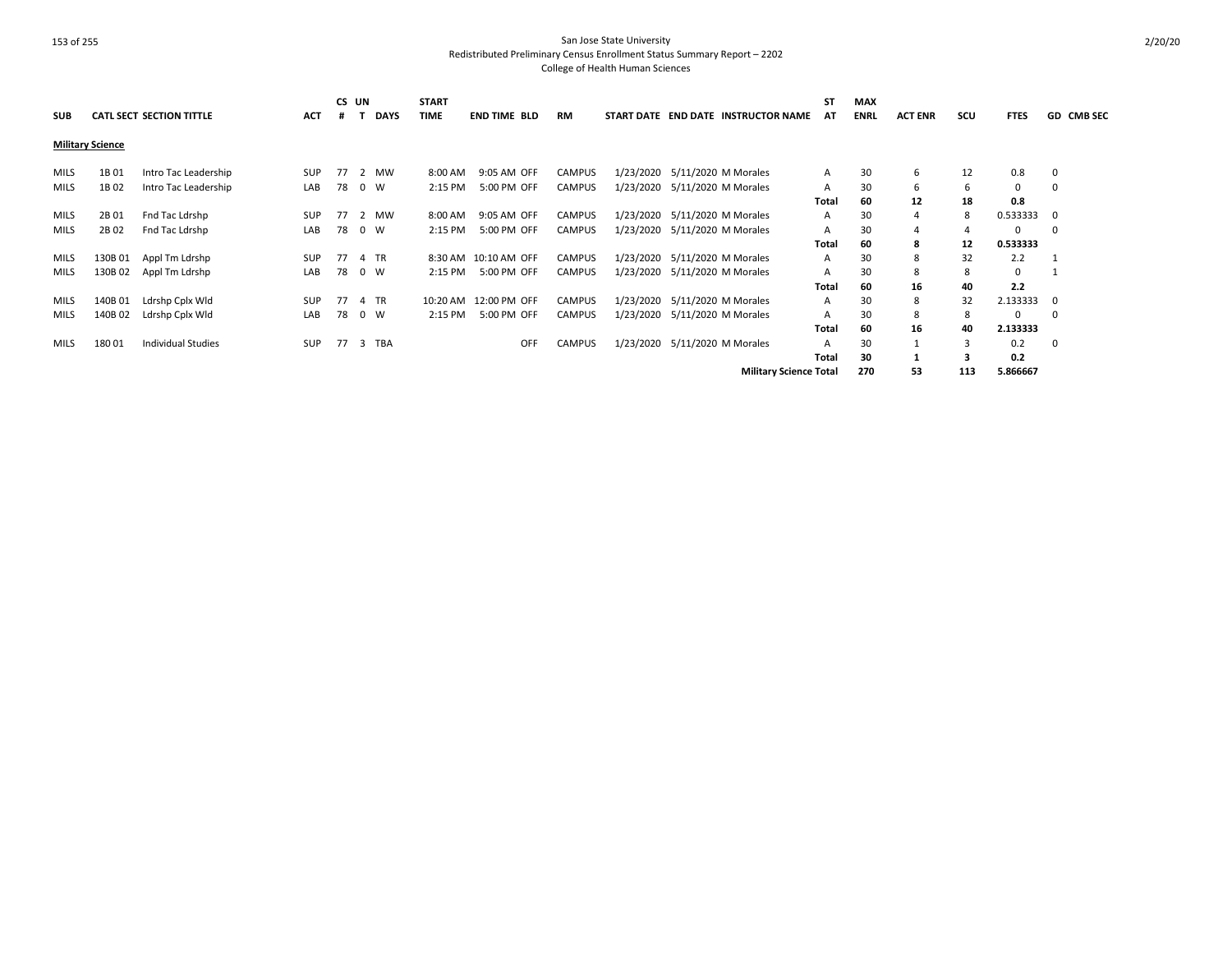| <b>SUB</b>  |                         | <b>CATL SECT SECTION TITTLE</b> | <b>ACT</b> | CS UN<br>.# | <b>DAYS</b> | <b>START</b><br><b>TIME</b> | <b>END TIME BLD</b>   | <b>RM</b>     |  | START DATE END DATE INSTRUCTOR NAME | <b>ST</b><br>AT | <b>MAX</b><br><b>ENRL</b> | <b>ACT ENR</b> | scu | <b>FTES</b> | <b>GD CMB SEC</b> |
|-------------|-------------------------|---------------------------------|------------|-------------|-------------|-----------------------------|-----------------------|---------------|--|-------------------------------------|-----------------|---------------------------|----------------|-----|-------------|-------------------|
|             | <b>Military Science</b> |                                 |            |             |             |                             |                       |               |  |                                     |                 |                           |                |     |             |                   |
| MILS        | 1B 01                   | Intro Tac Leadership            | SUP        | 77          | 2 MW        | 8:00 AM                     | 9:05 AM OFF           | <b>CAMPUS</b> |  | 1/23/2020 5/11/2020 M Morales       | A               | 30                        | 6              | 12  | 0.8         | 0                 |
| MILS        | 1B02                    | Intro Tac Leadership            | LAB        | 78          | $0 \quad W$ | 2:15 PM                     | 5:00 PM OFF           | <b>CAMPUS</b> |  | 1/23/2020 5/11/2020 M Morales       | A               | 30                        | 6              | b   | 0           | 0                 |
|             |                         |                                 |            |             |             |                             |                       |               |  |                                     | Total           | 60                        | 12             | 18  | 0.8         |                   |
| MILS        | 2B 01                   | Fnd Tac Ldrshp                  | SUP        | 77          | 2 MW        | 8:00 AM                     | 9:05 AM OFF           | <b>CAMPUS</b> |  | 1/23/2020 5/11/2020 M Morales       | A               | 30                        | 4              | 8   | 0.533333    | 0                 |
| MILS        | 2B 02                   | Fnd Tac Ldrshp                  | LAB        | 78          | 0 W         | 2:15 PM                     | 5:00 PM OFF           | <b>CAMPUS</b> |  | 1/23/2020 5/11/2020 M Morales       | А               | 30                        | 4              |     | 0           | 0                 |
|             |                         |                                 |            |             |             |                             |                       |               |  |                                     | Total           | 60                        | 8              | 12  | 0.533333    |                   |
| MILS        | 130B 01                 | Appl Tm Ldrshp                  | <b>SUP</b> | 77          | 4 TR        |                             | 8:30 AM 10:10 AM OFF  | <b>CAMPUS</b> |  | 1/23/2020 5/11/2020 M Morales       | A               | 30                        | 8              | 32  | 2.2         |                   |
| <b>MILS</b> | 130B 02                 | Appl Tm Ldrshp                  | LAB        | 78          | $0 \quad W$ | 2:15 PM                     | 5:00 PM OFF           | <b>CAMPUS</b> |  | 1/23/2020 5/11/2020 M Morales       | А               | 30                        | 8              | 8   | 0           |                   |
|             |                         |                                 |            |             |             |                             |                       |               |  |                                     | Total           | 60                        | 16             | 40  | 2.2         |                   |
| MILS        | 140B 01                 | Ldrshp Cplx Wld                 | SUP        | 77          | 4 TR        |                             | 10:20 AM 12:00 PM OFF | <b>CAMPUS</b> |  | 1/23/2020 5/11/2020 M Morales       | A               | 30                        | 8              | 32  | 2.133333    | 0                 |
| <b>MILS</b> | 140B 02                 | Ldrshp Cplx Wld                 | LAB        | 78          | 0 W         | 2:15 PM                     | 5:00 PM OFF           | <b>CAMPUS</b> |  | 1/23/2020 5/11/2020 M Morales       | A               | 30                        | 8              | 8   | 0           | 0                 |
|             |                         |                                 |            |             |             |                             |                       |               |  |                                     | Total           | 60                        | 16             | 40  | 2.133333    |                   |
| MILS        | 18001                   | <b>Individual Studies</b>       | <b>SUP</b> | 77          | 3 TBA       |                             | OFF                   | <b>CAMPUS</b> |  | 1/23/2020 5/11/2020 M Morales       | А               | 30                        |                |     | 0.2         | 0                 |
|             |                         |                                 |            |             |             |                             |                       |               |  |                                     | Total           | 30                        |                |     | 0.2         |                   |
|             |                         |                                 |            |             |             |                             |                       |               |  | <b>Military Science Total</b>       |                 | 270                       | 53             | 113 | 5.866667    |                   |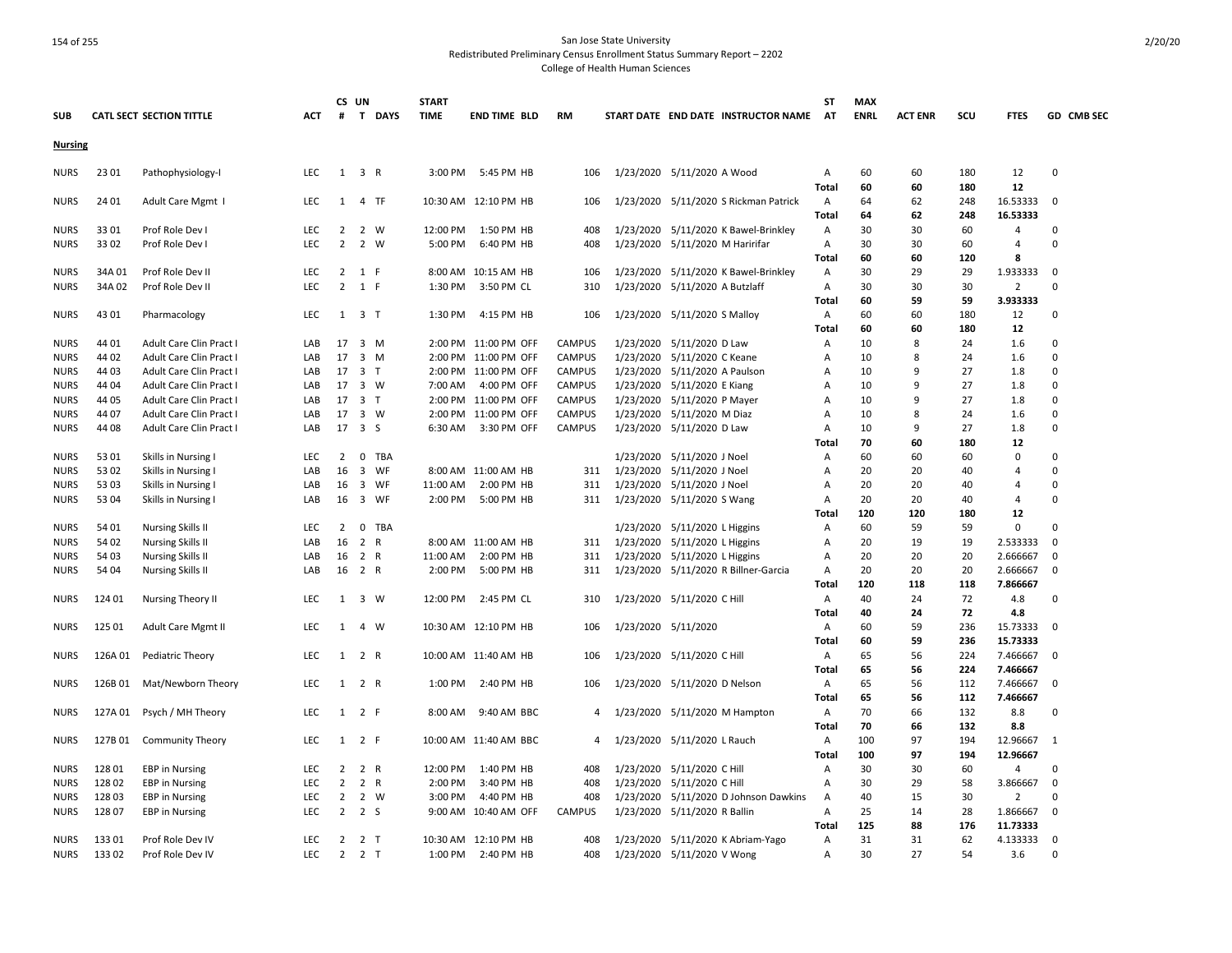| <b>SUB</b>                 |                | <b>CATL SECT SECTION TITTLE</b>                      | ACT        | #                    | CS UN<br>T DAYS                                      | <b>START</b><br><b>TIME</b> | <b>END TIME BLD</b>   | <b>RM</b>     |           | START DATE END DATE INSTRUCTOR NAME                  | <b>ST</b><br>AT | <b>MAX</b><br><b>ENRL</b> | <b>ACT ENR</b> | scu        | <b>FTES</b>          | GD CMB SEC   |
|----------------------------|----------------|------------------------------------------------------|------------|----------------------|------------------------------------------------------|-----------------------------|-----------------------|---------------|-----------|------------------------------------------------------|-----------------|---------------------------|----------------|------------|----------------------|--------------|
| <b>Nursing</b>             |                |                                                      |            |                      |                                                      |                             |                       |               |           |                                                      |                 |                           |                |            |                      |              |
|                            |                |                                                      |            |                      |                                                      |                             |                       |               |           |                                                      |                 |                           |                |            |                      |              |
| <b>NURS</b>                | 23 01          | Pathophysiology-I                                    | <b>LEC</b> | 1                    | 3 R                                                  | 3:00 PM                     | 5:45 PM HB            | 106           |           | 1/23/2020 5/11/2020 A Wood                           | A<br>Total      | 60<br>60                  | 60<br>60       | 180<br>180 | 12<br>12             | $\pmb{0}$    |
| <b>NURS</b>                | 24 01          | Adult Care Mgmt I                                    | LEC        | 1                    | 4 TF                                                 |                             | 10:30 AM 12:10 PM HB  | 106           |           | 1/23/2020 5/11/2020 S Rickman Patrick                | A               | 64                        | 62             | 248        | 16.53333             | $\mathbf 0$  |
|                            |                |                                                      |            |                      |                                                      |                             |                       |               |           |                                                      | Total           | 64                        | 62             | 248        | 16.53333             |              |
| <b>NURS</b>                | 33 01          | Prof Role Dev I                                      | LEC        | 2                    | 2 W                                                  | 12:00 PM                    | 1:50 PM HB            | 408           |           | 1/23/2020 5/11/2020 K Bawel-Brinkley                 | Α               | 30                        | 30             | 60         | 4                    | 0            |
| <b>NURS</b>                | 33 02          | Prof Role Dev I                                      | LEC        | $\overline{2}$       | $\overline{2}$<br>W                                  | 5:00 PM                     | 6:40 PM HB            | 408           |           | 1/23/2020 5/11/2020 M Haririfar                      | $\mathsf{A}$    | 30                        | 30             | 60         | $\overline{4}$       | $\Omega$     |
|                            |                |                                                      |            |                      |                                                      |                             |                       |               |           |                                                      | Total           | 60                        | 60             | 120        | 8                    |              |
| <b>NURS</b>                | 34A 01         | Prof Role Dev II                                     | <b>LEC</b> | $\overline{2}$       | 1 F                                                  |                             | 8:00 AM 10:15 AM HB   | 106           |           | 1/23/2020 5/11/2020 K Bawel-Brinkley                 | $\mathsf{A}$    | 30                        | 29             | 29         | 1.933333             | $\mathbf 0$  |
| <b>NURS</b>                | 34A 02         | Prof Role Dev II                                     | LEC        | $\overline{2}$       | 1<br>F                                               | 1:30 PM                     | 3:50 PM CL            | 310           | 1/23/2020 | 5/11/2020 A Butzlaff                                 | Α               | 30                        | 30             | 30         | $\overline{2}$       | $\mathbf 0$  |
|                            |                |                                                      |            |                      |                                                      |                             |                       |               |           |                                                      | Total           | 60                        | 59             | 59         | 3.933333             |              |
| <b>NURS</b>                | 43 01          | Pharmacology                                         | LEC        |                      | $1 \quad 3 \quad T$                                  | 1:30 PM                     | 4:15 PM HB            | 106           |           | 1/23/2020 5/11/2020 S Malloy                         | A               | 60                        | 60             | 180        | 12                   | 0            |
|                            |                |                                                      |            |                      |                                                      |                             |                       |               |           |                                                      | Total           | 60                        | 60             | 180        | 12                   |              |
| <b>NURS</b>                | 44 01          | Adult Care Clin Pract I                              | LAB        | 17                   | 3 M                                                  |                             | 2:00 PM 11:00 PM OFF  | <b>CAMPUS</b> |           | 1/23/2020 5/11/2020 D Law                            | Α               | 10                        | 8              | 24         | 1.6                  | $\Omega$     |
| <b>NURS</b>                | 44 02          | Adult Care Clin Pract I                              | LAB        | 17                   | $\overline{3}$<br>M                                  |                             | 2:00 PM 11:00 PM OFF  | CAMPUS        | 1/23/2020 | 5/11/2020 C Keane                                    | Α               | 10                        | 8              | 24         | 1.6                  | $\Omega$     |
| <b>NURS</b>                | 44 03          | Adult Care Clin Pract I                              | LAB        | 17                   | 3 <sub>T</sub>                                       |                             | 2:00 PM 11:00 PM OFF  | <b>CAMPUS</b> | 1/23/2020 | 5/11/2020 A Paulson                                  | Α               | 10                        | q              | 27         | 1.8                  | $\Omega$     |
| <b>NURS</b>                | 44 04          | Adult Care Clin Pract I                              | LAB        | 17                   | 3 W                                                  | 7:00 AM                     | 4:00 PM OFF           | CAMPUS        |           | 1/23/2020 5/11/2020 E Kiang                          | A               | 10                        | 9              | 27         | 1.8                  | $\Omega$     |
| <b>NURS</b>                | 44 05          | Adult Care Clin Pract I                              | LAB        | 17                   | $\overline{\mathbf{3}}$<br>T                         |                             | 2:00 PM 11:00 PM OFF  | <b>CAMPUS</b> | 1/23/2020 | 5/11/2020 P Mayer                                    | A               | 10                        | 9              | 27         | 1.8                  | $\Omega$     |
| <b>NURS</b>                | 44 07          | Adult Care Clin Pract I                              | LAB        | 17                   | 3 W                                                  |                             | 2:00 PM 11:00 PM OFF  | <b>CAMPUS</b> | 1/23/2020 | 5/11/2020 M Diaz                                     | Α               | 10                        | 8              | 24         | 1.6                  | 0            |
| <b>NURS</b>                | 44 08          | Adult Care Clin Pract                                | LAB        | 17                   | 3S                                                   | 6:30 AM                     | 3:30 PM OFF           | <b>CAMPUS</b> |           | 1/23/2020 5/11/2020 D Law                            | $\overline{A}$  | 10                        | q              | 27         | 1.8                  | $\Omega$     |
|                            |                |                                                      |            |                      |                                                      |                             |                       |               |           |                                                      | Total           | 70                        | 60             | 180        | 12                   |              |
| <b>NURS</b>                | 53 01          | Skills in Nursing I                                  | LEC        | 2                    | $\mathbf 0$<br>TBA                                   |                             |                       |               |           | 1/23/2020 5/11/2020 J Noel                           | Α               | 60                        | 60             | 60         | 0                    | $\Omega$     |
| <b>NURS</b>                | 53 02          | Skills in Nursing I                                  | LAB        | 16                   | $\overline{\mathbf{3}}$<br>WF                        |                             | 8:00 AM 11:00 AM HB   | 311           | 1/23/2020 | 5/11/2020 J Noel                                     | Α               | 20                        | 20             | 40         | 4                    | 0            |
| <b>NURS</b>                | 53 03          | Skills in Nursing I                                  | LAB        | 16                   | $\overline{\mathbf{3}}$<br>WF                        | 11:00 AM                    | 2:00 PM HB            | 311           |           | 1/23/2020 5/11/2020 J Noel                           | Α               | 20                        | 20             | 40         | 4                    | 0            |
| <b>NURS</b>                | 53 04          | Skills in Nursing I                                  | LAB        | 16                   | 3 WF                                                 | 2:00 PM                     | 5:00 PM HB            | 311           |           | 1/23/2020 5/11/2020 S Wang                           | Α               | 20                        | 20             | 40         | $\overline{4}$       | $\Omega$     |
|                            |                |                                                      |            |                      |                                                      |                             |                       |               |           |                                                      | Total           | 120                       | 120            | 180        | 12                   | $\Omega$     |
| <b>NURS</b>                | 54 01          | <b>Nursing Skills II</b>                             | <b>LEC</b> | $\overline{2}$<br>16 | $\mathbf 0$<br>TBA<br>$\overline{2}$<br>$\mathsf{R}$ |                             | 8:00 AM 11:00 AM HB   |               |           | 1/23/2020 5/11/2020 L Higgins                        | $\overline{A}$  | 60                        | 59             | 59         | $\mathbf 0$          | $\pmb{0}$    |
| <b>NURS</b><br><b>NURS</b> | 54 02<br>54 03 | <b>Nursing Skills II</b><br><b>Nursing Skills II</b> | LAB<br>LAB | 16                   | 2 R                                                  | 11:00 AM                    | 2:00 PM HB            | 311<br>311    | 1/23/2020 | 5/11/2020 L Higgins<br>1/23/2020 5/11/2020 L Higgins | Α<br>Α          | 20<br>20                  | 19<br>20       | 19<br>20   | 2.533333<br>2.666667 | $\pmb{0}$    |
| <b>NURS</b>                | 54 04          | <b>Nursing Skills II</b>                             | LAB        | 16                   | 2 R                                                  | 2:00 PM                     | 5:00 PM HB            | 311           |           | 1/23/2020 5/11/2020 R Billner-Garcia                 | Α               | 20                        | 20             | 20         | 2.666667             | $\mathbf 0$  |
|                            |                |                                                      |            |                      |                                                      |                             |                       |               |           |                                                      | Total           | 120                       | 118            | 118        | 7.866667             |              |
| <b>NURS</b>                | 124 01         | Nursing Theory II                                    | LEC        | 1                    | 3 W                                                  |                             | 12:00 PM 2:45 PM CL   | 310           |           | 1/23/2020 5/11/2020 C Hill                           | Α               | 40                        | 24             | 72         | 4.8                  | 0            |
|                            |                |                                                      |            |                      |                                                      |                             |                       |               |           |                                                      | Total           | 40                        | 24             | 72         | 4.8                  |              |
| <b>NURS</b>                | 125 01         | Adult Care Mgmt II                                   | <b>LEC</b> | 1                    | $\overline{4}$<br>W                                  |                             | 10:30 AM 12:10 PM HB  | 106           |           | 1/23/2020 5/11/2020                                  | $\mathsf{A}$    | 60                        | 59             | 236        | 15.73333             | $\Omega$     |
|                            |                |                                                      |            |                      |                                                      |                             |                       |               |           |                                                      | Total           | 60                        | 59             | 236        | 15.73333             |              |
| <b>NURS</b>                | 126A 01        | Pediatric Theory                                     | <b>LEC</b> | 1                    | 2<br>R                                               |                             | 10:00 AM 11:40 AM HB  | 106           |           | 1/23/2020 5/11/2020 C Hill                           | A               | 65                        | 56             | 224        | 7.466667             | 0            |
|                            |                |                                                      |            |                      |                                                      |                             |                       |               |           |                                                      | Total           | 65                        | 56             | 224        | 7.466667             |              |
| <b>NURS</b>                | 126B 01        | Mat/Newborn Theory                                   | <b>LEC</b> | 1                    | 2 R                                                  | 1:00 PM                     | 2:40 PM HB            | 106           |           | 1/23/2020 5/11/2020 D Nelson                         | A               | 65                        | 56             | 112        | 7.466667             | 0            |
|                            |                |                                                      |            |                      |                                                      |                             |                       |               |           |                                                      | <b>Total</b>    | 65                        | 56             | 112        | 7.466667             |              |
| <b>NURS</b>                | 127A 01        | Psych / MH Theory                                    | <b>LEC</b> |                      | $1 \quad 2 \quad F$                                  | 8:00 AM                     | 9:40 AM BBC           |               |           | 1/23/2020 5/11/2020 M Hampton                        | $\overline{A}$  | 70                        | 66             | 132        | 8.8                  | $\Omega$     |
|                            |                |                                                      |            |                      |                                                      |                             |                       |               |           |                                                      | Total           | 70                        | 66             | 132        | 8.8                  |              |
| <b>NURS</b>                | 127B 01        | <b>Community Theory</b>                              | <b>LEC</b> | 1                    | 2 F                                                  |                             | 10:00 AM 11:40 AM BBC | 4             |           | 1/23/2020 5/11/2020 L Rauch                          | A               | 100                       | 97             | 194        | 12.96667             | $\mathbf{1}$ |
|                            |                |                                                      |            |                      |                                                      |                             |                       |               |           |                                                      | Total           | 100                       | 97             | 194        | 12.96667             |              |
| <b>NURS</b>                | 128 01         | <b>EBP</b> in Nursing                                | <b>LEC</b> | 2                    | $\overline{2}$<br>R                                  | 12:00 PM                    | 1:40 PM HB            | 408           | 1/23/2020 | 5/11/2020 C Hill                                     | A               | 30                        | 30             | 60         | 4                    | $\Omega$     |
| <b>NURS</b>                | 12802          | <b>EBP</b> in Nursing                                | LEC        | $\overline{2}$       | 2<br>R                                               | 2:00 PM                     | 3:40 PM HB            | 408           |           | 1/23/2020 5/11/2020 C Hill                           | Α               | 30                        | 29             | 58         | 3.866667             | $\mathbf 0$  |
| <b>NURS</b>                | 12803          | <b>EBP</b> in Nursing                                | <b>LEC</b> | $\overline{2}$       | 2 W                                                  | 3:00 PM                     | 4:40 PM HB            | 408           |           | 1/23/2020 5/11/2020 D Johnson Dawkins                | $\overline{A}$  | 40                        | 15             | 30         | $\overline{2}$       | $\Omega$     |
| <b>NURS</b>                | 12807          | <b>EBP</b> in Nursing                                | LEC        | $\overline{2}$       | 2 <sub>5</sub>                                       |                             | 9:00 AM 10:40 AM OFF  | <b>CAMPUS</b> |           | 1/23/2020 5/11/2020 R Ballin                         | A               | 25                        | 14             | 28         | 1.866667             | $\pmb{0}$    |
|                            |                |                                                      |            |                      |                                                      |                             |                       |               |           |                                                      | Total           | 125                       | 88             | 176        | 11.73333             |              |
| <b>NURS</b>                | 13301          | Prof Role Dev IV                                     | <b>LEC</b> | 2                    | 2 T                                                  |                             | 10:30 AM 12:10 PM HB  | 408           |           | 1/23/2020 5/11/2020 K Abriam-Yago                    | $\overline{A}$  | 31                        | 31             | 62         | 4.133333             | 0            |
| <b>NURS</b>                | 13302          | Prof Role Dev IV                                     | LEC.       | 2                    | 2 <sub>T</sub>                                       | 1:00 PM                     | 2:40 PM HB            | 408           |           | 1/23/2020 5/11/2020 V Wong                           | $\overline{A}$  | 30                        | 27             | 54         | 3.6                  | $\Omega$     |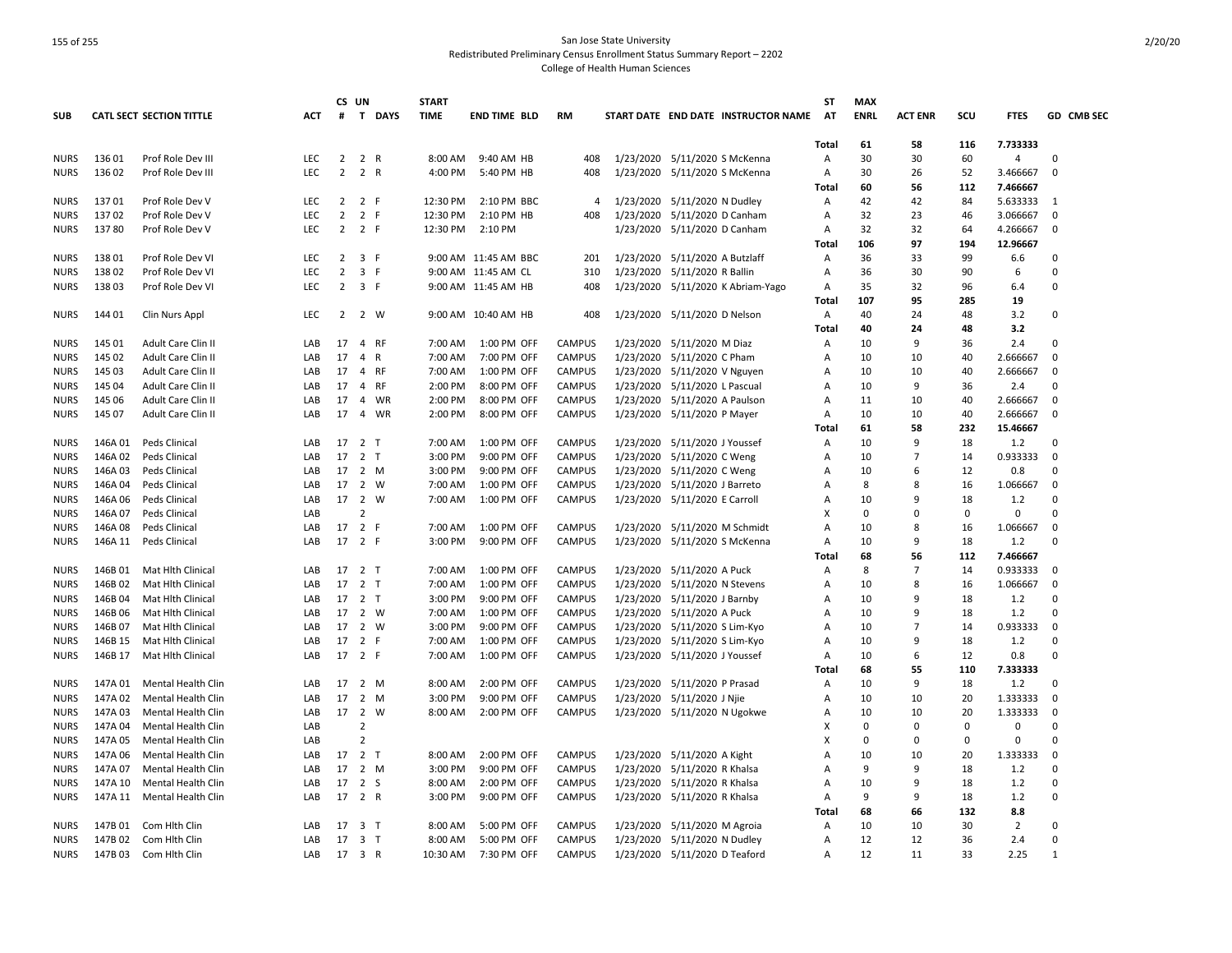|                            |         |                                 |            | CS UN          |                                | <b>START</b> |                      |               |           |                                |                                     | <b>ST</b>      | <b>MAX</b>  |                     |             |                |                          |
|----------------------------|---------|---------------------------------|------------|----------------|--------------------------------|--------------|----------------------|---------------|-----------|--------------------------------|-------------------------------------|----------------|-------------|---------------------|-------------|----------------|--------------------------|
| <b>SUB</b>                 |         | <b>CATL SECT SECTION TITTLE</b> | ACT        | $\#$           | T<br><b>DAYS</b>               | <b>TIME</b>  | <b>END TIME BLD</b>  | <b>RM</b>     |           |                                | START DATE END DATE INSTRUCTOR NAME | AT             | <b>ENRL</b> | <b>ACT ENR</b>      | scu         | <b>FTES</b>    | GD CMB SEC               |
|                            |         |                                 |            |                |                                |              |                      |               |           |                                |                                     | Total          | 61          | 58                  | 116         | 7.733333       |                          |
| <b>NURS</b>                | 136 01  | Prof Role Dev III               | <b>LEC</b> | $\overline{2}$ | 2 R                            | 8:00 AM      | 9:40 AM HB           | 408           |           | 1/23/2020 5/11/2020 S McKenna  |                                     | Α              | 30          | 30                  | 60          | 4              | $\Omega$                 |
| <b>NURS</b>                | 136 02  | Prof Role Dev III               | <b>LEC</b> | $\overline{2}$ | 2 R                            | 4:00 PM      | 5:40 PM HB           | 408           |           | 1/23/2020 5/11/2020 S McKenna  |                                     | $\overline{A}$ | 30          | 26                  | 52          | 3.466667       | $\Omega$                 |
|                            |         |                                 |            |                |                                |              |                      |               |           |                                |                                     | Total          | 60          | 56                  | 112         | 7.466667       |                          |
| <b>NURS</b>                | 13701   | Prof Role Dev V                 | LEC        | $\overline{2}$ | 2 F                            | 12:30 PM     | 2:10 PM BBC          | 4             |           | 1/23/2020 5/11/2020 N Dudley   |                                     | A              | 42          | 42                  | 84          | 5.633333       | $\overline{\phantom{0}}$ |
| <b>NURS</b>                | 13702   | Prof Role Dev V                 | LEC        | $\overline{2}$ | $\overline{2}$<br>F            | 12:30 PM     | 2:10 PM HB           | 408           |           | 1/23/2020 5/11/2020 D Canham   |                                     | Α              | 32          | 23                  | 46          | 3.066667       | 0                        |
| <b>NURS</b>                | 13780   | Prof Role Dev V                 | <b>LEC</b> | $\overline{2}$ | 2 F                            | 12:30 PM     | 2:10 PM              |               |           | 1/23/2020 5/11/2020 D Canham   |                                     | Α              | 32          | 32                  | 64          | 4.266667       | 0                        |
|                            |         |                                 |            |                |                                |              |                      |               |           |                                |                                     | Total          | 106         | 97                  | 194         | 12.96667       |                          |
| <b>NURS</b>                | 13801   | Prof Role Dev VI                | <b>LEC</b> | $\overline{2}$ | 3<br>F                         |              | 9:00 AM 11:45 AM BBC | 201           |           | 1/23/2020 5/11/2020 A Butzlaff |                                     | A              | 36          | 33                  | 99          | 6.6            | $\Omega$                 |
| <b>NURS</b>                | 13802   | Prof Role Dev VI                | LEC        | $\overline{2}$ | $\overline{\mathbf{3}}$<br>F.  |              | 9:00 AM 11:45 AM CL  | 310           |           | 1/23/2020 5/11/2020 R Ballin   |                                     | Α              | 36          | 30                  | 90          | 6              | $\Omega$                 |
| <b>NURS</b>                | 13803   | Prof Role Dev VI                | <b>LEC</b> | $\overline{2}$ | 3 F                            |              | 9:00 AM 11:45 AM HB  | 408           |           |                                | 1/23/2020 5/11/2020 K Abriam-Yago   | A              | 35          | 32                  | 96          | 6.4            | $\Omega$                 |
|                            |         |                                 |            |                |                                |              |                      |               |           |                                |                                     | Total          | 107         | 95                  | 285         | 19             |                          |
| <b>NURS</b>                | 144 01  | Clin Nurs Appl                  | LEC        | $\overline{2}$ | 2 W                            |              | 9:00 AM 10:40 AM HB  | 408           |           | 1/23/2020 5/11/2020 D Nelson   |                                     | Α              | 40          | 24                  | 48          | 3.2            | $\Omega$                 |
|                            |         |                                 |            |                |                                |              |                      |               |           |                                |                                     | Total          | 40          | 24                  | 48          | 3.2            |                          |
| <b>NURS</b>                | 145 01  | Adult Care Clin II              | LAB        | 17             | $\overline{4}$<br><b>RF</b>    | 7:00 AM      | 1:00 PM OFF          | <b>CAMPUS</b> |           | 1/23/2020 5/11/2020 M Diaz     |                                     | Α              | 10          | 9                   | 36          | 2.4            | $\Omega$                 |
| <b>NURS</b>                | 145 02  | Adult Care Clin II              | LAB        | 17             | 4<br>$\mathsf{R}$              | 7:00 AM      | 7:00 PM OFF          | <b>CAMPUS</b> | 1/23/2020 | 5/11/2020 C Pham               |                                     | A              | 10          | 10                  | 40          | 2.666667       | $\Omega$                 |
| <b>NURS</b>                | 145 03  | Adult Care Clin II              | LAB        | 17             | $\overline{4}$<br><b>RF</b>    | 7:00 AM      | 1:00 PM OFF          | <b>CAMPUS</b> | 1/23/2020 | 5/11/2020 V Nguyen             |                                     | Α              | 10          | 10                  | 40          | 2.666667       | 0                        |
| <b>NURS</b>                | 145 04  | Adult Care Clin II              | LAB        | 17             | 4<br>RF                        | 2:00 PM      | 8:00 PM OFF          | <b>CAMPUS</b> |           | 1/23/2020 5/11/2020 L Pascual  |                                     | Α              | 10          | 9                   | 36          | 2.4            | $\Omega$                 |
| <b>NURS</b>                | 145 06  | Adult Care Clin II              | LAB        | 17             | WR<br>4                        | 2:00 PM      | 8:00 PM OFF          | <b>CAMPUS</b> | 1/23/2020 | 5/11/2020 A Paulson            |                                     | Α              | 11          | 10                  | 40          | 2.666667       | $\Omega$                 |
| <b>NURS</b>                | 145 07  | Adult Care Clin II              | LAB        | 17             | 4 WR                           | 2:00 PM      | 8:00 PM OFF          | <b>CAMPUS</b> |           | 1/23/2020 5/11/2020 P Mayer    |                                     | A              | 10          | 10                  | 40          | 2.666667       | 0                        |
|                            |         |                                 |            |                |                                |              |                      |               |           |                                |                                     | Total          | 61          | 58                  | 232         | 15.46667       |                          |
| <b>NURS</b>                | 146A 01 | Peds Clinical                   | LAB        | 17             | $\overline{2}$<br>$\top$       | 7:00 AM      | 1:00 PM OFF          | <b>CAMPUS</b> |           | 1/23/2020 5/11/2020 J Youssef  |                                     | Α              | 10          | q                   | 18          | 1.2            | $\Omega$                 |
| <b>NURS</b>                | 146A 02 | Peds Clinical                   | LAB        | 17             | $\overline{2}$<br>T            | 3:00 PM      | 9:00 PM OFF          | <b>CAMPUS</b> |           | 1/23/2020 5/11/2020 C Weng     |                                     | Α              | 10          | $\overline{7}$      | 14          | 0.933333       | 0                        |
| <b>NURS</b>                | 146A 03 | Peds Clinical                   | LAB        | 17             | 2 M                            | 3:00 PM      | 9:00 PM OFF          | <b>CAMPUS</b> |           | 1/23/2020 5/11/2020 C Weng     |                                     | Α              | 10          | 6                   | 12          | 0.8            | $\Omega$                 |
| <b>NURS</b>                | 146A 04 | Peds Clinical                   | LAB        | 17             | 2<br>W                         | 7:00 AM      | 1:00 PM OFF          | <b>CAMPUS</b> | 1/23/2020 | 5/11/2020 J Barreto            |                                     | Α              | 8           | 8                   | 16          | 1.066667       | 0                        |
| <b>NURS</b>                | 146A 06 | Peds Clinical                   | LAB        | 17             | 2 W                            | 7:00 AM      | 1:00 PM OFF          | <b>CAMPUS</b> |           | 1/23/2020 5/11/2020 E Carroll  |                                     | Α              | 10          | 9                   | 18          | 1.2            | $\Omega$                 |
| <b>NURS</b>                | 146A 07 | Peds Clinical                   | LAB        |                | $\overline{2}$                 |              |                      |               |           |                                |                                     | X              | 0           | $\Omega$            | $\mathbf 0$ | $\mathbf 0$    | $\Omega$                 |
|                            | 146A08  | Peds Clinical                   | LAB        | 17             | $\overline{2}$<br>F            | 7:00 AM      | 1:00 PM OFF          | <b>CAMPUS</b> |           | 1/23/2020 5/11/2020 M Schmidt  |                                     | Α              | 10          | 8                   | 16          | 1.066667       | $\mathbf 0$              |
| <b>NURS</b><br><b>NURS</b> | 146A 11 | Peds Clinical                   | LAB        | 17             | 2 F                            | 3:00 PM      | 9:00 PM OFF          | <b>CAMPUS</b> |           | 1/23/2020 5/11/2020 S McKenna  |                                     | Α              | 10          | 9                   | 18          | 1.2            | $\Omega$                 |
|                            |         |                                 |            |                |                                |              |                      |               |           |                                |                                     | Total          | 68          | 56                  | 112         | 7.466667       |                          |
|                            | 146B 01 | <b>Mat Hith Clinical</b>        | LAB        | 17             |                                | 7:00 AM      | 1:00 PM OFF          | <b>CAMPUS</b> |           |                                |                                     |                | 8           | $\overline{7}$      | 14          | 0.933333       | $\Omega$                 |
| <b>NURS</b>                |         |                                 | LAB        | 17             | 2 T<br>2 <sub>T</sub>          | 7:00 AM      |                      | <b>CAMPUS</b> |           | 1/23/2020 5/11/2020 A Puck     |                                     | A              | 10          | 8                   |             |                | 0                        |
| <b>NURS</b>                | 146B 02 | Mat Hlth Clinical               |            |                | 2 <sub>T</sub>                 |              | 1:00 PM OFF          |               | 1/23/2020 | 5/11/2020 N Stevens            |                                     | Α              |             | 9                   | 16          | 1.066667       | $\Omega$                 |
| <b>NURS</b>                | 146B 04 | Mat Hlth Clinical               | LAB        | 17             |                                | 3:00 PM      | 9:00 PM OFF          | <b>CAMPUS</b> |           | 1/23/2020 5/11/2020 J Barnby   |                                     | Α              | 10          |                     | 18          | 1.2            |                          |
| <b>NURS</b>                | 146B 06 | Mat Hith Clinical               | LAB        | 17             | 2 W                            | 7:00 AM      | 1:00 PM OFF          | <b>CAMPUS</b> |           | 1/23/2020 5/11/2020 A Puck     |                                     | A              | 10          | 9<br>$\overline{7}$ | 18          | 1.2            | $\Omega$                 |
| <b>NURS</b>                | 146B 07 | Mat Hlth Clinical               | LAB        | 17             | $\overline{2}$<br>W            | 3:00 PM      | 9:00 PM OFF          | <b>CAMPUS</b> | 1/23/2020 | 5/11/2020 S Lim-Kyo            |                                     | A              | 10          |                     | 14          | 0.933333       | 0                        |
| <b>NURS</b>                | 146B 15 | Mat Hith Clinical               | LAB        | 17             | 2 F                            | 7:00 AM      | 1:00 PM OFF          | <b>CAMPUS</b> |           | 1/23/2020 5/11/2020 S Lim-Kyo  |                                     | Α              | 10          | 9<br>6              | 18          | 1.2            | $\Omega$<br>$\Omega$     |
| <b>NURS</b>                | 146B 17 | <b>Mat Hith Clinical</b>        | LAB        | 17             | 2 F                            | 7:00 AM      | 1:00 PM OFF          | <b>CAMPUS</b> |           | 1/23/2020 5/11/2020 J Youssef  |                                     | A              | 10          |                     | 12          | 0.8            |                          |
|                            |         |                                 |            |                |                                |              |                      |               |           |                                |                                     | Total          | 68          | 55<br>$\mathbf{q}$  | 110         | 7.333333       |                          |
| <b>NURS</b>                | 147A 01 | Mental Health Clin              | LAB        | 17             | 2 M                            | 8:00 AM      | 2:00 PM OFF          | <b>CAMPUS</b> |           | 1/23/2020 5/11/2020 P Prasad   |                                     | Α              | 10          |                     | 18          | 1.2            | $\Omega$                 |
| <b>NURS</b>                | 147A 02 | Mental Health Clin              | LAB        | 17             | 2<br>M                         | 3:00 PM      | 9:00 PM OFF          | <b>CAMPUS</b> | 1/23/2020 | 5/11/2020 J Njie               |                                     | Α              | 10          | 10                  | 20          | 1.333333       | 0                        |
| <b>NURS</b>                | 147A 03 | Mental Health Clin              | LAB        | 17             | $\overline{2}$<br>W            | 8:00 AM      | 2:00 PM OFF          | <b>CAMPUS</b> |           | 1/23/2020 5/11/2020 N Ugokwe   |                                     | Α              | 10          | 10                  | 20          | 1.333333       | 0                        |
| <b>NURS</b>                | 147A 04 | Mental Health Clin              | LAB        |                | $\overline{2}$                 |              |                      |               |           |                                |                                     | X              | 0           | $\Omega$            | $\mathbf 0$ | $\Omega$       | $\Omega$                 |
| <b>NURS</b>                | 147A 05 | Mental Health Clin              | LAB        |                | $\overline{2}$                 |              |                      |               |           |                                |                                     | X              | 0           | $\Omega$            | $\mathbf 0$ | $\mathbf 0$    | $\Omega$                 |
| <b>NURS</b>                | 147A 06 | Mental Health Clin              | LAB        | 17             | $\overline{2}$<br>$\mathsf{T}$ | 8:00 AM      | 2:00 PM OFF          | <b>CAMPUS</b> |           | 1/23/2020 5/11/2020 A Kight    |                                     | А              | 10          | 10                  | 20          | 1.333333       | $\Omega$                 |
| <b>NURS</b>                | 147A 07 | Mental Health Clin              | LAB        | 17             | 2 M                            | 3:00 PM      | 9:00 PM OFF          | <b>CAMPUS</b> |           | 1/23/2020 5/11/2020 R Khalsa   |                                     | Α              | 9           | 9                   | 18          | 1.2            | $\Omega$                 |
| <b>NURS</b>                | 147A 10 | Mental Health Clin              | LAB        | 17             | 2 S                            | 8:00 AM      | 2:00 PM OFF          | <b>CAMPUS</b> |           | 1/23/2020 5/11/2020 R Khalsa   |                                     | Α              | 10          | 9                   | 18          | 1.2            | $\Omega$                 |
| <b>NURS</b>                | 147A 11 | Mental Health Clin              | LAB        | 17             | 2 R                            | 3:00 PM      | 9:00 PM OFF          | <b>CAMPUS</b> |           | 1/23/2020 5/11/2020 R Khalsa   |                                     | Α              | 9           | 9                   | 18          | 1.2            | $\Omega$                 |
|                            |         |                                 |            |                |                                |              |                      |               |           |                                |                                     | Total          | 68          | 66                  | 132         | 8.8            |                          |
| <b>NURS</b>                | 147B 01 | Com Hlth Clin                   | LAB        | 17             | 3 <sub>1</sub>                 | 8:00 AM      | 5:00 PM OFF          | <b>CAMPUS</b> |           | 1/23/2020 5/11/2020 M Agroia   |                                     | Α              | 10          | 10                  | 30          | $\overline{2}$ | $\Omega$                 |
| <b>NURS</b>                | 147B 02 | Com Hlth Clin                   | LAB        | 17             | 3 <sub>T</sub>                 | 8:00 AM      | 5:00 PM OFF          | <b>CAMPUS</b> |           | 1/23/2020 5/11/2020 N Dudley   |                                     | Α              | 12          | 12                  | 36          | 2.4            | $\Omega$                 |
| <b>NURS</b>                | 147B 03 | Com Hith Clin                   | LAB        |                | 17 3 R                         | 10:30 AM     | 7:30 PM OFF          | <b>CAMPUS</b> |           | 1/23/2020 5/11/2020 D Teaford  |                                     | Α              | 12          | 11                  | 33          | 2.25           | $\mathbf{1}$             |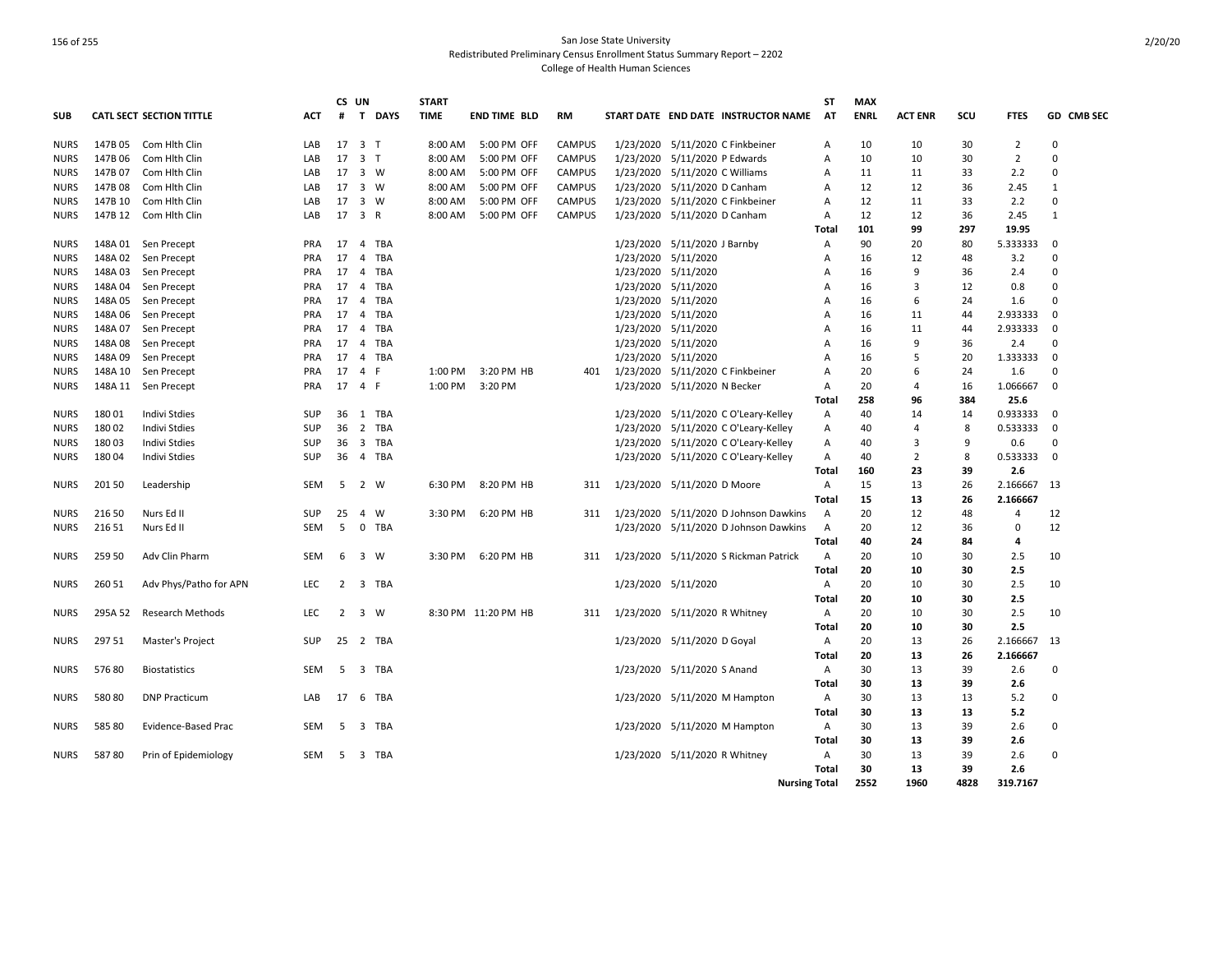|             |         |                                 |            | CS UN |                                | <b>START</b> |                     |               |           |                                      |                                       | <b>ST</b>      | <b>MAX</b>  |                |      |                |              |
|-------------|---------|---------------------------------|------------|-------|--------------------------------|--------------|---------------------|---------------|-----------|--------------------------------------|---------------------------------------|----------------|-------------|----------------|------|----------------|--------------|
| <b>SUB</b>  |         | <b>CATL SECT SECTION TITTLE</b> | <b>ACT</b> | #     | $\mathbf{T}$<br><b>DAYS</b>    | <b>TIME</b>  | <b>END TIME BLD</b> | <b>RM</b>     |           |                                      | START DATE END DATE INSTRUCTOR NAME   | <b>AT</b>      | <b>ENRL</b> | <b>ACT ENR</b> | SCU  | <b>FTES</b>    | GD CMB SEC   |
| <b>NURS</b> | 147B 05 | Com Hlth Clin                   | LAB        | 17    | 3 <sub>1</sub>                 | 8:00 AM      | 5:00 PM OFF         | <b>CAMPUS</b> |           | 1/23/2020 5/11/2020 C Finkbeiner     |                                       | A              | 10          | 10             | 30   | $\overline{2}$ | $\Omega$     |
| <b>NURS</b> | 147B 06 | Com Hith Clin                   | LAB        | 17    | $\overline{\mathbf{3}}$<br>T   | 8:00 AM      | 5:00 PM OFF         | <b>CAMPUS</b> | 1/23/2020 | 5/11/2020 P Edwards                  |                                       | A              | 10          | 10             | 30   | $\overline{2}$ | $\Omega$     |
| <b>NURS</b> | 147B 07 | Com Hith Clin                   | LAB        | 17    | 3 W                            | 8:00 AM      | 5:00 PM OFF         | <b>CAMPUS</b> | 1/23/2020 | 5/11/2020 C Williams                 |                                       | Α              | 11          | 11             | 33   | 2.2            | $\Omega$     |
| <b>NURS</b> | 147B 08 | Com Hith Clin                   | LAB        | 17    | $\overline{\mathbf{3}}$<br>W   | 8:00 AM      | 5:00 PM OFF         | <b>CAMPUS</b> | 1/23/2020 | 5/11/2020 D Canham                   |                                       | A              | 12          | 12             | 36   | 2.45           | $\mathbf{1}$ |
| <b>NURS</b> | 147B 10 | Com Hith Clin                   | LAB        | 17    | 3 W                            | 8:00 AM      | 5:00 PM OFF         | <b>CAMPUS</b> | 1/23/2020 | 5/11/2020 C Finkbeiner               |                                       | Α              | 12          | 11             | 33   | 2.2            | $\Omega$     |
| <b>NURS</b> | 147B 12 | Com Hith Clin                   | LAB        | 17    | 3 R                            | 8:00 AM      | 5:00 PM OFF         | <b>CAMPUS</b> |           | 1/23/2020 5/11/2020 D Canham         |                                       | A              | 12          | 12             | 36   | 2.45           | $\mathbf{1}$ |
|             |         |                                 |            |       |                                |              |                     |               |           |                                      |                                       | Total          | 101         | 99             | 297  | 19.95          |              |
| <b>NURS</b> | 148A 01 | Sen Precept                     | <b>PRA</b> | 17    | TBA<br>4                       |              |                     |               |           | 1/23/2020 5/11/2020 J Barnby         |                                       | A              | 90          | 20             | 80   | 5.333333       | 0            |
| <b>NURS</b> | 148A 02 | Sen Precept                     | <b>PRA</b> | 17    | 4<br>TBA                       |              |                     |               |           | 1/23/2020 5/11/2020                  |                                       | A              | 16          | 12             | 48   | 3.2            | 0            |
| <b>NURS</b> | 148A 03 | Sen Precept                     | <b>PRA</b> | 17    | $\overline{4}$<br>TBA          |              |                     |               |           | 1/23/2020 5/11/2020                  |                                       | A              | 16          | 9              | 36   | 2.4            | $\Omega$     |
| <b>NURS</b> | 148A 04 | Sen Precept                     | <b>PRA</b> | 17    | 4<br>TBA                       |              |                     |               |           | 1/23/2020 5/11/2020                  |                                       | A              | 16          | $\mathbf{a}$   | 12   | 0.8            | $\Omega$     |
| <b>NURS</b> | 148A 05 | Sen Precept                     | <b>PRA</b> | 17    | $\overline{4}$<br>TBA          |              |                     |               |           | 1/23/2020 5/11/2020                  |                                       | A              | 16          | 6              | 24   | 1.6            | $\Omega$     |
| <b>NURS</b> | 148A 06 | Sen Precept                     | <b>PRA</b> | 17    | 4<br><b>TBA</b>                |              |                     |               |           | 1/23/2020 5/11/2020                  |                                       | Α              | 16          | 11             | 44   | 2.933333       | $\mathbf 0$  |
| <b>NURS</b> | 148A 07 | Sen Precept                     | PRA        | 17    | $\overline{4}$<br>TBA          |              |                     |               |           | 1/23/2020 5/11/2020                  |                                       | Α              | 16          | 11             | 44   | 2.933333       | $\mathbf 0$  |
| <b>NURS</b> | 148A08  | Sen Precept                     | <b>PRA</b> | 17    | 4<br><b>TBA</b>                |              |                     |               |           | 1/23/2020 5/11/2020                  |                                       | Α              | 16          | 9              | 36   | 2.4            | 0            |
| <b>NURS</b> | 148A09  | Sen Precept                     | <b>PRA</b> | 17    | $\overline{4}$<br>TBA          |              |                     |               |           | 1/23/2020 5/11/2020                  |                                       | A              | 16          | 5              | 20   | 1.333333       | $\mathbf 0$  |
| <b>NURS</b> | 148A 10 | Sen Precept                     | <b>PRA</b> | 17    | $\overline{4}$<br>F            | 1:00 PM      | 3:20 PM HB          | 401           | 1/23/2020 | 5/11/2020 C Finkbeiner               |                                       | A              | 20          | 6              | 24   | 1.6            | $\Omega$     |
| <b>NURS</b> |         | 148A 11 Sen Precept             | PRA        | 17    | $\overline{4}$<br>-F           | 1:00 PM      | 3:20 PM             |               |           | 1/23/2020 5/11/2020 N Becker         |                                       | Α              | 20          | 4              | 16   | 1.066667       | $\mathbf 0$  |
|             |         |                                 |            |       |                                |              |                     |               |           |                                      |                                       | Total          | 258         | 96             | 384  | 25.6           |              |
| <b>NURS</b> | 18001   | Indivi Stdies                   | SUP        | 36    | 1<br>TBA                       |              |                     |               |           | 1/23/2020 5/11/2020 C O'Leary-Kelley |                                       | Α              | 40          | 14             | 14   | 0.933333       | 0            |
| <b>NURS</b> | 18002   | Indivi Stdies                   | <b>SUP</b> | 36    | 2<br>TBA                       |              |                     |               |           | 1/23/2020 5/11/2020 C O'Leary-Kelley |                                       | Α              | 40          | 4              | 8    | 0.533333       | 0            |
| <b>NURS</b> | 18003   | <b>Indivi Stdies</b>            | SUP        | 36    | $\overline{\mathbf{3}}$<br>TBA |              |                     |               |           | 1/23/2020 5/11/2020 C O'Leary-Kelley |                                       | A              | 40          | 3              | 9    | 0.6            | $\Omega$     |
| <b>NURS</b> | 18004   | <b>Indivi Stdies</b>            | <b>SUP</b> | 36    | $\overline{4}$<br>TBA          |              |                     |               |           | 1/23/2020 5/11/2020 C O'Leary-Kelley |                                       | $\overline{A}$ | 40          | 2              | 8    | 0.533333       | $\Omega$     |
|             |         |                                 |            |       |                                |              |                     |               |           |                                      |                                       | Total          | 160         | 23             | 39   | 2.6            |              |
| <b>NURS</b> | 20150   | Leadership                      | <b>SEM</b> | 5     | $\overline{2}$<br>W            | 6:30 PM      | 8:20 PM HB          | 311           |           | 1/23/2020 5/11/2020 D Moore          |                                       | $\mathsf{A}$   | 15          | 13             | 26   | 2.166667       | -13          |
|             |         |                                 |            |       |                                |              |                     |               |           |                                      |                                       | Total          | 15          | 13             | 26   | 2.166667       |              |
| <b>NURS</b> | 216 50  | Nurs Ed II                      | <b>SUP</b> | 25    | W<br>$\overline{4}$            | 3:30 PM      | 6:20 PM HB          | 311           |           |                                      | 1/23/2020 5/11/2020 D Johnson Dawkins | Α              | 20          | 12             | 48   | 4              | 12           |
| <b>NURS</b> | 216 51  | Nurs Ed II                      | <b>SEM</b> | 5     | $\mathbf 0$<br>TBA             |              |                     |               |           |                                      | 1/23/2020 5/11/2020 D Johnson Dawkins | $\overline{A}$ | 20          | 12             | 36   | 0              | 12           |
|             |         |                                 |            |       |                                |              |                     |               |           |                                      |                                       | Total          | 40          | 24             | 84   | 4              |              |
| <b>NURS</b> | 259 50  | Adv Clin Pharm                  | <b>SEM</b> | 6     | $\overline{\mathbf{3}}$<br>W   | 3:30 PM      | 6:20 PM HB          | 311           |           |                                      | 1/23/2020 5/11/2020 S Rickman Patrick | $\mathsf{A}$   | 20          | 10             | 30   | 2.5            | 10           |
|             |         |                                 |            |       |                                |              |                     |               |           |                                      |                                       | Total          | 20          | 10             | 30   | 2.5            |              |
| <b>NURS</b> | 260 51  | Adv Phys/Patho for APN          | LEC        | 2     | 3<br>TBA                       |              |                     |               |           | 1/23/2020 5/11/2020                  |                                       | Α              | 20          | 10             | 30   | 2.5            | 10           |
|             |         |                                 |            |       |                                |              |                     |               |           |                                      |                                       | Total          | 20          | 10             | 30   | 2.5            |              |
| <b>NURS</b> | 295A 52 | <b>Research Methods</b>         | <b>LEC</b> | 2     | 3<br>W                         |              | 8:30 PM 11:20 PM HB | 311           |           | 1/23/2020 5/11/2020 R Whitney        |                                       | Α              | 20          | 10             | 30   | 2.5            | 10           |
|             |         |                                 |            |       |                                |              |                     |               |           |                                      |                                       | Total          | 20          | 10             | 30   | 2.5            |              |
| <b>NURS</b> | 297 51  | Master's Project                | <b>SUP</b> | 25    | 2 TBA                          |              |                     |               |           | 1/23/2020 5/11/2020 D Goyal          |                                       | A              | 20          | 13             | 26   | 2.166667       | 13           |
|             |         |                                 |            |       |                                |              |                     |               |           |                                      |                                       | Total          | 20          | 13             | 26   | 2.166667       |              |
| <b>NURS</b> | 57680   | <b>Biostatistics</b>            | <b>SEM</b> | 5     | 3<br><b>TBA</b>                |              |                     |               |           | 1/23/2020 5/11/2020 S Anand          |                                       | $\mathsf{A}$   | 30          | 13             | 39   | 2.6            | $\Omega$     |
|             |         |                                 |            |       |                                |              |                     |               |           |                                      |                                       | Total          | 30          | 13             | 39   | 2.6            |              |
| <b>NURS</b> | 58080   | <b>DNP Practicum</b>            | LAB        | 17    | <b>TBA</b><br>6                |              |                     |               |           | 1/23/2020 5/11/2020 M Hampton        |                                       | $\mathsf{A}$   | 30          | 13             | 13   | 5.2            | $\Omega$     |
|             |         |                                 |            |       |                                |              |                     |               |           |                                      |                                       | Total          | 30          | 13             | 13   | 5.2            |              |
| <b>NURS</b> | 585 80  | Evidence-Based Prac             | SEM        | 5     | TBA<br>3                       |              |                     |               |           | 1/23/2020 5/11/2020 M Hampton        |                                       | Α              | 30          | 13             | 39   | 2.6            | $\Omega$     |
|             |         |                                 |            |       |                                |              |                     |               |           |                                      |                                       | Total          | 30          | 13             | 39   | 2.6            |              |
| <b>NURS</b> | 58780   | Prin of Epidemiology            | SEM        | 5     | $\overline{\mathbf{3}}$<br>TBA |              |                     |               |           | 1/23/2020 5/11/2020 R Whitney        |                                       | Α              | 30          | 13             | 39   | 2.6            | $\Omega$     |
|             |         |                                 |            |       |                                |              |                     |               |           |                                      |                                       | Total          | 30          | 13             | 39   | 2.6            |              |
|             |         |                                 |            |       |                                |              |                     |               |           |                                      | <b>Nursing Total</b>                  |                | 2552        | 1960           | 4828 | 319.7167       |              |
|             |         |                                 |            |       |                                |              |                     |               |           |                                      |                                       |                |             |                |      |                |              |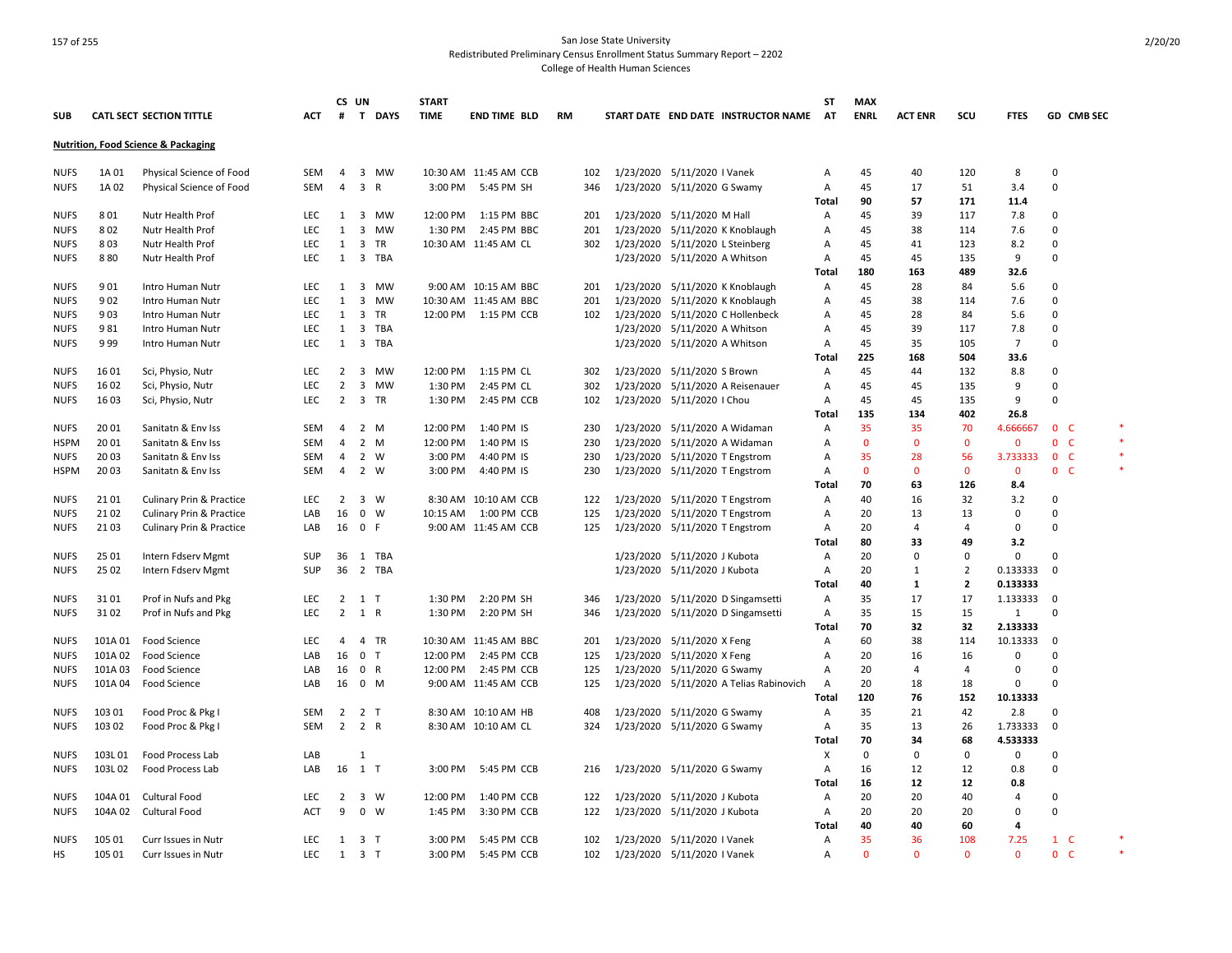# 157 of 255 San Jose State University Redistributed Preliminary Census Enrollment Status Summary Report – 2202

College of Health Human Sciences

|             |         |                                                |            |                | CS UN                   |                | <b>START</b> |                          |    |     |                                 |                               |                                         | <b>ST</b>    | <b>MAX</b>   |                |                |                |                          |                |         |
|-------------|---------|------------------------------------------------|------------|----------------|-------------------------|----------------|--------------|--------------------------|----|-----|---------------------------------|-------------------------------|-----------------------------------------|--------------|--------------|----------------|----------------|----------------|--------------------------|----------------|---------|
| <b>SUB</b>  |         | <b>CATL SECT SECTION TITTLE</b>                | ACT        | #              |                         | T DAYS         | <b>TIME</b>  | <b>END TIME BLD</b>      | RM |     |                                 |                               | START DATE END DATE INSTRUCTOR NAME     | AT           | <b>ENRL</b>  | <b>ACT ENR</b> | scu            | <b>FTES</b>    |                          | GD CMB SEC     |         |
|             |         | <b>Nutrition, Food Science &amp; Packaging</b> |            |                |                         |                |              |                          |    |     |                                 |                               |                                         |              |              |                |                |                |                          |                |         |
| <b>NUFS</b> | 1A 01   | Physical Science of Food                       | <b>SEM</b> | $\overline{4}$ |                         | 3 MW           |              | 10:30 AM 11:45 AM CCB    |    | 102 | 1/23/2020 5/11/2020 I Vanek     |                               |                                         | Α            | 45           | 40             | 120            | 8              | 0                        |                |         |
| <b>NUFS</b> | 1A 02   | Physical Science of Food                       | <b>SEM</b> | $\overline{4}$ | $\overline{\mathbf{3}}$ | $\mathsf{R}$   | 3:00 PM      | 5:45 PM SH               |    | 346 | 1/23/2020 5/11/2020 G Swamy     |                               |                                         | Α            | 45           | 17             | 51             | 3.4            | $\Omega$                 |                |         |
|             |         |                                                |            |                |                         |                |              |                          |    |     |                                 |                               |                                         | Total        | 90           | 57             | 171            | 11.4           |                          |                |         |
| <b>NUFS</b> | 801     | Nutr Health Prof                               | <b>LEC</b> | 1              | $\overline{\mathbf{3}}$ | MW             | 12:00 PM     | 1:15 PM BBC              |    | 201 | 1/23/2020 5/11/2020 M Hall      |                               |                                         | Α            | 45           | 39             | 117            | 7.8            | 0                        |                |         |
| <b>NUFS</b> | 802     | Nutr Health Prof                               | <b>LEC</b> | 1              | $\overline{\mathbf{3}}$ | <b>MW</b>      | 1:30 PM      | 2:45 PM BBC              |    | 201 |                                 |                               | 1/23/2020 5/11/2020 K Knoblaugh         | Α            | 45           | 38             | 114            | 7.6            | $\Omega$                 |                |         |
| <b>NUFS</b> | 803     | Nutr Health Prof                               | LEC        | 1              | $\overline{\mathbf{3}}$ | TR             |              | 10:30 AM 11:45 AM CL     |    | 302 | 1/23/2020 5/11/2020 L Steinberg |                               |                                         | Α            | 45           | 41             | 123            | 8.2            | $\Omega$                 |                |         |
|             |         |                                                |            |                | $\overline{\mathbf{3}}$ |                |              |                          |    |     |                                 |                               |                                         |              |              |                |                | 9              | $\Omega$                 |                |         |
| <b>NUFS</b> | 880     | Nutr Health Prof                               | <b>LEC</b> | 1              |                         | <b>TBA</b>     |              |                          |    |     |                                 | 1/23/2020 5/11/2020 A Whitson |                                         | A            | 45           | 45             | 135            |                |                          |                |         |
|             |         |                                                |            |                |                         |                |              |                          |    |     |                                 |                               |                                         | Total        | 180          | 163            | 489            | 32.6           |                          |                |         |
| <b>NUFS</b> | 901     | Intro Human Nutr                               | <b>LEC</b> | 1              | $\overline{\mathbf{3}}$ | <b>MW</b>      |              | 9:00 AM 10:15 AM BBC     |    | 201 |                                 |                               | 1/23/2020 5/11/2020 K Knoblaugh         | Α            | 45           | 28             | 84             | 5.6            | <sup>0</sup>             |                |         |
| <b>NUFS</b> | 902     | Intro Human Nutr                               | LEC        | 1              | $\overline{\mathbf{3}}$ | <b>MW</b>      |              | 10:30 AM 11:45 AM BBC    |    | 201 |                                 |                               | 1/23/2020 5/11/2020 K Knoblaugh         | Α            | 45           | 38             | 114            | 7.6            | $\Omega$                 |                |         |
| <b>NUFS</b> | 903     | Intro Human Nutr                               | <b>LEC</b> | 1              | $\overline{\mathbf{3}}$ | TR             |              | 12:00 PM   1:15 PM   CCB |    | 102 |                                 |                               | 1/23/2020 5/11/2020 C Hollenbeck        | Α            | 45           | 28             | 84             | 5.6            | $\Omega$                 |                |         |
| <b>NUFS</b> | 981     | Intro Human Nutr                               | LEC        | 1              | $\overline{\mathbf{3}}$ | <b>TBA</b>     |              |                          |    |     |                                 | 1/23/2020 5/11/2020 A Whitson |                                         | Α            | 45           | 39             | 117            | 7.8            | $\Omega$                 |                |         |
| <b>NUFS</b> | 999     | Intro Human Nutr                               | <b>LEC</b> | 1              |                         | 3 TBA          |              |                          |    |     |                                 | 1/23/2020 5/11/2020 A Whitson |                                         | Α            | 45           | 35             | 105            | $\overline{7}$ | $\Omega$                 |                |         |
|             |         |                                                |            |                |                         |                |              |                          |    |     |                                 |                               |                                         | Total        | 225          | 168            | 504            | 33.6           |                          |                |         |
| <b>NUFS</b> | 1601    | Sci, Physio, Nutr                              | LEC        | $\overline{2}$ | $\overline{\mathbf{3}}$ | <b>MW</b>      | 12:00 PM     | 1:15 PM CL               |    | 302 | 1/23/2020 5/11/2020 S Brown     |                               |                                         | Α            | 45           | 44             | 132            | 8.8            | $\mathbf 0$              |                |         |
| <b>NUFS</b> | 1602    | Sci, Physio, Nutr                              | LEC        | 2              | $\overline{\mathbf{3}}$ | <b>MW</b>      | 1:30 PM      | 2:45 PM CL               |    | 302 | 1/23/2020                       |                               | 5/11/2020 A Reisenauer                  | Α            | 45           | 45             | 135            | 9              | $\Omega$                 |                |         |
| <b>NUFS</b> | 16 03   | Sci, Physio, Nutr                              | <b>LEC</b> | $\overline{2}$ | $\overline{\mathbf{3}}$ | TR             | 1:30 PM      | 2:45 PM CCB              |    | 102 | 1/23/2020 5/11/2020   Chou      |                               |                                         | Α            | 45           | 45             | 135            | 9              | $\Omega$                 |                |         |
|             |         |                                                |            |                |                         |                |              |                          |    |     |                                 |                               |                                         | Total        | 135          | 134            | 402            | 26.8           |                          |                |         |
| <b>NUFS</b> | 20 01   | Sanitatn & Env Iss                             | SEM        | 4              |                         | 2 M            | 12:00 PM     | 1:40 PM IS               |    | 230 |                                 |                               | 1/23/2020 5/11/2020 A Widaman           | Α            | 35           | 35             | 70             | 4.666667       |                          | 0 <sup>o</sup> |         |
| <b>HSPM</b> | 20 01   | Sanitatn & Env Iss                             | <b>SEM</b> | $\overline{4}$ | $\overline{2}$          | M              | 12:00 PM     | 1:40 PM IS               |    | 230 |                                 |                               | 1/23/2020 5/11/2020 A Widaman           | А            | $\mathbf{0}$ | $\mathbf{0}$   | $\mathbf{0}$   | $\mathbf{0}$   | $\mathbf{0}$             | $\mathsf{C}$   | $\star$ |
| <b>NUFS</b> | 20 03   | Sanitatn & Env Iss                             | SEM        | 4              | 2                       | W              | 3:00 PM      | 4:40 PM IS               |    | 230 | 1/23/2020 5/11/2020 T Engstrom  |                               |                                         | Α            | 35           | 28             | 56             | 3.733333       |                          | 0 <sup>o</sup> |         |
| <b>HSPM</b> | 2003    | Sanitatn & Env Iss                             | <b>SEM</b> | 4              | 2                       | W              | 3:00 PM      | 4:40 PM IS               |    | 230 | 1/23/2020 5/11/2020 T Engstrom  |                               |                                         | A            | $\mathbf{0}$ | $\Omega$       | $\mathbf{0}$   | $\mathbf{0}$   |                          | 0 <sup>o</sup> | $\ast$  |
|             |         |                                                |            |                |                         |                |              |                          |    |     |                                 |                               |                                         | Total        | 70           | 63             | 126            | 8.4            |                          |                |         |
| <b>NUFS</b> | 2101    | Culinary Prin & Practice                       | <b>LEC</b> | 2              |                         | 3 W            |              | 8:30 AM 10:10 AM CCB     |    | 122 | 1/23/2020 5/11/2020 T Engstrom  |                               |                                         | A            | 40           | 16             | 32             | 3.2            | $\Omega$                 |                |         |
| <b>NUFS</b> | 21 02   | <b>Culinary Prin &amp; Practice</b>            | LAB        | 16             | $\mathbf 0$             | W              | 10:15 AM     | 1:00 PM CCB              |    | 125 | 1/23/2020                       |                               | 5/11/2020 T Engstrom                    | Α            | 20           | 13             | 13             | $\mathbf 0$    | $\Omega$                 |                |         |
| <b>NUFS</b> | 21 03   | Culinary Prin & Practice                       | LAB        |                | 16 0                    | F.             |              | 9:00 AM 11:45 AM CCB     |    | 125 | 1/23/2020 5/11/2020 T Engstrom  |                               |                                         | Α            | 20           | $\overline{4}$ | $\overline{4}$ | $\mathbf 0$    | $\Omega$                 |                |         |
|             |         |                                                |            |                |                         |                |              |                          |    |     |                                 |                               |                                         | Total        | 80           | 33             | 49             | 3.2            |                          |                |         |
| <b>NUFS</b> | 25 01   |                                                | <b>SUP</b> |                |                         | 36 1 TBA       |              |                          |    |     |                                 | 1/23/2020 5/11/2020 J Kubota  |                                         | Α            | 20           | 0              | $\mathbf 0$    | $\mathbf 0$    | $\Omega$                 |                |         |
|             |         | Intern Fdserv Mgmt                             |            |                |                         |                |              |                          |    |     |                                 |                               |                                         |              |              |                |                |                |                          |                |         |
| <b>NUFS</b> | 25 02   | Intern Fdserv Mgmt                             | <b>SUP</b> |                |                         | 36 2 TBA       |              |                          |    |     |                                 | 1/23/2020 5/11/2020 J Kubota  |                                         | A            | 20           | 1              | $\overline{2}$ | 0.133333       | $\Omega$                 |                |         |
|             |         |                                                |            |                |                         |                |              |                          |    |     |                                 |                               |                                         | <b>Total</b> | 40           | 1              | $\overline{2}$ | 0.133333       |                          |                |         |
| <b>NUFS</b> | 3101    | Prof in Nufs and Pkg                           | <b>LEC</b> | $\overline{2}$ | 1 T                     |                | 1:30 PM      | 2:20 PM SH               |    | 346 |                                 |                               | 1/23/2020 5/11/2020 D Singamsetti       | A            | 35           | 17             | 17             | 1.133333       | $\overline{\phantom{0}}$ |                |         |
| <b>NUFS</b> | 3102    | Prof in Nufs and Pkg                           | <b>LEC</b> | $\overline{2}$ | 1 R                     |                | 1:30 PM      | 2:20 PM SH               |    | 346 |                                 |                               | 1/23/2020 5/11/2020 D Singamsetti       | Α            | 35           | 15             | 15             | 1              | 0                        |                |         |
|             |         |                                                |            |                |                         |                |              |                          |    |     |                                 |                               |                                         | Total        | 70           | 32             | 32             | 2.133333       |                          |                |         |
| <b>NUFS</b> | 101A 01 | Food Science                                   | LEC        | 4              |                         | 4 TR           |              | 10:30 AM 11:45 AM BBC    |    | 201 | 1/23/2020 5/11/2020 X Feng      |                               |                                         | Α            | 60           | 38             | 114            | 10.13333       | $\mathbf 0$              |                |         |
| <b>NUFS</b> | 101A 02 | <b>Food Science</b>                            | LAB        | 16             | $\overline{0}$          | $\mathsf{T}$   | 12:00 PM     | 2:45 PM CCB              |    | 125 | 1/23/2020 5/11/2020 X Feng      |                               |                                         | A            | 20           | 16             | 16             | $\Omega$       | $\Omega$                 |                |         |
| <b>NUFS</b> | 101A03  | Food Science                                   | LAB        | 16             | $\mathbf{0}$            | $\mathsf{R}$   | 12:00 PM     | 2:45 PM CCB              |    | 125 | 1/23/2020 5/11/2020 G Swamy     |                               |                                         | Α            | 20           | $\overline{4}$ | $\overline{4}$ | $\Omega$       | $\Omega$                 |                |         |
| <b>NUFS</b> | 101A 04 | <b>Food Science</b>                            | LAB        |                | 16 0 M                  |                |              | 9:00 AM 11:45 AM CCB     |    | 125 |                                 |                               | 1/23/2020 5/11/2020 A Telias Rabinovich | Α            | 20           | 18             | 18             | $\mathbf 0$    | $\Omega$                 |                |         |
|             |         |                                                |            |                |                         |                |              |                          |    |     |                                 |                               |                                         | Total        | 120          | 76             | 152            | 10.13333       |                          |                |         |
| <b>NUFS</b> | 103 01  | Food Proc & Pkg I                              | SEM        | $\overline{2}$ |                         | 2 T            |              | 8:30 AM 10:10 AM HB      |    | 408 | 1/23/2020 5/11/2020 G Swamy     |                               |                                         | Α            | 35           | 21             | 42             | 2.8            | $\Omega$                 |                |         |
| <b>NUFS</b> | 103 02  | Food Proc & Pkg I                              | <b>SEM</b> | $\overline{2}$ | 2 R                     |                |              | 8:30 AM 10:10 AM CL      |    | 324 |                                 | 1/23/2020 5/11/2020 G Swamy   |                                         | Α            | 35           | 13             | 26             | 1.733333       | $\mathbf 0$              |                |         |
|             |         |                                                |            |                |                         |                |              |                          |    |     |                                 |                               |                                         | <b>Total</b> | 70           | 34             | 68             | 4.533333       |                          |                |         |
| <b>NUFS</b> | 103L01  | Food Process Lab                               | LAB        |                | $\mathbf{1}$            |                |              |                          |    |     |                                 |                               |                                         | X            | $\mathbf 0$  | 0              | $\Omega$       | 0              | $\Omega$                 |                |         |
| <b>NUFS</b> | 103L02  | Food Process Lab                               | LAB        |                | 16 1 T                  |                | 3:00 PM      | 5:45 PM CCB              |    | 216 | 1/23/2020 5/11/2020 G Swamy     |                               |                                         | Α            | 16           | 12             | 12             | 0.8            | $\Omega$                 |                |         |
|             |         |                                                |            |                |                         |                |              |                          |    |     |                                 |                               |                                         | Total        | 16           | 12             | 12             | 0.8            |                          |                |         |
| <b>NUFS</b> | 104A 01 | <b>Cultural Food</b>                           | <b>LEC</b> | $\overline{2}$ |                         | 3 W            | 12:00 PM     | 1:40 PM CCB              |    | 122 | 1/23/2020 5/11/2020 J Kubota    |                               |                                         | Α            | 20           | 20             | 40             | $\overline{4}$ | 0                        |                |         |
| <b>NUFS</b> | 104A 02 | Cultural Food                                  | <b>ACT</b> | 9              | $\mathbf 0$             | W              | 1:45 PM      | 3:30 PM CCB              |    | 122 |                                 | 1/23/2020 5/11/2020 J Kubota  |                                         | A            | 20           | 20             | 20             | 0              | 0                        |                |         |
|             |         |                                                |            |                |                         |                |              |                          |    |     |                                 |                               |                                         | Total        | 40           | 40             | 60             | $\overline{a}$ |                          |                |         |
|             |         |                                                | <b>LEC</b> | $\mathbf{1}$   |                         |                | 3:00 PM      |                          |    |     |                                 |                               |                                         |              | 35           | 36             |                | 7.25           |                          |                | $\ast$  |
| <b>NUFS</b> | 105 01  | Curr Issues in Nutr                            |            |                | 3 <sub>T</sub>          |                |              | 5:45 PM CCB              |    | 102 | 1/23/2020 5/11/2020 I Vanek     |                               |                                         | Α            |              |                | 108            |                |                          | $1\quad C$     | $\ast$  |
| HS          | 105 01  | Curr Issues in Nutr                            | LEC        | 1              |                         | 3 <sub>T</sub> | 3:00 PM      | 5:45 PM CCB              |    | 102 | 1/23/2020 5/11/2020 I Vanek     |                               |                                         | Α            | $\Omega$     | $\mathbf{0}$   | $\Omega$       | $\mathbf{0}$   |                          | 0 <sup>o</sup> |         |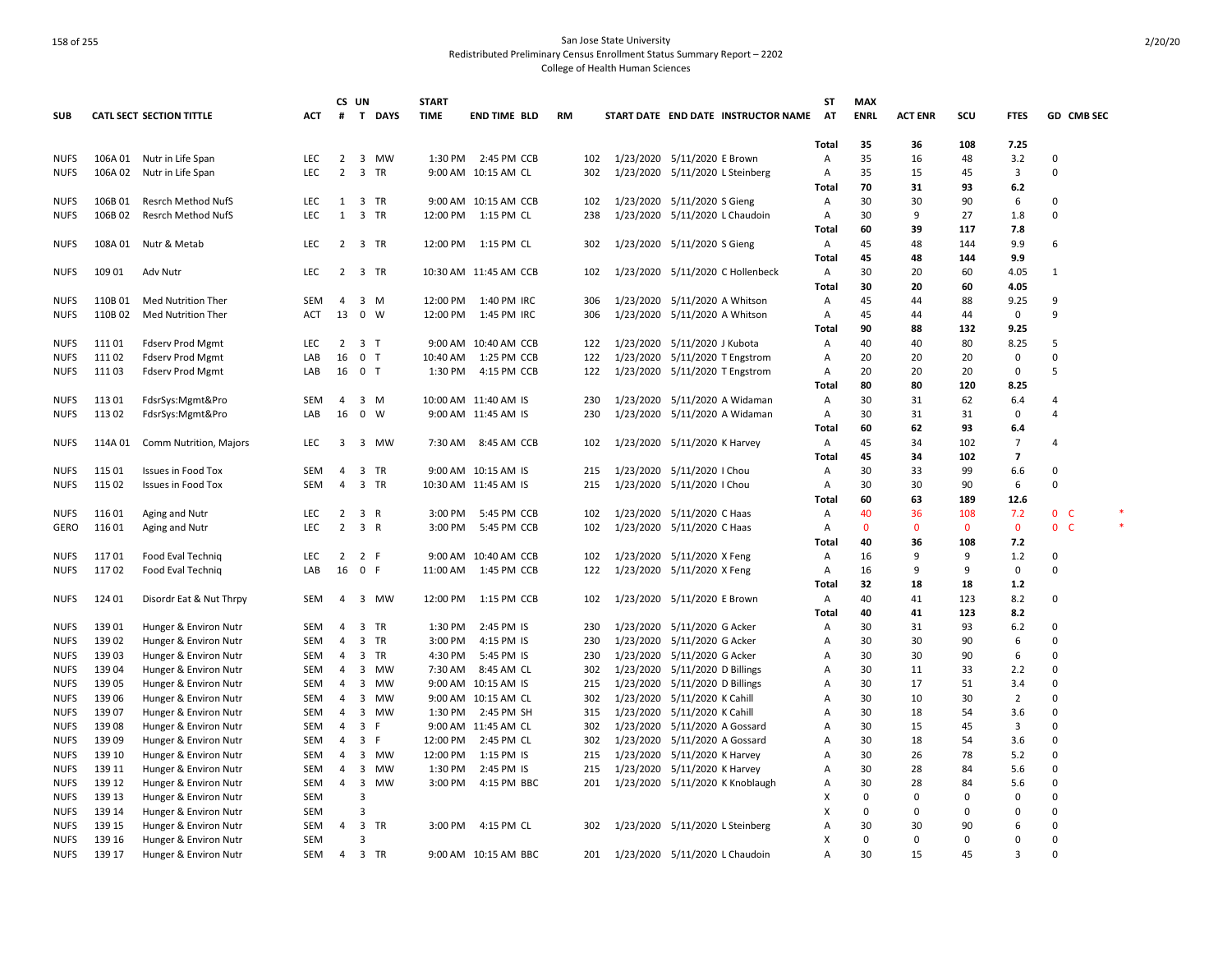|             |         |                                 |            | CS UN          |                         |             | <b>START</b> |                       |           |     |                                 |                               |                                     | <b>ST</b>      | <b>MAX</b>  |                |              |                |                          |  |
|-------------|---------|---------------------------------|------------|----------------|-------------------------|-------------|--------------|-----------------------|-----------|-----|---------------------------------|-------------------------------|-------------------------------------|----------------|-------------|----------------|--------------|----------------|--------------------------|--|
| <b>SUB</b>  |         | <b>CATL SECT SECTION TITTLE</b> | ACT        | #              | $\mathbf{T}$            | <b>DAYS</b> | <b>TIME</b>  | <b>END TIME BLD</b>   | <b>RM</b> |     |                                 |                               | START DATE END DATE INSTRUCTOR NAME | AT             | <b>ENRL</b> | <b>ACT ENR</b> | scu          | <b>FTES</b>    | GD CMB SEC               |  |
|             |         |                                 |            |                |                         |             |              |                       |           |     |                                 |                               |                                     |                |             |                |              |                |                          |  |
|             |         |                                 |            |                |                         |             |              |                       |           |     |                                 |                               |                                     | <b>Total</b>   | 35          | 36             | 108          | 7.25           |                          |  |
| <b>NUFS</b> | 106A 01 | Nutr in Life Span               | <b>LEC</b> | $\overline{2}$ | $\overline{\mathbf{3}}$ | <b>MW</b>   | 1:30 PM      | 2:45 PM CCB           |           | 102 | 1/23/2020 5/11/2020 E Brown     |                               |                                     | Α              | 35          | 16             | 48           | 3.2            | 0                        |  |
| <b>NUFS</b> | 106A02  | Nutr in Life Span               | LEC        | $\overline{2}$ | 3                       | TR          |              | 9:00 AM 10:15 AM CL   |           | 302 | 1/23/2020 5/11/2020 L Steinberg |                               |                                     | Α              | 35          | 15             | 45           | 3              | 0                        |  |
|             |         |                                 |            |                |                         |             |              |                       |           |     |                                 |                               |                                     | Total          | 70          | 31             | 93           | 6.2            |                          |  |
| <b>NUFS</b> | 106B01  | <b>Resrch Method NufS</b>       | LEC        |                | 1 3 TR                  |             |              | 9:00 AM 10:15 AM CCB  |           | 102 | 1/23/2020 5/11/2020 S Gieng     |                               |                                     | Α              | 30          | 30             | 90           | 6              | 0                        |  |
| <b>NUFS</b> | 106B 02 | <b>Resrch Method NufS</b>       | <b>LEC</b> | 1              | 3                       | <b>TR</b>   | 12:00 PM     | 1:15 PM CL            |           | 238 | 1/23/2020 5/11/2020 L Chaudoin  |                               |                                     | $\overline{A}$ | 30          | 9              | 27           | 1.8            | 0                        |  |
|             |         |                                 |            |                |                         |             |              |                       |           |     |                                 |                               |                                     | Total          | 60          | 39             | 117          | 7.8            |                          |  |
| <b>NUFS</b> | 108A 01 | Nutr & Metab                    | LEC        | 2              | 3 TR                    |             | 12:00 PM     | 1:15 PM CL            |           | 302 |                                 | 1/23/2020 5/11/2020 S Gieng   |                                     | Α              | 45          | 48             | 144          | 9.9            | 6                        |  |
|             |         |                                 |            |                |                         |             |              |                       |           |     |                                 |                               |                                     | Total          | 45          | 48             | 144          | 9.9            |                          |  |
| <b>NUFS</b> | 109 01  | Adv Nutr                        | <b>LEC</b> |                | 2 3 TR                  |             |              | 10:30 AM 11:45 AM CCB |           | 102 |                                 |                               | 1/23/2020 5/11/2020 C Hollenbeck    | Α              | 30          | 20             | 60           | 4.05           | 1                        |  |
|             |         |                                 |            |                |                         |             | 12:00 PM     |                       |           |     |                                 |                               |                                     | Total          | 30          | 20             | 60           | 4.05           |                          |  |
| <b>NUFS</b> | 110B01  | <b>Med Nutrition Ther</b>       | <b>SEM</b> | 4              | 3                       | M           |              | 1:40 PM IRC           |           | 306 |                                 | 1/23/2020 5/11/2020 A Whitson |                                     | A              | 45          | 44             | 88           | 9.25           | 9                        |  |
| <b>NUFS</b> | 110B 02 | Med Nutrition Ther              | ACT        | 13             | $\overline{\mathbf{0}}$ | W           | 12:00 PM     | 1:45 PM IRC           |           | 306 | 1/23/2020 5/11/2020 A Whitson   |                               |                                     | Α              | 45          | 44             | 44           | 0              | 9                        |  |
|             |         |                                 |            |                |                         |             |              |                       |           |     |                                 |                               |                                     | Total          | 90          | 88             | 132          | 9.25           |                          |  |
| <b>NUFS</b> | 11101   | <b>Fdserv Prod Mgmt</b>         | <b>LEC</b> | $\overline{2}$ | 3 <sub>T</sub>          |             |              | 9:00 AM 10:40 AM CCB  |           | 122 | 1/23/2020 5/11/2020 J Kubota    |                               |                                     | Α              | 40          | 40             | 80           | 8.25           | 5                        |  |
| <b>NUFS</b> | 11102   | <b>Fdserv Prod Mgmt</b>         | LAB        | 16             | 0 <sub>T</sub>          |             | 10:40 AM     | 1:25 PM CCB           |           | 122 | 1/23/2020 5/11/2020 T Engstrom  |                               |                                     | Α              | 20          | 20             | 20           | 0              | 0                        |  |
| <b>NUFS</b> | 11103   | <b>Fdserv Prod Mgmt</b>         | LAB        | 16             | 0 <sub>T</sub>          |             | 1:30 PM      | 4:15 PM CCB           |           | 122 | 1/23/2020 5/11/2020 T Engstrom  |                               |                                     | Α              | 20          | 20             | 20           | $\mathbf 0$    | 5                        |  |
|             |         |                                 |            |                |                         |             |              |                       |           |     |                                 |                               |                                     | Total          | 80          | 80             | 120          | 8.25           |                          |  |
| <b>NUFS</b> | 113 01  | FdsrSys:Mgmt&Pro                | SEM        | 4              | 3                       | M           |              | 10:00 AM 11:40 AM IS  |           | 230 | 1/23/2020                       |                               | 5/11/2020 A Widaman                 | Α              | 30          | 31             | 62           | 6.4            | 4                        |  |
| <b>NUFS</b> | 11302   | FdsrSys:Mgmt&Pro                | LAB        | 16             | $\mathbf 0$             | W           |              | 9:00 AM 11:45 AM IS   |           | 230 |                                 |                               | 1/23/2020 5/11/2020 A Widaman       | Α              | 30          | 31             | 31           | $\mathbf 0$    | 4                        |  |
|             |         |                                 |            |                |                         |             |              |                       |           |     |                                 |                               |                                     | Total          | 60          | 62             | 93           | 6.4            |                          |  |
| <b>NUFS</b> | 114A 01 | Comm Nutrition, Majors          | LEC        | 3              | 3                       | MW          | 7:30 AM      | 8:45 AM CCB           |           | 102 |                                 | 1/23/2020 5/11/2020 K Harvey  |                                     | Α              | 45          | 34             | 102          | 7              | 4                        |  |
|             |         |                                 |            |                |                         |             |              |                       |           |     |                                 |                               |                                     | Total          | 45          | 34             | 102          | $\overline{7}$ |                          |  |
| <b>NUFS</b> | 115 01  | <b>Issues in Food Tox</b>       | SEM        | 4              | 3                       | TR          |              | 9:00 AM 10:15 AM IS   |           | 215 | 1/23/2020 5/11/2020   Chou      |                               |                                     | Α              | 30          | 33             | 99           | 6.6            | 0                        |  |
| <b>NUFS</b> | 115 02  | <b>Issues in Food Tox</b>       | <b>SEM</b> | $\overline{4}$ | 3                       | TR          |              | 10:30 AM 11:45 AM IS  |           | 215 |                                 | 1/23/2020 5/11/2020   Chou    |                                     | $\overline{A}$ | 30          | 30             | 90           | 6              | 0                        |  |
|             |         |                                 |            |                |                         |             |              |                       |           |     |                                 |                               |                                     | Total          | 60          | 63             | 189          | 12.6           |                          |  |
| <b>NUFS</b> | 116 01  | Aging and Nutr                  | LEC        | 2              | 3                       | R           | 3:00 PM      | 5:45 PM CCB           |           | 102 | 1/23/2020 5/11/2020 C Haas      |                               |                                     | Α              | 40          | 36             | 108          | 7.2            | 0 <sub>c</sub>           |  |
| GERO        | 11601   | Aging and Nutr                  | LEC        | $\overline{2}$ | 3 R                     |             | 3:00 PM      | 5:45 PM CCB           |           | 102 |                                 | 1/23/2020 5/11/2020 C Haas    |                                     | Α              | $\Omega$    | $\mathbf{0}$   | $\mathbf{0}$ | $\mathbf 0$    | $\mathbf{0}$<br><b>C</b> |  |
|             |         |                                 |            |                |                         |             |              |                       |           |     |                                 |                               |                                     | Total          | 40          | 36             | 108          | 7.2            |                          |  |
| <b>NUFS</b> | 11701   | Food Eval Techniq               | LEC        | $\overline{2}$ | 2 F                     |             |              | 9:00 AM 10:40 AM CCB  |           | 102 | 1/23/2020 5/11/2020 X Feng      |                               |                                     | A              | 16          | 9              | 9            | 1.2            | 0                        |  |
| <b>NUFS</b> | 11702   | Food Eval Techniq               | LAB        | 16 0           |                         | -F          | 11:00 AM     | 1:45 PM CCB           |           | 122 | 1/23/2020 5/11/2020 X Feng      |                               |                                     | A              | 16          | 9              | 9            | $\mathbf 0$    | O                        |  |
|             |         |                                 |            |                |                         |             |              |                       |           |     |                                 |                               |                                     | Total          | 32          | 18             | 18           | 1.2            |                          |  |
| <b>NUFS</b> | 124 01  | Disordr Eat & Nut Thrpy         | <b>SEM</b> | $\overline{4}$ |                         | 3 MW        | 12:00 PM     | 1:15 PM CCB           |           | 102 | 1/23/2020 5/11/2020 E Brown     |                               |                                     | Α              | 40          | 41             | 123          | 8.2            | 0                        |  |
|             |         |                                 |            |                |                         |             |              |                       |           |     |                                 |                               |                                     | Total          | 40          | 41             | 123          | 8.2            |                          |  |
| <b>NUFS</b> | 139 01  | Hunger & Environ Nutr           | <b>SEM</b> | $\overline{4}$ | 3                       | <b>TR</b>   | 1:30 PM      | 2:45 PM IS            |           | 230 | 1/23/2020 5/11/2020 G Acker     |                               |                                     | $\overline{A}$ | 30          | 31             | 93           | 6.2            | $\Omega$                 |  |
| <b>NUFS</b> | 139 02  | Hunger & Environ Nutr           | SEM        | 4              | 3                       | TR          | 3:00 PM      | 4:15 PM IS            |           | 230 | 1/23/2020 5/11/2020 G Acker     |                               |                                     | A              | 30          | 30             | 90           | 6              | 0                        |  |
| <b>NUFS</b> | 13903   | Hunger & Environ Nutr           | SEM        | 4              | 3                       | TR          | 4:30 PM      | 5:45 PM IS            |           | 230 | 1/23/2020 5/11/2020 G Acker     |                               |                                     | Α              | 30          | 30             | 90           | 6              | $\Omega$                 |  |
| <b>NUFS</b> | 13904   | Hunger & Environ Nutr           | <b>SEM</b> | 4              | 3                       | MW          | 7:30 AM      | 8:45 AM CL            |           | 302 | 1/23/2020 5/11/2020 D Billings  |                               |                                     | Α              | 30          | 11             | 33           | 2.2            | 0                        |  |
| <b>NUFS</b> | 13905   | Hunger & Environ Nutr           | SEM        | $\overline{4}$ | 3                       | MW          |              | 9:00 AM 10:15 AM IS   |           | 215 | 1/23/2020 5/11/2020 D Billings  |                               |                                     | $\overline{A}$ | 30          | 17             | 51           | 3.4            | 0                        |  |
| <b>NUFS</b> | 139 06  | Hunger & Environ Nutr           | <b>SEM</b> | $\overline{4}$ | 3                       | <b>MW</b>   | $9:00$ AM    | 10:15 AM CL           |           | 302 | 1/23/2020 5/11/2020 K Cahill    |                               |                                     | $\overline{A}$ | 30          | 10             | 30           | $\overline{2}$ | 0                        |  |
| <b>NUFS</b> | 13907   | Hunger & Environ Nutr           | SEM        | 4              | 3                       | <b>MW</b>   | 1:30 PM      | 2:45 PM SH            |           | 315 | 1/23/2020 5/11/2020 K Cahill    |                               |                                     | Α              | 30          | 18             | 54           | 3.6            | 0                        |  |
| <b>NUFS</b> | 13908   | Hunger & Environ Nutr           | SEM        | 4              | 3                       | -F          |              | 9:00 AM 11:45 AM CL   |           | 302 | 1/23/2020 5/11/2020 A Gossard   |                               |                                     | Α              | 30          | 15             | 45           | 3              | 0                        |  |
| <b>NUFS</b> | 13909   | Hunger & Environ Nutr           | SEM        | 4              | 3                       | F           | 12:00 PM     | 2:45 PM CL            |           | 302 | 1/23/2020 5/11/2020 A Gossard   |                               |                                     | Α              | 30          | 18             | 54           | 3.6            | 0                        |  |
| <b>NUFS</b> | 139 10  | Hunger & Environ Nutr           | <b>SEM</b> | $\overline{4}$ | 3                       | <b>MW</b>   | 12:00 PM     | 1:15 PM IS            |           | 215 | 1/23/2020 5/11/2020 K Harvey    |                               |                                     | $\overline{A}$ | 30          | 26             | 78           | 5.2            | 0                        |  |
| <b>NUFS</b> | 139 11  | Hunger & Environ Nutr           | SEM        | 4              | 3                       | MW          | 1:30 PM      | 2:45 PM IS            |           | 215 | 1/23/2020                       | 5/11/2020 K Harvey            |                                     | Α              | 30          | 28             | 84           | 5.6            | 0                        |  |
| <b>NUFS</b> | 139 12  | Hunger & Environ Nutr           | SEM        | 4              | 3                       | MW          | 3:00 PM      | 4:15 PM BBC           |           | 201 |                                 |                               | 1/23/2020 5/11/2020 K Knoblaugh     | Α              | 30          | 28             | 84           | 5.6            | 0                        |  |
| <b>NUFS</b> | 139 13  | Hunger & Environ Nutr           | <b>SEM</b> |                | 3                       |             |              |                       |           |     |                                 |                               |                                     | X              | $\Omega$    | 0              | 0            | $\mathbf 0$    | 0                        |  |
| <b>NUFS</b> | 139 14  | Hunger & Environ Nutr           | <b>SEM</b> |                | 3                       |             |              |                       |           |     |                                 |                               |                                     | X              | $\Omega$    | 0              | $\Omega$     | $\Omega$       | $\Omega$                 |  |
| <b>NUFS</b> | 139 15  | Hunger & Environ Nutr           | SEM        | $\overline{4}$ | $\overline{\mathbf{3}}$ | <b>TR</b>   | 3:00 PM      | 4:15 PM CL            |           | 302 | 1/23/2020 5/11/2020 L Steinberg |                               |                                     | A              | 30          | 30             | 90           | 6              | 0                        |  |
| <b>NUFS</b> | 139 16  | Hunger & Environ Nutr           | <b>SEM</b> |                | $\mathbf{a}$            |             |              |                       |           |     |                                 |                               |                                     | X              | $\Omega$    | 0              | $\Omega$     | $\Omega$       | 0                        |  |
| <b>NUFS</b> | 139 17  | Hunger & Environ Nutr           | SEM        | 4              | 3 TR                    |             |              | 9:00 AM 10:15 AM BBC  |           | 201 | 1/23/2020 5/11/2020 L Chaudoin  |                               |                                     | $\overline{A}$ | 30          | 15             | 45           | 3              | $\mathbf 0$              |  |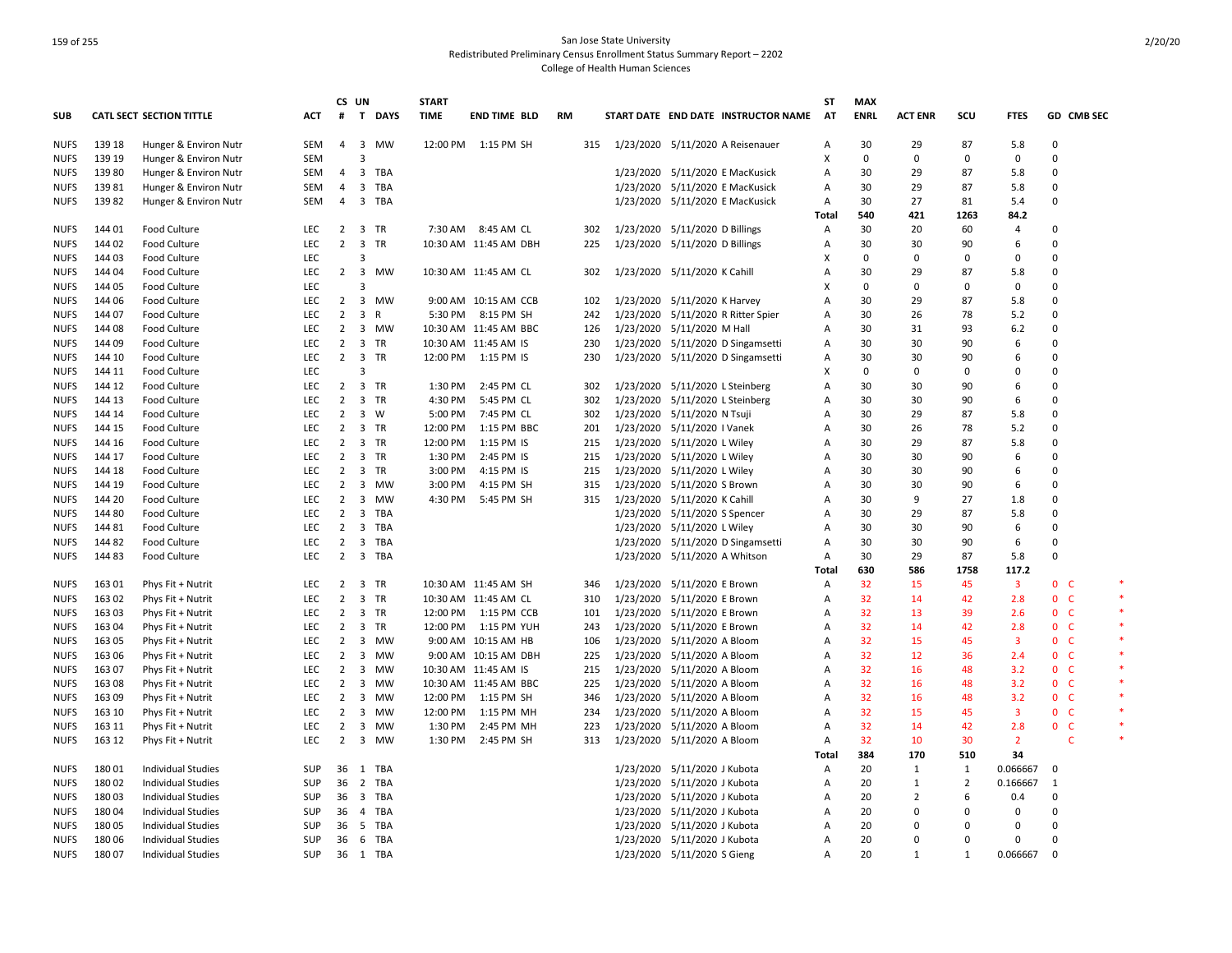| <b>CATL SECT SECTION TITTLE</b><br>T DAYS<br><b>TIME</b><br>START DATE END DATE INSTRUCTOR NAME<br>AT<br><b>ENRL</b><br><b>ACT ENR</b><br>scu<br>GD CMB SEC<br>ACT<br>#<br><b>END TIME BLD</b><br><b>RM</b><br><b>FTES</b><br>139 18<br>$\overline{\mathbf{3}}$<br><b>MW</b><br>30<br>29<br>87<br>$\Omega$<br>Hunger & Environ Nutr<br>SEM<br>4<br>12:00 PM 1:15 PM SH<br>315<br>1/23/2020 5/11/2020 A Reisenauer<br>5.8<br>Α<br>$\overline{3}$<br>X<br>0<br>$\Omega$<br><b>NUFS</b><br>139 19<br>Hunger & Environ Nutr<br>SEM<br>0<br>0<br>0<br>$\overline{3}$<br>13980<br>Hunger & Environ Nutr<br><b>TBA</b><br>1/23/2020 5/11/2020 E MacKusick<br>30<br>29<br>87<br>0<br><b>NUFS</b><br>SEM<br>4<br>Α<br>5.8<br>13981<br>Hunger & Environ Nutr<br><b>SEM</b><br>$\overline{4}$<br>3<br><b>TBA</b><br>1/23/2020 5/11/2020 E MacKusick<br>Α<br>30<br>29<br>87<br>5.8<br>$\Omega$<br><b>NUFS</b><br>13982<br>3 TBA<br>1/23/2020 5/11/2020 E MacKusick<br>30<br>27<br>0<br><b>NUFS</b><br>Hunger & Environ Nutr<br>SEM<br>4<br>A<br>81<br>5.4<br>540<br>421<br>1263<br>84.2<br>Total<br>20<br><b>NUFS</b><br>144 01<br><b>Food Culture</b><br>LEC<br>$\overline{2}$<br>3 TR<br>7:30 AM 8:45 AM CL<br>302<br>1/23/2020 5/11/2020 D Billings<br>30<br>60<br>$\overline{4}$<br>0<br>Α<br>$\overline{\mathbf{3}}$<br>144 02<br>Food Culture<br>LEC<br>$\overline{2}$<br>TR<br>10:30 AM 11:45 AM DBH<br>225<br>1/23/2020 5/11/2020 D Billings<br>30<br>30<br>90<br>6<br>0<br><b>NUFS</b><br>A<br>144 03<br>Food Culture<br>LEC<br>3<br>X<br>$\Omega$<br>$\Omega$<br>0<br>$\Omega$<br><b>NUFS</b><br>0<br>144 04<br><b>Food Culture</b><br>$2 \quad 3$<br><b>MW</b><br>10:30 AM 11:45 AM CL<br>1/23/2020 5/11/2020 K Cahill<br>30<br>29<br>87<br>5.8<br>$\Omega$<br><b>NUFS</b><br><b>LEC</b><br>302<br>A<br>$\mathbf 0$<br>144 05<br>LEC<br>3<br>X<br>$\Omega$<br>$\Omega$<br>$\Omega$<br>$\Omega$<br><b>NUFS</b><br><b>Food Culture</b><br>$\overline{\mathbf{3}}$<br>29<br>87<br>$\Omega$<br>144 06<br><b>Food Culture</b><br>LEC<br>$\overline{2}$<br>MW<br>9:00 AM 10:15 AM CCB<br>102<br>1/23/2020 5/11/2020 K Harvey<br>Α<br>30<br>5.8<br><b>NUFS</b><br>30<br>$\overline{2}$<br>$\overline{\mathbf{3}}$<br>R<br>5:30 PM 8:15 PM SH<br>1/23/2020 5/11/2020 R Ritter Spier<br>26<br>78<br>5.2<br>$\Omega$<br><b>NUFS</b><br>144 07<br>Food Culture<br><b>LEC</b><br>242<br>A<br>14408<br><b>Food Culture</b><br><b>LEC</b><br>$\overline{2}$<br>$\overline{\mathbf{3}}$<br>10:30 AM 11:45 AM BBC<br>1/23/2020 5/11/2020 M Hall<br>30<br>31<br>93<br>6.2<br>$\Omega$<br><b>NUFS</b><br>MW<br>126<br>A<br>30<br>90<br>0<br>144 09<br><b>Food Culture</b><br>LEC<br>$\overline{2}$<br>$\overline{\mathbf{3}}$<br>TR<br>10:30 AM 11:45 AM IS<br>230<br>1/23/2020 5/11/2020 D Singamsetti<br>Α<br>30<br>6<br><b>NUFS</b><br>$\overline{2}$<br>$\overline{\mathbf{3}}$<br><b>TR</b><br>12:00 PM 1:15 PM IS<br>1/23/2020 5/11/2020 D Singamsetti<br>30<br>30<br>$\Omega$<br><b>NUFS</b><br>144 10<br><b>Food Culture</b><br><b>LEC</b><br>230<br>Α<br>90<br>6<br>LEC<br>3<br>X<br>$\Omega$<br>0<br>$\Omega$<br><b>NUFS</b><br>144 11<br><b>Food Culture</b><br>$\Omega$<br>$\Omega$<br>144 12<br><b>Food Culture</b><br><b>LEC</b><br>2 3 TR<br>1:30 PM<br>2:45 PM CL<br>1/23/2020 5/11/2020 L Steinberg<br>30<br>30<br>90<br>$\Omega$<br><b>NUFS</b><br>302<br>A<br>6<br>$\overline{2}$<br>$\overline{\mathbf{3}}$<br>TR<br>5:45 PM CL<br>1/23/2020 5/11/2020 L Steinberg<br>30<br>30<br>90<br>0<br>144 13<br>Food Culture<br>LEC<br>4:30 PM<br>302<br>6<br><b>NUFS</b><br>Α<br>$\overline{2}$<br>$\overline{\mathbf{3}}$<br>W<br>7:45 PM CL<br>1/23/2020 5/11/2020 N Tsuji<br>30<br>29<br>$\Omega$<br>144 14<br><b>Food Culture</b><br><b>LEC</b><br>5:00 PM<br>302<br>Α<br>87<br>5.8<br>26<br>$\overline{2}$<br>3 TR<br>12:00 PM<br>1:15 PM BBC<br>1/23/2020 5/11/2020 I Vanek<br>30<br>78<br>5.2<br>0<br><b>NUFS</b><br>144 15<br><b>Food Culture</b><br><b>LEC</b><br>201<br>A<br>144 16<br><b>Food Culture</b><br><b>LEC</b><br>2<br>$\overline{\mathbf{3}}$<br>TR<br>12:00 PM<br>1:15 PM IS<br>215<br>1/23/2020 5/11/2020 L Wiley<br>Α<br>30<br>29<br>87<br>5.8<br>$\Omega$<br><b>NUFS</b><br>$\overline{2}$<br>$\overline{\mathbf{3}}$<br>TR<br>1/23/2020 5/11/2020 L Wiley<br>30<br>30<br>90<br>0<br>144 17<br>Food Culture<br>LEC<br>1:30 PM<br>2:45 PM IS<br>215<br>$\overline{A}$<br>6<br><b>NUFS</b><br>144 18<br>$\overline{2}$<br>$\overline{\mathbf{3}}$<br>TR<br>3:00 PM<br>4:15 PM IS<br>1/23/2020 5/11/2020 L Wiley<br>30<br>30<br>90<br><b>NUFS</b><br><b>Food Culture</b><br><b>LEC</b><br>215<br>Α<br>6<br>$\Omega$<br><b>LEC</b><br>$\overline{2}$<br>3<br>4:15 PM SH<br>1/23/2020 5/11/2020 S Brown<br>30<br>30<br>90<br>6<br>$\Omega$<br><b>NUFS</b><br>144 19<br><b>Food Culture</b><br>MW<br>3:00 PM<br>315<br>Α<br>$\overline{\mathbf{3}}$<br>144 20<br>Food Culture<br>LEC<br>$\overline{2}$<br>MW<br>4:30 PM<br>5:45 PM SH<br>315<br>1/23/2020 5/11/2020 K Cahill<br>Α<br>30<br>9<br>27<br>1.8<br>$\Omega$<br><b>NUFS</b><br>1/23/2020 5/11/2020 S Spencer<br>30<br>29<br>87<br>0<br>144 80<br>Food Culture<br><b>LEC</b><br>2<br>3<br>TBA<br>5.8<br><b>NUFS</b><br>Α<br>14481<br><b>Food Culture</b><br>LEC<br>$\overline{2}$<br>$\overline{\mathbf{3}}$<br>TBA<br>1/23/2020 5/11/2020 L Wiley<br>Α<br>30<br>30<br>90<br>6<br>$\Omega$<br><b>NUFS</b><br>$\overline{\mathbf{3}}$<br>30<br>30<br>$\Omega$<br>144 82<br><b>LEC</b><br>$\overline{2}$<br>TBA<br>1/23/2020 5/11/2020 D Singamsetti<br>90<br>6<br><b>NUFS</b><br><b>Food Culture</b><br>A<br>3 TBA<br>1/23/2020 5/11/2020 A Whitson<br>30<br>29<br>87<br>$\Omega$<br><b>NUFS</b><br>14483<br><b>Food Culture</b><br><b>LEC</b><br>$\overline{2}$<br>Α<br>5.8<br>1758<br>630<br>586<br>117.2<br>Total<br>16301<br>Phys Fit + Nutrit<br><b>LEC</b><br>$\overline{2}$<br>$\overline{\mathbf{3}}$<br>TR<br>10:30 AM 11:45 AM SH<br>1/23/2020 5/11/2020 E Brown<br>32<br>15<br>45<br>3<br>0 <sup>o</sup><br>346<br>Α<br>$\overline{3}$<br>32 <sup>2</sup><br>16302<br><b>LEC</b><br>$\overline{2}$<br>TR<br>310<br>1/23/2020 5/11/2020 E Brown<br>14<br>42<br>2.8<br>0 <sup>o</sup><br><b>NUFS</b><br>Phys Fit + Nutrit<br>10:30 AM 11:45 AM CL<br>A<br>$\overline{2}$<br>3 TR<br>12:00 PM 1:15 PM CCB<br>1/23/2020 5/11/2020 E Brown<br>32<br>13<br>39<br>0 <sup>o</sup><br>16303<br>Phys Fit + Nutrit<br><b>LEC</b><br>101<br>A<br>2.6<br><b>NUFS</b><br>3<br>TR<br>12:00 PM<br>1/23/2020 5/11/2020 E Brown<br>32<br>42<br>$\mathbf{0}$<br><b>C</b><br>163 04<br>Phys Fit + Nutrit<br><b>LEC</b><br>2<br>1:15 PM YUH<br>243<br>Α<br>14<br>2.8<br><b>NUFS</b><br>163 05<br>Phys Fit + Nutrit<br>LEC<br>$\overline{2}$<br>$\overline{\mathbf{3}}$<br>MW<br>9:00 AM 10:15 AM HB<br>1/23/2020 5/11/2020 A Bloom<br>Α<br>32<br>15<br>45<br>3<br>0 <sup>o</sup><br><b>NUFS</b><br>106<br>$\overline{3}$<br>32<br>12<br>0 <sub>c</sub><br>163 06<br>$\overline{2}$<br>MW<br>1/23/2020 5/11/2020 A Bloom<br>36<br>2.4<br><b>NUFS</b><br>Phys Fit + Nutrit<br>LEC<br>9:00 AM 10:15 AM DBH<br>225<br>A<br>16307<br>LEC<br>$\overline{2}$<br>3<br><b>MW</b><br>1/23/2020 5/11/2020 A Bloom<br>32<br>16<br>48<br>0 <sup>o</sup><br>Phys Fit + Nutrit<br>10:30 AM 11:45 AM IS<br>215<br>Α<br>3.2<br><b>NUFS</b><br>32<br>LEC<br>$\overline{2}$<br>$\overline{\mathbf{3}}$<br>1/23/2020 5/11/2020 A Bloom<br>16<br>48<br>3.2<br>0 <sub>c</sub><br><b>NUFS</b><br>16308<br>Phys Fit + Nutrit<br>MW<br>10:30 AM 11:45 AM BBC<br>225<br>Α<br>163 09<br>Phys Fit + Nutrit<br><b>LEC</b><br>$\overline{2}$<br>$\overline{\mathbf{3}}$<br>MW<br>12:00 PM<br>1:15 PM SH<br>1/23/2020 5/11/2020 A Bloom<br>Α<br>32<br>16<br>48<br>3.2<br>0 <sup>o</sup><br><b>NUFS</b><br>346<br>$\overline{3}$<br>32<br>15<br>0 <sup>o</sup><br>163 10<br>Phys Fit + Nutrit<br>LEC<br>2<br>MW<br>12:00 PM<br>1:15 PM MH<br>234<br>1/23/2020 5/11/2020 A Bloom<br>Α<br>45<br>3<br><b>NUFS</b><br>LEC<br>$\overline{2}$<br>$\overline{\mathbf{3}}$<br>MW<br>1:30 PM<br>2:45 PM MH<br>223<br>1/23/2020 5/11/2020 A Bloom<br>32<br>14<br>42<br>2.8<br>0 <sub>c</sub><br><b>NUFS</b><br>163 11<br>Phys Fit + Nutrit<br>Α<br>32<br>163 12<br>LEC<br>2<br>$\overline{\mathbf{3}}$<br>MW<br>313<br>1/23/2020 5/11/2020 A Bloom<br>10<br>30<br>$\overline{2}$<br>C<br><b>NUFS</b><br>Phys Fit + Nutrit<br>1:30 PM<br>2:45 PM SH<br>Α<br>384<br>170<br>510<br>34<br><b>Total</b><br>1/23/2020 5/11/2020 J Kubota<br>20<br>0.066667<br><b>NUFS</b><br>18001<br>Individual Studies<br>SUP<br>36<br>1<br>TBA<br>1<br>1<br>0<br>A<br>18002<br><b>Individual Studies</b><br><b>SUP</b><br>36 2<br>TBA<br>1/23/2020 5/11/2020 J Kubota<br>20<br>2<br>0.166667<br><b>NUFS</b><br>Α<br>1<br>1<br>6<br>18003<br><b>Individual Studies</b><br><b>SUP</b><br>36<br>3 TBA<br>1/23/2020 5/11/2020 J Kubota<br>20<br>$\overline{2}$<br>0.4<br>$\Omega$<br><b>NUFS</b><br>A<br><b>TBA</b><br>1/23/2020 5/11/2020 J Kubota<br>20<br>0<br>18004<br><b>Individual Studies</b><br><b>SUP</b><br>$\overline{4}$<br>Α<br>$\Omega$<br>$\Omega$<br>0<br><b>NUFS</b><br>36<br>- 5<br>TBA<br>0<br>18005<br>Individual Studies<br>SUP<br>36<br>1/23/2020 5/11/2020 J Kubota<br>A<br>20<br>$\Omega$<br>$\Omega$<br>0<br><b>NUFS</b><br>20<br>$\Omega$<br>18006<br><b>SUP</b><br>6<br>TBA<br>1/23/2020 5/11/2020 J Kubota<br>$\Omega$<br>$\Omega$<br><b>NUFS</b><br>Individual Studies<br>36<br>A<br>$\Omega$<br>0.066667<br><b>NUFS</b><br>18007<br><b>Individual Studies</b><br><b>SUP</b><br>36 1 TBA<br>1/23/2020 5/11/2020 S Gieng<br>A<br>20<br>$\mathbf{1}$<br>$\mathbf 0$<br>1 |             |  |  | CS UN | <b>START</b> |  |  |  | ST | MAX |  |  |  |
|---------------------------------------------------------------------------------------------------------------------------------------------------------------------------------------------------------------------------------------------------------------------------------------------------------------------------------------------------------------------------------------------------------------------------------------------------------------------------------------------------------------------------------------------------------------------------------------------------------------------------------------------------------------------------------------------------------------------------------------------------------------------------------------------------------------------------------------------------------------------------------------------------------------------------------------------------------------------------------------------------------------------------------------------------------------------------------------------------------------------------------------------------------------------------------------------------------------------------------------------------------------------------------------------------------------------------------------------------------------------------------------------------------------------------------------------------------------------------------------------------------------------------------------------------------------------------------------------------------------------------------------------------------------------------------------------------------------------------------------------------------------------------------------------------------------------------------------------------------------------------------------------------------------------------------------------------------------------------------------------------------------------------------------------------------------------------------------------------------------------------------------------------------------------------------------------------------------------------------------------------------------------------------------------------------------------------------------------------------------------------------------------------------------------------------------------------------------------------------------------------------------------------------------------------------------------------------------------------------------------------------------------------------------------------------------------------------------------------------------------------------------------------------------------------------------------------------------------------------------------------------------------------------------------------------------------------------------------------------------------------------------------------------------------------------------------------------------------------------------------------------------------------------------------------------------------------------------------------------------------------------------------------------------------------------------------------------------------------------------------------------------------------------------------------------------------------------------------------------------------------------------------------------------------------------------------------------------------------------------------------------------------------------------------------------------------------------------------------------------------------------------------------------------------------------------------------------------------------------------------------------------------------------------------------------------------------------------------------------------------------------------------------------------------------------------------------------------------------------------------------------------------------------------------------------------------------------------------------------------------------------------------------------------------------------------------------------------------------------------------------------------------------------------------------------------------------------------------------------------------------------------------------------------------------------------------------------------------------------------------------------------------------------------------------------------------------------------------------------------------------------------------------------------------------------------------------------------------------------------------------------------------------------------------------------------------------------------------------------------------------------------------------------------------------------------------------------------------------------------------------------------------------------------------------------------------------------------------------------------------------------------------------------------------------------------------------------------------------------------------------------------------------------------------------------------------------------------------------------------------------------------------------------------------------------------------------------------------------------------------------------------------------------------------------------------------------------------------------------------------------------------------------------------------------------------------------------------------------------------------------------------------------------------------------------------------------------------------------------------------------------------------------------------------------------------------------------------------------------------------------------------------------------------------------------------------------------------------------------------------------------------------------------------------------------------------------------------------------------------------------------------------------------------------------------------------------------------------------------------------------------------------------------------------------------------------------------------------------------------------------------------------------------------------------------------------------------------------------------------------------------------------------------------------------------------------------------------------------------------------------------------------------------------------------------------------------------------------------------------------------------------------------------------------------------------------------------------------------------------------------------------------------------------------------------------------------------------------------------------------------------------------------------------------------------------------------------------------------------------------------------------------------------------------------------------------------------------------------------------------------------------------------------------------------------------------------------------------------------------------------------------------------------------------------------------------------------------------------------------------------------------------------------------------------------------------------------------------------------------------------------------------------------------------------------------------------------------------------------------------------------------------------------------------------------------------------------------------------------------------------------------------------------------------------------------------------------------------------------------------------------------------------------------------------------------------------------------------------------------------------------------------------------------------------------------------------------------------------------------------------------------------------------------------------------------------------------------------------------------------------------------------------------------------------------------------------------------------------------------------------------------------------------------------------------------------------------------------------------------------------------------------------------------------------------------------------------------------------------------------------------------------------------------------------------------------------------------------------------------------------------------------------------------------------------------------------------------------------------------------------------------------------------------------------------------------------------------------------------------------------------------------------------------------------------------------------------------------------------------------------------------------------------------------------------------------------------------------|-------------|--|--|-------|--------------|--|--|--|----|-----|--|--|--|
|                                                                                                                                                                                                                                                                                                                                                                                                                                                                                                                                                                                                                                                                                                                                                                                                                                                                                                                                                                                                                                                                                                                                                                                                                                                                                                                                                                                                                                                                                                                                                                                                                                                                                                                                                                                                                                                                                                                                                                                                                                                                                                                                                                                                                                                                                                                                                                                                                                                                                                                                                                                                                                                                                                                                                                                                                                                                                                                                                                                                                                                                                                                                                                                                                                                                                                                                                                                                                                                                                                                                                                                                                                                                                                                                                                                                                                                                                                                                                                                                                                                                                                                                                                                                                                                                                                                                                                                                                                                                                                                                                                                                                                                                                                                                                                                                                                                                                                                                                                                                                                                                                                                                                                                                                                                                                                                                                                                                                                                                                                                                                                                                                                                                                                                                                                                                                                                                                                                                                                                                                                                                                                                                                                                                                                                                                                                                                                                                                                                                                                                                                                                                                                                                                                                                                                                                                                                                                                                                                                                                                                                                                                                                                                                                                                                                                                                                                                                                                                                                                                                                                                                                                                                                                                                                                                                                                                                                                                                                                                                                                                                                                                                                                                                                                                                                                                                                                                                                                                                                                                                                                                                                                                                                                                                                                                                                                                                                                                                                                                                                                                                                                                                                                                                                                                                                                                                                                                                                                                                                                                                                                                                             | <b>SUB</b>  |  |  |       |              |  |  |  |    |     |  |  |  |
|                                                                                                                                                                                                                                                                                                                                                                                                                                                                                                                                                                                                                                                                                                                                                                                                                                                                                                                                                                                                                                                                                                                                                                                                                                                                                                                                                                                                                                                                                                                                                                                                                                                                                                                                                                                                                                                                                                                                                                                                                                                                                                                                                                                                                                                                                                                                                                                                                                                                                                                                                                                                                                                                                                                                                                                                                                                                                                                                                                                                                                                                                                                                                                                                                                                                                                                                                                                                                                                                                                                                                                                                                                                                                                                                                                                                                                                                                                                                                                                                                                                                                                                                                                                                                                                                                                                                                                                                                                                                                                                                                                                                                                                                                                                                                                                                                                                                                                                                                                                                                                                                                                                                                                                                                                                                                                                                                                                                                                                                                                                                                                                                                                                                                                                                                                                                                                                                                                                                                                                                                                                                                                                                                                                                                                                                                                                                                                                                                                                                                                                                                                                                                                                                                                                                                                                                                                                                                                                                                                                                                                                                                                                                                                                                                                                                                                                                                                                                                                                                                                                                                                                                                                                                                                                                                                                                                                                                                                                                                                                                                                                                                                                                                                                                                                                                                                                                                                                                                                                                                                                                                                                                                                                                                                                                                                                                                                                                                                                                                                                                                                                                                                                                                                                                                                                                                                                                                                                                                                                                                                                                                                                             | <b>NUFS</b> |  |  |       |              |  |  |  |    |     |  |  |  |
|                                                                                                                                                                                                                                                                                                                                                                                                                                                                                                                                                                                                                                                                                                                                                                                                                                                                                                                                                                                                                                                                                                                                                                                                                                                                                                                                                                                                                                                                                                                                                                                                                                                                                                                                                                                                                                                                                                                                                                                                                                                                                                                                                                                                                                                                                                                                                                                                                                                                                                                                                                                                                                                                                                                                                                                                                                                                                                                                                                                                                                                                                                                                                                                                                                                                                                                                                                                                                                                                                                                                                                                                                                                                                                                                                                                                                                                                                                                                                                                                                                                                                                                                                                                                                                                                                                                                                                                                                                                                                                                                                                                                                                                                                                                                                                                                                                                                                                                                                                                                                                                                                                                                                                                                                                                                                                                                                                                                                                                                                                                                                                                                                                                                                                                                                                                                                                                                                                                                                                                                                                                                                                                                                                                                                                                                                                                                                                                                                                                                                                                                                                                                                                                                                                                                                                                                                                                                                                                                                                                                                                                                                                                                                                                                                                                                                                                                                                                                                                                                                                                                                                                                                                                                                                                                                                                                                                                                                                                                                                                                                                                                                                                                                                                                                                                                                                                                                                                                                                                                                                                                                                                                                                                                                                                                                                                                                                                                                                                                                                                                                                                                                                                                                                                                                                                                                                                                                                                                                                                                                                                                                                                             |             |  |  |       |              |  |  |  |    |     |  |  |  |
|                                                                                                                                                                                                                                                                                                                                                                                                                                                                                                                                                                                                                                                                                                                                                                                                                                                                                                                                                                                                                                                                                                                                                                                                                                                                                                                                                                                                                                                                                                                                                                                                                                                                                                                                                                                                                                                                                                                                                                                                                                                                                                                                                                                                                                                                                                                                                                                                                                                                                                                                                                                                                                                                                                                                                                                                                                                                                                                                                                                                                                                                                                                                                                                                                                                                                                                                                                                                                                                                                                                                                                                                                                                                                                                                                                                                                                                                                                                                                                                                                                                                                                                                                                                                                                                                                                                                                                                                                                                                                                                                                                                                                                                                                                                                                                                                                                                                                                                                                                                                                                                                                                                                                                                                                                                                                                                                                                                                                                                                                                                                                                                                                                                                                                                                                                                                                                                                                                                                                                                                                                                                                                                                                                                                                                                                                                                                                                                                                                                                                                                                                                                                                                                                                                                                                                                                                                                                                                                                                                                                                                                                                                                                                                                                                                                                                                                                                                                                                                                                                                                                                                                                                                                                                                                                                                                                                                                                                                                                                                                                                                                                                                                                                                                                                                                                                                                                                                                                                                                                                                                                                                                                                                                                                                                                                                                                                                                                                                                                                                                                                                                                                                                                                                                                                                                                                                                                                                                                                                                                                                                                                                                             |             |  |  |       |              |  |  |  |    |     |  |  |  |
|                                                                                                                                                                                                                                                                                                                                                                                                                                                                                                                                                                                                                                                                                                                                                                                                                                                                                                                                                                                                                                                                                                                                                                                                                                                                                                                                                                                                                                                                                                                                                                                                                                                                                                                                                                                                                                                                                                                                                                                                                                                                                                                                                                                                                                                                                                                                                                                                                                                                                                                                                                                                                                                                                                                                                                                                                                                                                                                                                                                                                                                                                                                                                                                                                                                                                                                                                                                                                                                                                                                                                                                                                                                                                                                                                                                                                                                                                                                                                                                                                                                                                                                                                                                                                                                                                                                                                                                                                                                                                                                                                                                                                                                                                                                                                                                                                                                                                                                                                                                                                                                                                                                                                                                                                                                                                                                                                                                                                                                                                                                                                                                                                                                                                                                                                                                                                                                                                                                                                                                                                                                                                                                                                                                                                                                                                                                                                                                                                                                                                                                                                                                                                                                                                                                                                                                                                                                                                                                                                                                                                                                                                                                                                                                                                                                                                                                                                                                                                                                                                                                                                                                                                                                                                                                                                                                                                                                                                                                                                                                                                                                                                                                                                                                                                                                                                                                                                                                                                                                                                                                                                                                                                                                                                                                                                                                                                                                                                                                                                                                                                                                                                                                                                                                                                                                                                                                                                                                                                                                                                                                                                                                             |             |  |  |       |              |  |  |  |    |     |  |  |  |
|                                                                                                                                                                                                                                                                                                                                                                                                                                                                                                                                                                                                                                                                                                                                                                                                                                                                                                                                                                                                                                                                                                                                                                                                                                                                                                                                                                                                                                                                                                                                                                                                                                                                                                                                                                                                                                                                                                                                                                                                                                                                                                                                                                                                                                                                                                                                                                                                                                                                                                                                                                                                                                                                                                                                                                                                                                                                                                                                                                                                                                                                                                                                                                                                                                                                                                                                                                                                                                                                                                                                                                                                                                                                                                                                                                                                                                                                                                                                                                                                                                                                                                                                                                                                                                                                                                                                                                                                                                                                                                                                                                                                                                                                                                                                                                                                                                                                                                                                                                                                                                                                                                                                                                                                                                                                                                                                                                                                                                                                                                                                                                                                                                                                                                                                                                                                                                                                                                                                                                                                                                                                                                                                                                                                                                                                                                                                                                                                                                                                                                                                                                                                                                                                                                                                                                                                                                                                                                                                                                                                                                                                                                                                                                                                                                                                                                                                                                                                                                                                                                                                                                                                                                                                                                                                                                                                                                                                                                                                                                                                                                                                                                                                                                                                                                                                                                                                                                                                                                                                                                                                                                                                                                                                                                                                                                                                                                                                                                                                                                                                                                                                                                                                                                                                                                                                                                                                                                                                                                                                                                                                                                                             |             |  |  |       |              |  |  |  |    |     |  |  |  |
|                                                                                                                                                                                                                                                                                                                                                                                                                                                                                                                                                                                                                                                                                                                                                                                                                                                                                                                                                                                                                                                                                                                                                                                                                                                                                                                                                                                                                                                                                                                                                                                                                                                                                                                                                                                                                                                                                                                                                                                                                                                                                                                                                                                                                                                                                                                                                                                                                                                                                                                                                                                                                                                                                                                                                                                                                                                                                                                                                                                                                                                                                                                                                                                                                                                                                                                                                                                                                                                                                                                                                                                                                                                                                                                                                                                                                                                                                                                                                                                                                                                                                                                                                                                                                                                                                                                                                                                                                                                                                                                                                                                                                                                                                                                                                                                                                                                                                                                                                                                                                                                                                                                                                                                                                                                                                                                                                                                                                                                                                                                                                                                                                                                                                                                                                                                                                                                                                                                                                                                                                                                                                                                                                                                                                                                                                                                                                                                                                                                                                                                                                                                                                                                                                                                                                                                                                                                                                                                                                                                                                                                                                                                                                                                                                                                                                                                                                                                                                                                                                                                                                                                                                                                                                                                                                                                                                                                                                                                                                                                                                                                                                                                                                                                                                                                                                                                                                                                                                                                                                                                                                                                                                                                                                                                                                                                                                                                                                                                                                                                                                                                                                                                                                                                                                                                                                                                                                                                                                                                                                                                                                                                             |             |  |  |       |              |  |  |  |    |     |  |  |  |
|                                                                                                                                                                                                                                                                                                                                                                                                                                                                                                                                                                                                                                                                                                                                                                                                                                                                                                                                                                                                                                                                                                                                                                                                                                                                                                                                                                                                                                                                                                                                                                                                                                                                                                                                                                                                                                                                                                                                                                                                                                                                                                                                                                                                                                                                                                                                                                                                                                                                                                                                                                                                                                                                                                                                                                                                                                                                                                                                                                                                                                                                                                                                                                                                                                                                                                                                                                                                                                                                                                                                                                                                                                                                                                                                                                                                                                                                                                                                                                                                                                                                                                                                                                                                                                                                                                                                                                                                                                                                                                                                                                                                                                                                                                                                                                                                                                                                                                                                                                                                                                                                                                                                                                                                                                                                                                                                                                                                                                                                                                                                                                                                                                                                                                                                                                                                                                                                                                                                                                                                                                                                                                                                                                                                                                                                                                                                                                                                                                                                                                                                                                                                                                                                                                                                                                                                                                                                                                                                                                                                                                                                                                                                                                                                                                                                                                                                                                                                                                                                                                                                                                                                                                                                                                                                                                                                                                                                                                                                                                                                                                                                                                                                                                                                                                                                                                                                                                                                                                                                                                                                                                                                                                                                                                                                                                                                                                                                                                                                                                                                                                                                                                                                                                                                                                                                                                                                                                                                                                                                                                                                                                                             |             |  |  |       |              |  |  |  |    |     |  |  |  |
|                                                                                                                                                                                                                                                                                                                                                                                                                                                                                                                                                                                                                                                                                                                                                                                                                                                                                                                                                                                                                                                                                                                                                                                                                                                                                                                                                                                                                                                                                                                                                                                                                                                                                                                                                                                                                                                                                                                                                                                                                                                                                                                                                                                                                                                                                                                                                                                                                                                                                                                                                                                                                                                                                                                                                                                                                                                                                                                                                                                                                                                                                                                                                                                                                                                                                                                                                                                                                                                                                                                                                                                                                                                                                                                                                                                                                                                                                                                                                                                                                                                                                                                                                                                                                                                                                                                                                                                                                                                                                                                                                                                                                                                                                                                                                                                                                                                                                                                                                                                                                                                                                                                                                                                                                                                                                                                                                                                                                                                                                                                                                                                                                                                                                                                                                                                                                                                                                                                                                                                                                                                                                                                                                                                                                                                                                                                                                                                                                                                                                                                                                                                                                                                                                                                                                                                                                                                                                                                                                                                                                                                                                                                                                                                                                                                                                                                                                                                                                                                                                                                                                                                                                                                                                                                                                                                                                                                                                                                                                                                                                                                                                                                                                                                                                                                                                                                                                                                                                                                                                                                                                                                                                                                                                                                                                                                                                                                                                                                                                                                                                                                                                                                                                                                                                                                                                                                                                                                                                                                                                                                                                                                             |             |  |  |       |              |  |  |  |    |     |  |  |  |
|                                                                                                                                                                                                                                                                                                                                                                                                                                                                                                                                                                                                                                                                                                                                                                                                                                                                                                                                                                                                                                                                                                                                                                                                                                                                                                                                                                                                                                                                                                                                                                                                                                                                                                                                                                                                                                                                                                                                                                                                                                                                                                                                                                                                                                                                                                                                                                                                                                                                                                                                                                                                                                                                                                                                                                                                                                                                                                                                                                                                                                                                                                                                                                                                                                                                                                                                                                                                                                                                                                                                                                                                                                                                                                                                                                                                                                                                                                                                                                                                                                                                                                                                                                                                                                                                                                                                                                                                                                                                                                                                                                                                                                                                                                                                                                                                                                                                                                                                                                                                                                                                                                                                                                                                                                                                                                                                                                                                                                                                                                                                                                                                                                                                                                                                                                                                                                                                                                                                                                                                                                                                                                                                                                                                                                                                                                                                                                                                                                                                                                                                                                                                                                                                                                                                                                                                                                                                                                                                                                                                                                                                                                                                                                                                                                                                                                                                                                                                                                                                                                                                                                                                                                                                                                                                                                                                                                                                                                                                                                                                                                                                                                                                                                                                                                                                                                                                                                                                                                                                                                                                                                                                                                                                                                                                                                                                                                                                                                                                                                                                                                                                                                                                                                                                                                                                                                                                                                                                                                                                                                                                                                                             |             |  |  |       |              |  |  |  |    |     |  |  |  |
|                                                                                                                                                                                                                                                                                                                                                                                                                                                                                                                                                                                                                                                                                                                                                                                                                                                                                                                                                                                                                                                                                                                                                                                                                                                                                                                                                                                                                                                                                                                                                                                                                                                                                                                                                                                                                                                                                                                                                                                                                                                                                                                                                                                                                                                                                                                                                                                                                                                                                                                                                                                                                                                                                                                                                                                                                                                                                                                                                                                                                                                                                                                                                                                                                                                                                                                                                                                                                                                                                                                                                                                                                                                                                                                                                                                                                                                                                                                                                                                                                                                                                                                                                                                                                                                                                                                                                                                                                                                                                                                                                                                                                                                                                                                                                                                                                                                                                                                                                                                                                                                                                                                                                                                                                                                                                                                                                                                                                                                                                                                                                                                                                                                                                                                                                                                                                                                                                                                                                                                                                                                                                                                                                                                                                                                                                                                                                                                                                                                                                                                                                                                                                                                                                                                                                                                                                                                                                                                                                                                                                                                                                                                                                                                                                                                                                                                                                                                                                                                                                                                                                                                                                                                                                                                                                                                                                                                                                                                                                                                                                                                                                                                                                                                                                                                                                                                                                                                                                                                                                                                                                                                                                                                                                                                                                                                                                                                                                                                                                                                                                                                                                                                                                                                                                                                                                                                                                                                                                                                                                                                                                                                             |             |  |  |       |              |  |  |  |    |     |  |  |  |
|                                                                                                                                                                                                                                                                                                                                                                                                                                                                                                                                                                                                                                                                                                                                                                                                                                                                                                                                                                                                                                                                                                                                                                                                                                                                                                                                                                                                                                                                                                                                                                                                                                                                                                                                                                                                                                                                                                                                                                                                                                                                                                                                                                                                                                                                                                                                                                                                                                                                                                                                                                                                                                                                                                                                                                                                                                                                                                                                                                                                                                                                                                                                                                                                                                                                                                                                                                                                                                                                                                                                                                                                                                                                                                                                                                                                                                                                                                                                                                                                                                                                                                                                                                                                                                                                                                                                                                                                                                                                                                                                                                                                                                                                                                                                                                                                                                                                                                                                                                                                                                                                                                                                                                                                                                                                                                                                                                                                                                                                                                                                                                                                                                                                                                                                                                                                                                                                                                                                                                                                                                                                                                                                                                                                                                                                                                                                                                                                                                                                                                                                                                                                                                                                                                                                                                                                                                                                                                                                                                                                                                                                                                                                                                                                                                                                                                                                                                                                                                                                                                                                                                                                                                                                                                                                                                                                                                                                                                                                                                                                                                                                                                                                                                                                                                                                                                                                                                                                                                                                                                                                                                                                                                                                                                                                                                                                                                                                                                                                                                                                                                                                                                                                                                                                                                                                                                                                                                                                                                                                                                                                                                                             |             |  |  |       |              |  |  |  |    |     |  |  |  |
|                                                                                                                                                                                                                                                                                                                                                                                                                                                                                                                                                                                                                                                                                                                                                                                                                                                                                                                                                                                                                                                                                                                                                                                                                                                                                                                                                                                                                                                                                                                                                                                                                                                                                                                                                                                                                                                                                                                                                                                                                                                                                                                                                                                                                                                                                                                                                                                                                                                                                                                                                                                                                                                                                                                                                                                                                                                                                                                                                                                                                                                                                                                                                                                                                                                                                                                                                                                                                                                                                                                                                                                                                                                                                                                                                                                                                                                                                                                                                                                                                                                                                                                                                                                                                                                                                                                                                                                                                                                                                                                                                                                                                                                                                                                                                                                                                                                                                                                                                                                                                                                                                                                                                                                                                                                                                                                                                                                                                                                                                                                                                                                                                                                                                                                                                                                                                                                                                                                                                                                                                                                                                                                                                                                                                                                                                                                                                                                                                                                                                                                                                                                                                                                                                                                                                                                                                                                                                                                                                                                                                                                                                                                                                                                                                                                                                                                                                                                                                                                                                                                                                                                                                                                                                                                                                                                                                                                                                                                                                                                                                                                                                                                                                                                                                                                                                                                                                                                                                                                                                                                                                                                                                                                                                                                                                                                                                                                                                                                                                                                                                                                                                                                                                                                                                                                                                                                                                                                                                                                                                                                                                                                             |             |  |  |       |              |  |  |  |    |     |  |  |  |
|                                                                                                                                                                                                                                                                                                                                                                                                                                                                                                                                                                                                                                                                                                                                                                                                                                                                                                                                                                                                                                                                                                                                                                                                                                                                                                                                                                                                                                                                                                                                                                                                                                                                                                                                                                                                                                                                                                                                                                                                                                                                                                                                                                                                                                                                                                                                                                                                                                                                                                                                                                                                                                                                                                                                                                                                                                                                                                                                                                                                                                                                                                                                                                                                                                                                                                                                                                                                                                                                                                                                                                                                                                                                                                                                                                                                                                                                                                                                                                                                                                                                                                                                                                                                                                                                                                                                                                                                                                                                                                                                                                                                                                                                                                                                                                                                                                                                                                                                                                                                                                                                                                                                                                                                                                                                                                                                                                                                                                                                                                                                                                                                                                                                                                                                                                                                                                                                                                                                                                                                                                                                                                                                                                                                                                                                                                                                                                                                                                                                                                                                                                                                                                                                                                                                                                                                                                                                                                                                                                                                                                                                                                                                                                                                                                                                                                                                                                                                                                                                                                                                                                                                                                                                                                                                                                                                                                                                                                                                                                                                                                                                                                                                                                                                                                                                                                                                                                                                                                                                                                                                                                                                                                                                                                                                                                                                                                                                                                                                                                                                                                                                                                                                                                                                                                                                                                                                                                                                                                                                                                                                                                                             |             |  |  |       |              |  |  |  |    |     |  |  |  |
|                                                                                                                                                                                                                                                                                                                                                                                                                                                                                                                                                                                                                                                                                                                                                                                                                                                                                                                                                                                                                                                                                                                                                                                                                                                                                                                                                                                                                                                                                                                                                                                                                                                                                                                                                                                                                                                                                                                                                                                                                                                                                                                                                                                                                                                                                                                                                                                                                                                                                                                                                                                                                                                                                                                                                                                                                                                                                                                                                                                                                                                                                                                                                                                                                                                                                                                                                                                                                                                                                                                                                                                                                                                                                                                                                                                                                                                                                                                                                                                                                                                                                                                                                                                                                                                                                                                                                                                                                                                                                                                                                                                                                                                                                                                                                                                                                                                                                                                                                                                                                                                                                                                                                                                                                                                                                                                                                                                                                                                                                                                                                                                                                                                                                                                                                                                                                                                                                                                                                                                                                                                                                                                                                                                                                                                                                                                                                                                                                                                                                                                                                                                                                                                                                                                                                                                                                                                                                                                                                                                                                                                                                                                                                                                                                                                                                                                                                                                                                                                                                                                                                                                                                                                                                                                                                                                                                                                                                                                                                                                                                                                                                                                                                                                                                                                                                                                                                                                                                                                                                                                                                                                                                                                                                                                                                                                                                                                                                                                                                                                                                                                                                                                                                                                                                                                                                                                                                                                                                                                                                                                                                                                             |             |  |  |       |              |  |  |  |    |     |  |  |  |
|                                                                                                                                                                                                                                                                                                                                                                                                                                                                                                                                                                                                                                                                                                                                                                                                                                                                                                                                                                                                                                                                                                                                                                                                                                                                                                                                                                                                                                                                                                                                                                                                                                                                                                                                                                                                                                                                                                                                                                                                                                                                                                                                                                                                                                                                                                                                                                                                                                                                                                                                                                                                                                                                                                                                                                                                                                                                                                                                                                                                                                                                                                                                                                                                                                                                                                                                                                                                                                                                                                                                                                                                                                                                                                                                                                                                                                                                                                                                                                                                                                                                                                                                                                                                                                                                                                                                                                                                                                                                                                                                                                                                                                                                                                                                                                                                                                                                                                                                                                                                                                                                                                                                                                                                                                                                                                                                                                                                                                                                                                                                                                                                                                                                                                                                                                                                                                                                                                                                                                                                                                                                                                                                                                                                                                                                                                                                                                                                                                                                                                                                                                                                                                                                                                                                                                                                                                                                                                                                                                                                                                                                                                                                                                                                                                                                                                                                                                                                                                                                                                                                                                                                                                                                                                                                                                                                                                                                                                                                                                                                                                                                                                                                                                                                                                                                                                                                                                                                                                                                                                                                                                                                                                                                                                                                                                                                                                                                                                                                                                                                                                                                                                                                                                                                                                                                                                                                                                                                                                                                                                                                                                                             |             |  |  |       |              |  |  |  |    |     |  |  |  |
|                                                                                                                                                                                                                                                                                                                                                                                                                                                                                                                                                                                                                                                                                                                                                                                                                                                                                                                                                                                                                                                                                                                                                                                                                                                                                                                                                                                                                                                                                                                                                                                                                                                                                                                                                                                                                                                                                                                                                                                                                                                                                                                                                                                                                                                                                                                                                                                                                                                                                                                                                                                                                                                                                                                                                                                                                                                                                                                                                                                                                                                                                                                                                                                                                                                                                                                                                                                                                                                                                                                                                                                                                                                                                                                                                                                                                                                                                                                                                                                                                                                                                                                                                                                                                                                                                                                                                                                                                                                                                                                                                                                                                                                                                                                                                                                                                                                                                                                                                                                                                                                                                                                                                                                                                                                                                                                                                                                                                                                                                                                                                                                                                                                                                                                                                                                                                                                                                                                                                                                                                                                                                                                                                                                                                                                                                                                                                                                                                                                                                                                                                                                                                                                                                                                                                                                                                                                                                                                                                                                                                                                                                                                                                                                                                                                                                                                                                                                                                                                                                                                                                                                                                                                                                                                                                                                                                                                                                                                                                                                                                                                                                                                                                                                                                                                                                                                                                                                                                                                                                                                                                                                                                                                                                                                                                                                                                                                                                                                                                                                                                                                                                                                                                                                                                                                                                                                                                                                                                                                                                                                                                                                             |             |  |  |       |              |  |  |  |    |     |  |  |  |
|                                                                                                                                                                                                                                                                                                                                                                                                                                                                                                                                                                                                                                                                                                                                                                                                                                                                                                                                                                                                                                                                                                                                                                                                                                                                                                                                                                                                                                                                                                                                                                                                                                                                                                                                                                                                                                                                                                                                                                                                                                                                                                                                                                                                                                                                                                                                                                                                                                                                                                                                                                                                                                                                                                                                                                                                                                                                                                                                                                                                                                                                                                                                                                                                                                                                                                                                                                                                                                                                                                                                                                                                                                                                                                                                                                                                                                                                                                                                                                                                                                                                                                                                                                                                                                                                                                                                                                                                                                                                                                                                                                                                                                                                                                                                                                                                                                                                                                                                                                                                                                                                                                                                                                                                                                                                                                                                                                                                                                                                                                                                                                                                                                                                                                                                                                                                                                                                                                                                                                                                                                                                                                                                                                                                                                                                                                                                                                                                                                                                                                                                                                                                                                                                                                                                                                                                                                                                                                                                                                                                                                                                                                                                                                                                                                                                                                                                                                                                                                                                                                                                                                                                                                                                                                                                                                                                                                                                                                                                                                                                                                                                                                                                                                                                                                                                                                                                                                                                                                                                                                                                                                                                                                                                                                                                                                                                                                                                                                                                                                                                                                                                                                                                                                                                                                                                                                                                                                                                                                                                                                                                                                                             |             |  |  |       |              |  |  |  |    |     |  |  |  |
|                                                                                                                                                                                                                                                                                                                                                                                                                                                                                                                                                                                                                                                                                                                                                                                                                                                                                                                                                                                                                                                                                                                                                                                                                                                                                                                                                                                                                                                                                                                                                                                                                                                                                                                                                                                                                                                                                                                                                                                                                                                                                                                                                                                                                                                                                                                                                                                                                                                                                                                                                                                                                                                                                                                                                                                                                                                                                                                                                                                                                                                                                                                                                                                                                                                                                                                                                                                                                                                                                                                                                                                                                                                                                                                                                                                                                                                                                                                                                                                                                                                                                                                                                                                                                                                                                                                                                                                                                                                                                                                                                                                                                                                                                                                                                                                                                                                                                                                                                                                                                                                                                                                                                                                                                                                                                                                                                                                                                                                                                                                                                                                                                                                                                                                                                                                                                                                                                                                                                                                                                                                                                                                                                                                                                                                                                                                                                                                                                                                                                                                                                                                                                                                                                                                                                                                                                                                                                                                                                                                                                                                                                                                                                                                                                                                                                                                                                                                                                                                                                                                                                                                                                                                                                                                                                                                                                                                                                                                                                                                                                                                                                                                                                                                                                                                                                                                                                                                                                                                                                                                                                                                                                                                                                                                                                                                                                                                                                                                                                                                                                                                                                                                                                                                                                                                                                                                                                                                                                                                                                                                                                                                             |             |  |  |       |              |  |  |  |    |     |  |  |  |
|                                                                                                                                                                                                                                                                                                                                                                                                                                                                                                                                                                                                                                                                                                                                                                                                                                                                                                                                                                                                                                                                                                                                                                                                                                                                                                                                                                                                                                                                                                                                                                                                                                                                                                                                                                                                                                                                                                                                                                                                                                                                                                                                                                                                                                                                                                                                                                                                                                                                                                                                                                                                                                                                                                                                                                                                                                                                                                                                                                                                                                                                                                                                                                                                                                                                                                                                                                                                                                                                                                                                                                                                                                                                                                                                                                                                                                                                                                                                                                                                                                                                                                                                                                                                                                                                                                                                                                                                                                                                                                                                                                                                                                                                                                                                                                                                                                                                                                                                                                                                                                                                                                                                                                                                                                                                                                                                                                                                                                                                                                                                                                                                                                                                                                                                                                                                                                                                                                                                                                                                                                                                                                                                                                                                                                                                                                                                                                                                                                                                                                                                                                                                                                                                                                                                                                                                                                                                                                                                                                                                                                                                                                                                                                                                                                                                                                                                                                                                                                                                                                                                                                                                                                                                                                                                                                                                                                                                                                                                                                                                                                                                                                                                                                                                                                                                                                                                                                                                                                                                                                                                                                                                                                                                                                                                                                                                                                                                                                                                                                                                                                                                                                                                                                                                                                                                                                                                                                                                                                                                                                                                                                                             |             |  |  |       |              |  |  |  |    |     |  |  |  |
|                                                                                                                                                                                                                                                                                                                                                                                                                                                                                                                                                                                                                                                                                                                                                                                                                                                                                                                                                                                                                                                                                                                                                                                                                                                                                                                                                                                                                                                                                                                                                                                                                                                                                                                                                                                                                                                                                                                                                                                                                                                                                                                                                                                                                                                                                                                                                                                                                                                                                                                                                                                                                                                                                                                                                                                                                                                                                                                                                                                                                                                                                                                                                                                                                                                                                                                                                                                                                                                                                                                                                                                                                                                                                                                                                                                                                                                                                                                                                                                                                                                                                                                                                                                                                                                                                                                                                                                                                                                                                                                                                                                                                                                                                                                                                                                                                                                                                                                                                                                                                                                                                                                                                                                                                                                                                                                                                                                                                                                                                                                                                                                                                                                                                                                                                                                                                                                                                                                                                                                                                                                                                                                                                                                                                                                                                                                                                                                                                                                                                                                                                                                                                                                                                                                                                                                                                                                                                                                                                                                                                                                                                                                                                                                                                                                                                                                                                                                                                                                                                                                                                                                                                                                                                                                                                                                                                                                                                                                                                                                                                                                                                                                                                                                                                                                                                                                                                                                                                                                                                                                                                                                                                                                                                                                                                                                                                                                                                                                                                                                                                                                                                                                                                                                                                                                                                                                                                                                                                                                                                                                                                                                             | <b>NUFS</b> |  |  |       |              |  |  |  |    |     |  |  |  |
|                                                                                                                                                                                                                                                                                                                                                                                                                                                                                                                                                                                                                                                                                                                                                                                                                                                                                                                                                                                                                                                                                                                                                                                                                                                                                                                                                                                                                                                                                                                                                                                                                                                                                                                                                                                                                                                                                                                                                                                                                                                                                                                                                                                                                                                                                                                                                                                                                                                                                                                                                                                                                                                                                                                                                                                                                                                                                                                                                                                                                                                                                                                                                                                                                                                                                                                                                                                                                                                                                                                                                                                                                                                                                                                                                                                                                                                                                                                                                                                                                                                                                                                                                                                                                                                                                                                                                                                                                                                                                                                                                                                                                                                                                                                                                                                                                                                                                                                                                                                                                                                                                                                                                                                                                                                                                                                                                                                                                                                                                                                                                                                                                                                                                                                                                                                                                                                                                                                                                                                                                                                                                                                                                                                                                                                                                                                                                                                                                                                                                                                                                                                                                                                                                                                                                                                                                                                                                                                                                                                                                                                                                                                                                                                                                                                                                                                                                                                                                                                                                                                                                                                                                                                                                                                                                                                                                                                                                                                                                                                                                                                                                                                                                                                                                                                                                                                                                                                                                                                                                                                                                                                                                                                                                                                                                                                                                                                                                                                                                                                                                                                                                                                                                                                                                                                                                                                                                                                                                                                                                                                                                                                             |             |  |  |       |              |  |  |  |    |     |  |  |  |
|                                                                                                                                                                                                                                                                                                                                                                                                                                                                                                                                                                                                                                                                                                                                                                                                                                                                                                                                                                                                                                                                                                                                                                                                                                                                                                                                                                                                                                                                                                                                                                                                                                                                                                                                                                                                                                                                                                                                                                                                                                                                                                                                                                                                                                                                                                                                                                                                                                                                                                                                                                                                                                                                                                                                                                                                                                                                                                                                                                                                                                                                                                                                                                                                                                                                                                                                                                                                                                                                                                                                                                                                                                                                                                                                                                                                                                                                                                                                                                                                                                                                                                                                                                                                                                                                                                                                                                                                                                                                                                                                                                                                                                                                                                                                                                                                                                                                                                                                                                                                                                                                                                                                                                                                                                                                                                                                                                                                                                                                                                                                                                                                                                                                                                                                                                                                                                                                                                                                                                                                                                                                                                                                                                                                                                                                                                                                                                                                                                                                                                                                                                                                                                                                                                                                                                                                                                                                                                                                                                                                                                                                                                                                                                                                                                                                                                                                                                                                                                                                                                                                                                                                                                                                                                                                                                                                                                                                                                                                                                                                                                                                                                                                                                                                                                                                                                                                                                                                                                                                                                                                                                                                                                                                                                                                                                                                                                                                                                                                                                                                                                                                                                                                                                                                                                                                                                                                                                                                                                                                                                                                                                                             |             |  |  |       |              |  |  |  |    |     |  |  |  |
|                                                                                                                                                                                                                                                                                                                                                                                                                                                                                                                                                                                                                                                                                                                                                                                                                                                                                                                                                                                                                                                                                                                                                                                                                                                                                                                                                                                                                                                                                                                                                                                                                                                                                                                                                                                                                                                                                                                                                                                                                                                                                                                                                                                                                                                                                                                                                                                                                                                                                                                                                                                                                                                                                                                                                                                                                                                                                                                                                                                                                                                                                                                                                                                                                                                                                                                                                                                                                                                                                                                                                                                                                                                                                                                                                                                                                                                                                                                                                                                                                                                                                                                                                                                                                                                                                                                                                                                                                                                                                                                                                                                                                                                                                                                                                                                                                                                                                                                                                                                                                                                                                                                                                                                                                                                                                                                                                                                                                                                                                                                                                                                                                                                                                                                                                                                                                                                                                                                                                                                                                                                                                                                                                                                                                                                                                                                                                                                                                                                                                                                                                                                                                                                                                                                                                                                                                                                                                                                                                                                                                                                                                                                                                                                                                                                                                                                                                                                                                                                                                                                                                                                                                                                                                                                                                                                                                                                                                                                                                                                                                                                                                                                                                                                                                                                                                                                                                                                                                                                                                                                                                                                                                                                                                                                                                                                                                                                                                                                                                                                                                                                                                                                                                                                                                                                                                                                                                                                                                                                                                                                                                                                             |             |  |  |       |              |  |  |  |    |     |  |  |  |
|                                                                                                                                                                                                                                                                                                                                                                                                                                                                                                                                                                                                                                                                                                                                                                                                                                                                                                                                                                                                                                                                                                                                                                                                                                                                                                                                                                                                                                                                                                                                                                                                                                                                                                                                                                                                                                                                                                                                                                                                                                                                                                                                                                                                                                                                                                                                                                                                                                                                                                                                                                                                                                                                                                                                                                                                                                                                                                                                                                                                                                                                                                                                                                                                                                                                                                                                                                                                                                                                                                                                                                                                                                                                                                                                                                                                                                                                                                                                                                                                                                                                                                                                                                                                                                                                                                                                                                                                                                                                                                                                                                                                                                                                                                                                                                                                                                                                                                                                                                                                                                                                                                                                                                                                                                                                                                                                                                                                                                                                                                                                                                                                                                                                                                                                                                                                                                                                                                                                                                                                                                                                                                                                                                                                                                                                                                                                                                                                                                                                                                                                                                                                                                                                                                                                                                                                                                                                                                                                                                                                                                                                                                                                                                                                                                                                                                                                                                                                                                                                                                                                                                                                                                                                                                                                                                                                                                                                                                                                                                                                                                                                                                                                                                                                                                                                                                                                                                                                                                                                                                                                                                                                                                                                                                                                                                                                                                                                                                                                                                                                                                                                                                                                                                                                                                                                                                                                                                                                                                                                                                                                                                                             |             |  |  |       |              |  |  |  |    |     |  |  |  |
|                                                                                                                                                                                                                                                                                                                                                                                                                                                                                                                                                                                                                                                                                                                                                                                                                                                                                                                                                                                                                                                                                                                                                                                                                                                                                                                                                                                                                                                                                                                                                                                                                                                                                                                                                                                                                                                                                                                                                                                                                                                                                                                                                                                                                                                                                                                                                                                                                                                                                                                                                                                                                                                                                                                                                                                                                                                                                                                                                                                                                                                                                                                                                                                                                                                                                                                                                                                                                                                                                                                                                                                                                                                                                                                                                                                                                                                                                                                                                                                                                                                                                                                                                                                                                                                                                                                                                                                                                                                                                                                                                                                                                                                                                                                                                                                                                                                                                                                                                                                                                                                                                                                                                                                                                                                                                                                                                                                                                                                                                                                                                                                                                                                                                                                                                                                                                                                                                                                                                                                                                                                                                                                                                                                                                                                                                                                                                                                                                                                                                                                                                                                                                                                                                                                                                                                                                                                                                                                                                                                                                                                                                                                                                                                                                                                                                                                                                                                                                                                                                                                                                                                                                                                                                                                                                                                                                                                                                                                                                                                                                                                                                                                                                                                                                                                                                                                                                                                                                                                                                                                                                                                                                                                                                                                                                                                                                                                                                                                                                                                                                                                                                                                                                                                                                                                                                                                                                                                                                                                                                                                                                                                             |             |  |  |       |              |  |  |  |    |     |  |  |  |
|                                                                                                                                                                                                                                                                                                                                                                                                                                                                                                                                                                                                                                                                                                                                                                                                                                                                                                                                                                                                                                                                                                                                                                                                                                                                                                                                                                                                                                                                                                                                                                                                                                                                                                                                                                                                                                                                                                                                                                                                                                                                                                                                                                                                                                                                                                                                                                                                                                                                                                                                                                                                                                                                                                                                                                                                                                                                                                                                                                                                                                                                                                                                                                                                                                                                                                                                                                                                                                                                                                                                                                                                                                                                                                                                                                                                                                                                                                                                                                                                                                                                                                                                                                                                                                                                                                                                                                                                                                                                                                                                                                                                                                                                                                                                                                                                                                                                                                                                                                                                                                                                                                                                                                                                                                                                                                                                                                                                                                                                                                                                                                                                                                                                                                                                                                                                                                                                                                                                                                                                                                                                                                                                                                                                                                                                                                                                                                                                                                                                                                                                                                                                                                                                                                                                                                                                                                                                                                                                                                                                                                                                                                                                                                                                                                                                                                                                                                                                                                                                                                                                                                                                                                                                                                                                                                                                                                                                                                                                                                                                                                                                                                                                                                                                                                                                                                                                                                                                                                                                                                                                                                                                                                                                                                                                                                                                                                                                                                                                                                                                                                                                                                                                                                                                                                                                                                                                                                                                                                                                                                                                                                                             |             |  |  |       |              |  |  |  |    |     |  |  |  |
|                                                                                                                                                                                                                                                                                                                                                                                                                                                                                                                                                                                                                                                                                                                                                                                                                                                                                                                                                                                                                                                                                                                                                                                                                                                                                                                                                                                                                                                                                                                                                                                                                                                                                                                                                                                                                                                                                                                                                                                                                                                                                                                                                                                                                                                                                                                                                                                                                                                                                                                                                                                                                                                                                                                                                                                                                                                                                                                                                                                                                                                                                                                                                                                                                                                                                                                                                                                                                                                                                                                                                                                                                                                                                                                                                                                                                                                                                                                                                                                                                                                                                                                                                                                                                                                                                                                                                                                                                                                                                                                                                                                                                                                                                                                                                                                                                                                                                                                                                                                                                                                                                                                                                                                                                                                                                                                                                                                                                                                                                                                                                                                                                                                                                                                                                                                                                                                                                                                                                                                                                                                                                                                                                                                                                                                                                                                                                                                                                                                                                                                                                                                                                                                                                                                                                                                                                                                                                                                                                                                                                                                                                                                                                                                                                                                                                                                                                                                                                                                                                                                                                                                                                                                                                                                                                                                                                                                                                                                                                                                                                                                                                                                                                                                                                                                                                                                                                                                                                                                                                                                                                                                                                                                                                                                                                                                                                                                                                                                                                                                                                                                                                                                                                                                                                                                                                                                                                                                                                                                                                                                                                                                             |             |  |  |       |              |  |  |  |    |     |  |  |  |
|                                                                                                                                                                                                                                                                                                                                                                                                                                                                                                                                                                                                                                                                                                                                                                                                                                                                                                                                                                                                                                                                                                                                                                                                                                                                                                                                                                                                                                                                                                                                                                                                                                                                                                                                                                                                                                                                                                                                                                                                                                                                                                                                                                                                                                                                                                                                                                                                                                                                                                                                                                                                                                                                                                                                                                                                                                                                                                                                                                                                                                                                                                                                                                                                                                                                                                                                                                                                                                                                                                                                                                                                                                                                                                                                                                                                                                                                                                                                                                                                                                                                                                                                                                                                                                                                                                                                                                                                                                                                                                                                                                                                                                                                                                                                                                                                                                                                                                                                                                                                                                                                                                                                                                                                                                                                                                                                                                                                                                                                                                                                                                                                                                                                                                                                                                                                                                                                                                                                                                                                                                                                                                                                                                                                                                                                                                                                                                                                                                                                                                                                                                                                                                                                                                                                                                                                                                                                                                                                                                                                                                                                                                                                                                                                                                                                                                                                                                                                                                                                                                                                                                                                                                                                                                                                                                                                                                                                                                                                                                                                                                                                                                                                                                                                                                                                                                                                                                                                                                                                                                                                                                                                                                                                                                                                                                                                                                                                                                                                                                                                                                                                                                                                                                                                                                                                                                                                                                                                                                                                                                                                                                                             |             |  |  |       |              |  |  |  |    |     |  |  |  |
|                                                                                                                                                                                                                                                                                                                                                                                                                                                                                                                                                                                                                                                                                                                                                                                                                                                                                                                                                                                                                                                                                                                                                                                                                                                                                                                                                                                                                                                                                                                                                                                                                                                                                                                                                                                                                                                                                                                                                                                                                                                                                                                                                                                                                                                                                                                                                                                                                                                                                                                                                                                                                                                                                                                                                                                                                                                                                                                                                                                                                                                                                                                                                                                                                                                                                                                                                                                                                                                                                                                                                                                                                                                                                                                                                                                                                                                                                                                                                                                                                                                                                                                                                                                                                                                                                                                                                                                                                                                                                                                                                                                                                                                                                                                                                                                                                                                                                                                                                                                                                                                                                                                                                                                                                                                                                                                                                                                                                                                                                                                                                                                                                                                                                                                                                                                                                                                                                                                                                                                                                                                                                                                                                                                                                                                                                                                                                                                                                                                                                                                                                                                                                                                                                                                                                                                                                                                                                                                                                                                                                                                                                                                                                                                                                                                                                                                                                                                                                                                                                                                                                                                                                                                                                                                                                                                                                                                                                                                                                                                                                                                                                                                                                                                                                                                                                                                                                                                                                                                                                                                                                                                                                                                                                                                                                                                                                                                                                                                                                                                                                                                                                                                                                                                                                                                                                                                                                                                                                                                                                                                                                                                             |             |  |  |       |              |  |  |  |    |     |  |  |  |
|                                                                                                                                                                                                                                                                                                                                                                                                                                                                                                                                                                                                                                                                                                                                                                                                                                                                                                                                                                                                                                                                                                                                                                                                                                                                                                                                                                                                                                                                                                                                                                                                                                                                                                                                                                                                                                                                                                                                                                                                                                                                                                                                                                                                                                                                                                                                                                                                                                                                                                                                                                                                                                                                                                                                                                                                                                                                                                                                                                                                                                                                                                                                                                                                                                                                                                                                                                                                                                                                                                                                                                                                                                                                                                                                                                                                                                                                                                                                                                                                                                                                                                                                                                                                                                                                                                                                                                                                                                                                                                                                                                                                                                                                                                                                                                                                                                                                                                                                                                                                                                                                                                                                                                                                                                                                                                                                                                                                                                                                                                                                                                                                                                                                                                                                                                                                                                                                                                                                                                                                                                                                                                                                                                                                                                                                                                                                                                                                                                                                                                                                                                                                                                                                                                                                                                                                                                                                                                                                                                                                                                                                                                                                                                                                                                                                                                                                                                                                                                                                                                                                                                                                                                                                                                                                                                                                                                                                                                                                                                                                                                                                                                                                                                                                                                                                                                                                                                                                                                                                                                                                                                                                                                                                                                                                                                                                                                                                                                                                                                                                                                                                                                                                                                                                                                                                                                                                                                                                                                                                                                                                                                                             |             |  |  |       |              |  |  |  |    |     |  |  |  |
|                                                                                                                                                                                                                                                                                                                                                                                                                                                                                                                                                                                                                                                                                                                                                                                                                                                                                                                                                                                                                                                                                                                                                                                                                                                                                                                                                                                                                                                                                                                                                                                                                                                                                                                                                                                                                                                                                                                                                                                                                                                                                                                                                                                                                                                                                                                                                                                                                                                                                                                                                                                                                                                                                                                                                                                                                                                                                                                                                                                                                                                                                                                                                                                                                                                                                                                                                                                                                                                                                                                                                                                                                                                                                                                                                                                                                                                                                                                                                                                                                                                                                                                                                                                                                                                                                                                                                                                                                                                                                                                                                                                                                                                                                                                                                                                                                                                                                                                                                                                                                                                                                                                                                                                                                                                                                                                                                                                                                                                                                                                                                                                                                                                                                                                                                                                                                                                                                                                                                                                                                                                                                                                                                                                                                                                                                                                                                                                                                                                                                                                                                                                                                                                                                                                                                                                                                                                                                                                                                                                                                                                                                                                                                                                                                                                                                                                                                                                                                                                                                                                                                                                                                                                                                                                                                                                                                                                                                                                                                                                                                                                                                                                                                                                                                                                                                                                                                                                                                                                                                                                                                                                                                                                                                                                                                                                                                                                                                                                                                                                                                                                                                                                                                                                                                                                                                                                                                                                                                                                                                                                                                                                             |             |  |  |       |              |  |  |  |    |     |  |  |  |
|                                                                                                                                                                                                                                                                                                                                                                                                                                                                                                                                                                                                                                                                                                                                                                                                                                                                                                                                                                                                                                                                                                                                                                                                                                                                                                                                                                                                                                                                                                                                                                                                                                                                                                                                                                                                                                                                                                                                                                                                                                                                                                                                                                                                                                                                                                                                                                                                                                                                                                                                                                                                                                                                                                                                                                                                                                                                                                                                                                                                                                                                                                                                                                                                                                                                                                                                                                                                                                                                                                                                                                                                                                                                                                                                                                                                                                                                                                                                                                                                                                                                                                                                                                                                                                                                                                                                                                                                                                                                                                                                                                                                                                                                                                                                                                                                                                                                                                                                                                                                                                                                                                                                                                                                                                                                                                                                                                                                                                                                                                                                                                                                                                                                                                                                                                                                                                                                                                                                                                                                                                                                                                                                                                                                                                                                                                                                                                                                                                                                                                                                                                                                                                                                                                                                                                                                                                                                                                                                                                                                                                                                                                                                                                                                                                                                                                                                                                                                                                                                                                                                                                                                                                                                                                                                                                                                                                                                                                                                                                                                                                                                                                                                                                                                                                                                                                                                                                                                                                                                                                                                                                                                                                                                                                                                                                                                                                                                                                                                                                                                                                                                                                                                                                                                                                                                                                                                                                                                                                                                                                                                                                                             | <b>NUFS</b> |  |  |       |              |  |  |  |    |     |  |  |  |
|                                                                                                                                                                                                                                                                                                                                                                                                                                                                                                                                                                                                                                                                                                                                                                                                                                                                                                                                                                                                                                                                                                                                                                                                                                                                                                                                                                                                                                                                                                                                                                                                                                                                                                                                                                                                                                                                                                                                                                                                                                                                                                                                                                                                                                                                                                                                                                                                                                                                                                                                                                                                                                                                                                                                                                                                                                                                                                                                                                                                                                                                                                                                                                                                                                                                                                                                                                                                                                                                                                                                                                                                                                                                                                                                                                                                                                                                                                                                                                                                                                                                                                                                                                                                                                                                                                                                                                                                                                                                                                                                                                                                                                                                                                                                                                                                                                                                                                                                                                                                                                                                                                                                                                                                                                                                                                                                                                                                                                                                                                                                                                                                                                                                                                                                                                                                                                                                                                                                                                                                                                                                                                                                                                                                                                                                                                                                                                                                                                                                                                                                                                                                                                                                                                                                                                                                                                                                                                                                                                                                                                                                                                                                                                                                                                                                                                                                                                                                                                                                                                                                                                                                                                                                                                                                                                                                                                                                                                                                                                                                                                                                                                                                                                                                                                                                                                                                                                                                                                                                                                                                                                                                                                                                                                                                                                                                                                                                                                                                                                                                                                                                                                                                                                                                                                                                                                                                                                                                                                                                                                                                                                                             |             |  |  |       |              |  |  |  |    |     |  |  |  |
|                                                                                                                                                                                                                                                                                                                                                                                                                                                                                                                                                                                                                                                                                                                                                                                                                                                                                                                                                                                                                                                                                                                                                                                                                                                                                                                                                                                                                                                                                                                                                                                                                                                                                                                                                                                                                                                                                                                                                                                                                                                                                                                                                                                                                                                                                                                                                                                                                                                                                                                                                                                                                                                                                                                                                                                                                                                                                                                                                                                                                                                                                                                                                                                                                                                                                                                                                                                                                                                                                                                                                                                                                                                                                                                                                                                                                                                                                                                                                                                                                                                                                                                                                                                                                                                                                                                                                                                                                                                                                                                                                                                                                                                                                                                                                                                                                                                                                                                                                                                                                                                                                                                                                                                                                                                                                                                                                                                                                                                                                                                                                                                                                                                                                                                                                                                                                                                                                                                                                                                                                                                                                                                                                                                                                                                                                                                                                                                                                                                                                                                                                                                                                                                                                                                                                                                                                                                                                                                                                                                                                                                                                                                                                                                                                                                                                                                                                                                                                                                                                                                                                                                                                                                                                                                                                                                                                                                                                                                                                                                                                                                                                                                                                                                                                                                                                                                                                                                                                                                                                                                                                                                                                                                                                                                                                                                                                                                                                                                                                                                                                                                                                                                                                                                                                                                                                                                                                                                                                                                                                                                                                                                             |             |  |  |       |              |  |  |  |    |     |  |  |  |
|                                                                                                                                                                                                                                                                                                                                                                                                                                                                                                                                                                                                                                                                                                                                                                                                                                                                                                                                                                                                                                                                                                                                                                                                                                                                                                                                                                                                                                                                                                                                                                                                                                                                                                                                                                                                                                                                                                                                                                                                                                                                                                                                                                                                                                                                                                                                                                                                                                                                                                                                                                                                                                                                                                                                                                                                                                                                                                                                                                                                                                                                                                                                                                                                                                                                                                                                                                                                                                                                                                                                                                                                                                                                                                                                                                                                                                                                                                                                                                                                                                                                                                                                                                                                                                                                                                                                                                                                                                                                                                                                                                                                                                                                                                                                                                                                                                                                                                                                                                                                                                                                                                                                                                                                                                                                                                                                                                                                                                                                                                                                                                                                                                                                                                                                                                                                                                                                                                                                                                                                                                                                                                                                                                                                                                                                                                                                                                                                                                                                                                                                                                                                                                                                                                                                                                                                                                                                                                                                                                                                                                                                                                                                                                                                                                                                                                                                                                                                                                                                                                                                                                                                                                                                                                                                                                                                                                                                                                                                                                                                                                                                                                                                                                                                                                                                                                                                                                                                                                                                                                                                                                                                                                                                                                                                                                                                                                                                                                                                                                                                                                                                                                                                                                                                                                                                                                                                                                                                                                                                                                                                                                                             |             |  |  |       |              |  |  |  |    |     |  |  |  |
|                                                                                                                                                                                                                                                                                                                                                                                                                                                                                                                                                                                                                                                                                                                                                                                                                                                                                                                                                                                                                                                                                                                                                                                                                                                                                                                                                                                                                                                                                                                                                                                                                                                                                                                                                                                                                                                                                                                                                                                                                                                                                                                                                                                                                                                                                                                                                                                                                                                                                                                                                                                                                                                                                                                                                                                                                                                                                                                                                                                                                                                                                                                                                                                                                                                                                                                                                                                                                                                                                                                                                                                                                                                                                                                                                                                                                                                                                                                                                                                                                                                                                                                                                                                                                                                                                                                                                                                                                                                                                                                                                                                                                                                                                                                                                                                                                                                                                                                                                                                                                                                                                                                                                                                                                                                                                                                                                                                                                                                                                                                                                                                                                                                                                                                                                                                                                                                                                                                                                                                                                                                                                                                                                                                                                                                                                                                                                                                                                                                                                                                                                                                                                                                                                                                                                                                                                                                                                                                                                                                                                                                                                                                                                                                                                                                                                                                                                                                                                                                                                                                                                                                                                                                                                                                                                                                                                                                                                                                                                                                                                                                                                                                                                                                                                                                                                                                                                                                                                                                                                                                                                                                                                                                                                                                                                                                                                                                                                                                                                                                                                                                                                                                                                                                                                                                                                                                                                                                                                                                                                                                                                                                             |             |  |  |       |              |  |  |  |    |     |  |  |  |
|                                                                                                                                                                                                                                                                                                                                                                                                                                                                                                                                                                                                                                                                                                                                                                                                                                                                                                                                                                                                                                                                                                                                                                                                                                                                                                                                                                                                                                                                                                                                                                                                                                                                                                                                                                                                                                                                                                                                                                                                                                                                                                                                                                                                                                                                                                                                                                                                                                                                                                                                                                                                                                                                                                                                                                                                                                                                                                                                                                                                                                                                                                                                                                                                                                                                                                                                                                                                                                                                                                                                                                                                                                                                                                                                                                                                                                                                                                                                                                                                                                                                                                                                                                                                                                                                                                                                                                                                                                                                                                                                                                                                                                                                                                                                                                                                                                                                                                                                                                                                                                                                                                                                                                                                                                                                                                                                                                                                                                                                                                                                                                                                                                                                                                                                                                                                                                                                                                                                                                                                                                                                                                                                                                                                                                                                                                                                                                                                                                                                                                                                                                                                                                                                                                                                                                                                                                                                                                                                                                                                                                                                                                                                                                                                                                                                                                                                                                                                                                                                                                                                                                                                                                                                                                                                                                                                                                                                                                                                                                                                                                                                                                                                                                                                                                                                                                                                                                                                                                                                                                                                                                                                                                                                                                                                                                                                                                                                                                                                                                                                                                                                                                                                                                                                                                                                                                                                                                                                                                                                                                                                                                                             |             |  |  |       |              |  |  |  |    |     |  |  |  |
|                                                                                                                                                                                                                                                                                                                                                                                                                                                                                                                                                                                                                                                                                                                                                                                                                                                                                                                                                                                                                                                                                                                                                                                                                                                                                                                                                                                                                                                                                                                                                                                                                                                                                                                                                                                                                                                                                                                                                                                                                                                                                                                                                                                                                                                                                                                                                                                                                                                                                                                                                                                                                                                                                                                                                                                                                                                                                                                                                                                                                                                                                                                                                                                                                                                                                                                                                                                                                                                                                                                                                                                                                                                                                                                                                                                                                                                                                                                                                                                                                                                                                                                                                                                                                                                                                                                                                                                                                                                                                                                                                                                                                                                                                                                                                                                                                                                                                                                                                                                                                                                                                                                                                                                                                                                                                                                                                                                                                                                                                                                                                                                                                                                                                                                                                                                                                                                                                                                                                                                                                                                                                                                                                                                                                                                                                                                                                                                                                                                                                                                                                                                                                                                                                                                                                                                                                                                                                                                                                                                                                                                                                                                                                                                                                                                                                                                                                                                                                                                                                                                                                                                                                                                                                                                                                                                                                                                                                                                                                                                                                                                                                                                                                                                                                                                                                                                                                                                                                                                                                                                                                                                                                                                                                                                                                                                                                                                                                                                                                                                                                                                                                                                                                                                                                                                                                                                                                                                                                                                                                                                                                                                             |             |  |  |       |              |  |  |  |    |     |  |  |  |
|                                                                                                                                                                                                                                                                                                                                                                                                                                                                                                                                                                                                                                                                                                                                                                                                                                                                                                                                                                                                                                                                                                                                                                                                                                                                                                                                                                                                                                                                                                                                                                                                                                                                                                                                                                                                                                                                                                                                                                                                                                                                                                                                                                                                                                                                                                                                                                                                                                                                                                                                                                                                                                                                                                                                                                                                                                                                                                                                                                                                                                                                                                                                                                                                                                                                                                                                                                                                                                                                                                                                                                                                                                                                                                                                                                                                                                                                                                                                                                                                                                                                                                                                                                                                                                                                                                                                                                                                                                                                                                                                                                                                                                                                                                                                                                                                                                                                                                                                                                                                                                                                                                                                                                                                                                                                                                                                                                                                                                                                                                                                                                                                                                                                                                                                                                                                                                                                                                                                                                                                                                                                                                                                                                                                                                                                                                                                                                                                                                                                                                                                                                                                                                                                                                                                                                                                                                                                                                                                                                                                                                                                                                                                                                                                                                                                                                                                                                                                                                                                                                                                                                                                                                                                                                                                                                                                                                                                                                                                                                                                                                                                                                                                                                                                                                                                                                                                                                                                                                                                                                                                                                                                                                                                                                                                                                                                                                                                                                                                                                                                                                                                                                                                                                                                                                                                                                                                                                                                                                                                                                                                                                                             |             |  |  |       |              |  |  |  |    |     |  |  |  |
|                                                                                                                                                                                                                                                                                                                                                                                                                                                                                                                                                                                                                                                                                                                                                                                                                                                                                                                                                                                                                                                                                                                                                                                                                                                                                                                                                                                                                                                                                                                                                                                                                                                                                                                                                                                                                                                                                                                                                                                                                                                                                                                                                                                                                                                                                                                                                                                                                                                                                                                                                                                                                                                                                                                                                                                                                                                                                                                                                                                                                                                                                                                                                                                                                                                                                                                                                                                                                                                                                                                                                                                                                                                                                                                                                                                                                                                                                                                                                                                                                                                                                                                                                                                                                                                                                                                                                                                                                                                                                                                                                                                                                                                                                                                                                                                                                                                                                                                                                                                                                                                                                                                                                                                                                                                                                                                                                                                                                                                                                                                                                                                                                                                                                                                                                                                                                                                                                                                                                                                                                                                                                                                                                                                                                                                                                                                                                                                                                                                                                                                                                                                                                                                                                                                                                                                                                                                                                                                                                                                                                                                                                                                                                                                                                                                                                                                                                                                                                                                                                                                                                                                                                                                                                                                                                                                                                                                                                                                                                                                                                                                                                                                                                                                                                                                                                                                                                                                                                                                                                                                                                                                                                                                                                                                                                                                                                                                                                                                                                                                                                                                                                                                                                                                                                                                                                                                                                                                                                                                                                                                                                                                             |             |  |  |       |              |  |  |  |    |     |  |  |  |
|                                                                                                                                                                                                                                                                                                                                                                                                                                                                                                                                                                                                                                                                                                                                                                                                                                                                                                                                                                                                                                                                                                                                                                                                                                                                                                                                                                                                                                                                                                                                                                                                                                                                                                                                                                                                                                                                                                                                                                                                                                                                                                                                                                                                                                                                                                                                                                                                                                                                                                                                                                                                                                                                                                                                                                                                                                                                                                                                                                                                                                                                                                                                                                                                                                                                                                                                                                                                                                                                                                                                                                                                                                                                                                                                                                                                                                                                                                                                                                                                                                                                                                                                                                                                                                                                                                                                                                                                                                                                                                                                                                                                                                                                                                                                                                                                                                                                                                                                                                                                                                                                                                                                                                                                                                                                                                                                                                                                                                                                                                                                                                                                                                                                                                                                                                                                                                                                                                                                                                                                                                                                                                                                                                                                                                                                                                                                                                                                                                                                                                                                                                                                                                                                                                                                                                                                                                                                                                                                                                                                                                                                                                                                                                                                                                                                                                                                                                                                                                                                                                                                                                                                                                                                                                                                                                                                                                                                                                                                                                                                                                                                                                                                                                                                                                                                                                                                                                                                                                                                                                                                                                                                                                                                                                                                                                                                                                                                                                                                                                                                                                                                                                                                                                                                                                                                                                                                                                                                                                                                                                                                                                                             |             |  |  |       |              |  |  |  |    |     |  |  |  |
|                                                                                                                                                                                                                                                                                                                                                                                                                                                                                                                                                                                                                                                                                                                                                                                                                                                                                                                                                                                                                                                                                                                                                                                                                                                                                                                                                                                                                                                                                                                                                                                                                                                                                                                                                                                                                                                                                                                                                                                                                                                                                                                                                                                                                                                                                                                                                                                                                                                                                                                                                                                                                                                                                                                                                                                                                                                                                                                                                                                                                                                                                                                                                                                                                                                                                                                                                                                                                                                                                                                                                                                                                                                                                                                                                                                                                                                                                                                                                                                                                                                                                                                                                                                                                                                                                                                                                                                                                                                                                                                                                                                                                                                                                                                                                                                                                                                                                                                                                                                                                                                                                                                                                                                                                                                                                                                                                                                                                                                                                                                                                                                                                                                                                                                                                                                                                                                                                                                                                                                                                                                                                                                                                                                                                                                                                                                                                                                                                                                                                                                                                                                                                                                                                                                                                                                                                                                                                                                                                                                                                                                                                                                                                                                                                                                                                                                                                                                                                                                                                                                                                                                                                                                                                                                                                                                                                                                                                                                                                                                                                                                                                                                                                                                                                                                                                                                                                                                                                                                                                                                                                                                                                                                                                                                                                                                                                                                                                                                                                                                                                                                                                                                                                                                                                                                                                                                                                                                                                                                                                                                                                                                             |             |  |  |       |              |  |  |  |    |     |  |  |  |
|                                                                                                                                                                                                                                                                                                                                                                                                                                                                                                                                                                                                                                                                                                                                                                                                                                                                                                                                                                                                                                                                                                                                                                                                                                                                                                                                                                                                                                                                                                                                                                                                                                                                                                                                                                                                                                                                                                                                                                                                                                                                                                                                                                                                                                                                                                                                                                                                                                                                                                                                                                                                                                                                                                                                                                                                                                                                                                                                                                                                                                                                                                                                                                                                                                                                                                                                                                                                                                                                                                                                                                                                                                                                                                                                                                                                                                                                                                                                                                                                                                                                                                                                                                                                                                                                                                                                                                                                                                                                                                                                                                                                                                                                                                                                                                                                                                                                                                                                                                                                                                                                                                                                                                                                                                                                                                                                                                                                                                                                                                                                                                                                                                                                                                                                                                                                                                                                                                                                                                                                                                                                                                                                                                                                                                                                                                                                                                                                                                                                                                                                                                                                                                                                                                                                                                                                                                                                                                                                                                                                                                                                                                                                                                                                                                                                                                                                                                                                                                                                                                                                                                                                                                                                                                                                                                                                                                                                                                                                                                                                                                                                                                                                                                                                                                                                                                                                                                                                                                                                                                                                                                                                                                                                                                                                                                                                                                                                                                                                                                                                                                                                                                                                                                                                                                                                                                                                                                                                                                                                                                                                                                                             |             |  |  |       |              |  |  |  |    |     |  |  |  |
|                                                                                                                                                                                                                                                                                                                                                                                                                                                                                                                                                                                                                                                                                                                                                                                                                                                                                                                                                                                                                                                                                                                                                                                                                                                                                                                                                                                                                                                                                                                                                                                                                                                                                                                                                                                                                                                                                                                                                                                                                                                                                                                                                                                                                                                                                                                                                                                                                                                                                                                                                                                                                                                                                                                                                                                                                                                                                                                                                                                                                                                                                                                                                                                                                                                                                                                                                                                                                                                                                                                                                                                                                                                                                                                                                                                                                                                                                                                                                                                                                                                                                                                                                                                                                                                                                                                                                                                                                                                                                                                                                                                                                                                                                                                                                                                                                                                                                                                                                                                                                                                                                                                                                                                                                                                                                                                                                                                                                                                                                                                                                                                                                                                                                                                                                                                                                                                                                                                                                                                                                                                                                                                                                                                                                                                                                                                                                                                                                                                                                                                                                                                                                                                                                                                                                                                                                                                                                                                                                                                                                                                                                                                                                                                                                                                                                                                                                                                                                                                                                                                                                                                                                                                                                                                                                                                                                                                                                                                                                                                                                                                                                                                                                                                                                                                                                                                                                                                                                                                                                                                                                                                                                                                                                                                                                                                                                                                                                                                                                                                                                                                                                                                                                                                                                                                                                                                                                                                                                                                                                                                                                                                             |             |  |  |       |              |  |  |  |    |     |  |  |  |
|                                                                                                                                                                                                                                                                                                                                                                                                                                                                                                                                                                                                                                                                                                                                                                                                                                                                                                                                                                                                                                                                                                                                                                                                                                                                                                                                                                                                                                                                                                                                                                                                                                                                                                                                                                                                                                                                                                                                                                                                                                                                                                                                                                                                                                                                                                                                                                                                                                                                                                                                                                                                                                                                                                                                                                                                                                                                                                                                                                                                                                                                                                                                                                                                                                                                                                                                                                                                                                                                                                                                                                                                                                                                                                                                                                                                                                                                                                                                                                                                                                                                                                                                                                                                                                                                                                                                                                                                                                                                                                                                                                                                                                                                                                                                                                                                                                                                                                                                                                                                                                                                                                                                                                                                                                                                                                                                                                                                                                                                                                                                                                                                                                                                                                                                                                                                                                                                                                                                                                                                                                                                                                                                                                                                                                                                                                                                                                                                                                                                                                                                                                                                                                                                                                                                                                                                                                                                                                                                                                                                                                                                                                                                                                                                                                                                                                                                                                                                                                                                                                                                                                                                                                                                                                                                                                                                                                                                                                                                                                                                                                                                                                                                                                                                                                                                                                                                                                                                                                                                                                                                                                                                                                                                                                                                                                                                                                                                                                                                                                                                                                                                                                                                                                                                                                                                                                                                                                                                                                                                                                                                                                                             |             |  |  |       |              |  |  |  |    |     |  |  |  |
|                                                                                                                                                                                                                                                                                                                                                                                                                                                                                                                                                                                                                                                                                                                                                                                                                                                                                                                                                                                                                                                                                                                                                                                                                                                                                                                                                                                                                                                                                                                                                                                                                                                                                                                                                                                                                                                                                                                                                                                                                                                                                                                                                                                                                                                                                                                                                                                                                                                                                                                                                                                                                                                                                                                                                                                                                                                                                                                                                                                                                                                                                                                                                                                                                                                                                                                                                                                                                                                                                                                                                                                                                                                                                                                                                                                                                                                                                                                                                                                                                                                                                                                                                                                                                                                                                                                                                                                                                                                                                                                                                                                                                                                                                                                                                                                                                                                                                                                                                                                                                                                                                                                                                                                                                                                                                                                                                                                                                                                                                                                                                                                                                                                                                                                                                                                                                                                                                                                                                                                                                                                                                                                                                                                                                                                                                                                                                                                                                                                                                                                                                                                                                                                                                                                                                                                                                                                                                                                                                                                                                                                                                                                                                                                                                                                                                                                                                                                                                                                                                                                                                                                                                                                                                                                                                                                                                                                                                                                                                                                                                                                                                                                                                                                                                                                                                                                                                                                                                                                                                                                                                                                                                                                                                                                                                                                                                                                                                                                                                                                                                                                                                                                                                                                                                                                                                                                                                                                                                                                                                                                                                                                             |             |  |  |       |              |  |  |  |    |     |  |  |  |
|                                                                                                                                                                                                                                                                                                                                                                                                                                                                                                                                                                                                                                                                                                                                                                                                                                                                                                                                                                                                                                                                                                                                                                                                                                                                                                                                                                                                                                                                                                                                                                                                                                                                                                                                                                                                                                                                                                                                                                                                                                                                                                                                                                                                                                                                                                                                                                                                                                                                                                                                                                                                                                                                                                                                                                                                                                                                                                                                                                                                                                                                                                                                                                                                                                                                                                                                                                                                                                                                                                                                                                                                                                                                                                                                                                                                                                                                                                                                                                                                                                                                                                                                                                                                                                                                                                                                                                                                                                                                                                                                                                                                                                                                                                                                                                                                                                                                                                                                                                                                                                                                                                                                                                                                                                                                                                                                                                                                                                                                                                                                                                                                                                                                                                                                                                                                                                                                                                                                                                                                                                                                                                                                                                                                                                                                                                                                                                                                                                                                                                                                                                                                                                                                                                                                                                                                                                                                                                                                                                                                                                                                                                                                                                                                                                                                                                                                                                                                                                                                                                                                                                                                                                                                                                                                                                                                                                                                                                                                                                                                                                                                                                                                                                                                                                                                                                                                                                                                                                                                                                                                                                                                                                                                                                                                                                                                                                                                                                                                                                                                                                                                                                                                                                                                                                                                                                                                                                                                                                                                                                                                                                                             |             |  |  |       |              |  |  |  |    |     |  |  |  |
|                                                                                                                                                                                                                                                                                                                                                                                                                                                                                                                                                                                                                                                                                                                                                                                                                                                                                                                                                                                                                                                                                                                                                                                                                                                                                                                                                                                                                                                                                                                                                                                                                                                                                                                                                                                                                                                                                                                                                                                                                                                                                                                                                                                                                                                                                                                                                                                                                                                                                                                                                                                                                                                                                                                                                                                                                                                                                                                                                                                                                                                                                                                                                                                                                                                                                                                                                                                                                                                                                                                                                                                                                                                                                                                                                                                                                                                                                                                                                                                                                                                                                                                                                                                                                                                                                                                                                                                                                                                                                                                                                                                                                                                                                                                                                                                                                                                                                                                                                                                                                                                                                                                                                                                                                                                                                                                                                                                                                                                                                                                                                                                                                                                                                                                                                                                                                                                                                                                                                                                                                                                                                                                                                                                                                                                                                                                                                                                                                                                                                                                                                                                                                                                                                                                                                                                                                                                                                                                                                                                                                                                                                                                                                                                                                                                                                                                                                                                                                                                                                                                                                                                                                                                                                                                                                                                                                                                                                                                                                                                                                                                                                                                                                                                                                                                                                                                                                                                                                                                                                                                                                                                                                                                                                                                                                                                                                                                                                                                                                                                                                                                                                                                                                                                                                                                                                                                                                                                                                                                                                                                                                                                             |             |  |  |       |              |  |  |  |    |     |  |  |  |
|                                                                                                                                                                                                                                                                                                                                                                                                                                                                                                                                                                                                                                                                                                                                                                                                                                                                                                                                                                                                                                                                                                                                                                                                                                                                                                                                                                                                                                                                                                                                                                                                                                                                                                                                                                                                                                                                                                                                                                                                                                                                                                                                                                                                                                                                                                                                                                                                                                                                                                                                                                                                                                                                                                                                                                                                                                                                                                                                                                                                                                                                                                                                                                                                                                                                                                                                                                                                                                                                                                                                                                                                                                                                                                                                                                                                                                                                                                                                                                                                                                                                                                                                                                                                                                                                                                                                                                                                                                                                                                                                                                                                                                                                                                                                                                                                                                                                                                                                                                                                                                                                                                                                                                                                                                                                                                                                                                                                                                                                                                                                                                                                                                                                                                                                                                                                                                                                                                                                                                                                                                                                                                                                                                                                                                                                                                                                                                                                                                                                                                                                                                                                                                                                                                                                                                                                                                                                                                                                                                                                                                                                                                                                                                                                                                                                                                                                                                                                                                                                                                                                                                                                                                                                                                                                                                                                                                                                                                                                                                                                                                                                                                                                                                                                                                                                                                                                                                                                                                                                                                                                                                                                                                                                                                                                                                                                                                                                                                                                                                                                                                                                                                                                                                                                                                                                                                                                                                                                                                                                                                                                                                                             |             |  |  |       |              |  |  |  |    |     |  |  |  |
|                                                                                                                                                                                                                                                                                                                                                                                                                                                                                                                                                                                                                                                                                                                                                                                                                                                                                                                                                                                                                                                                                                                                                                                                                                                                                                                                                                                                                                                                                                                                                                                                                                                                                                                                                                                                                                                                                                                                                                                                                                                                                                                                                                                                                                                                                                                                                                                                                                                                                                                                                                                                                                                                                                                                                                                                                                                                                                                                                                                                                                                                                                                                                                                                                                                                                                                                                                                                                                                                                                                                                                                                                                                                                                                                                                                                                                                                                                                                                                                                                                                                                                                                                                                                                                                                                                                                                                                                                                                                                                                                                                                                                                                                                                                                                                                                                                                                                                                                                                                                                                                                                                                                                                                                                                                                                                                                                                                                                                                                                                                                                                                                                                                                                                                                                                                                                                                                                                                                                                                                                                                                                                                                                                                                                                                                                                                                                                                                                                                                                                                                                                                                                                                                                                                                                                                                                                                                                                                                                                                                                                                                                                                                                                                                                                                                                                                                                                                                                                                                                                                                                                                                                                                                                                                                                                                                                                                                                                                                                                                                                                                                                                                                                                                                                                                                                                                                                                                                                                                                                                                                                                                                                                                                                                                                                                                                                                                                                                                                                                                                                                                                                                                                                                                                                                                                                                                                                                                                                                                                                                                                                                                             |             |  |  |       |              |  |  |  |    |     |  |  |  |
|                                                                                                                                                                                                                                                                                                                                                                                                                                                                                                                                                                                                                                                                                                                                                                                                                                                                                                                                                                                                                                                                                                                                                                                                                                                                                                                                                                                                                                                                                                                                                                                                                                                                                                                                                                                                                                                                                                                                                                                                                                                                                                                                                                                                                                                                                                                                                                                                                                                                                                                                                                                                                                                                                                                                                                                                                                                                                                                                                                                                                                                                                                                                                                                                                                                                                                                                                                                                                                                                                                                                                                                                                                                                                                                                                                                                                                                                                                                                                                                                                                                                                                                                                                                                                                                                                                                                                                                                                                                                                                                                                                                                                                                                                                                                                                                                                                                                                                                                                                                                                                                                                                                                                                                                                                                                                                                                                                                                                                                                                                                                                                                                                                                                                                                                                                                                                                                                                                                                                                                                                                                                                                                                                                                                                                                                                                                                                                                                                                                                                                                                                                                                                                                                                                                                                                                                                                                                                                                                                                                                                                                                                                                                                                                                                                                                                                                                                                                                                                                                                                                                                                                                                                                                                                                                                                                                                                                                                                                                                                                                                                                                                                                                                                                                                                                                                                                                                                                                                                                                                                                                                                                                                                                                                                                                                                                                                                                                                                                                                                                                                                                                                                                                                                                                                                                                                                                                                                                                                                                                                                                                                                                             |             |  |  |       |              |  |  |  |    |     |  |  |  |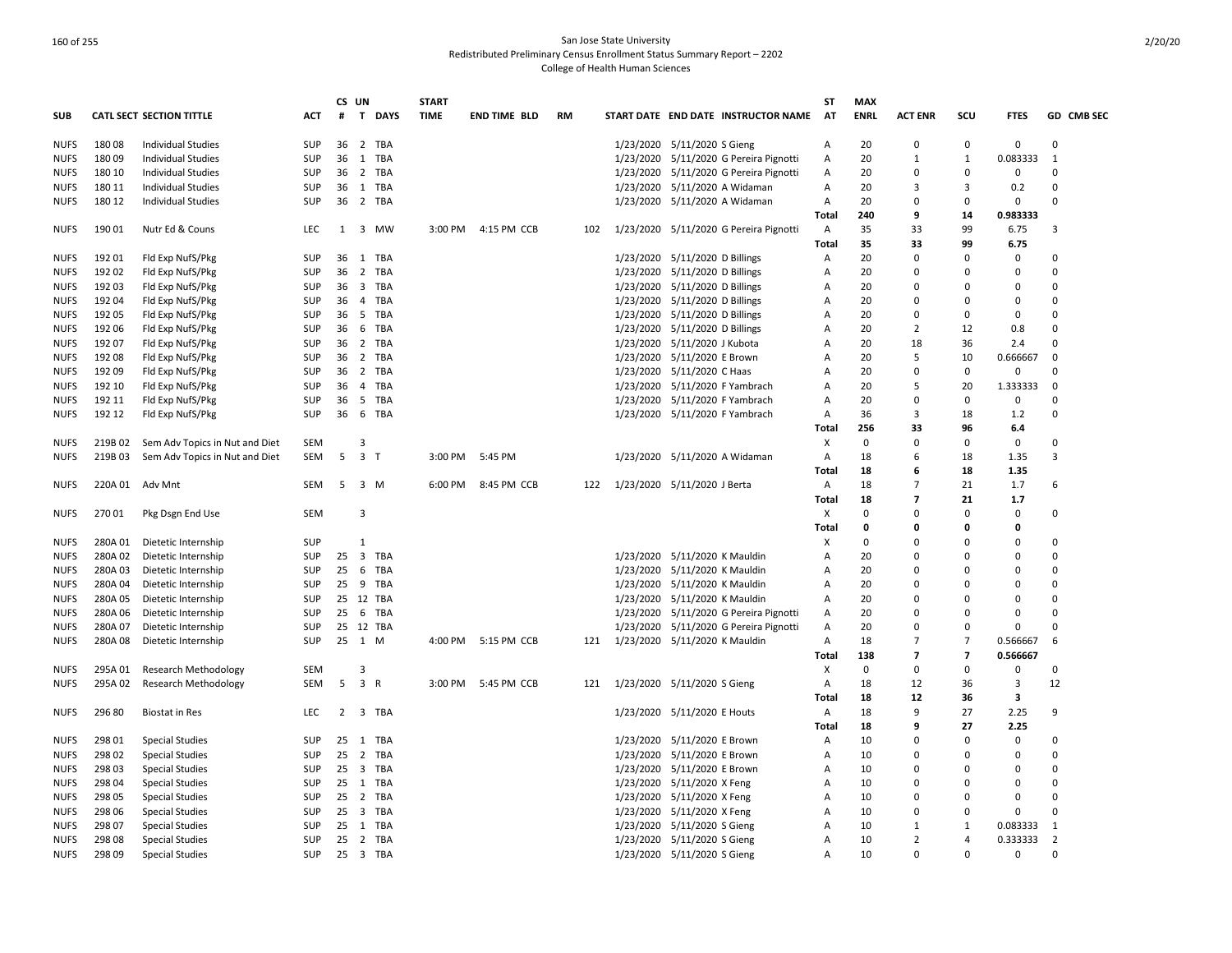|             |         |                                 |            |    | CS UN                   |             | <b>START</b> |                     |           |     |                               |                                |                                        | <b>ST</b>      | <b>MAX</b>  |                |                |             |                |
|-------------|---------|---------------------------------|------------|----|-------------------------|-------------|--------------|---------------------|-----------|-----|-------------------------------|--------------------------------|----------------------------------------|----------------|-------------|----------------|----------------|-------------|----------------|
| <b>SUB</b>  |         | <b>CATL SECT SECTION TITTLE</b> | <b>ACT</b> | #  | $\mathbf{T}$            | <b>DAYS</b> | <b>TIME</b>  | <b>END TIME BLD</b> | <b>RM</b> |     |                               |                                | START DATE END DATE INSTRUCTOR NAME    | <b>AT</b>      | <b>ENRL</b> | <b>ACT ENR</b> | SCU            | <b>FTES</b> | GD CMB SEC     |
| <b>NUFS</b> | 18008   | <b>Individual Studies</b>       | SUP        | 36 | 2                       | TBA         |              |                     |           |     |                               | 1/23/2020 5/11/2020 S Gieng    |                                        | Α              | 20          | $\Omega$       | $\Omega$       | 0           | $\Omega$       |
| <b>NUFS</b> | 18009   | Individual Studies              | SUP        | 36 | 1 TBA                   |             |              |                     |           |     |                               |                                | 1/23/2020 5/11/2020 G Pereira Pignotti | Α              | 20          | 1              | $\mathbf{1}$   | 0.083333    | $\mathbf{1}$   |
| <b>NUFS</b> | 180 10  | <b>Individual Studies</b>       | <b>SUP</b> | 36 | 2 TBA                   |             |              |                     |           |     |                               |                                | 1/23/2020 5/11/2020 G Pereira Pignotti | $\overline{A}$ | 20          | $\Omega$       | $\Omega$       | 0           | $\Omega$       |
| <b>NUFS</b> | 180 11  | <b>Individual Studies</b>       | SUP        | 36 | 1 TBA                   |             |              |                     |           |     |                               |                                | 1/23/2020 5/11/2020 A Widaman          | Α              | 20          | 3              | 3              | 0.2         | $\Omega$       |
| <b>NUFS</b> | 180 12  | <b>Individual Studies</b>       | <b>SUP</b> | 36 | 2 TBA                   |             |              |                     |           |     |                               |                                | 1/23/2020 5/11/2020 A Widaman          | $\mathsf{A}$   | 20          | $\Omega$       | $\Omega$       | $\Omega$    | $\Omega$       |
|             |         |                                 |            |    |                         |             |              |                     |           |     |                               |                                |                                        | Total          | 240         | 9              | 14             | 0.983333    |                |
| <b>NUFS</b> | 19001   | Nutr Ed & Couns                 | LEC        | 1  |                         | 3 MW        | 3:00 PM      | 4:15 PM CCB         |           | 102 |                               |                                | 1/23/2020 5/11/2020 G Pereira Pignotti | Α              | 35          | 33             | 99             | 6.75        | 3              |
|             |         |                                 |            |    |                         |             |              |                     |           |     |                               |                                |                                        | Total          | 35          | 33             | 99             | 6.75        |                |
| <b>NUFS</b> | 192 01  | Fld Exp NufS/Pkg                | <b>SUP</b> | 36 | 1                       | TBA         |              |                     |           |     |                               | 1/23/2020 5/11/2020 D Billings |                                        | $\mathsf{A}$   | 20          | $\Omega$       | $\Omega$       | $\Omega$    | $\Omega$       |
| <b>NUFS</b> | 192 02  | Fld Exp NufS/Pkg                | <b>SUP</b> | 36 | $\overline{2}$          | <b>TBA</b>  |              |                     |           |     |                               | 1/23/2020 5/11/2020 D Billings |                                        | Α              | 20          | 0              | $\Omega$       | $\Omega$    | $\Omega$       |
| <b>NUFS</b> | 192 03  | Fld Exp NufS/Pkg                | SUP        | 36 |                         | 3 TBA       |              |                     |           |     |                               | 1/23/2020 5/11/2020 D Billings |                                        | Α              | 20          | $\Omega$       | $\Omega$       | $\Omega$    | $\Omega$       |
| <b>NUFS</b> | 192 04  | Fld Exp NufS/Pkg                | SUP        | 36 | $\overline{4}$          | TBA         |              |                     |           |     |                               | 1/23/2020 5/11/2020 D Billings |                                        | Α              | 20          | $\Omega$       | $\Omega$       | 0           | $\Omega$       |
| <b>NUFS</b> | 192 05  | Fld Exp NufS/Pkg                | <b>SUP</b> | 36 | 5                       | <b>TBA</b>  |              |                     |           |     |                               | 1/23/2020 5/11/2020 D Billings |                                        | Α              | 20          | O              | $\Omega$       | $\Omega$    | $\Omega$       |
| <b>NUFS</b> | 192 06  | Fld Exp NufS/Pkg                | <b>SUP</b> | 36 | 6                       | TBA         |              |                     |           |     | 1/23/2020                     | 5/11/2020 D Billings           |                                        | Α              | 20          | $\overline{2}$ | 12             | 0.8         | 0              |
| <b>NUFS</b> | 192 07  | Fld Exp NufS/Pkg                | <b>SUP</b> | 36 | 2 TBA                   |             |              |                     |           |     | 1/23/2020                     | 5/11/2020 J Kubota             |                                        | Α              | 20          | 18             | 36             | 2.4         | 0              |
| <b>NUFS</b> | 192 08  | Fld Exp NufS/Pkg                | <b>SUP</b> | 36 | 2 TBA                   |             |              |                     |           |     |                               | 1/23/2020 5/11/2020 E Brown    |                                        | A              | 20          | 5              | 10             | 0.666667    | 0              |
| <b>NUFS</b> | 19209   | Fld Exp NufS/Pkg                | SUP        | 36 | 2 TBA                   |             |              |                     |           |     |                               | 1/23/2020 5/11/2020 C Haas     |                                        | Α              | 20          | $\Omega$       | 0              | 0           | $\Omega$       |
| <b>NUFS</b> | 192 10  | Fld Exp NufS/Pkg                | SUP        | 36 | $\overline{4}$          | TBA         |              |                     |           |     |                               |                                | 1/23/2020 5/11/2020 F Yambrach         | A              | 20          | 5              | 20             | 1.333333    | 0              |
| <b>NUFS</b> | 192 11  | Fld Exp NufS/Pkg                | <b>SUP</b> | 36 | 5                       | TBA         |              |                     |           |     |                               |                                | 1/23/2020 5/11/2020 F Yambrach         | A              | 20          | $\Omega$       | $\Omega$       | 0           | $\Omega$       |
| <b>NUFS</b> | 192 12  | Fld Exp NufS/Pkg                | SUP        | 36 | 6 TBA                   |             |              |                     |           |     |                               |                                | 1/23/2020 5/11/2020 F Yambrach         | Α              | 36          | 3              | 18             | 1.2         | $\Omega$       |
|             |         |                                 |            |    |                         |             |              |                     |           |     |                               |                                |                                        | Total          | 256         | 33             | 96             | 6.4         |                |
| <b>NUFS</b> | 219B 02 | Sem Adv Topics in Nut and Diet  | SEM        |    | 3                       |             |              |                     |           |     |                               |                                |                                        | Х              | $\mathbf 0$ | O              | 0              | 0           | $\Omega$       |
| <b>NUFS</b> | 219B 03 | Sem Adv Topics in Nut and Diet  | SEM        | 5  | $\overline{\mathbf{3}}$ | $\top$      | 3:00 PM      | 5:45 PM             |           |     |                               |                                | 1/23/2020 5/11/2020 A Widaman          | Α              | 18          | 6              | 18             | 1.35        | 3              |
|             |         |                                 |            |    |                         |             |              |                     |           |     |                               |                                |                                        | Total          | 18          | 6              | 18             | 1.35        |                |
| <b>NUFS</b> | 220A 01 | Adv Mnt                         | <b>SEM</b> | 5  | 3 M                     |             | 6:00 PM      | 8:45 PM CCB         |           | 122 | 1/23/2020 5/11/2020 J Berta   |                                |                                        | $\mathsf{A}$   | 18          | $\overline{7}$ | 21             | 1.7         | 6              |
|             |         |                                 |            |    |                         |             |              |                     |           |     |                               |                                |                                        | Total          | 18          | 7              | 21             | 1.7         |                |
| <b>NUFS</b> | 27001   | Pkg Dsgn End Use                | <b>SEM</b> |    | 3                       |             |              |                     |           |     |                               |                                |                                        | X              | $\mathbf 0$ |                | $\Omega$       | $\Omega$    | $\Omega$       |
|             |         |                                 |            |    |                         |             |              |                     |           |     |                               |                                |                                        | Total          | $\mathbf 0$ | 0              | 0              | 0           |                |
| <b>NUFS</b> | 280A 01 | Dietetic Internship             | SUP        |    | 1                       |             |              |                     |           |     |                               |                                |                                        | х              | $\mathbf 0$ | 0              | $\Omega$       | 0           | $\Omega$       |
| <b>NUFS</b> | 280A 02 | Dietetic Internship             | SUP        | 25 | $\overline{\mathbf{3}}$ | TBA         |              |                     |           |     |                               | 1/23/2020 5/11/2020 K Mauldin  |                                        | Α              | 20          | 0              | $\Omega$       | 0           | 0              |
| <b>NUFS</b> | 280A03  | Dietetic Internship             | SUP        | 25 | 6                       | TBA         |              |                     |           |     |                               | 1/23/2020 5/11/2020 K Mauldin  |                                        | A              | 20          | <sup>0</sup>   | $\Omega$       | $\Omega$    | $\Omega$       |
| <b>NUFS</b> | 280A 04 | Dietetic Internship             | <b>SUP</b> | 25 | 9                       | <b>TBA</b>  |              |                     |           |     | 1/23/2020                     |                                | 5/11/2020 K Mauldin                    | A              | 20          | 0              | $\Omega$       | $\Omega$    | $\Omega$       |
| <b>NUFS</b> | 280A 05 | Dietetic Internship             | <b>SUP</b> | 25 | 12 TBA                  |             |              |                     |           |     |                               | 1/23/2020 5/11/2020 K Mauldin  |                                        | A              | 20          | <sup>0</sup>   | $\Omega$       | $\Omega$    | $\Omega$       |
| <b>NUFS</b> | 280A 06 | Dietetic Internship             | <b>SUP</b> | 25 | 6                       | TBA         |              |                     |           |     |                               |                                | 1/23/2020 5/11/2020 G Pereira Pignotti | A              | 20          | $\Omega$       | $\Omega$       | $\Omega$    | $\Omega$       |
| <b>NUFS</b> | 280A 07 | Dietetic Internship             | <b>SUP</b> | 25 | 12 TBA                  |             |              |                     |           |     |                               |                                | 1/23/2020 5/11/2020 G Pereira Pignotti | Α              | 20          | n              | $\Omega$       | $\Omega$    | $\Omega$       |
| <b>NUFS</b> | 280A08  | Dietetic Internship             | <b>SUP</b> | 25 | 1 M                     |             |              | 4:00 PM 5:15 PM CCB |           | 121 | 1/23/2020 5/11/2020 K Mauldin |                                |                                        | Α              | 18          | $\overline{7}$ | $\overline{7}$ | 0.566667    | 6              |
|             |         |                                 |            |    |                         |             |              |                     |           |     |                               |                                |                                        | Total          | 138         | 7              | $\overline{7}$ | 0.566667    |                |
| <b>NUFS</b> | 295A 01 | <b>Research Methodology</b>     | <b>SEM</b> |    | 3                       |             |              |                     |           |     |                               |                                |                                        | X              | $\mathbf 0$ | $\Omega$       | $\Omega$       | 0           | $\Omega$       |
| <b>NUFS</b> | 295A 02 | <b>Research Methodology</b>     | SEM        | 5  | 3 R                     |             | 3:00 PM      | 5:45 PM CCB         |           | 121 | 1/23/2020 5/11/2020 S Gieng   |                                |                                        | Α              | 18          | 12             | 36             | 3           | 12             |
|             |         |                                 |            |    |                         |             |              |                     |           |     |                               |                                |                                        | Total          | 18          | 12             | 36             | 3           |                |
| <b>NUFS</b> | 296 80  | <b>Biostat in Res</b>           | LEC        | 2  | 3 TBA                   |             |              |                     |           |     |                               | 1/23/2020 5/11/2020 E Houts    |                                        | Α              | 18          | 9              | 27             | 2.25        | 9              |
|             |         |                                 |            |    |                         |             |              |                     |           |     |                               |                                |                                        | Total          | 18          | q              | 27             | 2.25        |                |
| <b>NUFS</b> | 298 01  | <b>Special Studies</b>          | SUP        | 25 | 1 TBA                   |             |              |                     |           |     |                               | 1/23/2020 5/11/2020 E Brown    |                                        | Α              | 10          | 0              | $\Omega$       | 0           | 0              |
| <b>NUFS</b> | 298 02  | <b>Special Studies</b>          | <b>SUP</b> | 25 | 2 TBA                   |             |              |                     |           |     |                               | 1/23/2020 5/11/2020 E Brown    |                                        | Α              | 10          | <sup>0</sup>   | $\Omega$       | 0           | $\Omega$       |
| <b>NUFS</b> | 298 03  | <b>Special Studies</b>          | <b>SUP</b> | 25 | $\overline{\mathbf{3}}$ | TBA         |              |                     |           |     | 1/23/2020                     | 5/11/2020 E Brown              |                                        | Α              | 10          | 0              | $\Omega$       | $\Omega$    | $\Omega$       |
| <b>NUFS</b> | 298 04  | <b>Special Studies</b>          | <b>SUP</b> | 25 | 1 TBA                   |             |              |                     |           |     |                               | 1/23/2020 5/11/2020 X Feng     |                                        | Α              | 10          | <sup>0</sup>   | $\Omega$       | $\Omega$    | $\Omega$       |
| <b>NUFS</b> | 298 05  | <b>Special Studies</b>          | <b>SUP</b> | 25 | 2 TBA                   |             |              |                     |           |     |                               | 1/23/2020 5/11/2020 X Feng     |                                        | $\overline{A}$ | 10          | C              | $\Omega$       | $\Omega$    | $\Omega$       |
| <b>NUFS</b> | 298 06  | <b>Special Studies</b>          | SUP        | 25 | $\overline{\mathbf{3}}$ | <b>TBA</b>  |              |                     |           |     |                               | 1/23/2020 5/11/2020 X Feng     |                                        | Α              | 10          | n              | $\Omega$       | $\Omega$    | $\Omega$       |
| <b>NUFS</b> | 298 07  | <b>Special Studies</b>          | SUP        | 25 | 1                       | TBA         |              |                     |           |     |                               | 1/23/2020 5/11/2020 S Gieng    |                                        | $\overline{A}$ | 10          | 1              | 1              | 0.083333    | 1              |
| <b>NUFS</b> | 298 08  | <b>Special Studies</b>          | <b>SUP</b> | 25 | 2 TBA                   |             |              |                     |           |     |                               | 1/23/2020 5/11/2020 S Gieng    |                                        | Α              | 10          | $\overline{2}$ | $\overline{4}$ | 0.333333    | $\overline{2}$ |
| <b>NUFS</b> | 298 09  | <b>Special Studies</b>          | <b>SUP</b> | 25 | 3 TBA                   |             |              |                     |           |     |                               | 1/23/2020 5/11/2020 S Gieng    |                                        | A              | 10          | $\Omega$       | $\Omega$       | 0           | $\Omega$       |
|             |         |                                 |            |    |                         |             |              |                     |           |     |                               |                                |                                        |                |             |                |                |             |                |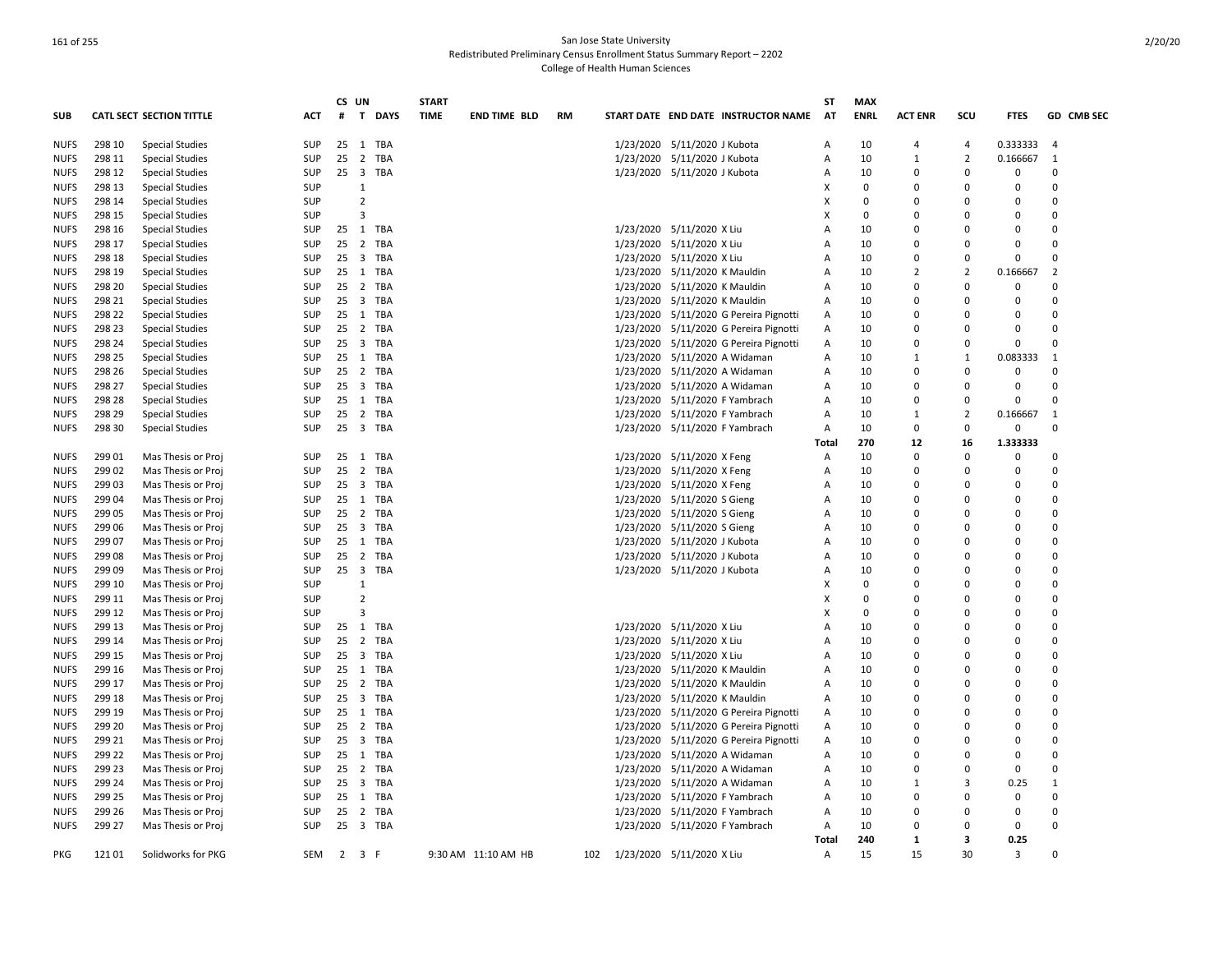|             |        |                                 |            |    | CS UN                   |             | <b>START</b> |                     |           |           |                                        | <b>ST</b>      | <b>MAX</b>  |                |                |             |                |
|-------------|--------|---------------------------------|------------|----|-------------------------|-------------|--------------|---------------------|-----------|-----------|----------------------------------------|----------------|-------------|----------------|----------------|-------------|----------------|
| <b>SUB</b>  |        | <b>CATL SECT SECTION TITTLE</b> | ACT        | #  | T                       | <b>DAYS</b> | <b>TIME</b>  | <b>END TIME BLD</b> | <b>RM</b> |           | START DATE END DATE INSTRUCTOR NAME    | AT             | <b>ENRL</b> | <b>ACT ENR</b> | SCU            | <b>FTES</b> | GD CMB SEC     |
| <b>NUFS</b> | 298 10 | <b>Special Studies</b>          | SUP        | 25 | 1                       | TBA         |              |                     |           |           | 1/23/2020 5/11/2020 J Kubota           | Α              | 10          | 4              | $\overline{4}$ | 0.333333    | $\overline{4}$ |
| <b>NUFS</b> | 298 11 | <b>Special Studies</b>          | SUP        | 25 | $\overline{2}$          | TBA         |              |                     |           |           | 1/23/2020 5/11/2020 J Kubota           | Α              | 10          | $\mathbf{1}$   | $\overline{2}$ | 0.166667    | 1              |
| <b>NUFS</b> | 298 12 | <b>Special Studies</b>          | <b>SUP</b> | 25 | $\overline{\mathbf{3}}$ | TBA         |              |                     |           |           | 1/23/2020 5/11/2020 J Kubota           | Α              | 10          | $\Omega$       | $\Omega$       | $\Omega$    | $\Omega$       |
| <b>NUFS</b> | 298 13 | <b>Special Studies</b>          | SUP        |    | $\mathbf{1}$            |             |              |                     |           |           |                                        | X              | $\Omega$    | <sup>0</sup>   | $\Omega$       | $\Omega$    | $\Omega$       |
| <b>NUFS</b> | 298 14 | <b>Special Studies</b>          | SUP        |    | $\overline{2}$          |             |              |                     |           |           |                                        | X              | $\mathbf 0$ | O              | $\Omega$       | 0           | $\Omega$       |
| <b>NUFS</b> | 298 15 | <b>Special Studies</b>          | SUP        |    | 3                       |             |              |                     |           |           |                                        | X              | 0           | 0              | $\Omega$       | $\Omega$    | 0              |
| <b>NUFS</b> | 298 16 | <b>Special Studies</b>          | SUP        | 25 | 1                       | TBA         |              |                     |           |           | 1/23/2020 5/11/2020 X Liu              | A              | 10          | $\Omega$       | $\Omega$       | 0           | $\Omega$       |
| <b>NUFS</b> | 298 17 | <b>Special Studies</b>          | SUP        | 25 | $\overline{2}$          | TBA         |              |                     |           |           | 1/23/2020 5/11/2020 X Liu              | A              | 10          | $\Omega$       | $\Omega$       | $\Omega$    | $\Omega$       |
| <b>NUFS</b> | 298 18 | <b>Special Studies</b>          | <b>SUP</b> | 25 | $\overline{\mathbf{3}}$ | TBA         |              |                     |           |           | 1/23/2020 5/11/2020 X Liu              | A              | 10          | ŋ              | $\Omega$       | $\Omega$    | $\Omega$       |
| <b>NUFS</b> | 298 19 | <b>Special Studies</b>          | SUP        | 25 | 1                       | <b>TBA</b>  |              |                     |           | 1/23/2020 | 5/11/2020 K Mauldin                    | Α              | 10          | $\overline{2}$ | $\overline{2}$ | 0.166667    | $\overline{2}$ |
| <b>NUFS</b> | 298 20 | <b>Special Studies</b>          | <b>SUP</b> | 25 |                         | 2 TBA       |              |                     |           |           | 1/23/2020 5/11/2020 K Mauldin          | A              | 10          | O              | $\Omega$       | $\mathbf 0$ | $\Omega$       |
| <b>NUFS</b> | 298 21 | <b>Special Studies</b>          | SUP        | 25 |                         | 3 TBA       |              |                     |           |           | 1/23/2020 5/11/2020 K Mauldin          | Α              | 10          | 0              | $\Omega$       | 0           | $\Omega$       |
| <b>NUFS</b> | 298 22 | <b>Special Studies</b>          | SUP        | 25 |                         | 1 TBA       |              |                     |           |           | 1/23/2020 5/11/2020 G Pereira Pignotti | A              | 10          | $\Omega$       | $\Omega$       | O           | $\Omega$       |
| <b>NUFS</b> | 298 23 | <b>Special Studies</b>          | SUP        | 25 | $\overline{2}$          | TBA         |              |                     |           | 1/23/2020 | 5/11/2020 G Pereira Pignotti           | A              | 10          | 0              | $\Omega$       | $\Omega$    | $\Omega$       |
| <b>NUFS</b> | 298 24 | <b>Special Studies</b>          | <b>SUP</b> | 25 |                         | 3 TBA       |              |                     |           |           | 1/23/2020 5/11/2020 G Pereira Pignotti | A              | 10          | <sup>0</sup>   | $\Omega$       | $\Omega$    | $\Omega$       |
| <b>NUFS</b> | 298 25 | <b>Special Studies</b>          | <b>SUP</b> | 25 |                         | 1 TBA       |              |                     |           |           | 1/23/2020 5/11/2020 A Widaman          | Α              | 10          | $\mathbf{1}$   | 1              | 0.083333    | $\mathbf{1}$   |
| <b>NUFS</b> | 298 26 | <b>Special Studies</b>          | SUP        | 25 | $\overline{2}$          | <b>TBA</b>  |              |                     |           |           | 1/23/2020 5/11/2020 A Widaman          | Α              | 10          | $\Omega$       | $\Omega$       | $\mathbf 0$ | $\Omega$       |
| <b>NUFS</b> | 298 27 | <b>Special Studies</b>          | SUP        | 25 | $\overline{\mathbf{3}}$ | TBA         |              |                     |           |           | 1/23/2020 5/11/2020 A Widaman          | Α              | 10          | 0              | $\Omega$       | 0           | $\Omega$       |
| <b>NUFS</b> | 298 28 | <b>Special Studies</b>          | <b>SUP</b> | 25 |                         | 1 TBA       |              |                     |           | 1/23/2020 | 5/11/2020 F Yambrach                   | Α              | 10          | $\Omega$       | $\Omega$       | 0           | $\Omega$       |
| <b>NUFS</b> | 298 29 | <b>Special Studies</b>          | <b>SUP</b> | 25 | $\overline{2}$          | TBA         |              |                     |           |           | 1/23/2020 5/11/2020 F Yambrach         | $\overline{A}$ | 10          | $\mathbf{1}$   | $\overline{2}$ | 0.166667    | $\mathbf{1}$   |
| <b>NUFS</b> | 298 30 | <b>Special Studies</b>          | <b>SUP</b> | 25 | 3 TBA                   |             |              |                     |           |           | 1/23/2020 5/11/2020 F Yambrach         | A              | 10          | 0              | $\Omega$       | $\mathbf 0$ | $\Omega$       |
|             |        |                                 |            |    |                         |             |              |                     |           |           |                                        | Total          | 270         | 12             | 16             | 1.333333    |                |
| <b>NUFS</b> | 299 01 | Mas Thesis or Proj              | SUP        | 25 | 1 TBA                   |             |              |                     |           |           | 1/23/2020 5/11/2020 X Feng             | Α              | 10          | 0              | $\Omega$       | 0           | 0              |
| <b>NUFS</b> | 299 02 | Mas Thesis or Proj              | <b>SUP</b> | 25 |                         | 2 TBA       |              |                     |           |           | 1/23/2020 5/11/2020 X Feng             | Α              | 10          | $\Omega$       | $\Omega$       | $\Omega$    | $\Omega$       |
| <b>NUFS</b> | 299 03 | Mas Thesis or Proj              | SUP        | 25 | $\overline{\mathbf{3}}$ | TBA         |              |                     |           |           | 1/23/2020 5/11/2020 X Feng             | Α              | 10          | 0              | $\Omega$       | $\Omega$    | $\Omega$       |
| <b>NUFS</b> | 299 04 | Mas Thesis or Proj              | SUP        | 25 |                         | 1 TBA       |              |                     |           |           | 1/23/2020 5/11/2020 S Gieng            | A              | 10          | ŋ              | $\Omega$       | O           | $\Omega$       |
| <b>NUFS</b> | 299 05 | Mas Thesis or Proj              | <b>SUP</b> | 25 |                         | 2 TBA       |              |                     |           | 1/23/2020 | 5/11/2020 S Gieng                      | A              | 10          | ŋ              | $\Omega$       | $\Omega$    | $\Omega$       |
| <b>NUFS</b> | 299 06 | Mas Thesis or Proj              | SUP        | 25 |                         | 3 TBA       |              |                     |           |           | 1/23/2020 5/11/2020 S Gieng            | Α              | 10          | 0              | 0              | 0           | 0              |
| <b>NUFS</b> | 299 07 | Mas Thesis or Proj              | SUP        | 25 | 1                       | TBA         |              |                     |           |           | 1/23/2020 5/11/2020 J Kubota           | Α              | 10          | 0              | $\Omega$       | $\Omega$    | $\Omega$       |
| <b>NUFS</b> | 299 08 | Mas Thesis or Proj              | SUP        | 25 |                         | 2 TBA       |              |                     |           |           | 1/23/2020 5/11/2020 J Kubota           | A              | 10          | O              | $\Omega$       | $\Omega$    | $\Omega$       |
| <b>NUFS</b> | 299 09 | Mas Thesis or Proj              | SUP        | 25 | $\overline{\mathbf{3}}$ | TBA         |              |                     |           |           | 1/23/2020 5/11/2020 J Kubota           | A              | 10          | ŋ              | $\Omega$       | $\Omega$    | $\Omega$       |
| <b>NUFS</b> | 299 10 | Mas Thesis or Proj              | SUP        |    | $\mathbf{1}$            |             |              |                     |           |           |                                        | X              | $\mathbf 0$ | ŋ              | $\Omega$       | $\Omega$    | $\Omega$       |
| <b>NUFS</b> | 299 11 | Mas Thesis or Proj              | <b>SUP</b> |    | $\overline{2}$          |             |              |                     |           |           |                                        | X              | 0           | C              | $\Omega$       | $\Omega$    | $\Omega$       |
| <b>NUFS</b> | 299 12 | Mas Thesis or Proj              | <b>SUP</b> |    | 3                       |             |              |                     |           |           |                                        | x              | $\mathbf 0$ | 0              | $\Omega$       | $\Omega$    | $\Omega$       |
| <b>NUFS</b> | 299 13 | Mas Thesis or Proj              | SUP        | 25 | 1                       | TBA         |              |                     |           |           | 1/23/2020 5/11/2020 X Liu              | A              | 10          | 0              | $\Omega$       | 0           | $\Omega$       |
| <b>NUFS</b> | 299 14 | Mas Thesis or Proj              | SUP        | 25 | $\overline{2}$          | TBA         |              |                     |           |           | 1/23/2020 5/11/2020 X Liu              | Α              | 10          | 0              | $\Omega$       | $\Omega$    | $\Omega$       |
| <b>NUFS</b> | 299 15 | Mas Thesis or Proj              | <b>SUP</b> | 25 |                         | 3 TBA       |              |                     |           |           | 1/23/2020 5/11/2020 X Liu              | A              | 10          | O              | $\Omega$       | $\Omega$    | $\Omega$       |
| <b>NUFS</b> | 299 16 | Mas Thesis or Proj              | <b>SUP</b> | 25 |                         | 1 TBA       |              |                     |           | 1/23/2020 | 5/11/2020 K Mauldin                    | A              | 10          | O              | $\Omega$       | $\Omega$    | $\Omega$       |
| <b>NUFS</b> | 299 17 | Mas Thesis or Proj              | <b>SUP</b> | 25 |                         | 2 TBA       |              |                     |           |           | 1/23/2020 5/11/2020 K Mauldin          | A              | 10          | O              | $\Omega$       | O           | $\Omega$       |
| <b>NUFS</b> | 299 18 | Mas Thesis or Proj              | SUP        | 25 |                         | 3 TBA       |              |                     |           | 1/23/2020 | 5/11/2020 K Mauldin                    | Α              | 10          | 0              | $\Omega$       | 0           | 0              |
| <b>NUFS</b> | 299 19 | Mas Thesis or Proj              | <b>SUP</b> | 25 |                         | 1 TBA       |              |                     |           | 1/23/2020 | 5/11/2020 G Pereira Pignotti           | Α              | 10          | $\Omega$       | $\Omega$       | $\Omega$    | $\Omega$       |
| <b>NUFS</b> | 299 20 | Mas Thesis or Proj              | <b>SUP</b> | 25 |                         | 2 TBA       |              |                     |           | 1/23/2020 | 5/11/2020 G Pereira Pignotti           | Α              | 10          | ŋ              | $\Omega$       | $\Omega$    | $\Omega$       |
| <b>NUFS</b> | 299 21 | Mas Thesis or Proj              | SUP        | 25 |                         | 3 TBA       |              |                     |           |           | 1/23/2020 5/11/2020 G Pereira Pignotti | A              | 10          | ŋ              | $\Omega$       | $\Omega$    | $\Omega$       |
| <b>NUFS</b> | 299 22 | Mas Thesis or Proj              | <b>SUP</b> | 25 | 1                       | TBA         |              |                     |           |           | 1/23/2020 5/11/2020 A Widaman          | Α              | 10          | O              | $\Omega$       | $\Omega$    | $\Omega$       |
| <b>NUFS</b> | 299 23 | Mas Thesis or Proj              | SUP        | 25 | $\overline{2}$          | TBA         |              |                     |           | 1/23/2020 | 5/11/2020 A Widaman                    | Α              | 10          | $\Omega$       | $\Omega$       | $\mathbf 0$ | 0              |
| <b>NUFS</b> | 299 24 | Mas Thesis or Proj              | SUP        | 25 | $\overline{\mathbf{3}}$ | TBA         |              |                     |           | 1/23/2020 | 5/11/2020 A Widaman                    | Α              | 10          | $\mathbf{1}$   | 3              | 0.25        | 1              |
| <b>NUFS</b> | 299 25 | Mas Thesis or Proj              | SUP        | 25 |                         | 1 TBA       |              |                     |           |           | 1/23/2020 5/11/2020 F Yambrach         | Α              | 10          | $\Omega$       | $\Omega$       | $\mathbf 0$ | $\Omega$       |
| <b>NUFS</b> | 299 26 | Mas Thesis or Proj              | <b>SUP</b> | 25 | $\overline{2}$          | TBA         |              |                     |           | 1/23/2020 | 5/11/2020 F Yambrach                   | A              | 10          | 0              | $\Omega$       | $\Omega$    | $\Omega$       |
| <b>NUFS</b> | 299 27 | Mas Thesis or Proj              | <b>SUP</b> | 25 | 3 TBA                   |             |              |                     |           |           | 1/23/2020 5/11/2020 F Yambrach         | Α              | 10          | O              | $\Omega$       | $\mathbf 0$ | $\Omega$       |
|             |        |                                 |            |    |                         |             |              |                     |           |           |                                        | Total          | 240         | $\mathbf{1}$   | з              | 0.25        |                |
| <b>PKG</b>  | 12101  | Solidworks for PKG              | SEM        |    | $2 \quad 3 \quad F$     |             |              | 9:30 AM 11:10 AM HB | 102       |           | 1/23/2020 5/11/2020 X Liu              | Α              | 15          | 15             | 30             | 3           | $\Omega$       |
|             |        |                                 |            |    |                         |             |              |                     |           |           |                                        |                |             |                |                |             |                |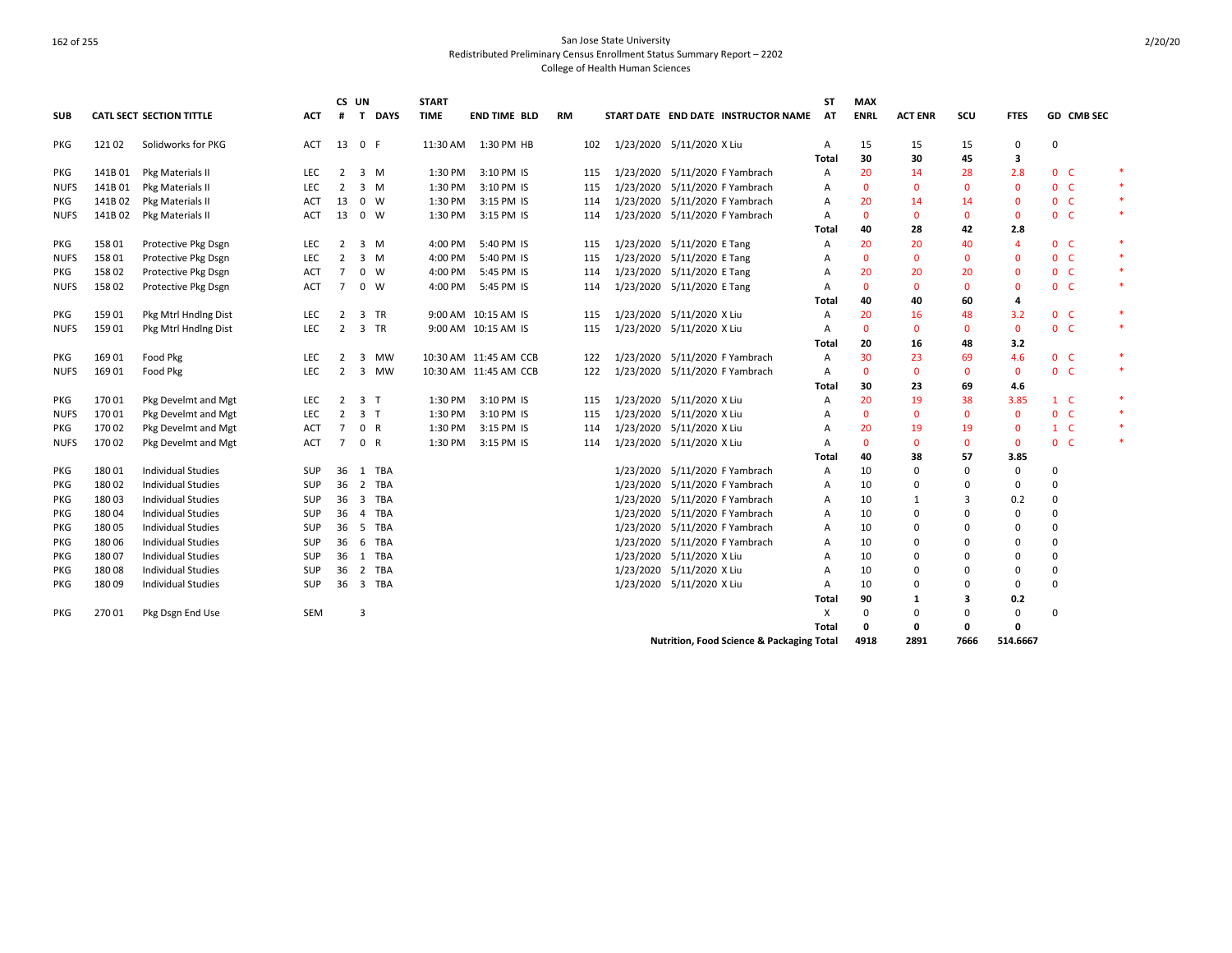|             |         |                                 |            | CS UN           |                         |             | <b>START</b> |                       |           |     |                                                      | <b>ST</b> | <b>MAX</b>   |                |              |                |                |            |        |
|-------------|---------|---------------------------------|------------|-----------------|-------------------------|-------------|--------------|-----------------------|-----------|-----|------------------------------------------------------|-----------|--------------|----------------|--------------|----------------|----------------|------------|--------|
| <b>SUB</b>  |         | <b>CATL SECT SECTION TITTLE</b> | <b>ACT</b> | #               |                         | T DAYS      | <b>TIME</b>  | <b>END TIME BLD</b>   | <b>RM</b> |     | START DATE END DATE INSTRUCTOR NAME                  | AT        | <b>ENRL</b>  | <b>ACT ENR</b> | scu          | <b>FTES</b>    |                | GD CMB SEC |        |
| <b>PKG</b>  | 12102   | Solidworks for PKG              | ACT        | 13 0 F          |                         |             |              | 11:30 AM  1:30 PM HB  |           | 102 | 1/23/2020 5/11/2020 X Liu                            | Α         | 15           | 15             | 15           | 0              | $\mathbf 0$    |            |        |
|             |         |                                 |            |                 |                         |             |              |                       |           |     |                                                      | Total     | 30           | 30             | 45           | 3              |                |            |        |
| PKG         | 141B01  | Pkg Materials II                | LEC        | 2               |                         | 3 M         | 1:30 PM      | 3:10 PM IS            |           | 115 | 1/23/2020 5/11/2020 F Yambrach                       | A         | 20           | 14             | 28           | 2.8            | 0 <sup>o</sup> |            | $\ast$ |
| <b>NUFS</b> | 141B 01 | Pkg Materials II                | <b>LEC</b> | 2               |                         | 3 M         | 1:30 PM      | 3:10 PM IS            |           | 115 | 1/23/2020 5/11/2020 F Yambrach                       | A         | $\Omega$     | $\Omega$       | $\Omega$     | $\Omega$       | 0 <sup>o</sup> |            | $\ast$ |
| PKG         | 141B02  | Pkg Materials II                | ACT        | 13              |                         | $0 \quad W$ | 1:30 PM      | 3:15 PM IS            |           | 114 | 1/23/2020 5/11/2020 F Yambrach                       | A         | 20           | 14             | 14           | $\mathbf{0}$   | 0 <sub>c</sub> |            | $\ast$ |
| <b>NUFS</b> | 141B 02 | Pkg Materials II                | ACT        | 13              |                         | 0 W         | 1:30 PM      | 3:15 PM IS            |           | 114 | 1/23/2020 5/11/2020 F Yambrach                       | A         | $\mathbf{0}$ | $\mathbf{0}$   | $\mathbf{0}$ | $\mathbf{0}$   | 0 <sup>o</sup> |            | $\ast$ |
|             |         |                                 |            |                 |                         |             |              |                       |           |     |                                                      | Total     | 40           | 28             | 42           | 2.8            |                |            |        |
| <b>PKG</b>  | 158 01  | Protective Pkg Dsgn             | <b>LEC</b> | 2               |                         | 3 M         | 4:00 PM      | 5:40 PM IS            |           | 115 | 1/23/2020 5/11/2020 E Tang                           | A         | 20           | 20             | 40           | $\overline{4}$ | 0 <sup>o</sup> |            | $\ast$ |
| <b>NUFS</b> | 158 01  | Protective Pkg Dsgn             | <b>LEC</b> | 2               |                         | 3 M         | 4:00 PM      | 5:40 PM IS            |           | 115 | 1/23/2020 5/11/2020 E Tang                           | Α         | $\mathbf{0}$ | $\mathbf{0}$   | $\mathbf{0}$ | $\mathbf{0}$   | 0 <sub>c</sub> |            |        |
| <b>PKG</b>  | 158 02  | Protective Pkg Dsgn             | <b>ACT</b> | $\overline{7}$  |                         | $0 \quad W$ | 4:00 PM      | 5:45 PM IS            |           | 114 | 1/23/2020 5/11/2020 E Tang                           | A         | 20           | 20             | 20           | $\mathbf{0}$   | 0 <sup>o</sup> |            | $\ast$ |
| <b>NUFS</b> | 158 02  | Protective Pkg Dsgn             | <b>ACT</b> | $\overline{7}$  |                         | $0 \quad W$ | 4:00 PM      | 5:45 PM IS            |           | 114 | 1/23/2020 5/11/2020 E Tang                           | A         | $\Omega$     | $\mathbf{0}$   | $\mathbf{0}$ | $\mathbf{0}$   | 0 <sup>o</sup> |            | $\ast$ |
|             |         |                                 |            |                 |                         |             |              |                       |           |     |                                                      | Total     | 40           | 40             | 60           | 4              |                |            |        |
| <b>PKG</b>  | 15901   | Pkg Mtrl Hndlng Dist            | <b>LEC</b> | 2               | 3                       | <b>TR</b>   |              | 9:00 AM 10:15 AM IS   |           | 115 | 1/23/2020 5/11/2020 X Liu                            | A         | 20           | 16             | 48           | 3.2            | 0 <sup>o</sup> |            | $\ast$ |
| <b>NUFS</b> | 15901   | Pkg Mtrl Hndlng Dist            | <b>LEC</b> | 2               |                         | 3 TR        |              | 9:00 AM 10:15 AM IS   |           | 115 | 1/23/2020 5/11/2020 X Liu                            | A         | $\Omega$     | $\mathbf{0}$   | $\mathbf{0}$ | $\mathbf{0}$   | 0 <sup>o</sup> |            | $\ast$ |
|             |         |                                 |            |                 |                         |             |              |                       |           |     |                                                      | Total     | 20           | 16             | 48           | 3.2            |                |            |        |
| <b>PKG</b>  | 169 01  | Food Pkg                        | <b>LEC</b> | 2               | 3                       | MW          |              | 10:30 AM 11:45 AM CCB |           | 122 | 1/23/2020 5/11/2020 F Yambrach                       | A         | 30           | 23             | 69           | 4.6            | 0 <sup>o</sup> |            | $\ast$ |
| <b>NUFS</b> | 169 01  | Food Pkg                        | <b>LEC</b> | 2               | 3                       | <b>MW</b>   |              | 10:30 AM 11:45 AM CCB |           | 122 | 1/23/2020 5/11/2020 F Yambrach                       | A         | $\mathbf{0}$ | $\mathbf{0}$   | $\mathbf{0}$ | $\mathbf{0}$   | 0 <sup>o</sup> |            | $\ast$ |
|             |         |                                 |            |                 |                         |             |              |                       |           |     |                                                      | Total     | 30           | 23             | 69           | 4.6            |                |            |        |
| PKG         | 17001   | Pkg Develmt and Mgt             | LEC        | $\overline{2}$  | 3 <sub>1</sub>          |             | 1:30 PM      | 3:10 PM IS            |           | 115 | 1/23/2020 5/11/2020 X Liu                            | Α         | 20           | 19             | 38           | 3.85           | 1 C            |            | $\ast$ |
| <b>NUFS</b> | 17001   | Pkg Develmt and Mgt             | <b>LEC</b> | $\overline{2}$  | 3 <sub>1</sub>          |             | 1:30 PM      | 3:10 PM IS            |           | 115 | 1/23/2020 5/11/2020 X Liu                            | A         | $\mathbf{0}$ | $\mathbf{0}$   | $\mathbf{0}$ | $\mathbf{0}$   | 0 <sup>o</sup> |            |        |
| <b>PKG</b>  | 17002   | Pkg Develmt and Mgt             | ACT        | $\overline{7}$  | 0 R                     |             | 1:30 PM      | 3:15 PM IS            |           | 114 | 1/23/2020 5/11/2020 X Liu                            | A         | 20           | 19             | 19           | $\mathbf{0}$   | $1 \quad C$    |            | $\ast$ |
| <b>NUFS</b> | 17002   | Pkg Develmt and Mgt             | <b>ACT</b> | $\overline{7}$  | 0 R                     |             | 1:30 PM      | 3:15 PM IS            |           | 114 | 1/23/2020 5/11/2020 X Liu                            | A         | $\Omega$     | $\mathbf{0}$   | $\mathbf{0}$ | $\mathbf{0}$   | 0 <sub>c</sub> |            | $\ast$ |
|             |         |                                 |            |                 |                         |             |              |                       |           |     |                                                      | Total     | 40           | 38             | 57           | 3.85           |                |            |        |
| PKG         | 18001   | <b>Individual Studies</b>       | <b>SUP</b> | 36              | 1                       | TBA         |              |                       |           |     | 1/23/2020 5/11/2020 F Yambrach                       | A         | 10           | 0              | $\Omega$     | $\mathbf 0$    | $\Omega$       |            |        |
| PKG         | 18002   | <b>Individual Studies</b>       | <b>SUP</b> | 36              | $\overline{2}$          | TBA         |              |                       |           |     | 1/23/2020 5/11/2020 F Yambrach                       | А         | 10           | 0              | 0            | 0              | $\Omega$       |            |        |
| PKG         | 18003   | <b>Individual Studies</b>       | <b>SUP</b> | 36 <sup>3</sup> |                         | <b>TBA</b>  |              |                       |           |     | 1/23/2020 5/11/2020 F Yambrach                       | Α         | 10           | 1              | 3            | 0.2            | 0              |            |        |
| <b>PKG</b>  | 18004   | <b>Individual Studies</b>       | <b>SUP</b> | 36              | $\overline{4}$          | TBA         |              |                       |           |     | 1/23/2020 5/11/2020 F Yambrach                       | A         | 10           | $\Omega$       | $\Omega$     | $\mathbf 0$    | 0              |            |        |
| <b>PKG</b>  | 18005   | <b>Individual Studies</b>       | <b>SUP</b> | 36              | - 5                     | <b>TBA</b>  |              |                       |           |     | 1/23/2020 5/11/2020 F Yambrach                       | A         | 10           | $\Omega$       | $\Omega$     | $\mathbf 0$    | 0              |            |        |
| PKG         | 18006   | <b>Individual Studies</b>       | <b>SUP</b> | 36              | 6                       | <b>TBA</b>  |              |                       |           |     | 1/23/2020 5/11/2020 F Yambrach                       | Α         | 10           | $\Omega$       | $\Omega$     | $\mathbf 0$    | $\mathbf 0$    |            |        |
| <b>PKG</b>  | 18007   | <b>Individual Studies</b>       | SUP        | 36              | 1                       | TBA         |              |                       |           |     | 1/23/2020 5/11/2020 X Liu                            | A         | 10           | 0              | $\Omega$     | $\mathbf 0$    | 0              |            |        |
| <b>PKG</b>  | 18008   | <b>Individual Studies</b>       | SUP        | 36              | $\overline{2}$          | TBA         |              |                       |           |     | 1/23/2020 5/11/2020 X Liu                            | A         | 10           | $\Omega$       | $\Omega$     | 0              | 0              |            |        |
| <b>PKG</b>  | 180 09  | <b>Individual Studies</b>       | <b>SUP</b> | 36              | $\overline{\mathbf{3}}$ | TBA         |              |                       |           |     | 1/23/2020 5/11/2020 X Liu                            | A         | 10           | $\Omega$       | $\Omega$     | $\mathbf 0$    | $\Omega$       |            |        |
|             |         |                                 |            |                 |                         |             |              |                       |           |     |                                                      | Total     | 90           | 1              | 3            | 0.2            |                |            |        |
| <b>PKG</b>  | 27001   | Pkg Dsgn End Use                | SEM        |                 | 3                       |             |              |                       |           |     |                                                      | X         | $\Omega$     | 0              | 0            | $\mathbf 0$    | $\Omega$       |            |        |
|             |         |                                 |            |                 |                         |             |              |                       |           |     |                                                      | Total     | 0            | $\mathbf 0$    | 0            | $\mathbf 0$    |                |            |        |
|             |         |                                 |            |                 |                         |             |              |                       |           |     | <b>Nutrition, Food Science &amp; Packaging Total</b> |           | 4918         | 2891           | 7666         | 514.6667       |                |            |        |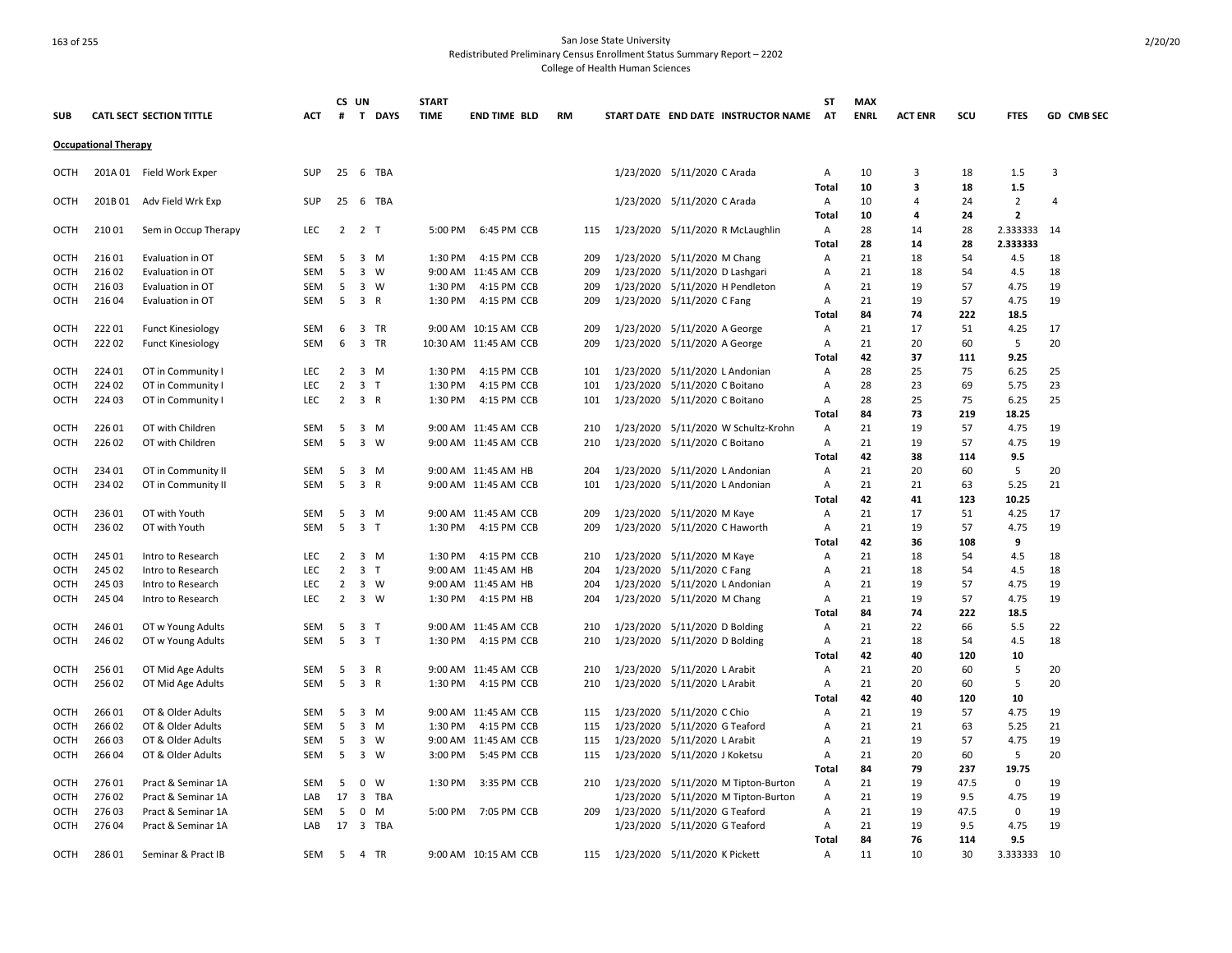## 163 of 255 San Jose State University Redistributed Preliminary Census Enrollment Status Summary Report – 2202

College of Health Human Sciences

|              |                             |                                        |            |                | CS UN                        | <b>START</b> |                                     |            |           |                                                              | SΤ             | <b>MAX</b>  |                |           |                                  |            |
|--------------|-----------------------------|----------------------------------------|------------|----------------|------------------------------|--------------|-------------------------------------|------------|-----------|--------------------------------------------------------------|----------------|-------------|----------------|-----------|----------------------------------|------------|
| <b>SUB</b>   |                             | <b>CATL SECT SECTION TITTLE</b>        | <b>ACT</b> | #              | T DAYS                       | <b>TIME</b>  | <b>END TIME BLD</b>                 | RM         |           | START DATE END DATE INSTRUCTOR NAME                          | <b>AT</b>      | <b>ENRL</b> | <b>ACT ENR</b> | scu       | <b>FTES</b>                      | GD CMB SEC |
|              | <b>Occupational Therapy</b> |                                        |            |                |                              |              |                                     |            |           |                                                              |                |             |                |           |                                  |            |
| OCTH         |                             | 201A 01 Field Work Exper               | <b>SUP</b> | 25             | 6 TBA                        |              |                                     |            |           | 1/23/2020 5/11/2020 C Arada                                  | Α              | 10          | 3              | 18        | 1.5                              | 3          |
|              |                             |                                        |            |                |                              |              |                                     |            |           |                                                              | Total          | 10          | 3              | 18        | 1.5                              |            |
| OCTH         | 201B 01                     | Adv Field Wrk Exp                      | SUP        | 25             | 6 TBA                        |              |                                     |            |           | 1/23/2020 5/11/2020 C Arada                                  | Α<br>Total     | 10<br>10    | 4<br>4         | 24<br>24  | $\overline{2}$<br>$\overline{2}$ | 4          |
| OCTH         | 21001                       | Sem in Occup Therapy                   | <b>LEC</b> | $\overline{2}$ | 2 T                          | 5:00 PM      | 6:45 PM CCB                         | 115        |           | 1/23/2020 5/11/2020 R McLaughlin                             | A              | 28          | 14             | 28        | 2.333333                         | - 14       |
|              |                             |                                        |            |                |                              |              |                                     |            |           |                                                              | Total          | 28          | 14             | 28        | 2.333333                         |            |
| OCTH         | 21601                       | Evaluation in OT                       | <b>SEM</b> | 5              | 3<br>M                       | 1:30 PM      | 4:15 PM CCB                         | 209        |           | 1/23/2020 5/11/2020 M Chang                                  | Α              | 21          | 18             | 54        | 4.5                              | 18         |
| OCTH         | 21602                       | Evaluation in OT                       | SEM        | 5              | $\overline{3}$<br>w          |              | 9:00 AM 11:45 AM CCB                | 209        |           | 1/23/2020 5/11/2020 D Lashgari                               | A              | 21          | 18             | 54        | 4.5                              | 18         |
| OCTH         | 21603                       | Evaluation in OT                       | SEM        | - 5            | 3 W                          | 1:30 PM      | 4:15 PM CCB                         | 209        |           | 1/23/2020 5/11/2020 H Pendleton                              | Α              | 21          | 19             | 57        | 4.75                             | 19         |
| OCTH         | 21604                       | Evaluation in OT                       | <b>SEM</b> | 5              | 3 R                          | 1:30 PM      | 4:15 PM CCB                         | 209        |           | 1/23/2020 5/11/2020 C Fang                                   | Α              | 21          | 19             | 57        | 4.75                             | 19         |
|              |                             |                                        |            |                |                              |              |                                     |            |           |                                                              | Total          | 84          | 74             | 222       | 18.5                             |            |
| <b>OCTH</b>  | 22201                       | <b>Funct Kinesiology</b>               | <b>SEM</b> | 6              | 3 TR                         |              | 9:00 AM 10:15 AM CCB                | 209        |           | 1/23/2020 5/11/2020 A George                                 | $\overline{A}$ | 21          | 17             | 51        | 4.25                             | 17         |
| <b>OCTH</b>  | 22202                       | <b>Funct Kinesiology</b>               | SEM        | 6              | 3 TR                         |              | 10:30 AM 11:45 AM CCB               | 209        |           | 1/23/2020 5/11/2020 A George                                 | Α              | 21          | 20             | 60        | 5                                | 20         |
|              |                             |                                        |            |                |                              |              |                                     |            |           |                                                              | Total          | 42          | 37             | 111       | 9.25                             |            |
| OCTH         | 224 01                      | OT in Community I                      | LEC        | $\overline{2}$ | 3 M                          | 1:30 PM      | 4:15 PM CCB                         | 101        |           | 1/23/2020 5/11/2020 L Andonian                               | A              | 28          | 25             | 75        | 6.25                             | 25         |
| <b>OCTH</b>  | 224 02                      | OT in Community I                      | <b>LEC</b> | 2              | 3<br>T                       | 1:30 PM      | 4:15 PM CCB                         | 101        |           | 1/23/2020 5/11/2020 C Boitano                                | Α              | 28          | 23             | 69        | 5.75                             | 23         |
| <b>OCTH</b>  | 224 03                      | OT in Community I                      | <b>LEC</b> | $\overline{2}$ | 3 R                          | 1:30 PM      | 4:15 PM CCB                         | 101        |           | 1/23/2020 5/11/2020 C Boitano                                | A              | 28          | 25             | 75        | 6.25                             | 25         |
|              |                             |                                        |            |                |                              |              |                                     |            |           |                                                              | <b>Total</b>   | 84          | 73             | 219       | 18.25                            |            |
| OCTH         | 226 01                      | OT with Children                       | <b>SEM</b> | 5              | 3 M                          |              | 9:00 AM 11:45 AM CCB                | 210        |           | 1/23/2020 5/11/2020 W Schultz-Krohn                          | Α              | 21          | 19             | 57        | 4.75                             | 19         |
| OCTH         | 226 02                      | OT with Children                       | SEM        | 5              | $\overline{\mathbf{3}}$<br>W |              | 9:00 AM 11:45 AM CCB                | 210        |           | 1/23/2020 5/11/2020 C Boitano                                | Α<br>Total     | 21<br>42    | 19<br>38       | 57<br>114 | 4.75<br>9.5                      | 19         |
| OCTH         | 234 01                      | OT in Community II                     | SEM        | 5              | 3 M                          |              | 9:00 AM 11:45 AM HB                 | 204        |           | 1/23/2020 5/11/2020 L Andonian                               | Α              | 21          | 20             | 60        | 5                                | 20         |
| <b>OCTH</b>  | 234 02                      | OT in Community II                     | <b>SEM</b> | 5              | 3 R                          |              | 9:00 AM 11:45 AM CCB                | 101        |           | 1/23/2020 5/11/2020 L Andonian                               | Α              | 21          | 21             | 63        | 5.25                             | 21         |
|              |                             |                                        |            |                |                              |              |                                     |            |           |                                                              | Total          | 42          | 41             | 123       | 10.25                            |            |
| OCTH         | 236 01                      | OT with Youth                          | SEM        | 5              | $3 \, M$                     |              | 9:00 AM 11:45 AM CCB                | 209        |           | 1/23/2020 5/11/2020 M Kaye                                   | $\mathsf{A}$   | 21          | 17             | 51        | 4.25                             | 17         |
| OCTH         | 236 02                      | OT with Youth                          | SEM        | 5              | 3 <sub>T</sub>               | 1:30 PM      | 4:15 PM CCB                         | 209        |           | 1/23/2020 5/11/2020 C Haworth                                | Α              | 21          | 19             | 57        | 4.75                             | 19         |
|              |                             |                                        |            |                |                              |              |                                     |            |           |                                                              | <b>Total</b>   | 42          | 36             | 108       | 9                                |            |
| OCTH         | 245 01                      | Intro to Research                      | LEC        | 2              | 3 M                          | 1:30 PM      | 4:15 PM CCB                         | 210        |           | 1/23/2020 5/11/2020 M Kaye                                   | Α              | 21          | 18             | 54        | 4.5                              | 18         |
| <b>OCTH</b>  | 245 02                      | Intro to Research                      | <b>LEC</b> | $\overline{2}$ | 3 <sub>T</sub>               |              | 9:00 AM 11:45 AM HB                 | 204        |           | 1/23/2020 5/11/2020 C Fang                                   | Α              | 21          | 18             | 54        | 4.5                              | 18         |
| ОСТН         | 245 03                      | Intro to Research                      | LEC        | $\overline{2}$ | 3<br>W                       |              | 9:00 AM 11:45 AM HB                 | 204        |           | 1/23/2020 5/11/2020 L Andonian                               | Α              | 21          | 19             | 57        | 4.75                             | 19         |
| OCTH         | 245 04                      | Intro to Research                      | LEC        | $\overline{2}$ | $3 \quad W$                  | 1:30 PM      | 4:15 PM HB                          | 204        |           | 1/23/2020 5/11/2020 M Chang                                  | Α              | 21          | 19             | 57        | 4.75                             | 19         |
|              |                             |                                        |            |                |                              |              |                                     |            |           |                                                              | Total          | 84          | 74             | 222       | 18.5                             |            |
| OCTH         | 246 01                      | OT w Young Adults                      | SEM        | 5              | $\overline{3}$<br>$\top$     |              | 9:00 AM 11:45 AM CCB                | 210        |           | 1/23/2020 5/11/2020 D Bolding                                | Α              | 21          | 22             | 66        | 5.5                              | 22         |
| <b>OCTH</b>  | 246 02                      | OT w Young Adults                      | <b>SEM</b> | 5              | 3 <sub>1</sub>               | 1:30 PM      | 4:15 PM CCB                         | 210        |           | 1/23/2020 5/11/2020 D Bolding                                | $\overline{A}$ | 21          | 18             | 54        | 4.5                              | 18         |
|              |                             |                                        |            |                |                              |              |                                     |            |           |                                                              | Total          | 42<br>21    | 40             | 120       | 10                               |            |
| OCTH<br>OCTH | 25601<br>256 02             | OT Mid Age Adults<br>OT Mid Age Adults | SEM<br>SEM | -5<br>5        | $\overline{3}$<br>R<br>3 R   | 1:30 PM      | 9:00 AM 11:45 AM CCB<br>4:15 PM CCB | 210<br>210 |           | 1/23/2020 5/11/2020 L Arabit<br>1/23/2020 5/11/2020 L Arabit | A<br>Α         | 21          | 20<br>20       | 60<br>60  | 5<br>5                           | 20<br>20   |
|              |                             |                                        |            |                |                              |              |                                     |            |           |                                                              | <b>Total</b>   | 42          | 40             | 120       | 10                               |            |
| OCTH         | 26601                       | OT & Older Adults                      | SEM        | 5              | 3 M                          |              | 9:00 AM 11:45 AM CCB                | 115        |           | 1/23/2020 5/11/2020 C Chio                                   | Α              | 21          | 19             | 57        | 4.75                             | 19         |
| <b>OCTH</b>  | 26602                       | OT & Older Adults                      | <b>SEM</b> | 5              | $3 \, M$                     | 1:30 PM      | 4:15 PM CCB                         | 115        |           | 1/23/2020 5/11/2020 G Teaford                                | A              | 21          | 21             | 63        | 5.25                             | 21         |
| OCTH         | 266 03                      | OT & Older Adults                      | SEM        | 5              | 3<br>W                       |              | 9:00 AM 11:45 AM CCB                | 115        |           | 1/23/2020 5/11/2020 L Arabit                                 | Α              | 21          | 19             | 57        | 4.75                             | 19         |
| OCTH         | 266 04                      | OT & Older Adults                      | SEM        | 5              | $3 \quad W$                  | 3:00 PM      | 5:45 PM CCB                         | 115        |           | 1/23/2020 5/11/2020 J Koketsu                                | Α              | 21          | 20             | 60        | 5                                | 20         |
|              |                             |                                        |            |                |                              |              |                                     |            |           |                                                              | Total          | 84          | 79             | 237       | 19.75                            |            |
| <b>OCTH</b>  | 27601                       | Pract & Seminar 1A                     | <b>SEM</b> | 5              | 0<br>W                       | 1:30 PM      | 3:35 PM CCB                         | 210        |           | 1/23/2020 5/11/2020 M Tipton-Burton                          | A              | 21          | 19             | 47.5      | 0                                | 19         |
| OCTH         | 27602                       | Pract & Seminar 1A                     | LAB        | 17             | $\overline{3}$<br>TBA        |              |                                     |            | 1/23/2020 | 5/11/2020 M Tipton-Burton                                    | A              | 21          | 19             | 9.5       | 4.75                             | 19         |
| OCTH         | 27603                       | Pract & Seminar 1A                     | <b>SEM</b> | 5              | $\mathbf 0$<br>M             | 5:00 PM      | 7:05 PM CCB                         | 209        |           | 1/23/2020 5/11/2020 G Teaford                                | $\overline{A}$ | 21          | 19             | 47.5      | $\mathbf 0$                      | 19         |
| <b>OCTH</b>  | 276 04                      | Pract & Seminar 1A                     | LAB        | 17             | 3 TBA                        |              |                                     |            |           | 1/23/2020 5/11/2020 G Teaford                                | Α              | 21          | 19             | 9.5       | 4.75                             | 19         |
|              |                             |                                        |            |                |                              |              |                                     |            |           |                                                              | Total          | 84          | 76             | 114       | 9.5                              |            |
| <b>OCTH</b>  | 28601                       | Seminar & Pract IB                     | <b>SEM</b> | -5             | 4 TR                         |              | 9:00 AM 10:15 AM CCB                | 115        |           | 1/23/2020 5/11/2020 K Pickett                                | A              | 11          | 10             | 30        | 3.333333 10                      |            |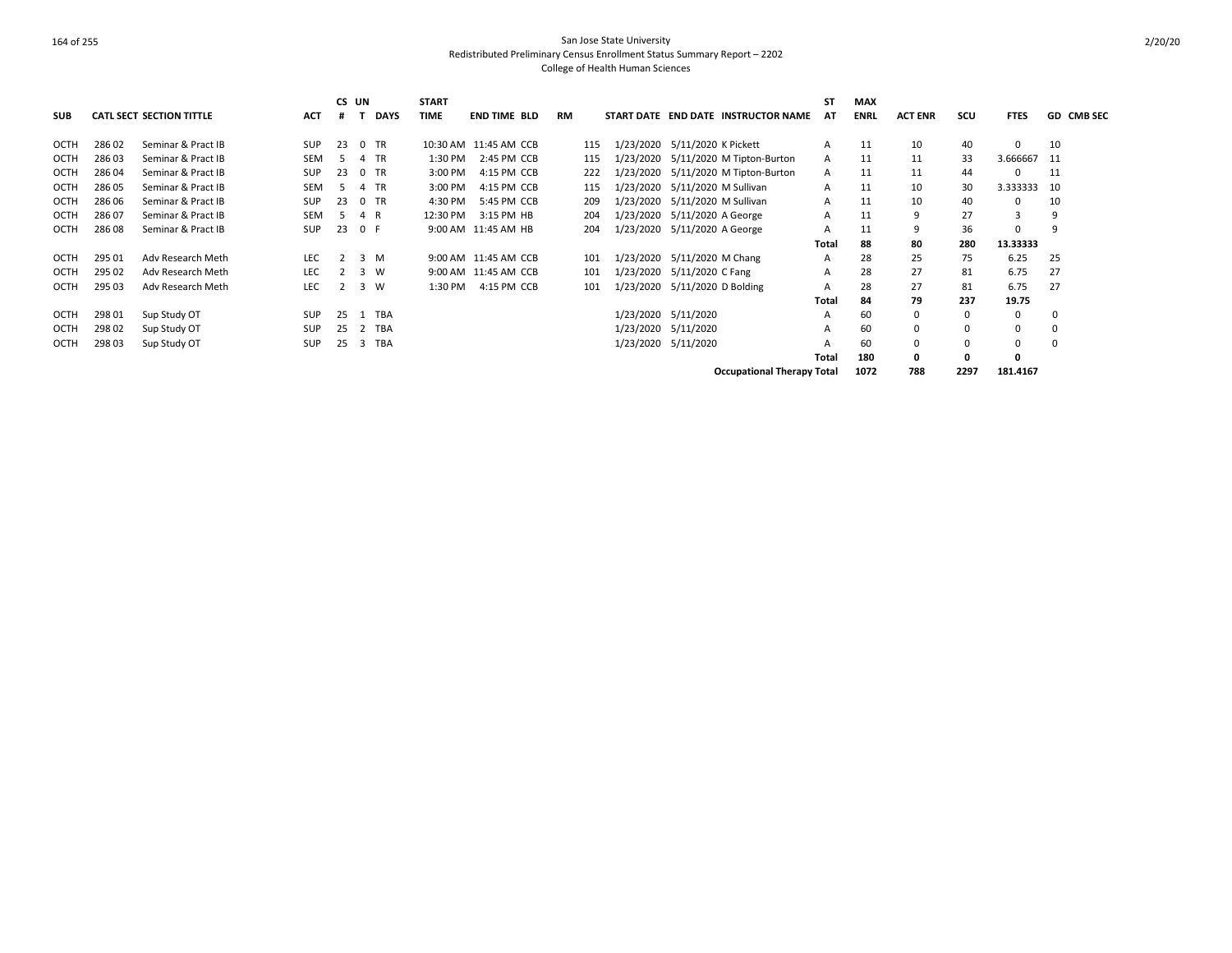| <b>SUB</b>  |        | <b>CATL SECT SECTION TITTLE</b> | <b>ACT</b> | CS UN<br># |              | <b>DAYS</b> | <b>START</b><br><b>TIME</b> | <b>END TIME BLD</b>   | <b>RM</b> |     |                               |                    | START DATE END DATE INSTRUCTOR NAME | <b>ST</b><br>AT | <b>MAX</b><br><b>ENRL</b> | <b>ACT ENR</b> | scu  | <b>FTES</b> | <b>GD CMB SEC</b> |
|-------------|--------|---------------------------------|------------|------------|--------------|-------------|-----------------------------|-----------------------|-----------|-----|-------------------------------|--------------------|-------------------------------------|-----------------|---------------------------|----------------|------|-------------|-------------------|
| OCTH        | 28602  | Seminar & Pract IB              | <b>SUP</b> | 23         | $\Omega$     | TR          |                             | 10:30 AM 11:45 AM CCB |           | 115 | 1/23/2020 5/11/2020 K Pickett |                    |                                     | A               | 11                        | 10             | 40   | 0           | 10                |
| OCTH        | 28603  | Seminar & Pract IB              | <b>SEM</b> | 5          | 4            | TR          | 1:30 PM                     | 2:45 PM CCB           |           | 115 |                               |                    | 1/23/2020 5/11/2020 M Tipton-Burton | $\mathsf{A}$    | 11                        | 11             | 33   | 3.666667    | - 11              |
| <b>OCTH</b> | 28604  | Seminar & Pract IB              | <b>SUP</b> | 23         | $\Omega$     | <b>TR</b>   | 3:00 PM                     | 4:15 PM CCB           |           | 222 |                               |                    | 1/23/2020 5/11/2020 M Tipton-Burton | A               | 11                        | 11             | 44   | ŋ           | 11                |
| OCTH        | 28605  | Seminar & Pract IB              | <b>SEM</b> | 5          |              | TR          | 3:00 PM                     | 4:15 PM CCB           |           | 115 |                               |                    | 1/23/2020 5/11/2020 M Sullivan      | $\mathsf{A}$    | 11                        | 10             | 30   | 3.333333    | 10                |
| <b>OCTH</b> | 28606  | Seminar & Pract IB              | <b>SUP</b> | 23         | 0            | TR          | 4:30 PM                     | 5:45 PM CCB           |           | 209 |                               |                    | 1/23/2020 5/11/2020 M Sullivan      | A               | 11                        | 10             | 40   |             | 10                |
| <b>OCTH</b> | 286 07 | Seminar & Pract IB              | <b>SEM</b> | 5.         | 4 R          |             | 12:30 PM                    | 3:15 PM HB            |           | 204 | 1/23/2020                     | 5/11/2020 A George |                                     | $\mathsf{A}$    | 11                        | 9              | 27   | 3           | 9                 |
| <b>OCTH</b> | 286 08 | Seminar & Pract IB              | <b>SUP</b> | 23         | 0 F          |             |                             | 9:00 AM 11:45 AM HB   |           | 204 | 1/23/2020                     | 5/11/2020 A George |                                     | A               | 11                        |                | 36   |             | 9                 |
|             |        |                                 |            |            |              |             |                             |                       |           |     |                               |                    |                                     | Total           | 88                        | 80             | 280  | 13.33333    |                   |
| OCTH        | 295 01 | Adv Research Meth               | LEC.       |            | 3            | M           |                             | 9:00 AM 11:45 AM CCB  |           | 101 | 1/23/2020 5/11/2020 M Chang   |                    |                                     | $\mathsf{A}$    | 28                        | 25             | 75   | 6.25        | 25                |
| <b>OCTH</b> | 295 02 | Adv Research Meth               | <b>LEC</b> |            | $\mathbf{3}$ | W           |                             | 9:00 AM 11:45 AM CCB  |           | 101 | 1/23/2020 5/11/2020 C Fang    |                    |                                     | A               | 28                        | 27             | 81   | 6.75        | 27                |
| <b>OCTH</b> | 295 03 | Adv Research Meth               | <b>LEC</b> |            | 3            | W           | 1:30 PM                     | 4:15 PM CCB           |           | 101 | 1/23/2020 5/11/2020 D Bolding |                    |                                     | A               | 28                        | 27             | 81   | 6.75        | 27                |
|             |        |                                 |            |            |              |             |                             |                       |           |     |                               |                    |                                     | Total           | 84                        | 79             | 237  | 19.75       |                   |
| OCTH        | 298 01 | Sup Study OT                    | <b>SUP</b> | 25         |              | <b>TBA</b>  |                             |                       |           |     | 1/23/2020 5/11/2020           |                    |                                     | A               | 60                        |                | 0    | $\Omega$    | $\Omega$          |
| <b>OCTH</b> | 298 02 | Sup Study OT                    | <b>SUP</b> | 25         | 2            | <b>TBA</b>  |                             |                       |           |     | 1/23/2020 5/11/2020           |                    |                                     | $\mathsf{A}$    | 60                        |                | 0    | 0           | -0                |
| <b>OCTH</b> | 298 03 | Sup Study OT                    | <b>SUP</b> | 25         | 3            | <b>TBA</b>  |                             |                       |           |     | 1/23/2020 5/11/2020           |                    |                                     | A               | 60                        | 0              | 0    |             | $\Omega$          |
|             |        |                                 |            |            |              |             |                             |                       |           |     |                               |                    |                                     | Total           | 180                       |                | 0    |             |                   |
|             |        |                                 |            |            |              |             |                             |                       |           |     |                               |                    | <b>Occupational Therapy Total</b>   |                 | 1072                      | 788            | 2297 | 181.4167    |                   |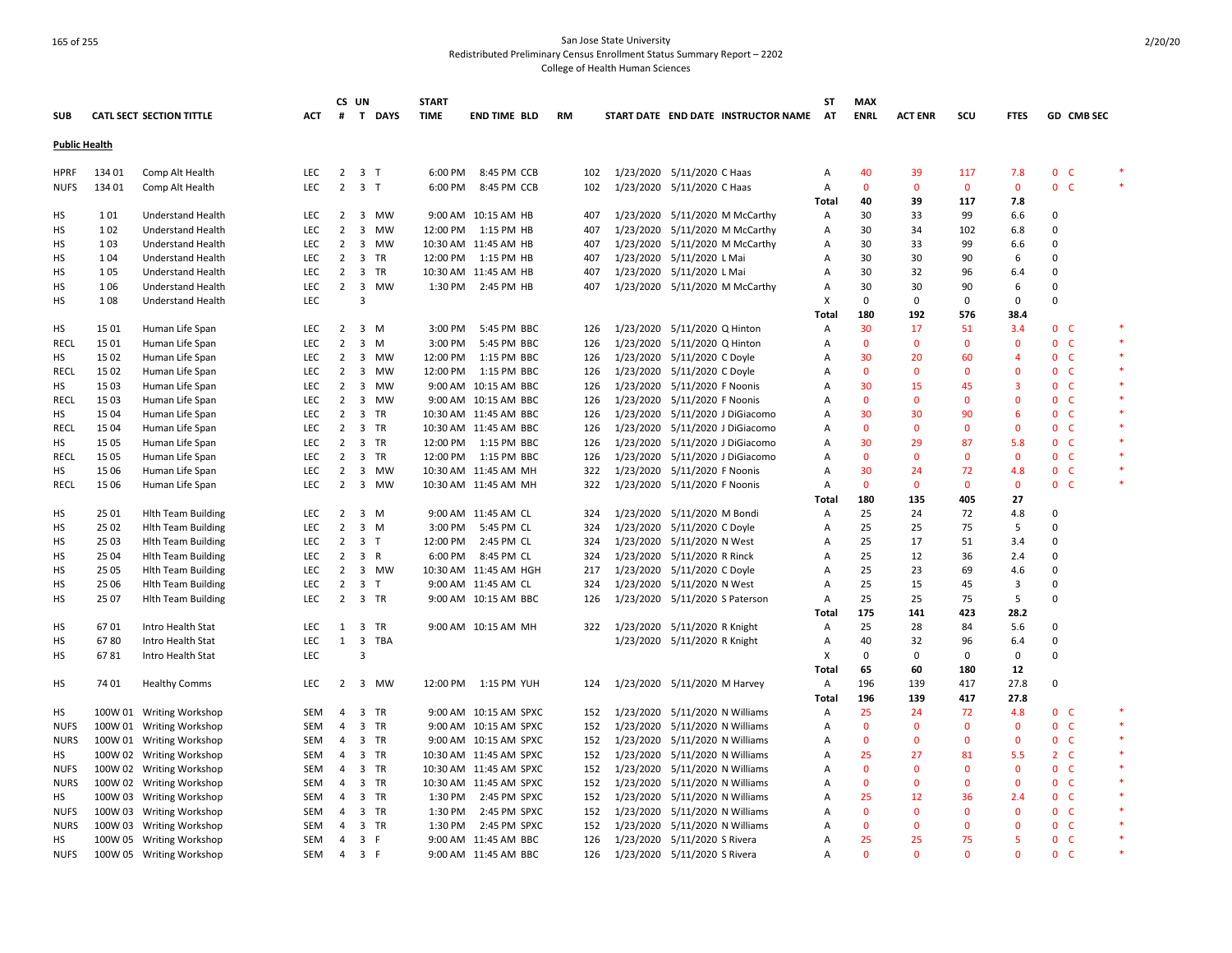|                      |        |                                 |            |                | CS UN                   |                | <b>START</b> |                          |           |     |                                |                              |                                     | <b>ST</b> | <b>MAX</b>   |                |              |              |                              |              |  |
|----------------------|--------|---------------------------------|------------|----------------|-------------------------|----------------|--------------|--------------------------|-----------|-----|--------------------------------|------------------------------|-------------------------------------|-----------|--------------|----------------|--------------|--------------|------------------------------|--------------|--|
| <b>SUB</b>           |        | <b>CATL SECT SECTION TITTLE</b> | ACT        | #              |                         | T DAYS         | <b>TIME</b>  | END TIME BLD             | <b>RM</b> |     |                                |                              | START DATE END DATE INSTRUCTOR NAME | AT        | <b>ENRL</b>  | <b>ACT ENR</b> | scu          | <b>FTES</b>  | GD CMB SEC                   |              |  |
| <b>Public Health</b> |        |                                 |            |                |                         |                |              |                          |           |     |                                |                              |                                     |           |              |                |              |              |                              |              |  |
| <b>HPRF</b>          | 134 01 | Comp Alt Health                 | LEC        | $\overline{2}$ |                         | 3 T            | 6:00 PM      | 8:45 PM CCB              |           | 102 | 1/23/2020 5/11/2020 C Haas     |                              |                                     | Α         | 40           | 39             | 117          | 7.8          | 0 <sub>c</sub>               |              |  |
| <b>NUFS</b>          | 134 01 | Comp Alt Health                 | <b>LEC</b> | $\overline{2}$ |                         | 3 <sub>T</sub> | 6:00 PM      | 8:45 PM CCB              |           | 102 | 1/23/2020 5/11/2020 C Haas     |                              |                                     | Α         | $\mathbf{0}$ | $\mathbf{0}$   | $\mathbf{0}$ | $\mathbf{0}$ | 0 <sub>c</sub>               |              |  |
|                      |        |                                 |            |                |                         |                |              |                          |           |     |                                |                              |                                     | Total     | 40           | 39             | 117          | 7.8          |                              |              |  |
| НS                   | 101    | Understand Health               | LEC        | $\overline{2}$ | 3                       | <b>MW</b>      |              | 9:00 AM 10:15 AM HB      |           | 407 |                                |                              | 1/23/2020 5/11/2020 M McCarthy      | Α         | 30           | 33             | 99           | 6.6          | 0                            |              |  |
| HS                   | 102    | <b>Understand Health</b>        | <b>LEC</b> | $\overline{2}$ | 3                       | MW             |              | 12:00 PM 1:15 PM HB      |           | 407 |                                |                              | 1/23/2020 5/11/2020 M McCarthy      | Α         | 30           | 34             | 102          | 6.8          | 0                            |              |  |
| HS                   | 103    | Understand Health               | <b>LEC</b> | $\overline{2}$ | $\overline{\mathbf{3}}$ | <b>MW</b>      |              | 10:30 AM 11:45 AM HB     |           | 407 |                                |                              | 1/23/2020 5/11/2020 M McCarthy      | A         | 30           | 33             | 99           | 6.6          | 0                            |              |  |
| HS                   | 104    | <b>Understand Health</b>        | <b>LEC</b> | $\overline{2}$ |                         | 3 TR           |              | 12:00 PM 1:15 PM HB      |           | 407 | 1/23/2020 5/11/2020 L Mai      |                              |                                     | A         | 30           | 30             | 90           | 6            | $\Omega$                     |              |  |
| HS                   | 105    | <b>Understand Health</b>        | <b>LEC</b> |                |                         | 2 3 TR         |              | 10:30 AM 11:45 AM HB     |           | 407 | 1/23/2020 5/11/2020 L Mai      |                              |                                     | A         | 30           | 32             | 96           | 6.4          | $\Omega$                     |              |  |
| HS                   | 106    | <b>Understand Health</b>        | <b>LEC</b> | $\overline{2}$ | $\overline{\mathbf{3}}$ | <b>MW</b>      | 1:30 PM      | 2:45 PM HB               |           | 407 |                                |                              | 1/23/2020 5/11/2020 M McCarthy      | A         | 30           | 30             | 90           | 6            | $\Omega$                     |              |  |
| HS                   | 108    | <b>Understand Health</b>        | LEC        |                | 3                       |                |              |                          |           |     |                                |                              |                                     | X         | 0            | 0              | 0            | 0            | $\Omega$                     |              |  |
|                      |        |                                 |            |                |                         |                |              |                          |           |     |                                |                              |                                     | Total     | 180          | 192            | 576          | 38.4         |                              |              |  |
| HS                   | 15 01  | Human Life Span                 | LEC        | $\overline{2}$ |                         | 3 M            | 3:00 PM      | 5:45 PM BBC              |           | 126 | 1/23/2020 5/11/2020 Q Hinton   |                              |                                     | A         | 30           | 17             | 51           | 3.4          | 0 <sup>o</sup>               |              |  |
| RECL                 | 1501   | Human Life Span                 | <b>LEC</b> | $\overline{2}$ | $\overline{\mathbf{3}}$ | M              | 3:00 PM      | 5:45 PM BBC              |           | 126 | 1/23/2020 5/11/2020 Q Hinton   |                              |                                     | A         | $\mathbf{0}$ | $\mathbf{0}$   | $\mathbf{0}$ | $\mathbf{0}$ | $\mathbf{0}$<br>-C           | $\mathbf{R}$ |  |
| HS                   | 15 02  | Human Life Span                 | <b>LEC</b> | $\overline{2}$ | 3                       | <b>MW</b>      | 12:00 PM     | 1:15 PM BBC              |           | 126 | 1/23/2020 5/11/2020 C Doyle    |                              |                                     | Α         | 30           | 20             | 60           | 4            | $\mathbf{0}$<br><b>C</b>     |              |  |
| <b>RECL</b>          | 15 02  | Human Life Span                 | <b>LEC</b> | $\overline{2}$ | $\overline{\mathbf{3}}$ | <b>MW</b>      | 12:00 PM     | 1:15 PM BBC              |           | 126 | 1/23/2020 5/11/2020 C Doyle    |                              |                                     | A         | $\mathbf{0}$ | $\Omega$       | $\mathbf{0}$ | $\Omega$     | $\mathbf{0}$<br>-C           |              |  |
| HS                   | 15 03  | Human Life Span                 | <b>LEC</b> | $\overline{2}$ | $\overline{\mathbf{3}}$ | <b>MW</b>      |              | 9:00 AM 10:15 AM BBC     |           | 126 | 1/23/2020 5/11/2020 F Noonis   |                              |                                     | A         | 30           | 15             | 45           | 3            | 0 <sub>c</sub>               |              |  |
| <b>RECL</b>          | 15 03  | Human Life Span                 | LEC        | $\overline{2}$ | $\overline{3}$          | MW             |              | 9:00 AM 10:15 AM BBC     |           | 126 | 1/23/2020 5/11/2020 F Noonis   |                              |                                     | Α         | $\mathbf 0$  | $\mathbf{0}$   | 0            | $\mathbf{0}$ | 0 <sub>c</sub>               |              |  |
| HS                   | 15 04  | Human Life Span                 | LEC        | $\overline{2}$ | $\overline{\mathbf{3}}$ | TR             |              | 10:30 AM 11:45 AM BBC    |           | 126 |                                |                              | 1/23/2020 5/11/2020 J DiGiacomo     | Α         | 30           | 30             | 90           | 6            | $\mathbf{0}$<br><b>C</b>     |              |  |
| <b>RECL</b>          | 15 04  | Human Life Span                 | LEC        | $\overline{2}$ |                         | 3 TR           |              | 10:30 AM 11:45 AM BBC    |           | 126 |                                |                              | 1/23/2020 5/11/2020 J DiGiacomo     | A         | $\mathbf{0}$ | $\Omega$       | $\mathbf 0$  | $\mathbf{0}$ | 0<br><b>C</b>                |              |  |
| HS                   | 15 05  | Human Life Span                 | <b>LEC</b> | $\overline{2}$ |                         | 3 TR           |              | 12:00 PM   1:15 PM   BBC |           | 126 |                                |                              | 1/23/2020 5/11/2020 J DiGiacomo     | A         | 30           | 29             | 87           | 5.8          | 0 <sub>c</sub>               |              |  |
| RECL                 | 15 05  | Human Life Span                 | <b>LEC</b> | $\overline{2}$ |                         | 3 TR           |              | 12:00 PM 1:15 PM BBC     |           | 126 |                                |                              | 1/23/2020 5/11/2020 J DiGiacomo     | A         | $\mathbf{0}$ | $\mathbf{0}$   | $\mathbf{0}$ | $\mathbf{0}$ | 0 <sub>c</sub>               |              |  |
| HS                   | 15 06  | Human Life Span                 | <b>LEC</b> | $\overline{2}$ | $\overline{\mathbf{3}}$ | MW             |              | 10:30 AM 11:45 AM MH     |           | 322 | 1/23/2020 5/11/2020 F Noonis   |                              |                                     | A         | 30           | 24             | 72           | 4.8          | $\mathbf{0}$<br><b>C</b>     |              |  |
| <b>RECL</b>          | 15 06  | Human Life Span                 | LEC        | $\overline{2}$ | $\overline{\mathbf{3}}$ | MW             |              | 10:30 AM 11:45 AM MH     |           | 322 | 1/23/2020 5/11/2020 F Noonis   |                              |                                     | Α         | $\mathbf 0$  | $\mathbf 0$    | $\mathbf 0$  | $\mathbf 0$  | $\mathbf{0}$<br>$\mathsf{C}$ |              |  |
|                      |        |                                 |            |                |                         |                |              |                          |           |     |                                |                              |                                     | Total     | 180          | 135            | 405          | 27           |                              |              |  |
| НS                   | 25 01  | <b>Hith Team Building</b>       | LEC        | $\overline{2}$ |                         | 3 M            |              | 9:00 AM 11:45 AM CL      |           | 324 | 1/23/2020 5/11/2020 M Bondi    |                              |                                     | A         | 25           | 24             | 72           | 4.8          | 0                            |              |  |
| HS                   | 25 02  | <b>Hith Team Building</b>       | <b>LEC</b> | $\overline{2}$ |                         | 3 M            | 3:00 PM      | 5:45 PM CL               |           | 324 | 1/23/2020 5/11/2020 C Doyle    |                              |                                     | Α         | 25           | 25             | 75           | 5            | $\Omega$                     |              |  |
| HS                   | 25 03  | <b>Hith Team Building</b>       | LEC        | $\overline{2}$ |                         | 3 <sub>T</sub> | 12:00 PM     | 2:45 PM CL               |           | 324 | 1/23/2020 5/11/2020 N West     |                              |                                     | Α         | 25           | 17             | 51           | 3.4          | 0                            |              |  |
| HS                   | 25 04  | <b>Hith Team Building</b>       | LEC        | $\overline{2}$ |                         | 3 R            | 6:00 PM      | 8:45 PM CL               |           | 324 | 1/23/2020 5/11/2020 R Rinck    |                              |                                     | Α         | 25           | 12             | 36           | 2.4          | 0                            |              |  |
| HS                   | 25 05  | <b>Hith Team Building</b>       | <b>LEC</b> | $\overline{2}$ |                         | 3 MW           |              | 10:30 AM 11:45 AM HGH    |           | 217 | 1/23/2020 5/11/2020 C Doyle    |                              |                                     | A         | 25           | 23             | 69           | 4.6          | $\Omega$                     |              |  |
| HS                   | 25 06  | <b>Hlth Team Building</b>       | <b>LEC</b> | $\overline{2}$ |                         | 3 <sub>1</sub> |              | 9:00 AM 11:45 AM CL      |           | 324 | 1/23/2020 5/11/2020 N West     |                              |                                     | A         | 25           | 15             | 45           | 3            | $\Omega$                     |              |  |
| HS                   | 25 07  | <b>Hith Team Building</b>       | <b>LEC</b> | $\overline{2}$ |                         | 3 TR           |              | 9:00 AM 10:15 AM BBC     |           | 126 |                                |                              | 1/23/2020 5/11/2020 S Paterson      | Α         | 25           | 25             | 75           | 5            | 0                            |              |  |
|                      |        |                                 |            |                |                         |                |              |                          |           |     |                                |                              |                                     | Total     | 175          | 141            | 423          | 28.2         |                              |              |  |
| HS                   | 6701   | Intro Health Stat               | LEC        | 1              |                         | 3 TR           |              | 9:00 AM 10:15 AM MH      |           | 322 | 1/23/2020 5/11/2020 R Knight   |                              |                                     | A         | 25           | 28             | 84           | 5.6          | 0                            |              |  |
| HS                   | 6780   | Intro Health Stat               | <b>LEC</b> | $\mathbf{1}$   |                         | 3 TBA          |              |                          |           |     |                                | 1/23/2020 5/11/2020 R Knight |                                     | Α         | 40           | 32             | 96           | 6.4          | 0                            |              |  |
| HS                   | 6781   | Intro Health Stat               | <b>LEC</b> |                | 3                       |                |              |                          |           |     |                                |                              |                                     | X         | 0            | $\Omega$       | 0            | 0            | $\Omega$                     |              |  |
|                      |        |                                 |            |                |                         |                |              |                          |           |     |                                |                              |                                     | Tota      | 65           | 60             | 180          | 12           |                              |              |  |
| НS                   | 74 01  | <b>Healthy Comms</b>            | <b>LEC</b> | $\overline{2}$ |                         | 3 MW           | 12:00 PM     | 1:15 PM YUH              |           | 124 | 1/23/2020 5/11/2020 M Harvey   |                              |                                     | Α         | 196          | 139            | 417          | 27.8         | $\Omega$                     |              |  |
|                      |        |                                 |            |                |                         |                |              |                          |           |     |                                |                              |                                     | Tota      | 196          | 139            | 417          | 27.8         |                              |              |  |
| НS                   |        | 100W 01 Writing Workshop        | SEM        | $\overline{4}$ |                         | 3 TR           |              | 9:00 AM 10:15 AM SPXC    |           | 152 |                                |                              | 1/23/2020 5/11/2020 N Williams      | Α         | 25           | 24             | 72           | 4.8          | 0 <sup>o</sup>               |              |  |
| <b>NUFS</b>          |        | 100W 01 Writing Workshop        | SEM        | 4              | $\overline{\mathbf{3}}$ | TR             |              | 9:00 AM 10:15 AM SPXC    |           | 152 | 1/23/2020 5/11/2020 N Williams |                              |                                     | Α         | $\mathbf{0}$ | 0              | $\mathbf{0}$ | $\mathbf 0$  | $\mathbf 0$<br><b>C</b>      | $\ast$       |  |
| <b>NURS</b>          |        | 100W 01 Writing Workshop        | SEM        | $\overline{4}$ |                         | 3 TR           |              | 9:00 AM 10:15 AM SPXC    |           | 152 | 1/23/2020 5/11/2020 N Williams |                              |                                     | Α         | $\mathbf{0}$ | $\mathbf{0}$   | $\mathbf{0}$ | $\mathbf 0$  | 0 <sup>o</sup>               | $\ast$       |  |
| HS                   |        | 100W 02 Writing Workshop        | SEM        | $\overline{4}$ |                         | 3 TR           |              | 10:30 AM 11:45 AM SPXC   |           | 152 | 1/23/2020 5/11/2020 N Williams |                              |                                     | A         | 25           | 27             | 81           | 5.5          | 2 <sub>c</sub>               | $\ast$       |  |
| <b>NUFS</b>          |        | 100W 02 Writing Workshop        | SEM        | $\overline{4}$ |                         | 3 TR           |              | 10:30 AM 11:45 AM SPXC   |           | 152 |                                |                              | 1/23/2020 5/11/2020 N Williams      | Α         | $\mathbf{0}$ | $\Omega$       | $\Omega$     | $\mathbf{0}$ | $\mathbf{0}$<br><b>C</b>     |              |  |
| <b>NURS</b>          |        | 100W 02 Writing Workshop        | <b>SEM</b> | $\overline{4}$ |                         | 3 TR           |              | 10:30 AM 11:45 AM SPXC   |           | 152 |                                |                              | 1/23/2020 5/11/2020 N Williams      | A         | $\mathbf{0}$ | $\Omega$       | $\mathbf{0}$ | $\mathbf{0}$ | 0 <sub>c</sub>               | $\ast$       |  |
| НS                   |        | 100W 03 Writing Workshop        | SEM        | 4              |                         | 3 TR           | 1:30 PM      | 2:45 PM SPXC             |           | 152 | 1/23/2020 5/11/2020 N Williams |                              |                                     | A         | 25           | 12             | 36           | 2.4          | $\mathbf{0}$<br>$\mathsf{C}$ |              |  |
| <b>NUFS</b>          |        | 100W 03 Writing Workshop        | SEM        | 4              |                         | 3 TR           | 1:30 PM      | 2:45 PM SPXC             |           | 152 | 1/23/2020 5/11/2020 N Williams |                              |                                     | A         | $\mathbf{0}$ | $\Omega$       | $\mathbf{0}$ | $\mathbf{0}$ | 0 <sup>o</sup>               |              |  |
| <b>NURS</b>          |        | 100W 03 Writing Workshop        | SEM        | 4              |                         | 3 TR           | 1:30 PM      | 2:45 PM SPXC             |           | 152 | 1/23/2020 5/11/2020 N Williams |                              |                                     | A         | $\mathbf{0}$ | $\mathbf{0}$   | $\mathbf{0}$ | $\Omega$     | 0 <sub>c</sub>               |              |  |
| HS                   |        | 100W 05 Writing Workshop        | <b>SEM</b> | $\overline{4}$ |                         | 3 F            |              | 9:00 AM 11:45 AM BBC     |           | 126 | 1/23/2020 5/11/2020 S Rivera   |                              |                                     | A         | 25           | 25             | 75           | 5            | 0 <sup>o</sup>               |              |  |
| <b>NUFS</b>          |        | 100W 05 Writing Workshop        | SEM        | $\overline{4}$ |                         | 3 F            |              | 9:00 AM 11:45 AM BBC     |           | 126 | 1/23/2020 5/11/2020 S Rivera   |                              |                                     | A         | $\Omega$     | $\Omega$       | $\Omega$     | $\Omega$     | $\mathbf{0}$<br><b>C</b>     |              |  |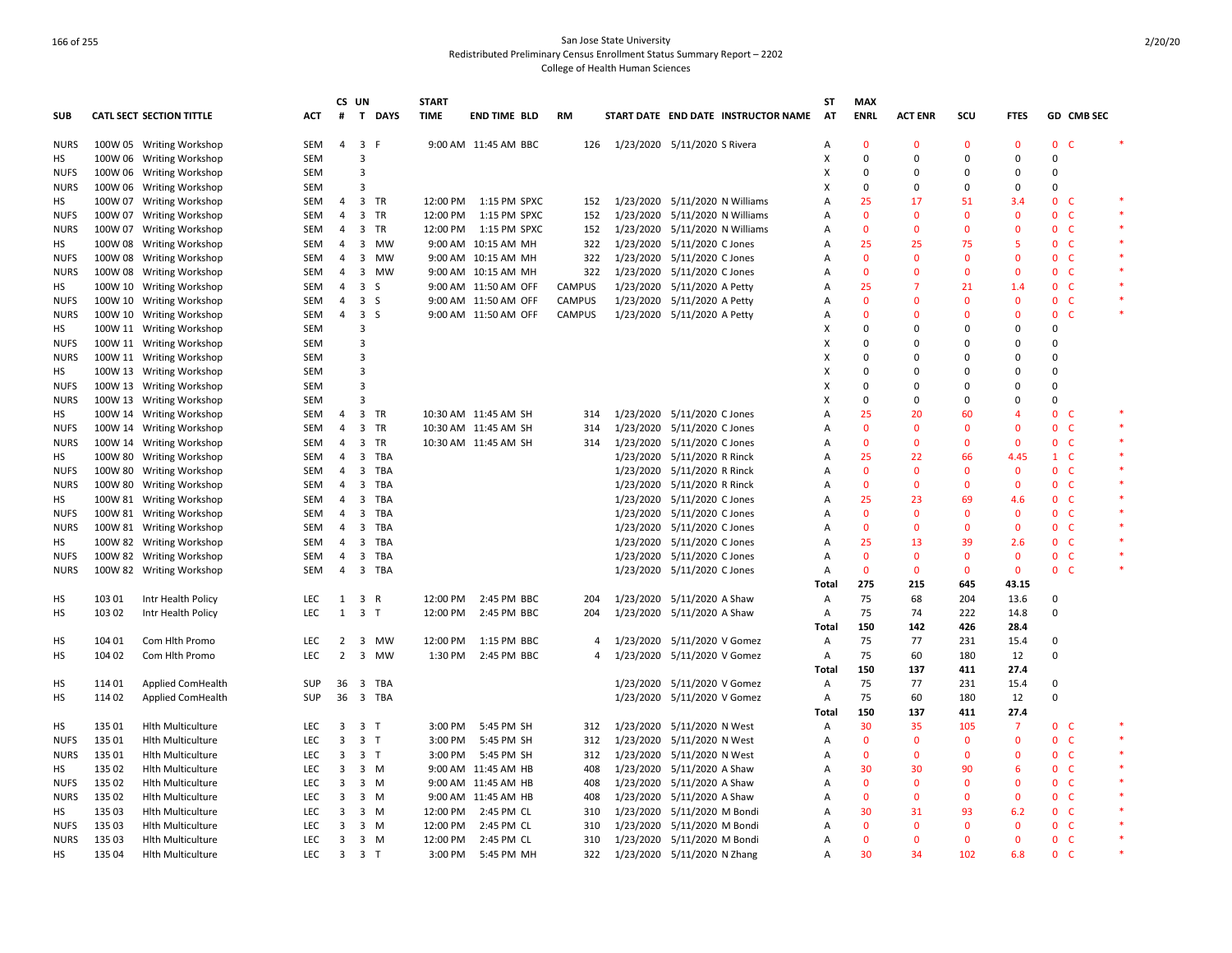|             |        |                                 |            |                | CS UN                   |                   | <b>START</b> |                      |               |                                     | ST           | <b>MAX</b>         |                |              |                |                              |        |
|-------------|--------|---------------------------------|------------|----------------|-------------------------|-------------------|--------------|----------------------|---------------|-------------------------------------|--------------|--------------------|----------------|--------------|----------------|------------------------------|--------|
| <b>SUB</b>  |        | <b>CATL SECT SECTION TITTLE</b> | ACT        | #              |                         | T DAYS            | <b>TIME</b>  | END TIME BLD         | RM            | START DATE END DATE INSTRUCTOR NAME | AT           | <b>ENRL</b>        | <b>ACT ENR</b> | scu          | <b>FTES</b>    | GD CMB SEC                   |        |
| NURS        |        | 100W 05 Writing Workshop        | SEM        |                | 4 3 F                   |                   |              | 9:00 AM 11:45 AM BBC |               | 126 1/23/2020 5/11/2020 S Rivera    | Α            | $\mathbf{0}$       | $\Omega$       | $\mathbf{0}$ | $\mathbf{0}$   | $\mathbf{0}$<br>C            |        |
| HS          |        | 100W 06 Writing Workshop        | SEM        |                | 3                       |                   |              |                      |               |                                     | X            | $\mathbf 0$        | 0              | $\Omega$     | $\Omega$       | $\mathbf 0$                  |        |
| <b>NUFS</b> |        | 100W 06 Writing Workshop        | <b>SEM</b> |                | $\overline{3}$          |                   |              |                      |               |                                     | X            | 0                  | $\Omega$       | $\Omega$     | $\Omega$       | 0                            |        |
| <b>NURS</b> |        | 100W 06 Writing Workshop        | SEM        |                | $\overline{3}$          |                   |              |                      |               |                                     | x            | $\mathbf 0$        | $\Omega$       | $\Omega$     | $\mathbf 0$    | 0                            |        |
| HS          |        | 100W 07 Writing Workshop        | SEM        | 4              |                         | 3 TR              | 12:00 PM     | 1:15 PM SPXC         | 152           | 1/23/2020 5/11/2020 N Williams      | A            | 25                 | 17             | 51           | 3.4            | 0 <sup>o</sup>               |        |
| <b>NUFS</b> |        | 100W 07 Writing Workshop        | SEM        | $\overline{4}$ | $\overline{\mathbf{3}}$ | <b>TR</b>         | 12:00 PM     | 1:15 PM SPXC         | 152           | 1/23/2020 5/11/2020 N Williams      | A            | $\mathbf{0}$       | $\Omega$       | $\Omega$     | $\mathbf{0}$   | $\mathbf{0}$<br>C            |        |
| <b>NURS</b> |        | 100W 07 Writing Workshop        | SEM        | 4              | $\overline{\mathbf{3}}$ | <b>TR</b>         | 12:00 PM     | 1:15 PM SPXC         | 152           | 1/23/2020 5/11/2020 N Williams      | А            | $\mathbf{0}$       | $\mathbf{0}$   | $\mathbf{0}$ | $\mathbf{0}$   | $\mathbf 0$<br><b>C</b>      |        |
| HS          |        | 100W 08 Writing Workshop        | SEM        | $\overline{4}$ | 3                       | <b>MW</b>         |              | 9:00 AM 10:15 AM MH  | 322           | 1/23/2020 5/11/2020 C Jones         | A            | 25                 | 25             | 75           | 5              | $\mathbf{0}$<br><b>C</b>     |        |
| <b>NUFS</b> |        | 100W 08 Writing Workshop        | SEM        | 4              | 3                       | <b>MW</b>         |              | 9:00 AM 10:15 AM MH  | 322           | 1/23/2020 5/11/2020 C Jones         | Α            | $\mathbf{0}$       | $\Omega$       | $\mathbf{0}$ | $\mathbf{0}$   | $\mathsf{C}$<br>$\mathbf 0$  |        |
| <b>NURS</b> |        | 100W 08 Writing Workshop        | SEM        | $\overline{4}$ | $\overline{\mathbf{3}}$ | MW                |              | 9:00 AM 10:15 AM MH  | 322           | 1/23/2020 5/11/2020 C Jones         | Α            | $\mathbf{0}$       | $\Omega$       | $\mathbf{0}$ | $\mathbf{0}$   | 0 <sub>c</sub>               |        |
| HS          |        | 100W 10 Writing Workshop        | SEM        | 4              | $\overline{\mathbf{3}}$ | S                 |              | 9:00 AM 11:50 AM OFF | <b>CAMPUS</b> | 1/23/2020 5/11/2020 A Petty         | Α            | 25                 | 7              | 21           | 1.4            | $\mathbf 0$<br>C             |        |
| <b>NUFS</b> |        | 100W 10 Writing Workshop        | SEM        | $\overline{4}$ | $\overline{3}$          | -S                |              | 9:00 AM 11:50 AM OFF | CAMPUS        | 1/23/2020 5/11/2020 A Petty         | Α            | $\mathbf 0$        | $\Omega$       | $\mathbf{0}$ | $\mathbf 0$    | $\mathbf 0$<br>C             |        |
| <b>NURS</b> |        | 100W 10 Writing Workshop        | <b>SEM</b> | 4              | $\overline{\mathbf{3}}$ | <sub>S</sub>      |              | 9:00 AM 11:50 AM OFF | <b>CAMPUS</b> | 1/23/2020 5/11/2020 A Petty         | A            | $\mathbf{0}$       | O              | $\Omega$     | $\mathbf{0}$   | $\mathbf{0}$<br>$\mathsf{C}$ |        |
| HS          |        | 100W 11 Writing Workshop        | <b>SEM</b> |                | 3                       |                   |              |                      |               |                                     | х            | $\Omega$           | $\Omega$       | $\Omega$     | 0              | $\Omega$                     |        |
| <b>NUFS</b> |        | 100W 11 Writing Workshop        | SEM        |                | $\overline{3}$          |                   |              |                      |               |                                     | X            | 0                  | $\Omega$       | 0            | 0              | 0                            |        |
| <b>NURS</b> |        | 100W 11 Writing Workshop        | <b>SEM</b> |                | 3                       |                   |              |                      |               |                                     | X            | 0                  | $\Omega$       | $\Omega$     | 0              | 0                            |        |
| HS          |        | 100W 13 Writing Workshop        | SEM        |                | 3                       |                   |              |                      |               |                                     | X            | 0                  | $\Omega$       | $\Omega$     | $\Omega$       | $\Omega$                     |        |
| <b>NUFS</b> |        | 100W 13 Writing Workshop        | SEM        |                | 3                       |                   |              |                      |               |                                     | X            | $\mathbf 0$        | $\Omega$       | $\Omega$     | $\Omega$       | 0                            |        |
| <b>NURS</b> |        | 100W 13 Writing Workshop        | <b>SEM</b> |                | 3                       |                   |              |                      |               |                                     | X            | $\Omega$           | $\Omega$       | $\Omega$     | $\Omega$       | 0                            |        |
| HS          |        | 100W 14 Writing Workshop        | SEM        | 4              | $\overline{3}$          | TR                |              | 10:30 AM 11:45 AM SH | 314           | 1/23/2020 5/11/2020 C Jones         | A            | 25                 | 20             | 60           | $\overline{a}$ | $\mathbf 0$<br>$\mathsf{C}$  |        |
| <b>NUFS</b> |        | 100W 14 Writing Workshop        | SEM        | $\overline{4}$ | $\overline{3}$          | TR                |              | 10:30 AM 11:45 AM SH | 314           | 1/23/2020 5/11/2020 C Jones         | Α            | $\mathbf{0}$       | $\Omega$       | $\Omega$     | $\Omega$       | $\mathbf 0$<br>$\mathsf{C}$  | $\ast$ |
|             |        |                                 |            |                | $\overline{\mathbf{3}}$ | <b>TR</b>         |              |                      |               | 1/23/2020 5/11/2020 C Jones         |              | $\mathbf{0}$       | $\mathbf{0}$   | $\mathbf{0}$ | $\mathbf{0}$   | $\mathbf 0$<br>$\mathsf{C}$  |        |
| <b>NURS</b> |        | 100W 14 Writing Workshop        | SEM        | 4              |                         |                   |              | 10:30 AM 11:45 AM SH | 314           |                                     | Α            |                    |                |              | 4.45           |                              |        |
| HS          |        | 100W 80 Writing Workshop        | SEM        | $\overline{4}$ | $\overline{\mathbf{3}}$ | TBA<br><b>TBA</b> |              |                      |               | 1/23/2020 5/11/2020 R Rinck         | Α            | 25<br>$\mathbf{0}$ | 22             | 66           | $\mathbf{0}$   | $1\quad C$<br>$\mathbf{0}$   |        |
| <b>NUFS</b> |        | 100W 80 Writing Workshop        | SEM        | 4              | 3                       |                   |              |                      |               | 1/23/2020 5/11/2020 R Rinck         | A            |                    | $\mathbf{0}$   | $\mathbf{0}$ |                | $\mathsf{C}$                 |        |
| <b>NURS</b> |        | 100W 80 Writing Workshop        | SEM        | $\overline{4}$ | $\overline{3}$          | TBA               |              |                      |               | 1/23/2020 5/11/2020 R Rinck         | Α            | $\mathbf{0}$       | $\mathbf{0}$   | $\mathbf{0}$ | $\mathbf{0}$   | $\mathbf 0$<br><b>C</b>      |        |
| HS          |        | 100W 81 Writing Workshop        | SEM        | 4              | $\overline{3}$          | <b>TBA</b>        |              |                      |               | 1/23/2020 5/11/2020 C Jones         | А            | 25                 | 23             | 69           | 4.6            | $\mathbf 0$<br>$\mathsf{C}$  |        |
| <b>NUFS</b> |        | 100W 81 Writing Workshop        | SEM        | 4              | $\overline{\mathbf{3}}$ | TBA               |              |                      |               | 1/23/2020 5/11/2020 C Jones         | Α            | $\mathbf{0}$       | $\Omega$       | $\mathbf{0}$ | $\mathbf{0}$   | $\mathbf 0$<br>- C           |        |
| <b>NURS</b> |        | 100W 81 Writing Workshop        | SEM        | $\overline{4}$ | $\overline{\mathbf{3}}$ | TBA               |              |                      |               | 1/23/2020 5/11/2020 C Jones         | A            | $\mathbf{0}$       | $\Omega$       | $\mathbf{0}$ | $\mathbf{0}$   | 0 <sup>o</sup>               |        |
| HS          |        | 100W 82 Writing Workshop        | SEM        | 4              | 3                       | <b>TBA</b>        |              |                      |               | 1/23/2020 5/11/2020 C Jones         | Α            | 25                 | 13             | 39           | 2.6            | $\mathbf 0$<br>C             |        |
| <b>NUFS</b> |        | 100W 82 Writing Workshop        | SEM        | 4              | $\overline{3}$          | <b>TBA</b>        |              |                      |               | 1/23/2020 5/11/2020 C Jones         | $\mathsf{A}$ | $\mathbf{0}$       | $\mathbf{0}$   | $\mathbf{0}$ | $\mathbf{0}$   | $\mathsf{C}$<br>0            |        |
| <b>NURS</b> |        | 100W 82 Writing Workshop        | SEM        | $\overline{4}$ | $\overline{\mathbf{3}}$ | <b>TBA</b>        |              |                      |               | 1/23/2020 5/11/2020 C Jones         | A            | $\mathbf 0$        | $\mathbf 0$    | $\mathbf 0$  | $\mathbf 0$    | $\mathsf{C}$<br>0            |        |
|             |        |                                 |            |                |                         |                   |              |                      |               |                                     | Total        | 275                | 215            | 645          | 43.15          |                              |        |
| HS          | 103 01 | Intr Health Policy              | LEC        | 1              | 3 R                     |                   | 12:00 PM     | 2:45 PM BBC          | 204           | 1/23/2020 5/11/2020 A Shaw          | Α            | 75                 | 68             | 204          | 13.6           | 0                            |        |
| HS          | 103 02 | Intr Health Policy              | <b>LEC</b> | 1              | $\overline{\mathbf{3}}$ | $\mathsf{T}$      | 12:00 PM     | 2:45 PM BBC          | 204           | 1/23/2020 5/11/2020 A Shaw          | Α            | 75                 | 74             | 222          | 14.8           | 0                            |        |
|             |        |                                 |            |                |                         |                   |              |                      |               |                                     | Total        | 150                | 142            | 426          | 28.4           |                              |        |
| HS          | 104 01 | Com Hlth Promo                  | <b>LEC</b> | $\overline{2}$ | $\overline{\mathbf{3}}$ | <b>MW</b>         | 12:00 PM     | 1:15 PM BBC          | 4             | 1/23/2020 5/11/2020 V Gomez         | $\mathsf{A}$ | 75                 | 77             | 231          | 15.4           | 0                            |        |
| HS          | 104 02 | Com Hlth Promo                  | LEC        | $\overline{2}$ | $\overline{\mathbf{3}}$ | MW                | 1:30 PM      | 2:45 PM BBC          | 4             | 1/23/2020 5/11/2020 V Gomez         | Α            | 75                 | 60             | 180          | 12             | $\mathsf 0$                  |        |
|             |        |                                 |            |                |                         |                   |              |                      |               |                                     | Total        | 150                | 137            | 411          | 27.4           |                              |        |
| HS          | 114 01 | <b>Applied ComHealth</b>        | SUP        | 36             | 3                       | TBA               |              |                      |               | 1/23/2020 5/11/2020 V Gomez         | Α            | 75                 | 77             | 231          | 15.4           | 0                            |        |
| HS          | 11402  | Applied ComHealth               | <b>SUP</b> | 36             | $\overline{\mathbf{3}}$ | <b>TBA</b>        |              |                      |               | 1/23/2020 5/11/2020 V Gomez         | Α            | 75                 | 60             | 180          | 12             | 0                            |        |
|             |        |                                 |            |                |                         |                   |              |                      |               |                                     | Total        | 150                | 137            | 411          | 27.4           |                              |        |
| HS          | 135 01 | <b>Hith Multiculture</b>        | LEC        | 3              | 3 <sub>7</sub>          |                   | 3:00 PM      | 5:45 PM SH           | 312           | 1/23/2020 5/11/2020 N West          | Α            | 30                 | 35             | 105          | $\overline{7}$ | 0 <sub>c</sub>               |        |
| <b>NUFS</b> | 135 01 | <b>Hlth Multiculture</b>        | <b>LEC</b> | 3              | 3 <sub>1</sub>          |                   | 3:00 PM      | 5:45 PM SH           | 312           | 1/23/2020 5/11/2020 N West          | Α            | $\mathbf 0$        | 0              | $\mathbf 0$  | $\mathbf 0$    | 0<br>$\mathsf{C}$            |        |
| <b>NURS</b> | 135 01 | <b>Hith Multiculture</b>        | <b>LEC</b> | 3              | 3 <sub>T</sub>          |                   | 3:00 PM      | 5:45 PM SH           | 312           | 1/23/2020 5/11/2020 N West          | Α            | $\mathbf{0}$       | $\mathbf{0}$   | $\mathbf{0}$ | $\mathbf{0}$   | 0 <sub>c</sub>               |        |
| HS          | 135 02 | <b>Hith Multiculture</b>        | <b>LEC</b> | 3              |                         | 3 M               |              | 9:00 AM 11:45 AM HB  | 408           | 1/23/2020 5/11/2020 A Shaw          | A            | 30                 | 30             | 90           | 6              | 0<br>C                       |        |
| <b>NUFS</b> | 135 02 | <b>Hith Multiculture</b>        | <b>LEC</b> | 3              |                         | 3 M               |              | 9:00 AM 11:45 AM HB  | 408           | 1/23/2020 5/11/2020 A Shaw          | Α            | $\mathbf 0$        | $\mathbf{0}$   | 0            | 0              | $\mathbf{0}$<br>-C           |        |
| <b>NURS</b> | 135 02 | <b>Hlth Multiculture</b>        | <b>LEC</b> | 3              |                         | $3 \, M$          |              | 9:00 AM 11:45 AM HB  | 408           | 1/23/2020 5/11/2020 A Shaw          | A            | $\mathbf{0}$       | $\Omega$       | $\Omega$     | $\mathbf{0}$   | $\mathbf{0}$<br><b>C</b>     |        |
| HS          | 135 03 | <b>Hith Multiculture</b>        | LEC        | 3              |                         | $3 \, M$          | 12:00 PM     | 2:45 PM CL           | 310           | 1/23/2020 5/11/2020 M Bondi         | Α            | 30                 | 31             | 93           | 6.2            | $\mathbf{0}$<br><b>C</b>     |        |
| <b>NUFS</b> | 135 03 | <b>Hith Multiculture</b>        | <b>LEC</b> | 3              |                         | $3 \, M$          | 12:00 PM     | 2:45 PM CL           | 310           | 1/23/2020 5/11/2020 M Bondi         | A            | 0                  | <sup>0</sup>   | $\mathbf{0}$ | 0              | 0 <sup>o</sup>               |        |
| <b>NURS</b> | 135 03 | <b>Hith Multiculture</b>        | <b>LEC</b> | 3              |                         | 3 M               | 12:00 PM     | 2:45 PM CL           | 310           | 1/23/2020 5/11/2020 M Bondi         | Α            | $\mathbf{0}$       | $\Omega$       | $\Omega$     | $\mathbf{0}$   | $\mathbf 0$<br>C             |        |
| <b>HS</b>   | 135 04 | <b>Hith Multiculture</b>        | <b>LEC</b> | $\overline{3}$ | 3 <sub>T</sub>          |                   | 3:00 PM      | 5:45 PM MH           | 322           | 1/23/2020 5/11/2020 N Zhang         | A            | 30                 | 34             | 102          | 6.8            | $\Omega$<br>-C               | $\ast$ |
|             |        |                                 |            |                |                         |                   |              |                      |               |                                     |              |                    |                |              |                |                              |        |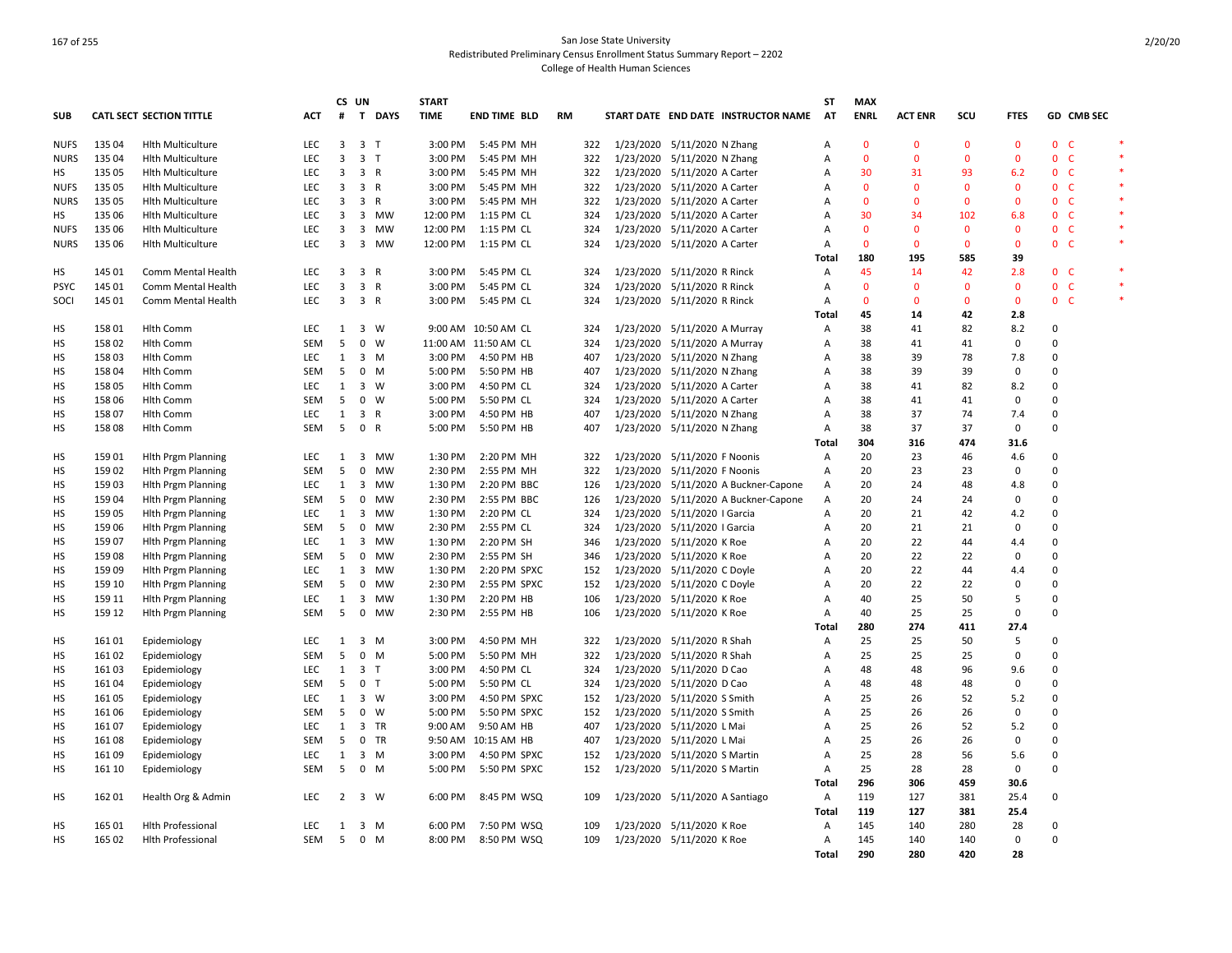|             |        |                                 |            | CS UN        |                         |             | <b>START</b> |                      |           |     |                              |                                |                                      | <b>ST</b>      | <b>MAX</b>   |                |              |              |                |                |  |
|-------------|--------|---------------------------------|------------|--------------|-------------------------|-------------|--------------|----------------------|-----------|-----|------------------------------|--------------------------------|--------------------------------------|----------------|--------------|----------------|--------------|--------------|----------------|----------------|--|
| <b>SUB</b>  |        | <b>CATL SECT SECTION TITTLE</b> | <b>ACT</b> | #            |                         | T DAYS      | <b>TIME</b>  | <b>END TIME BLD</b>  | <b>RM</b> |     |                              |                                | START DATE END DATE INSTRUCTOR NAME  | AT             | <b>ENRL</b>  | <b>ACT ENR</b> | SCU          | <b>FTES</b>  |                | GD CMB SEC     |  |
| <b>NUFS</b> | 135 04 | <b>Hlth Multiculture</b>        | LEC        | 3            | 3 <sub>1</sub>          |             | 3:00 PM      | 5:45 PM MH           |           | 322 |                              | 1/23/2020 5/11/2020 N Zhang    |                                      | Α              | $\mathbf 0$  | $\Omega$       | $\Omega$     | $\mathbf 0$  | 0 <sub>c</sub> |                |  |
| <b>NURS</b> | 135 04 | <b>Hlth Multiculture</b>        | LEC        | 3            | 3 <sub>7</sub>          |             | 3:00 PM      | 5:45 PM MH           |           | 322 |                              | 1/23/2020 5/11/2020 N Zhang    |                                      | Α              | $\Omega$     | $\Omega$       | $\Omega$     | $\mathbf 0$  |                | 0 <sup>o</sup> |  |
| нs          | 135 05 | <b>Hith Multiculture</b>        | <b>LEC</b> | 3            | 3 R                     |             | 3:00 PM      | 5:45 PM MH           |           | 322 |                              | 1/23/2020 5/11/2020 A Carter   |                                      | A              | 30           | 31             | 93           | 6.2          |                | 0 <sup>o</sup> |  |
| <b>NUFS</b> | 135 05 | <b>Hith Multiculture</b>        | LEC        | 3            | 3 R                     |             | 3:00 PM      | 5:45 PM MH           |           | 322 |                              | 1/23/2020 5/11/2020 A Carter   |                                      | Α              | $\mathbf{0}$ | $\Omega$       | $\mathbf{0}$ | 0            |                | 0 <sup>o</sup> |  |
| <b>NURS</b> | 135 05 | <b>Hith Multiculture</b>        | <b>LEC</b> | 3            | 3 R                     |             | 3:00 PM      | 5:45 PM MH           |           | 322 |                              | 1/23/2020 5/11/2020 A Carter   |                                      | Α              | $\mathbf{0}$ | $\Omega$       | $\mathbf{0}$ | $\mathbf{0}$ | 0 <sub>c</sub> |                |  |
| HS          | 135 06 | <b>Hith Multiculture</b>        | LEC        | 3            |                         | 3 MW        | 12:00 PM     | 1:15 PM CL           |           | 324 | 1/23/2020 5/11/2020 A Carter |                                |                                      | Α              | 30           | 34             | 102          | 6.8          |                | 0 <sup>o</sup> |  |
| <b>NUFS</b> | 135 06 | <b>Hlth Multiculture</b>        | <b>LEC</b> | 3            | $\overline{\mathbf{3}}$ | MW          | 12:00 PM     | 1:15 PM CL           |           | 324 |                              | 1/23/2020 5/11/2020 A Carter   |                                      | Α              | $\mathbf{0}$ | $\Omega$       | $\Omega$     | $\mathbf{0}$ |                | 0 <sup>o</sup> |  |
| <b>NURS</b> | 135 06 | <b>Hith Multiculture</b>        | LEC        | 3            |                         | 3 MW        | 12:00 PM     | 1:15 PM CL           |           | 324 |                              | 1/23/2020 5/11/2020 A Carter   |                                      | $\overline{A}$ | $\mathbf{0}$ | $\mathbf{0}$   | $\mathbf{0}$ | $\mathbf{0}$ | 0 <sub>c</sub> |                |  |
|             |        |                                 |            |              |                         |             |              |                      |           |     |                              |                                |                                      | Total          | 180          | 195            | 585          | 39           |                |                |  |
| HS          | 145 01 | Comm Mental Health              | <b>LEC</b> | 3            | 3 R                     |             | 3:00 PM      | 5:45 PM CL           |           | 324 |                              | 1/23/2020 5/11/2020 R Rinck    |                                      | Α              | 45           | 14             | 42           | 2.8          | 0 <sub>c</sub> |                |  |
| <b>PSYC</b> | 145 01 | Comm Mental Health              | <b>LEC</b> | 3            | 3 R                     |             | 3:00 PM      | 5:45 PM CL           |           | 324 |                              | 1/23/2020 5/11/2020 R Rinck    |                                      | Α              | $\Omega$     | $\Omega$       | $\Omega$     | $\Omega$     |                | 0 <sub>c</sub> |  |
| SOCI        | 145 01 | Comm Mental Health              | <b>LEC</b> | 3            | 3 R                     |             | 3:00 PM      | 5:45 PM CL           |           | 324 |                              | 1/23/2020 5/11/2020 R Rinck    |                                      | A              | $\mathbf{0}$ | $\Omega$       | $\mathbf{0}$ | $\mathbf{0}$ | 0 <sub>c</sub> |                |  |
|             |        |                                 |            |              |                         |             |              |                      |           |     |                              |                                |                                      | Total          | 45           | 14             | 42           | 2.8          |                |                |  |
| HS          | 158 01 | Hlth Comm                       | <b>LEC</b> | 1            |                         | 3 W         |              | 9:00 AM 10:50 AM CL  |           | 324 |                              | 1/23/2020 5/11/2020 A Murray   |                                      | Α              | 38           | 41             | 82           | 8.2          | 0              |                |  |
| HS          | 15802  | Hlth Comm                       | SEM        | 5            | $\mathbf 0$             | W           |              | 11:00 AM 11:50 AM CL |           | 324 |                              | 1/23/2020 5/11/2020 A Murray   |                                      | A              | 38           | 41             | 41           | 0            | 0              |                |  |
| HS          | 15803  | <b>Hlth Comm</b>                | <b>LEC</b> | 1            |                         | 3 M         | 3:00 PM      | 4:50 PM HB           |           | 407 |                              | 1/23/2020 5/11/2020 N Zhang    |                                      | Α              | 38           | 39             | 78           | 7.8          | $\Omega$       |                |  |
| HS          | 15804  | Hlth Comm                       | SEM        | 5            |                         | $0 \quad M$ | 5:00 PM      | 5:50 PM HB           |           | 407 |                              | 1/23/2020 5/11/2020 N Zhang    |                                      | Α              | 38           | 39             | 39           | 0            | 0              |                |  |
| HS          | 15805  | <b>Hlth Comm</b>                | <b>LEC</b> | $\mathbf{1}$ |                         | 3 W         | 3:00 PM      | 4:50 PM CL           |           | 324 |                              | 1/23/2020 5/11/2020 A Carter   |                                      | Α              | 38           | 41             | 82           | 8.2          | $\Omega$       |                |  |
| HS          | 158 06 | Hlth Comm                       | SEM        | 5            | $\mathbf 0$             | W           | 5:00 PM      | 5:50 PM CL           |           | 324 |                              | 1/23/2020 5/11/2020 A Carter   |                                      | Α              | 38           | 41             | 41           | $\mathbf 0$  | 0              |                |  |
| HS          | 15807  | <b>Hlth Comm</b>                | LEC        | 1            | 3 R                     |             | 3:00 PM      | 4:50 PM HB           |           | 407 |                              | 1/23/2020 5/11/2020 N Zhang    |                                      | Α              | 38           | 37             | 74           | 7.4          | 0              |                |  |
| HS          | 15808  | Hlth Comm                       | <b>SEM</b> | 5            | 0 R                     |             | 5:00 PM      | 5:50 PM HB           |           | 407 |                              | 1/23/2020 5/11/2020 N Zhang    |                                      | Α              | 38           | 37             | 37           | $\mathbf 0$  | 0              |                |  |
|             |        |                                 |            |              |                         |             |              |                      |           |     |                              |                                |                                      | Total          | 304          | 316            | 474          | 31.6         |                |                |  |
| HS          | 15901  | <b>Hith Prgm Planning</b>       | LEC        | 1            |                         | 3 MW        | 1:30 PM      | 2:20 PM MH           |           | 322 |                              | 1/23/2020 5/11/2020 F Noonis   |                                      | Α              | 20           | 23             | 46           | 4.6          | $\Omega$       |                |  |
| HS          | 159 02 | <b>Hith Prgm Planning</b>       | SEM        | 5            | $\mathsf 0$             | <b>MW</b>   | 2:30 PM      | 2:55 PM MH           |           | 322 |                              | 1/23/2020 5/11/2020 F Noonis   |                                      | Α              | 20           | 23             | 23           | $\mathbf 0$  | 0              |                |  |
|             |        |                                 |            |              |                         |             |              |                      |           |     |                              |                                |                                      |                |              |                |              |              | $\Omega$       |                |  |
| HS          | 15903  | <b>Hith Prgm Planning</b>       | <b>LEC</b> | 1            | 3                       | <b>MW</b>   | 1:30 PM      | 2:20 PM BBC          |           | 126 |                              |                                | 1/23/2020 5/11/2020 A Buckner-Capone | Α              | 20           | 24             | 48           | 4.8          |                |                |  |
| HS          | 15904  | <b>Hith Prgm Planning</b>       | SEM        | 5            | $\mathbf 0$             | MW          | 2:30 PM      | 2:55 PM BBC          |           | 126 |                              |                                | 1/23/2020 5/11/2020 A Buckner-Capone | Α              | 20           | 24             | 24           | 0            | 0              |                |  |
| HS          | 15905  | <b>Hith Prgm Planning</b>       | LEC        | 1            | $\overline{\mathbf{3}}$ | MW          | 1:30 PM      | 2:20 PM CL           |           | 324 |                              | 1/23/2020 5/11/2020   Garcia   |                                      | Α              | 20           | 21             | 42           | 4.2          | $\Omega$       |                |  |
| HS          | 159 06 | <b>Hith Prgm Planning</b>       | SEM        | 5            | 0                       | MW          | 2:30 PM      | 2:55 PM CL           |           | 324 |                              | 1/23/2020 5/11/2020   Garcia   |                                      | Α              | 20           | 21             | 21           | $\mathbf 0$  | $\Omega$       |                |  |
| HS          | 15907  | <b>Hith Prgm Planning</b>       | <b>LEC</b> | 1            | 3                       | MW          | 1:30 PM      | 2:20 PM SH           |           | 346 |                              | 1/23/2020 5/11/2020 K Roe      |                                      | Α              | 20           | 22             | 44           | 4.4          | $\Omega$       |                |  |
| HS          | 15908  | <b>Hith Prgm Planning</b>       | SEM        | 5            | 0                       | MW          | 2:30 PM      | 2:55 PM SH           |           | 346 |                              | 1/23/2020 5/11/2020 K Roe      |                                      | Α              | 20           | 22             | 22           | 0            | $\Omega$       |                |  |
| HS          | 15909  | <b>Hlth Prgm Planning</b>       | LEC        | $\mathbf{1}$ |                         | 3 MW        | 1:30 PM      | 2:20 PM SPXC         |           | 152 |                              | 1/23/2020 5/11/2020 C Doyle    |                                      | $\overline{A}$ | 20           | 22             | 44           | 4.4          | 0              |                |  |
| HS          | 159 10 | <b>Hith Prgm Planning</b>       | <b>SEM</b> | 5            | 0                       | <b>MW</b>   | 2:30 PM      | 2:55 PM SPXC         |           | 152 |                              | 1/23/2020 5/11/2020 C Doyle    |                                      | A              | 20           | 22             | 22           | $\mathbf 0$  | $\Omega$       |                |  |
| HS          | 159 11 | <b>Hith Prgm Planning</b>       | LEC        | 1            | 3                       | MW          | 1:30 PM      | 2:20 PM HB           |           | 106 |                              | 1/23/2020 5/11/2020 K Roe      |                                      | Α              | 40           | 25             | 50           | 5            | $\Omega$       |                |  |
| <b>HS</b>   | 159 12 | <b>Hith Prgm Planning</b>       | <b>SEM</b> | 5            | $\mathsf{O}$            | <b>MW</b>   | 2:30 PM      | 2:55 PM HB           |           | 106 |                              | 1/23/2020 5/11/2020 K Roe      |                                      | Α              | 40           | 25             | 25           | $\mathbf 0$  | 0              |                |  |
|             |        |                                 |            |              |                         |             |              |                      |           |     |                              |                                |                                      | Total          | 280          | 274            | 411          | 27.4         |                |                |  |
| HS          | 161 01 | Epidemiology                    | <b>LEC</b> | 1            |                         | 3 M         | 3:00 PM      | 4:50 PM MH           |           | 322 |                              | 1/23/2020 5/11/2020 R Shah     |                                      | Α              | 25           | 25             | 50           | 5            | $\Omega$       |                |  |
| HS          | 16102  | Epidemiology                    | <b>SEM</b> | 5            | $\mathbf 0$             | M           | 5:00 PM      | 5:50 PM MH           |           | 322 |                              | 1/23/2020 5/11/2020 R Shah     |                                      | Α              | 25           | 25             | 25           | $\mathbf 0$  | 0              |                |  |
| HS          | 16103  | Epidemiology                    | LEC        | 1            | 3 <sub>7</sub>          |             | 3:00 PM      | 4:50 PM CL           |           | 324 |                              | 1/23/2020 5/11/2020 D Cao      |                                      | Α              | 48           | 48             | 96           | 9.6          | 0              |                |  |
| HS          | 16104  | Epidemiology                    | SEM        | 5            | 0 <sub>T</sub>          |             | 5:00 PM      | 5:50 PM CL           |           | 324 |                              | 1/23/2020 5/11/2020 D Cao      |                                      | Α              | 48           | 48             | 48           | 0            | $\Omega$       |                |  |
| HS          | 16105  | Epidemiology                    | LEC        | $\mathbf{1}$ |                         | 3 W         | 3:00 PM      | 4:50 PM SPXC         |           | 152 |                              | 1/23/2020 5/11/2020 S Smith    |                                      | Α              | 25           | 26             | 52           | 5.2          | $\Omega$       |                |  |
| HS          | 16106  | Epidemiology                    | <b>SEM</b> | -5           | $\mathbf 0$             | W           | 5:00 PM      | 5:50 PM SPXC         |           | 152 |                              | 1/23/2020 5/11/2020 S Smith    |                                      | A              | 25           | 26             | 26           | $\mathbf 0$  | $\Omega$       |                |  |
| HS          | 16107  | Epidemiology                    | LEC        | 1            | $\overline{\mathbf{3}}$ | TR          | 9:00 AM      | 9:50 AM HB           |           | 407 |                              | 1/23/2020 5/11/2020 L Mai      |                                      | Α              | 25           | 26             | 52           | 5.2          | 0              |                |  |
| HS          | 16108  | Epidemiology                    | <b>SEM</b> | 5            |                         | 0 TR        |              | 9:50 AM 10:15 AM HB  |           | 407 |                              | 1/23/2020 5/11/2020 L Mai      |                                      | A              | 25           | 26             | 26           | $\mathbf 0$  | 0              |                |  |
| <b>HS</b>   | 16109  | Epidemiology                    | LEC        | $\mathbf{1}$ |                         | $3 \, M$    | 3:00 PM      | 4:50 PM SPXC         |           | 152 |                              | 1/23/2020 5/11/2020 S Martin   |                                      | A              | 25           | 28             | 56           | 5.6          | 0              |                |  |
| HS          | 161 10 | Epidemiology                    | SEM        | 5            |                         | $0 \quad M$ | 5:00 PM      | 5:50 PM SPXC         |           | 152 |                              | 1/23/2020 5/11/2020 S Martin   |                                      | Α              | 25           | 28             | 28           | 0            | $\Omega$       |                |  |
|             |        |                                 |            |              |                         |             |              |                      |           |     |                              |                                |                                      | Total          | 296          | 306            | 459          | 30.6         |                |                |  |
| HS          | 162 01 | Health Org & Admin              | <b>LEC</b> | 2            |                         | 3 W         | 6:00 PM      | 8:45 PM WSQ          |           | 109 |                              | 1/23/2020 5/11/2020 A Santiago |                                      | Α              | 119          | 127            | 381          | 25.4         | 0              |                |  |
|             |        |                                 |            |              |                         |             |              |                      |           |     |                              |                                |                                      | Total          | 119          | 127            | 381          | 25.4         |                |                |  |
| НS          | 165 01 | <b>Hlth Professional</b>        | <b>LEC</b> | 1            |                         | 3 M         | 6:00 PM      | 7:50 PM WSQ          |           | 109 |                              | 1/23/2020 5/11/2020 K Roe      |                                      | Α              | 145          | 140            | 280          | 28           | 0              |                |  |
| <b>HS</b>   | 165 02 | <b>Hith Professional</b>        | <b>SEM</b> | - 5          |                         | $0 \t M$    | 8:00 PM      | 8:50 PM WSQ          |           | 109 | 1/23/2020 5/11/2020 K Roe    |                                |                                      | A              | 145          | 140            | 140          | $\mathbf 0$  | $\Omega$       |                |  |
|             |        |                                 |            |              |                         |             |              |                      |           |     |                              |                                |                                      | Total          | 290          | 280            | 420          | 28           |                |                |  |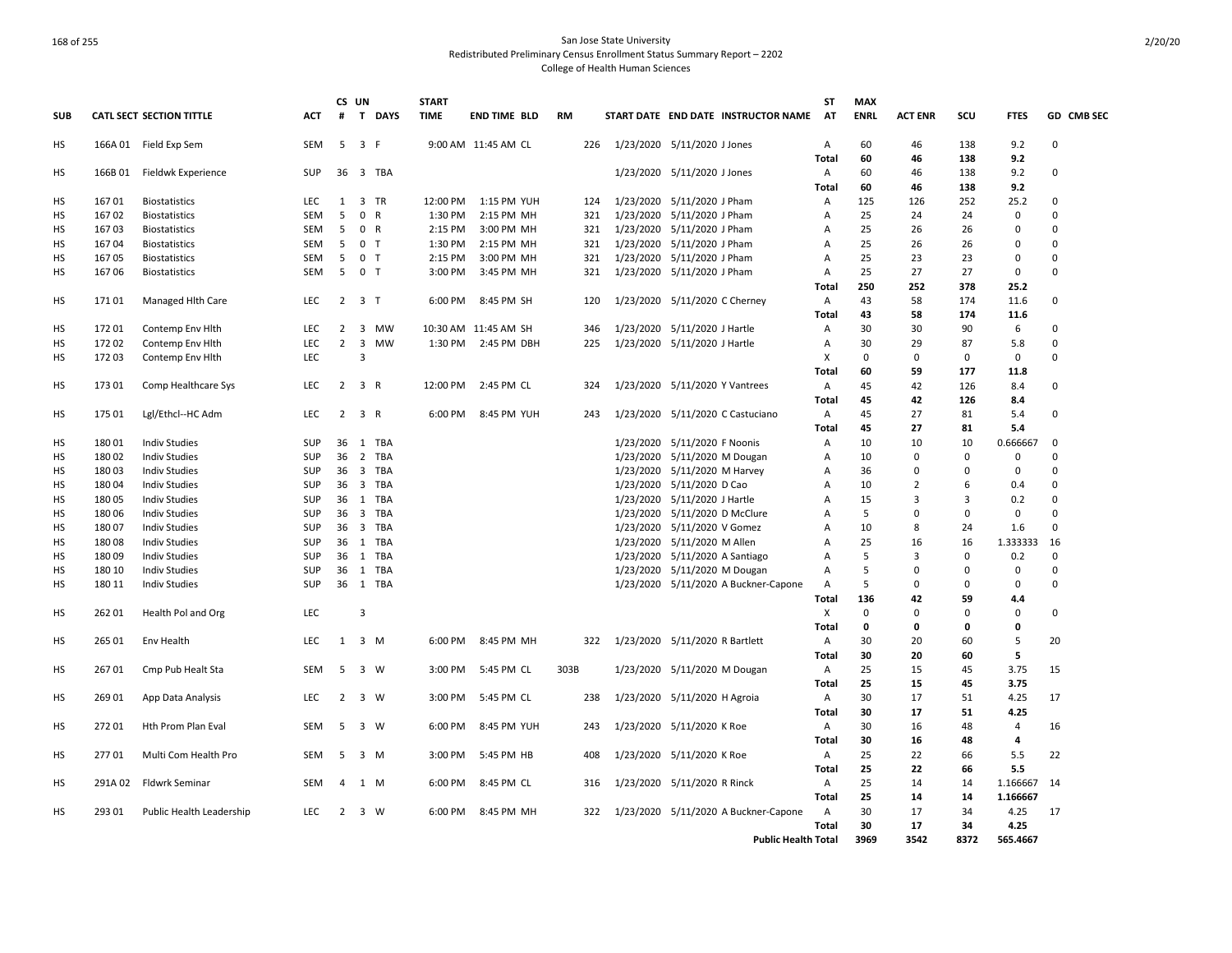|            |         |                                      |            |                | CS UN                   |                                  | <b>START</b>       |                      |      |                                      |                            | <b>ST</b>      | <b>MAX</b>  |                |           |                |                      |
|------------|---------|--------------------------------------|------------|----------------|-------------------------|----------------------------------|--------------------|----------------------|------|--------------------------------------|----------------------------|----------------|-------------|----------------|-----------|----------------|----------------------|
| <b>SUB</b> |         | <b>CATL SECT SECTION TITTLE</b>      | ACT        | #              | T                       | <b>DAYS</b>                      | <b>TIME</b>        | <b>END TIME BLD</b>  | RM   | START DATE END DATE INSTRUCTOR NAME  |                            | AT             | <b>ENRL</b> | <b>ACT ENR</b> | scu       | <b>FTES</b>    | GD CMB SEC           |
| HS         |         | 166A 01 Field Exp Sem                | <b>SEM</b> | 5              | 3 F                     |                                  |                    | 9:00 AM 11:45 AM CL  | 226  | 1/23/2020 5/11/2020 J Jones          |                            | A              | 60          | 46             | 138       | 9.2            | $\Omega$             |
|            |         |                                      |            |                |                         |                                  |                    |                      |      |                                      |                            | Total          | 60          | 46             | 138       | 9.2            |                      |
| HS         | 166B 01 | Fieldwk Experience                   | SUP        | 36             |                         | 3 TBA                            |                    |                      |      | 1/23/2020 5/11/2020 J Jones          |                            | A              | 60          | 46             | 138       | 9.2            | $\Omega$             |
|            |         |                                      |            |                |                         |                                  |                    |                      |      |                                      |                            | Total          | 60          | 46             | 138       | 9.2            |                      |
| НS         | 16701   | <b>Biostatistics</b>                 | LEC        | 1              |                         | 3 TR                             | 12:00 PM           | 1:15 PM YUH          | 124  | 1/23/2020 5/11/2020 J Pham           |                            | A              | 125         | 126            | 252       | 25.2           | $\Omega$             |
| HS         | 16702   | <b>Biostatistics</b>                 | SEM        | 5              | $\mathsf{O}$            | $\mathsf{R}$                     | 1:30 PM            | 2:15 PM MH           | 321  | 1/23/2020 5/11/2020 J Pham           |                            | А              | 25          | 24             | 24        | 0              | $\Omega$             |
| HS         | 16703   | <b>Biostatistics</b>                 | <b>SEM</b> | 5              |                         | 0 R                              | 2:15 PM            | 3:00 PM MH           | 321  | 1/23/2020 5/11/2020 J Pham           |                            | A              | 25          | 26             | 26        | 0              | $\Omega$             |
| HS         | 16704   | <b>Biostatistics</b>                 | SEM        | 5              |                         | 0 <sub>T</sub><br>0 <sub>T</sub> | 1:30 PM<br>2:15 PM | 2:15 PM MH           | 321  | 1/23/2020 5/11/2020 J Pham           |                            | A              | 25<br>25    | 26<br>23       | 26<br>23  | 0<br>0         | $\Omega$<br>$\Omega$ |
| HS         | 16705   | <b>Biostatistics</b>                 | SEM        | 5<br>5         |                         |                                  |                    | 3:00 PM MH           | 321  | 1/23/2020 5/11/2020 J Pham           |                            | A              | 25          | 27             | 27        | $\mathbf 0$    | $\Omega$             |
| HS         | 16706   | <b>Biostatistics</b>                 | <b>SEM</b> |                |                         | 0 <sub>T</sub>                   | 3:00 PM            | 3:45 PM MH           | 321  | 1/23/2020 5/11/2020 J Pham           |                            | A              | 250         | 252            | 378       |                |                      |
|            | 17101   |                                      | <b>LEC</b> | $\overline{2}$ |                         | 3 <sub>T</sub>                   | 6:00 PM            | 8:45 PM SH           |      |                                      |                            | <b>Total</b>   | 43          | 58             | 174       | 25.2<br>11.6   | 0                    |
| HS         |         | Managed Hith Care                    |            |                |                         |                                  |                    |                      | 120  | 1/23/2020 5/11/2020 C Cherney        |                            | A              |             |                |           |                |                      |
| HS         | 17201   |                                      | LEC        | $\overline{2}$ |                         | 3 MW                             |                    | 10:30 AM 11:45 AM SH | 346  | 1/23/2020 5/11/2020 J Hartle         |                            | Total<br>А     | 43<br>30    | 58<br>30       | 174<br>90 | 11.6<br>6      | $\Omega$             |
| HS         | 17202   | Contemp Env Hith<br>Contemp Env Hith | <b>LEC</b> | $\overline{2}$ | $\overline{\mathbf{3}}$ | MW                               |                    | 1:30 PM 2:45 PM DBH  | 225  | 1/23/2020 5/11/2020 J Hartle         |                            | $\mathsf{A}$   | 30          | 29             | 87        | 5.8            | 0                    |
|            | 17203   |                                      | LEC        |                | $\overline{3}$          |                                  |                    |                      |      |                                      |                            | Х              | 0           | 0              | 0         | 0              | 0                    |
| HS         |         | Contemp Env Hlth                     |            |                |                         |                                  |                    |                      |      |                                      |                            | Total          | 60          | 59             | 177       | 11.8           |                      |
| HS         | 17301   | Comp Healthcare Sys                  | <b>LEC</b> | 2              |                         | 3 R                              | 12:00 PM           | 2:45 PM CL           | 324  | 1/23/2020 5/11/2020 Y Vantrees       |                            | A              | 45          | 42             | 126       | 8.4            | $\Omega$             |
|            |         |                                      |            |                |                         |                                  |                    |                      |      |                                      |                            | Total          | 45          | 42             | 126       | 8.4            |                      |
| HS         | 175 01  | Lgl/Ethcl--HC Adm                    | LEC        | $\overline{2}$ |                         | 3 R                              | 6:00 PM            | 8:45 PM YUH          | 243  | 1/23/2020 5/11/2020 C Castuciano     |                            | A              | 45          | 27             | 81        | 5.4            | 0                    |
|            |         |                                      |            |                |                         |                                  |                    |                      |      |                                      |                            | Total          | 45          | 27             | 81        | 5.4            |                      |
| HS         | 18001   | <b>Indiv Studies</b>                 | SUP        | 36             |                         | 1 TBA                            |                    |                      |      | 1/23/2020 5/11/2020 F Noonis         |                            | Α              | 10          | 10             | 10        | 0.666667       | 0                    |
| HS         | 18002   | <b>Indiv Studies</b>                 | SUP        | 36             |                         | 2 TBA                            |                    |                      |      | 1/23/2020 5/11/2020 M Dougan         |                            | А              | 10          | 0              | 0         | 0              | $\Omega$             |
| HS         | 18003   | <b>Indiv Studies</b>                 | SUP        | 36             |                         | 3 TBA                            |                    |                      |      | 1/23/2020 5/11/2020 M Harvey         |                            | A              | 36          | $\Omega$       | $\Omega$  | 0              | 0                    |
| HS         | 180 04  | <b>Indiv Studies</b>                 | SUP        | 36             |                         | 3 TBA                            |                    |                      |      | 1/23/2020 5/11/2020 D Cao            |                            | Α              | 10          | 2              | 6         | 0.4            | $\Omega$             |
| HS         | 180 05  | <b>Indiv Studies</b>                 | SUP        |                |                         | 36 1 TBA                         |                    |                      |      | 1/23/2020 5/11/2020 J Hartle         |                            | $\overline{A}$ | 15          | 3              | 3         | 0.2            | $\Omega$             |
| HS         | 18006   | <b>Indiv Studies</b>                 | SUP        | 36             |                         | 3 TBA                            |                    |                      |      | 1/23/2020 5/11/2020 D McClure        |                            | А              | 5           | $\Omega$       | 0         | 0              | $\Omega$             |
| НS         | 18007   | <b>Indiv Studies</b>                 | SUP        | 36             |                         | 3 TBA                            |                    |                      |      | 1/23/2020 5/11/2020 V Gomez          |                            | А              | 10          | 8              | 24        | 1.6            | 0                    |
| HS         | 18008   | <b>Indiv Studies</b>                 | SUP        | 36             |                         | 1 TBA                            |                    |                      |      | 1/23/2020 5/11/2020 M Allen          |                            | А              | 25          | 16             | 16        | 1.333333       | 16                   |
| HS         | 18009   | <b>Indiv Studies</b>                 | SUP        | 36             |                         | 1 TBA                            |                    |                      |      | 1/23/2020 5/11/2020 A Santiago       |                            | А              | 5           | 3              | 0         | 0.2            | $\Omega$             |
| HS         | 180 10  | <b>Indiv Studies</b>                 | SUP        | 36             | 1                       | TBA                              |                    |                      |      | 1/23/2020 5/11/2020 M Dougan         |                            | А              | 5           | 0              | 0         | 0              | $\Omega$             |
| HS         | 180 11  | <b>Indiv Studies</b>                 | SUP        | 36             |                         | 1 TBA                            |                    |                      |      | 1/23/2020 5/11/2020 A Buckner-Capone |                            | $\mathsf{A}$   | 5           | 0              | 0         | 0              | $\Omega$             |
|            |         |                                      |            |                |                         |                                  |                    |                      |      |                                      |                            | Total          | 136         | 42             | 59        | 4.4            |                      |
| HS         | 26201   | Health Pol and Org                   | <b>LEC</b> |                | $\overline{3}$          |                                  |                    |                      |      |                                      |                            | X              | $\mathbf 0$ | $\Omega$       | 0         | 0              | 0                    |
|            |         |                                      |            |                |                         |                                  |                    |                      |      |                                      |                            | <b>Total</b>   | 0           | 0              | 0         | 0              |                      |
| HS         | 265 01  | Env Health                           | LEC        |                | $1 \quad 3 \quad M$     |                                  | 6:00 PM            | 8:45 PM MH           | 322  | 1/23/2020 5/11/2020 R Bartlett       |                            | A              | 30          | 20             | 60        | 5              | 20                   |
|            |         |                                      |            |                |                         |                                  |                    |                      |      |                                      |                            | Total          | 30          | 20             | 60        | 5              |                      |
| HS         | 26701   | Cmp Pub Healt Sta                    | <b>SEM</b> | -5             |                         | 3 W                              | 3:00 PM            | 5:45 PM CL           | 303B | 1/23/2020 5/11/2020 M Dougan         |                            | $\overline{A}$ | 25          | 15             | 45        | 3.75           | 15                   |
|            |         |                                      |            |                |                         |                                  |                    |                      |      |                                      |                            | Total          | 25          | 15             | 45        | 3.75           |                      |
| HS         | 269 01  | App Data Analysis                    | <b>LEC</b> | 2              |                         | 3 W                              | 3:00 PM            | 5:45 PM CL           | 238  | 1/23/2020 5/11/2020 H Agroia         |                            | A              | 30          | 17             | 51        | 4.25           | 17                   |
|            |         |                                      |            |                |                         |                                  |                    |                      |      |                                      |                            | Total          | 30          | 17             | 51        | 4.25           |                      |
| HS         | 272 01  | Hth Prom Plan Eval                   | SEM        | -5             |                         | 3 W                              | 6:00 PM            | 8:45 PM YUH          | 243  | 1/23/2020 5/11/2020 K Roe            |                            | A              | 30          | 16             | 48        | $\overline{4}$ | 16                   |
|            |         |                                      |            |                |                         |                                  |                    |                      |      |                                      |                            | Total          | 30          | 16             | 48        | $\overline{4}$ |                      |
| НS         | 27701   | Multi Com Health Pro                 | SEM        | 5              | 3                       | M                                | 3:00 PM            | 5:45 PM HB           | 408  | 1/23/2020 5/11/2020 K Roe            |                            | A              | 25          | 22             | 66        | 5.5            | 22                   |
|            |         |                                      |            |                |                         |                                  |                    |                      |      |                                      |                            | Total          | 25          | 22             | 66        | 5.5            |                      |
| HS         | 291A 02 | <b>Fldwrk Seminar</b>                | <b>SEM</b> | $\overline{4}$ |                         | 1 M                              | 6:00 PM            | 8:45 PM CL           | 316  | 1/23/2020 5/11/2020 R Rinck          |                            | $\overline{A}$ | 25          | 14             | 14        | 1.166667       | 14                   |
|            |         |                                      |            |                |                         |                                  |                    |                      |      |                                      |                            | Total          | 25          | 14             | 14        | 1.166667       |                      |
| HS         | 293 01  | Public Health Leadership             | LEC        | $\overline{2}$ |                         | 3 W                              | 6:00 PM            | 8:45 PM MH           | 322  | 1/23/2020 5/11/2020 A Buckner-Capone |                            | A              | 30          | 17             | 34        | 4.25           | 17                   |
|            |         |                                      |            |                |                         |                                  |                    |                      |      |                                      |                            | Total          | 30          | 17             | 34        | 4.25           |                      |
|            |         |                                      |            |                |                         |                                  |                    |                      |      |                                      | <b>Public Health Total</b> |                | 3969        | 3542           | 8372      | 565.4667       |                      |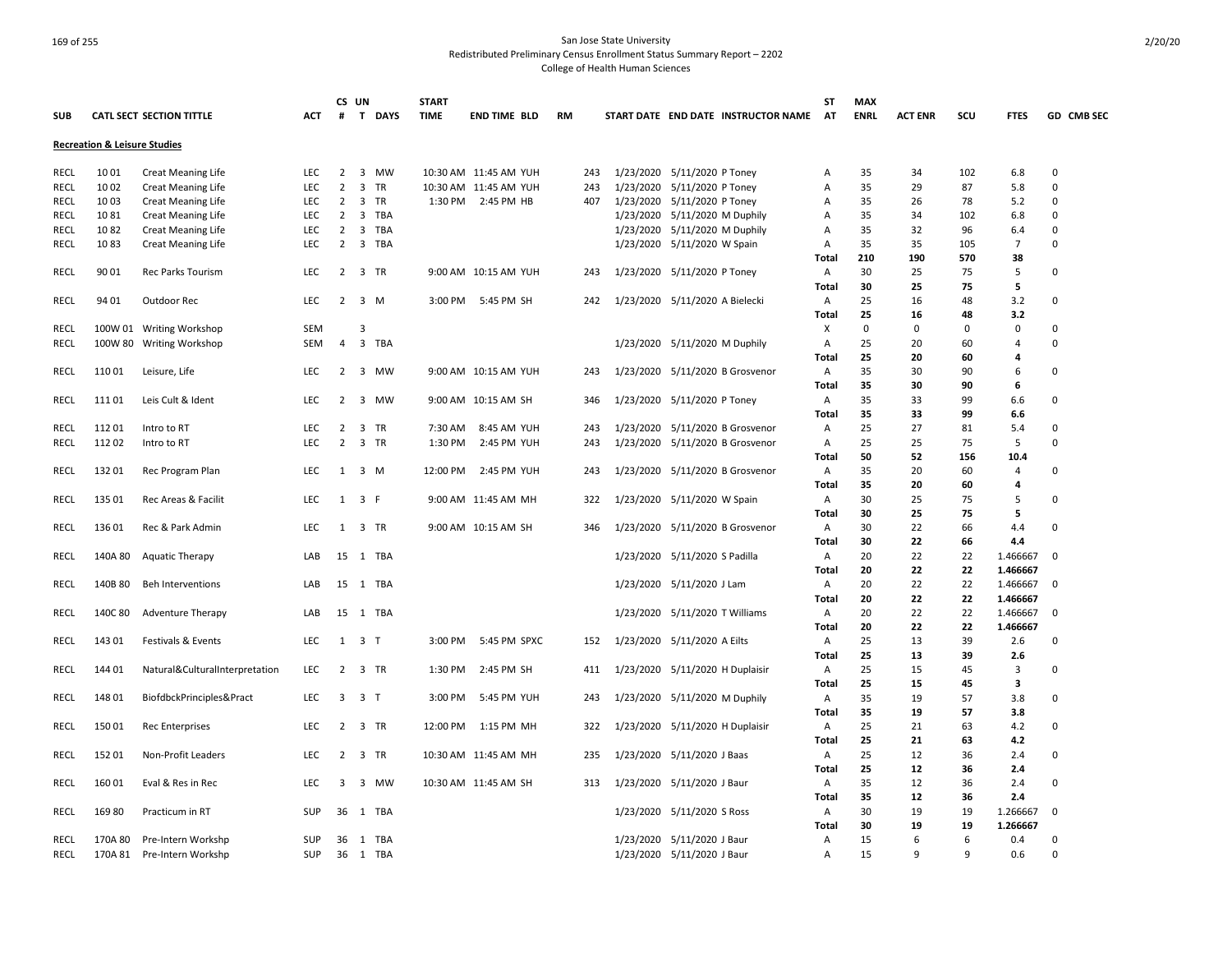|             |                                         |                                 |            |                | CS UN                   |               | <b>START</b> |                       |           |                                 |                     |                                     | ST             | <b>MAX</b>  |                |     |                |             |
|-------------|-----------------------------------------|---------------------------------|------------|----------------|-------------------------|---------------|--------------|-----------------------|-----------|---------------------------------|---------------------|-------------------------------------|----------------|-------------|----------------|-----|----------------|-------------|
| <b>SUB</b>  |                                         | <b>CATL SECT SECTION TITTLE</b> | <b>ACT</b> | #              |                         | <b>T DAYS</b> | <b>TIME</b>  | <b>END TIME BLD</b>   | <b>RM</b> |                                 |                     | START DATE END DATE INSTRUCTOR NAME | AT             | <b>ENRL</b> | <b>ACT ENR</b> | SCU | <b>FTES</b>    | GD CMB SEC  |
|             | <b>Recreation &amp; Leisure Studies</b> |                                 |            |                |                         |               |              |                       |           |                                 |                     |                                     |                |             |                |     |                |             |
| RECL        | 10 01                                   | <b>Creat Meaning Life</b>       | <b>LEC</b> | 2              | 3                       | <b>MW</b>     |              | 10:30 AM 11:45 AM YUH | 243       | 1/23/2020 5/11/2020 P Toney     |                     |                                     | Α              | 35          | 34             | 102 | 6.8            | 0           |
| <b>RECL</b> | 10 02                                   | <b>Creat Meaning Life</b>       | <b>LEC</b> | $\mathbf 2$    | 3                       | <b>TR</b>     |              | 10:30 AM 11:45 AM YUH | 243       | 1/23/2020                       | 5/11/2020 P Toney   |                                     | Α              | 35          | 29             | 87  | 5.8            | $\mathbf 0$ |
| <b>RECL</b> | 10 03                                   | <b>Creat Meaning Life</b>       | <b>LEC</b> | $\overline{2}$ | 3                       | TR            |              | 1:30 PM 2:45 PM HB    | 407       | 1/23/2020 5/11/2020 P Toney     |                     |                                     | Α              | 35          | 26             | 78  | 5.2            | $\mathbf 0$ |
| RECL        | 1081                                    | <b>Creat Meaning Life</b>       | LEC        | 2              | 3                       | TBA           |              |                       |           | 1/23/2020                       | 5/11/2020 M Duphily |                                     | Α              | 35          | 34             | 102 | 6.8            | $\mathbf 0$ |
| RECL        | 1082                                    | <b>Creat Meaning Life</b>       | <b>LEC</b> | $\overline{2}$ | 3                       | TBA           |              |                       |           | 1/23/2020 5/11/2020 M Duphily   |                     |                                     | Α              | 35          | 32             | 96  | 6.4            | 0           |
| <b>RECL</b> | 1083                                    | Creat Meaning Life              | <b>LEC</b> | $\overline{2}$ | 3                       | TBA           |              |                       |           | 1/23/2020 5/11/2020 W Spain     |                     |                                     | Α              | 35          | 35             | 105 | $\overline{7}$ | $\Omega$    |
|             |                                         |                                 |            |                |                         |               |              |                       |           |                                 |                     |                                     | Total          | 210         | 190            | 570 | 38             |             |
| RECL        | 90 01                                   | Rec Parks Tourism               | <b>LEC</b> | 2              |                         | 3 TR          |              | 9:00 AM 10:15 AM YUH  | 243       | 1/23/2020 5/11/2020 P Toney     |                     |                                     | Α              | 30          | 25             | 75  | 5              | 0           |
|             |                                         |                                 |            |                |                         |               |              |                       |           |                                 |                     |                                     | Total          | 30          | 25             | 75  | 5              |             |
| <b>RECL</b> | 94 01                                   | Outdoor Rec                     | <b>LEC</b> | 2              | 3 M                     |               | 3:00 PM      | 5:45 PM SH            | 242       | 1/23/2020 5/11/2020 A Bielecki  |                     |                                     | Α              | 25          | 16             | 48  | 3.2            | $\mathbf 0$ |
|             |                                         |                                 |            |                |                         |               |              |                       |           |                                 |                     |                                     | Total          | 25          | 16             | 48  | 3.2            |             |
| RECL        |                                         | 100W 01 Writing Workshop        | <b>SEM</b> |                | 3                       |               |              |                       |           |                                 |                     |                                     | Χ              | $\Omega$    | 0              | 0   | 0              | $\mathbf 0$ |
| RECL        |                                         | 100W 80 Writing Workshop        | SEM        | 4              |                         | 3 TBA         |              |                       |           | 1/23/2020 5/11/2020 M Duphily   |                     |                                     | Α              | 25          | 20             | 60  | $\overline{4}$ | 0           |
|             |                                         |                                 |            |                |                         |               |              |                       |           |                                 |                     |                                     | <b>Total</b>   | 25          | 20             | 60  | 4              |             |
| RECL        | 110 01                                  | Leisure, Life                   | LEC        | $\overline{2}$ |                         | 3 MW          |              | 9:00 AM 10:15 AM YUH  | 243       |                                 |                     | 1/23/2020 5/11/2020 B Grosvenor     | $\overline{A}$ | 35          | 30             | 90  | 6              | $\mathbf 0$ |
|             |                                         |                                 |            |                |                         |               |              |                       |           |                                 |                     |                                     | Total          | 35          | 30             | 90  | 6              |             |
| RECL        | 111 01                                  | Leis Cult & Ident               | <b>LEC</b> | $\overline{2}$ | $\overline{\mathbf{3}}$ | <b>MW</b>     |              | 9:00 AM 10:15 AM SH   | 346       | 1/23/2020 5/11/2020 P Toney     |                     |                                     | Α              | 35          | 33             | 99  | 6.6            | 0           |
|             |                                         |                                 |            |                |                         |               |              |                       |           |                                 |                     |                                     | Total          | 35          | 33             | 99  | 6.6            |             |
| <b>RECL</b> | 11201                                   | Intro to RT                     | LEC        | 2              | 3                       | TR            | 7:30 AM      | 8:45 AM YUH           | 243       |                                 |                     | 1/23/2020 5/11/2020 B Grosvenor     | Α              | 25          | 27             | 81  | 5.4            | $\mathbf 0$ |
| RECL        | 11202                                   | Intro to RT                     | <b>LEC</b> | $\overline{2}$ |                         | 3 TR          | 1:30 PM      | 2:45 PM YUH           | 243       |                                 |                     | 1/23/2020 5/11/2020 B Grosvenor     | Α              | 25          | 25             | 75  | 5              | $\Omega$    |
|             |                                         |                                 |            |                |                         |               |              |                       |           |                                 |                     |                                     | Total          | 50          | 52             | 156 | 10.4           |             |
| RECL        | 13201                                   | Rec Program Plan                | <b>LEC</b> | 1              | 3 M                     |               | 12:00 PM     | 2:45 PM YUH           | 243       |                                 |                     | 1/23/2020 5/11/2020 B Grosvenor     | Α              | 35          | 20             | 60  | $\overline{4}$ | $\Omega$    |
|             |                                         |                                 |            |                |                         |               |              |                       |           |                                 |                     |                                     | Total          | 35          | 20             | 60  | 4              |             |
| RECL        | 135 01                                  | Rec Areas & Facilit             | <b>LEC</b> | 1              | 3 F                     |               |              | 9:00 AM 11:45 AM MH   | 322       | 1/23/2020 5/11/2020 W Spain     |                     |                                     | Α              | 30          | 25             | 75  | 5              | 0           |
|             |                                         |                                 |            |                |                         |               |              |                       |           |                                 |                     |                                     | Total          | 30          | 25             | 75  | 5              |             |
| <b>RECL</b> | 13601                                   | Rec & Park Admin                | <b>LEC</b> |                | 1 3 TR                  |               |              | 9:00 AM 10:15 AM SH   | 346       |                                 |                     | 1/23/2020 5/11/2020 B Grosvenor     | Α              | 30          | 22             | 66  | 4.4            | 0           |
|             |                                         |                                 |            |                |                         |               |              |                       |           |                                 |                     |                                     | Total          | 30          | 22             | 66  | 4.4            |             |
| RECL        | 140A 80                                 | <b>Aquatic Therapy</b>          | LAB        | 15             |                         | 1 TBA         |              |                       |           | 1/23/2020 5/11/2020 S Padilla   |                     |                                     | Α              | 20          | 22             | 22  | 1.466667       | 0           |
|             |                                         |                                 |            |                |                         |               |              |                       |           |                                 |                     |                                     | Total          | 20          | 22             | 22  | 1.466667       |             |
| <b>RECL</b> | 140B 80                                 | <b>Beh Interventions</b>        | LAB        | 15             |                         | 1 TBA         |              |                       |           | 1/23/2020 5/11/2020 J Lam       |                     |                                     | Α              | 20          | 22             | 22  | 1.466667       | 0           |
|             |                                         |                                 |            |                |                         |               |              |                       |           |                                 |                     |                                     | Total          | 20          | 22             | 22  | 1.466667       |             |
| RECL        | 140C 80                                 | <b>Adventure Therapy</b>        | LAB        | 15             |                         | 1 TBA         |              |                       |           | 1/23/2020 5/11/2020 T Williams  |                     |                                     | Α              | 20          | 22             | 22  | 1.466667       | 0           |
|             |                                         |                                 |            |                |                         |               |              |                       |           |                                 |                     |                                     | Total          | 20          | 22             | 22  | 1.466667       |             |
| <b>RECL</b> | 143 01                                  | Festivals & Events              | <b>LEC</b> |                | $1 \quad 3 \quad T$     |               |              | 3:00 PM 5:45 PM SPXC  | 152       | 1/23/2020 5/11/2020 A Eilts     |                     |                                     | Α              | 25          | 13             | 39  | 2.6            | 0           |
|             |                                         |                                 |            |                |                         |               |              |                       |           |                                 |                     |                                     | Total          | 25          | 13             | 39  | 2.6            |             |
| RECL        | 144 01                                  | Natural&CulturalInterpretation  | LEC        | $\overline{2}$ |                         | 3 TR          | 1:30 PM      | 2:45 PM SH            | 411       | 1/23/2020 5/11/2020 H Duplaisir |                     |                                     | A              | 25          | 15             | 45  | 3              | $\mathbf 0$ |
|             |                                         |                                 |            |                |                         |               |              |                       |           |                                 |                     |                                     | Total          | 25          | 15             | 45  | 3              |             |
| RECL        | 148 01                                  | BiofdbckPrinciples&Pract        | <b>LEC</b> | 3              | 3 T                     |               | 3:00 PM      | 5:45 PM YUH           | 243       | 1/23/2020 5/11/2020 M Duphily   |                     |                                     | Α              | 35          | 19             | 57  | 3.8            | 0           |
|             |                                         |                                 |            |                |                         |               |              |                       |           |                                 |                     |                                     | Total          | 35          | 19             | 57  | 3.8            |             |
| RECL        | 15001                                   | <b>Rec Enterprises</b>          | LEC        | $\overline{2}$ | 3                       | TR            | 12:00 PM     | 1:15 PM MH            | 322       | 1/23/2020 5/11/2020 H Duplaisir |                     |                                     | Α              | 25          | 21             | 63  | 4.2            | $\mathbf 0$ |
|             |                                         |                                 |            |                |                         |               |              |                       |           |                                 |                     |                                     | Total          | 25          | 21             | 63  | 4.2            |             |
| RECL        | 152 01                                  | Non-Profit Leaders              | LEC        | $\overline{2}$ | 3 TR                    |               |              | 10:30 AM 11:45 AM MH  | 235       | 1/23/2020 5/11/2020 J Baas      |                     |                                     | Α              | 25          | 12             | 36  | 2.4            | $\mathbf 0$ |
|             |                                         |                                 |            |                |                         |               |              |                       |           |                                 |                     |                                     | Total          | 25          | 12             | 36  | 2.4            |             |
| RECL        | 16001                                   | Eval & Res in Rec               | LEC        | 3              |                         | 3 MW          |              | 10:30 AM 11:45 AM SH  | 313       | 1/23/2020 5/11/2020 J Baur      |                     |                                     | Α              | 35          | 12             | 36  | 2.4            | $\mathbf 0$ |
|             |                                         |                                 |            |                |                         |               |              |                       |           |                                 |                     |                                     | Total          | 35          | 12             | 36  | 2.4            |             |
| RECL        | 169 80                                  | Practicum in RT                 | <b>SUP</b> | 36             |                         | 1 TBA         |              |                       |           | 1/23/2020 5/11/2020 S Ross      |                     |                                     | Α              | 30          | 19             | 19  | 1.266667       | $\mathbf 0$ |
|             |                                         |                                 |            |                |                         |               |              |                       |           |                                 |                     |                                     | Total          | 30          | 19             | 19  | 1.266667       |             |
| RECL        | 170A 80                                 | Pre-Intern Workshp              | SUP        | 36             |                         | 1 TBA         |              |                       |           | 1/23/2020 5/11/2020 J Baur      |                     |                                     | Α              | 15          | 6              | 6   | 0.4            | 0           |
| RECL        | 170A 81                                 | Pre-Intern Workshp              | <b>SUP</b> | 36             |                         | 1 TBA         |              |                       |           | 1/23/2020 5/11/2020 J Baur      |                     |                                     | A              | 15          | 9              | q   | 0.6            | 0           |
|             |                                         |                                 |            |                |                         |               |              |                       |           |                                 |                     |                                     |                |             |                |     |                |             |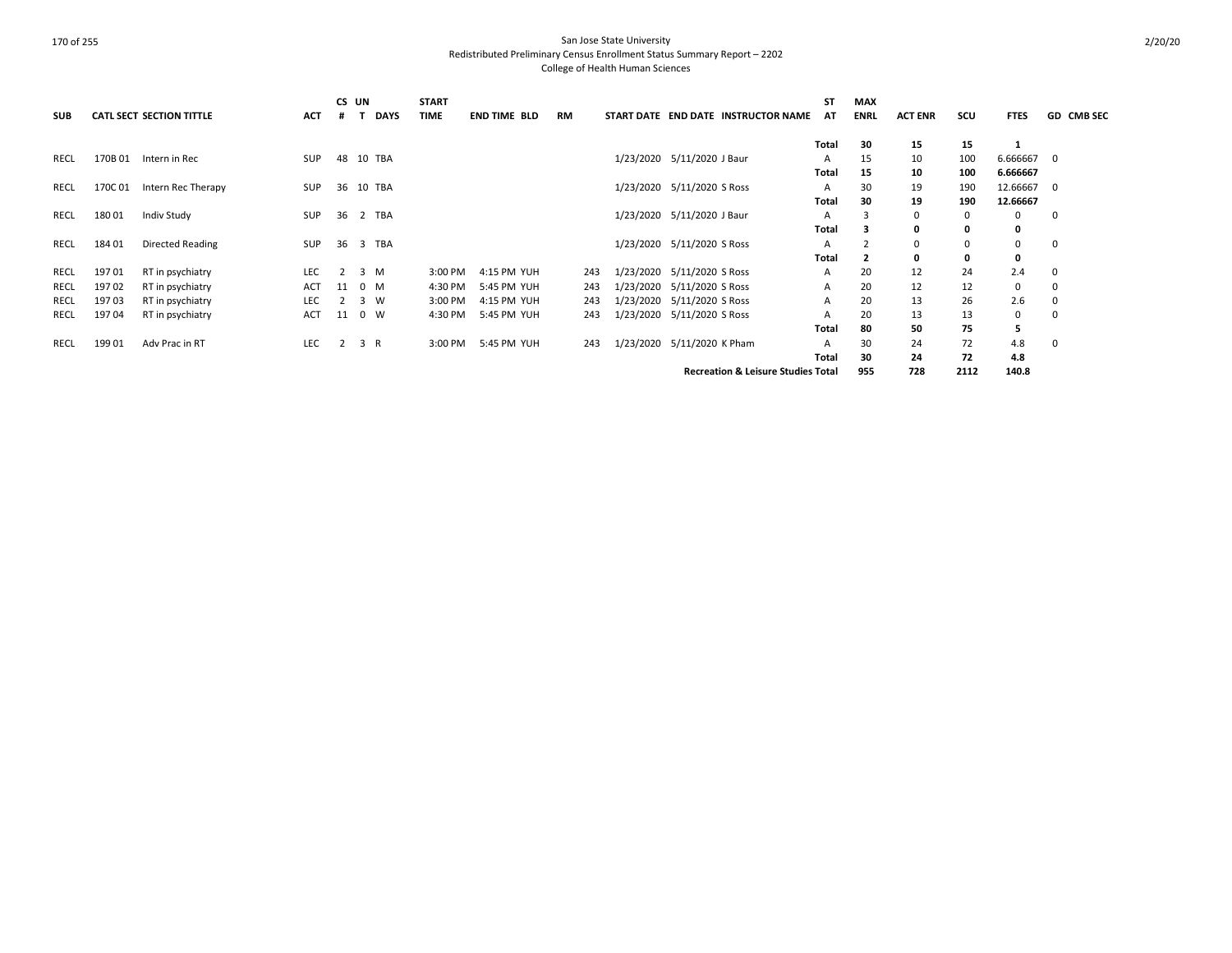| <b>SUB</b>  |         | <b>CATL SECT SECTION TITTLE</b> | <b>ACT</b> | #  | CS UN<br><b>DAYS</b> | <b>START</b><br><b>TIME</b> | <b>END TIME BLD</b> | <b>RM</b> | START DATE END DATE INSTRUCTOR NAME           | <b>ST</b><br>AT | MAX<br><b>ENRL</b> | <b>ACT ENR</b> | scu  | <b>FTES</b> | <b>GD CMB SEC</b> |
|-------------|---------|---------------------------------|------------|----|----------------------|-----------------------------|---------------------|-----------|-----------------------------------------------|-----------------|--------------------|----------------|------|-------------|-------------------|
|             |         |                                 |            |    |                      |                             |                     |           |                                               | Total           | 30                 | 15             | 15   | -1          |                   |
| RECL        | 170B 01 | Intern in Rec                   | <b>SUP</b> | 48 | 10 TBA               |                             |                     |           | 1/23/2020 5/11/2020 J Baur                    | A               | 15                 | 10             | 100  | 6.666667 0  |                   |
|             |         |                                 |            |    |                      |                             |                     |           |                                               | Total           | 15                 | 10             | 100  | 6.666667    |                   |
| RECL        | 170C01  | Intern Rec Therapy              | SUP        | 36 | 10 TBA               |                             |                     |           | 1/23/2020 5/11/2020 S Ross                    | A               | 30                 | 19             | 190  | 12.66667 0  |                   |
|             |         |                                 |            |    |                      |                             |                     |           |                                               | Total           | 30                 | 19             | 190  | 12.66667    |                   |
| RECL        | 18001   | Indiv Study                     | <b>SUP</b> | 36 | 2 TBA                |                             |                     |           | 1/23/2020 5/11/2020 J Baur                    | A               | 3                  | 0              | 0    | 0           | $\mathbf 0$       |
|             |         |                                 |            |    |                      |                             |                     |           |                                               | Total           | 3                  | 0              | 0    | 0           |                   |
| RECL        | 184 01  | Directed Reading                | SUP        | 36 | 3 TBA                |                             |                     |           | 1/23/2020 5/11/2020 S Ross                    | A               |                    | 0              | 0    | 0           | $\mathbf 0$       |
|             |         |                                 |            |    |                      |                             |                     |           |                                               | Total           | $\overline{2}$     | 0              | 0    | 0           |                   |
| RECL        | 197 01  | RT in psychiatry                | LEC        | 2  | 3 M                  | 3:00 PM                     | 4:15 PM YUH         | 243       | 1/23/2020 5/11/2020 S Ross                    | A               | 20                 | 12             | 24   | 2.4         | 0                 |
| RECL        | 197 02  | RT in psychiatry                | ACT        | 11 | $0$ M                | 4:30 PM                     | 5:45 PM YUH         | 243       | 1/23/2020 5/11/2020 S Ross                    | A               | 20                 | 12             | 12   | 0           | 0                 |
| RECL        | 19703   | RT in psychiatry                | LEC        |    | 3<br>W               | 3:00 PM                     | 4:15 PM YUH         | 243       | 1/23/2020 5/11/2020 S Ross                    | A               | 20                 | 13             | 26   | 2.6         | $\mathbf 0$       |
| <b>RECL</b> | 19704   | RT in psychiatry                | ACT        | 11 | $0 \quad W$          | 4:30 PM                     | 5:45 PM YUH         | 243       | 1/23/2020 5/11/2020 S Ross                    | A               | 20                 | 13             | 13   | 0           | 0                 |
|             |         |                                 |            |    |                      |                             |                     |           |                                               | Total           | 80                 | 50             | 75   | 5           |                   |
| <b>RECL</b> | 19901   | Adv Prac in RT                  | LEC        | 2  | 3 R                  | 3:00 PM                     | 5:45 PM YUH         | 243       | 1/23/2020 5/11/2020 K Pham                    | A               | 30                 | 24             | 72   | 4.8         | 0                 |
|             |         |                                 |            |    |                      |                             |                     |           |                                               | Total           | 30                 | 24             | 72   | 4.8         |                   |
|             |         |                                 |            |    |                      |                             |                     |           | <b>Recreation &amp; Leisure Studies Total</b> |                 | 955                | 728            | 2112 | 140.8       |                   |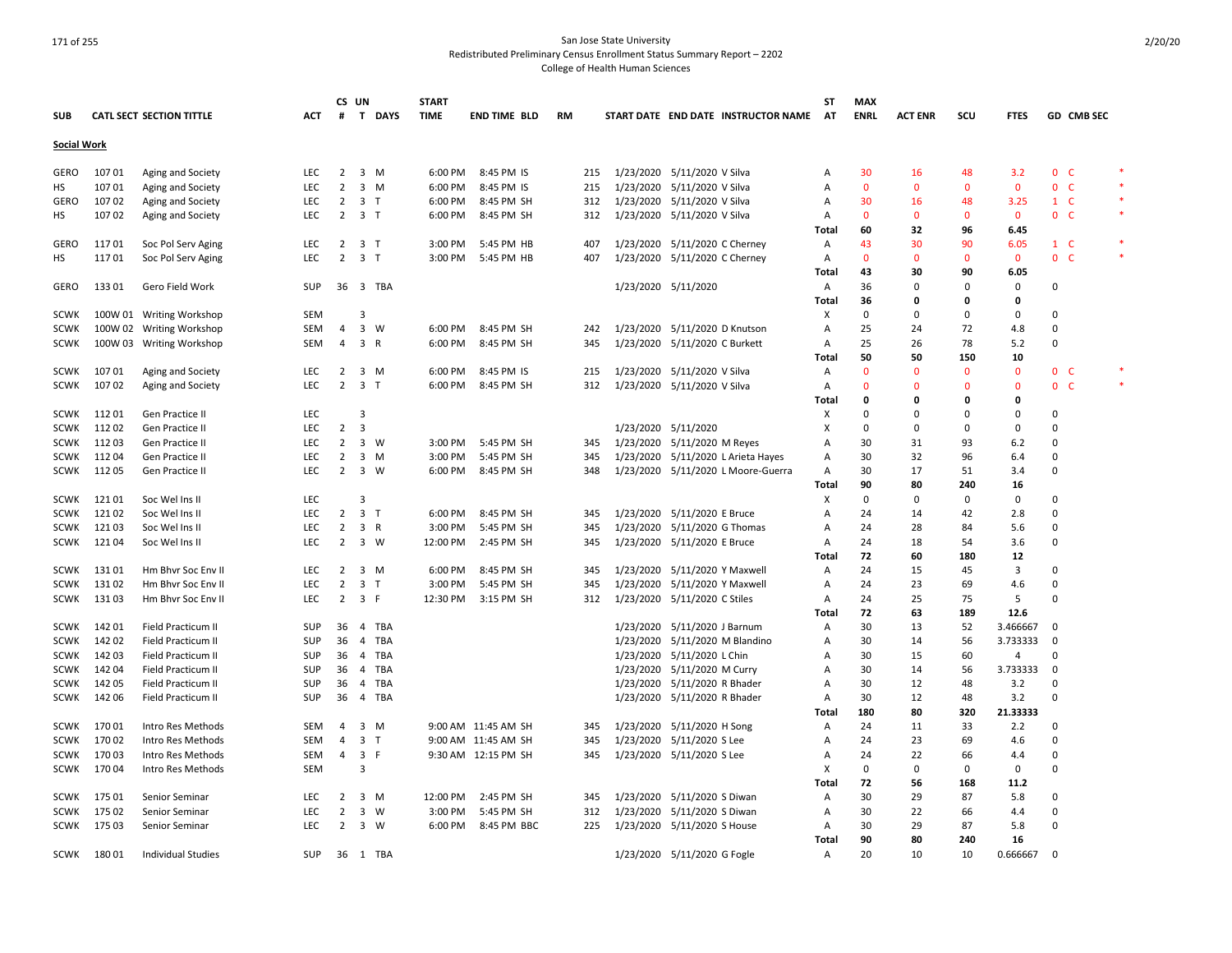|             |        |                                 |            |                | CS UN                   |             | <b>START</b> |                     |           |     |                               |                             |                                     | SΤ           | <b>MAX</b>   |                |          |              |                         |                   |        |
|-------------|--------|---------------------------------|------------|----------------|-------------------------|-------------|--------------|---------------------|-----------|-----|-------------------------------|-----------------------------|-------------------------------------|--------------|--------------|----------------|----------|--------------|-------------------------|-------------------|--------|
| <b>SUB</b>  |        | <b>CATL SECT SECTION TITTLE</b> | <b>ACT</b> | #              |                         | T DAYS      | <b>TIME</b>  | <b>END TIME BLD</b> | <b>RM</b> |     |                               |                             | START DATE END DATE INSTRUCTOR NAME | AT           | <b>ENRL</b>  | <b>ACT ENR</b> | scu      | <b>FTES</b>  |                         | <b>GD CMB SEC</b> |        |
| Social Work |        |                                 |            |                |                         |             |              |                     |           |     |                               |                             |                                     |              |              |                |          |              |                         |                   |        |
| GERO        | 10701  | Aging and Society               | <b>LEC</b> | $\overline{2}$ |                         | 3 M         | 6:00 PM      | 8:45 PM IS          |           | 215 | 1/23/2020 5/11/2020 V Silva   |                             |                                     | Α            | 30           | 16             | 48       | 3.2          | 0 <sup>o</sup>          |                   |        |
| HS          | 10701  | Aging and Society               | <b>LEC</b> | $\overline{2}$ |                         | 3 M         | 6:00 PM      | 8:45 PM IS          |           | 215 | 1/23/2020 5/11/2020 V Silva   |                             |                                     | Α            | $\mathbf{0}$ | $\mathbf{0}$   | $\Omega$ | $\mathbf{0}$ | 0 <sub>c</sub>          |                   |        |
| GERO        | 10702  | Aging and Society               | <b>LEC</b> | $\overline{2}$ | 3 <sub>T</sub>          |             | 6:00 PM      | 8:45 PM SH          |           | 312 | 1/23/2020 5/11/2020 V Silva   |                             |                                     | Α            | 30           | 16             | 48       | 3.25         | $1 \quad C$             |                   |        |
| HS          | 10702  | Aging and Society               | <b>LEC</b> | 2              | 3 <sub>1</sub>          |             | 6:00 PM      | 8:45 PM SH          |           | 312 | 1/23/2020 5/11/2020 V Silva   |                             |                                     | Α            | $\mathbf{0}$ | $\mathbf{0}$   | $\Omega$ | $\mathbf{0}$ | 0 <sup>o</sup>          |                   | $\ast$ |
|             |        |                                 |            |                |                         |             |              |                     |           |     |                               |                             |                                     | <b>Total</b> | 60           | 32             | 96       | 6.45         |                         |                   |        |
| GERO        | 11701  | Soc Pol Serv Aging              | LEC        | $\overline{2}$ | 3 <sub>1</sub>          |             | 3:00 PM      | 5:45 PM HB          |           | 407 | 1/23/2020 5/11/2020 C Cherney |                             |                                     |              | 43           | 30             | 90       | 6.05         | $1 \quad C$             |                   | $\ast$ |
|             | 11701  |                                 | <b>LEC</b> | $\overline{2}$ | 3 T                     |             | 3:00 PM      | 5:45 PM HB          |           | 407 | 1/23/2020 5/11/2020 C Cherney |                             |                                     | Α            | $\Omega$     | $\Omega$       | $\Omega$ | $\mathbf{0}$ | 0 <sub>c</sub>          |                   | $\ast$ |
| НS          |        | Soc Pol Serv Aging              |            |                |                         |             |              |                     |           |     |                               |                             |                                     | Α            | 43           | 30             | 90       | 6.05         |                         |                   |        |
| GERO        | 13301  | Gero Field Work                 | <b>SUP</b> | 36             |                         | 3 TBA       |              |                     |           |     | 1/23/2020 5/11/2020           |                             |                                     | Total<br>Α   | 36           | $\Omega$       | $\Omega$ | $\Omega$     | $\Omega$                |                   |        |
|             |        |                                 |            |                |                         |             |              |                     |           |     |                               |                             |                                     | Total        | 36           | $\Omega$       | O        | $\Omega$     |                         |                   |        |
| <b>SCWK</b> |        |                                 | <b>SEM</b> |                | $\overline{3}$          |             |              |                     |           |     |                               |                             |                                     |              | $\Omega$     | $\Omega$       | $\Omega$ | $\Omega$     | 0                       |                   |        |
|             |        | 100W 01 Writing Workshop        |            |                |                         |             |              |                     |           |     |                               |                             |                                     | х            |              |                |          |              |                         |                   |        |
| <b>SCWK</b> |        | 100W 02 Writing Workshop        | SEM        | 4              | $\overline{\mathbf{3}}$ | W           | 6:00 PM      | 8:45 PM SH          |           | 242 | 1/23/2020 5/11/2020 D Knutson |                             |                                     | Α            | 25<br>25     | 24             | 72       | 4.8          | $\mathbf 0$<br>$\Omega$ |                   |        |
| <b>SCWK</b> |        | 100W 03 Writing Workshop        | SEM        | 4              | 3 R                     |             | 6:00 PM      | 8:45 PM SH          |           | 345 | 1/23/2020 5/11/2020 C Burkett |                             |                                     | Α            |              | 26             | 78       | 5.2          |                         |                   |        |
|             |        |                                 |            |                |                         |             |              |                     |           |     |                               |                             |                                     | Total        | 50           | 50             | 150      | 10           |                         |                   |        |
| SCWK        | 107 01 | Aging and Society               | <b>LEC</b> | 2              |                         | 3 M         | 6:00 PM      | 8:45 PM IS          |           | 215 | 1/23/2020 5/11/2020 V Silva   |                             |                                     | Α            | $\Omega$     | $\mathbf{0}$   | $\Omega$ | $\mathbf{0}$ | 0 <sup>o</sup>          |                   |        |
| <b>SCWK</b> | 107 02 | Aging and Society               | <b>LEC</b> | 2              | 3 <sub>T</sub>          |             | 6:00 PM      | 8:45 PM SH          |           | 312 | 1/23/2020 5/11/2020 V Silva   |                             |                                     | Α            | $\Omega$     | $\Omega$       | $\Omega$ | $\Omega$     | $\mathbf{0}$            | <b>C</b>          |        |
|             |        |                                 |            |                |                         |             |              |                     |           |     |                               |                             |                                     | Total        | 0            | O              | O        | O            |                         |                   |        |
| SCWK        | 11201  | <b>Gen Practice II</b>          | <b>LEC</b> |                | 3                       |             |              |                     |           |     |                               |                             |                                     | X            | $\Omega$     | $\Omega$       | $\Omega$ | $\Omega$     | 0                       |                   |        |
| <b>SCWK</b> | 11202  | Gen Practice II                 | <b>LEC</b> | $\overline{2}$ | $\overline{\mathbf{3}}$ |             |              |                     |           |     | 1/23/2020 5/11/2020           |                             |                                     | Χ            | $\Omega$     | $\Omega$       | $\Omega$ | $\Omega$     | $\Omega$                |                   |        |
| <b>SCWK</b> | 11203  | Gen Practice II                 | <b>LEC</b> | $\overline{2}$ | $\overline{\mathbf{3}}$ | W           | 3:00 PM      | 5:45 PM SH          |           | 345 | 1/23/2020 5/11/2020 M Reyes   |                             |                                     | A            | 30           | 31             | 93       | 6.2          | $\Omega$                |                   |        |
| <b>SCWK</b> | 11204  | Gen Practice II                 | <b>LEC</b> | 2              | $\overline{\mathbf{3}}$ | M           | 3:00 PM      | 5:45 PM SH          |           | 345 |                               |                             | 1/23/2020 5/11/2020 L Arieta Hayes  | A            | 30           | 32             | 96       | 6.4          | 0                       |                   |        |
| <b>SCWK</b> | 112 05 | Gen Practice II                 | <b>LEC</b> | 2              | $\overline{\mathbf{3}}$ | W           | 6:00 PM      | 8:45 PM SH          |           | 348 |                               |                             | 1/23/2020 5/11/2020 L Moore-Guerra  | A            | 30           | 17             | 51       | 3.4          | 0                       |                   |        |
|             |        |                                 |            |                |                         |             |              |                     |           |     |                               |                             |                                     | Total        | 90           | 80             | 240      | 16           |                         |                   |        |
| <b>SCWK</b> | 12101  | Soc Wel Ins II                  | <b>LEC</b> |                | 3                       |             |              |                     |           |     |                               |                             |                                     | х            | 0            | $\Omega$       | $\Omega$ | 0            | 0                       |                   |        |
| <b>SCWK</b> | 12102  | Soc Wel Ins II                  | <b>LEC</b> | $\overline{2}$ | 3 <sub>1</sub>          |             | 6:00 PM      | 8:45 PM SH          |           | 345 | 1/23/2020 5/11/2020 E Bruce   |                             |                                     | A            | 24           | 14             | 42       | 2.8          | 0                       |                   |        |
| <b>SCWK</b> | 12103  | Soc Wel Ins II                  | LEC        | 2              | 3 R                     |             | 3:00 PM      | 5:45 PM SH          |           | 345 | 1/23/2020 5/11/2020 G Thomas  |                             |                                     | Α            | 24           | 28             | 84       | 5.6          | $\mathbf 0$             |                   |        |
| <b>SCWK</b> | 12104  | Soc Wel Ins II                  | <b>LEC</b> | $\overline{2}$ |                         | $3 \quad W$ | 12:00 PM     | 2:45 PM SH          |           | 345 | 1/23/2020 5/11/2020 E Bruce   |                             |                                     | Α            | 24           | 18             | 54       | 3.6          | $\mathbf 0$             |                   |        |
|             |        |                                 |            |                |                         |             |              |                     |           |     |                               |                             |                                     | Total        | 72           | 60             | 180      | 12           |                         |                   |        |
| <b>SCWK</b> | 13101  | Hm Bhvr Soc Env II              | <b>LEC</b> | $\mathbf{2}$   |                         | 3 M         | 6:00 PM      | 8:45 PM SH          |           | 345 | 1/23/2020 5/11/2020 Y Maxwell |                             |                                     | Α            | 24           | 15             | 45       | 3            | 0                       |                   |        |
| <b>SCWK</b> | 13102  | Hm Bhvr Soc Env II              | <b>LEC</b> | 2              | 3 <sub>T</sub>          |             | 3:00 PM      | 5:45 PM SH          |           | 345 | 1/23/2020                     | 5/11/2020 Y Maxwell         |                                     | Α            | 24           | 23             | 69       | 4.6          | 0                       |                   |        |
| SCWK        | 13103  | Hm Bhvr Soc Env II              | <b>LEC</b> | 2              | 3 F                     |             | 12:30 PM     | 3:15 PM SH          |           | 312 | 1/23/2020 5/11/2020 C Stiles  |                             |                                     | A            | 24           | 25             | 75       | 5            | $\Omega$                |                   |        |
|             |        |                                 |            |                |                         |             |              |                     |           |     |                               |                             |                                     | Total        | 72           | 63             | 189      | 12.6         |                         |                   |        |
| <b>SCWK</b> | 142 01 | Field Practicum II              | <b>SUP</b> | 36             | $\overline{4}$          | <b>TBA</b>  |              |                     |           |     | 1/23/2020 5/11/2020 J Barnum  |                             |                                     | Α            | 30           | 13             | 52       | 3.466667     | 0                       |                   |        |
| <b>SCWK</b> | 142 02 | Field Practicum II              | SUP        | 36             | $\overline{4}$          | <b>TBA</b>  |              |                     |           |     |                               |                             | 1/23/2020 5/11/2020 M Blandino      | A            | 30           | 14             | 56       | 3.733333     | $\mathbf 0$             |                   |        |
| <b>SCWK</b> | 14203  | Field Practicum II              | SUP        | 36             | $\overline{4}$          | TBA         |              |                     |           |     | 1/23/2020 5/11/2020 L Chin    |                             |                                     | A            | 30           | 15             | 60       | 4            | 0                       |                   |        |
| <b>SCWK</b> | 14204  | Field Practicum II              | SUP        | 36             | $\overline{4}$          | <b>TBA</b>  |              |                     |           |     | 1/23/2020 5/11/2020 M Curry   |                             |                                     | Α            | 30           | 14             | 56       | 3.733333     | 0                       |                   |        |
| <b>SCWK</b> | 142 05 | Field Practicum II              | <b>SUP</b> | 36             | $\overline{4}$          | TBA         |              |                     |           |     | 1/23/2020 5/11/2020 R Bhader  |                             |                                     | Α            | 30           | 12             | 48       | 3.2          | $\Omega$                |                   |        |
| <b>SCWK</b> | 142 06 | Field Practicum II              | <b>SUP</b> | 36             | $\overline{4}$          | TBA         |              |                     |           |     | 1/23/2020 5/11/2020 R Bhader  |                             |                                     | Α            | 30           | 12             | 48       | 3.2          | 0                       |                   |        |
|             |        |                                 |            |                |                         |             |              |                     |           |     |                               |                             |                                     | <b>Total</b> | 180          | 80             | 320      | 21.33333     |                         |                   |        |
| <b>SCWK</b> | 170 01 | Intro Res Methods               | SEM        | 4              |                         | 3 M         |              | 9:00 AM 11:45 AM SH |           | 345 | 1/23/2020 5/11/2020 H Song    |                             |                                     | Α            | 24           | 11             | 33       | 2.2          | 0                       |                   |        |
| <b>SCWK</b> | 17002  | Intro Res Methods               | SEM        | 4              | 3 <sub>1</sub>          |             |              | 9:00 AM 11:45 AM SH |           | 345 | 1/23/2020 5/11/2020 S Lee     |                             |                                     | Α            | 24           | 23             | 69       | 4.6          | $\mathbf 0$             |                   |        |
| <b>SCWK</b> | 17003  | Intro Res Methods               | SEM        | $\overline{4}$ | 3 F                     |             |              | 9:30 AM 12:15 PM SH |           | 345 | 1/23/2020 5/11/2020 S Lee     |                             |                                     | Α            | 24           | 22             | 66       | 4.4          | $\Omega$                |                   |        |
| <b>SCWK</b> | 17004  | Intro Res Methods               | <b>SEM</b> |                | 3                       |             |              |                     |           |     |                               |                             |                                     | X            | 0            | 0              | 0        | 0            | 0                       |                   |        |
|             |        |                                 |            |                |                         |             |              |                     |           |     |                               |                             |                                     | Total        | 72           | 56             | 168      | 11.2         |                         |                   |        |
| <b>SCWK</b> | 175 01 | Senior Seminar                  | <b>LEC</b> | 2              |                         | 3 M         | 12:00 PM     | 2:45 PM SH          |           | 345 | 1/23/2020 5/11/2020 S Diwan   |                             |                                     | Α            | 30           | 29             | 87       | 5.8          | 0                       |                   |        |
| <b>SCWK</b> | 175 02 | Senior Seminar                  | <b>LEC</b> | $\overline{2}$ | $\overline{\mathbf{3}}$ | W           | 3:00 PM      | 5:45 PM SH          |           | 312 | 1/23/2020 5/11/2020 S Diwan   |                             |                                     | Α            | 30           | 22             | 66       | 4.4          | 0                       |                   |        |
| <b>SCWK</b> | 175 03 | Senior Seminar                  | <b>LEC</b> | $\overline{2}$ |                         | 3 W         | 6:00 PM      | 8:45 PM BBC         |           | 225 | 1/23/2020 5/11/2020 S House   |                             |                                     | Α            | 30           | 29             | 87       | 5.8          | $\mathbf 0$             |                   |        |
|             |        |                                 |            |                |                         |             |              |                     |           |     |                               |                             |                                     | Total        | 90           | 80             | 240      | 16           |                         |                   |        |
| SCWK        | 18001  | Individual Studies              | <b>SUP</b> |                |                         | 36 1 TBA    |              |                     |           |     |                               | 1/23/2020 5/11/2020 G Fogle |                                     | Α            | 20           | 10             | 10       | 0.666667     | 0                       |                   |        |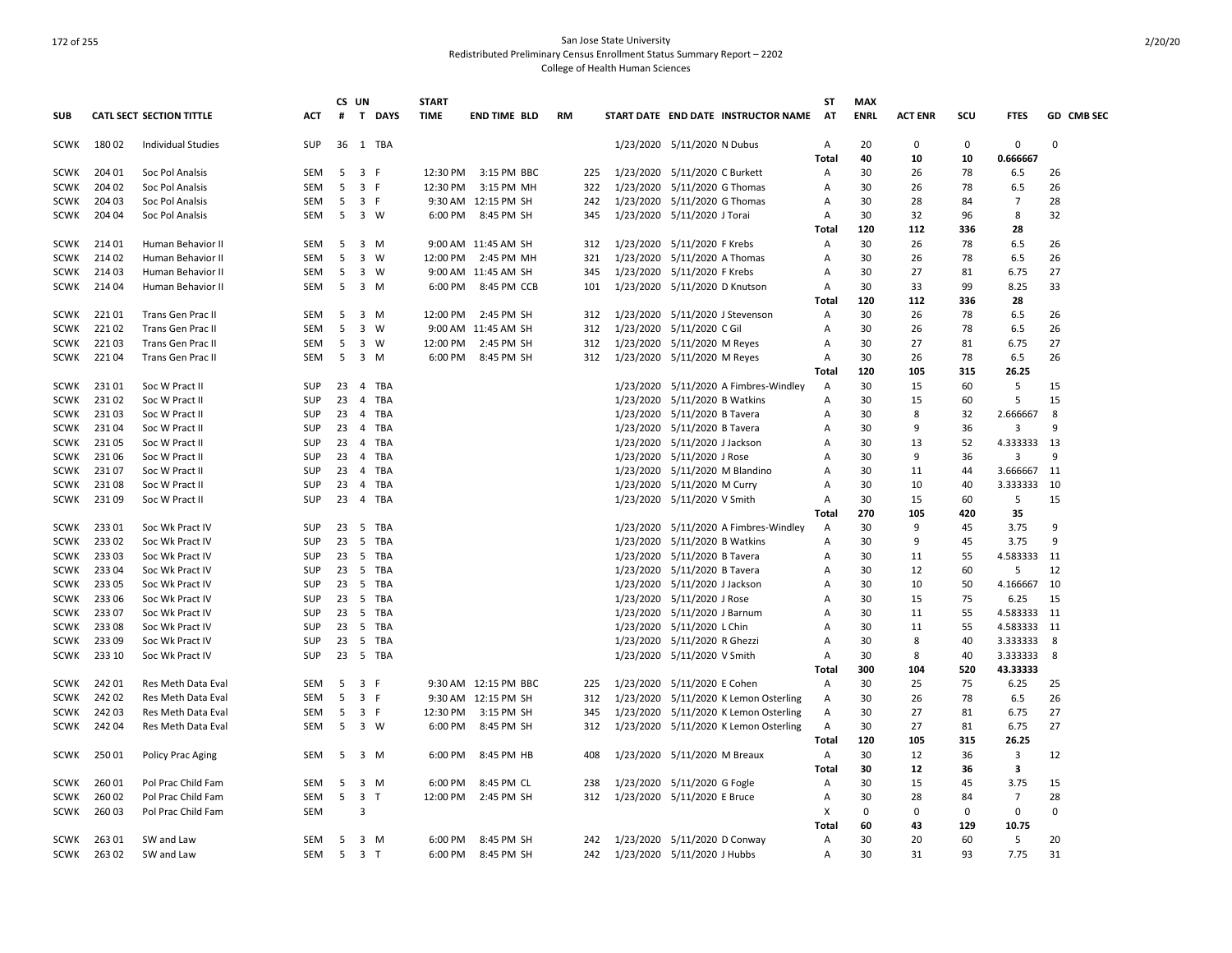|             |        |                                 |            |    | CS UN                                   | <b>START</b> |                      |           |           |                                 |                                       | ST             | <b>MAX</b>  |                |           |                |              |
|-------------|--------|---------------------------------|------------|----|-----------------------------------------|--------------|----------------------|-----------|-----------|---------------------------------|---------------------------------------|----------------|-------------|----------------|-----------|----------------|--------------|
| <b>SUB</b>  |        | <b>CATL SECT SECTION TITTLE</b> | <b>ACT</b> | #  | $\mathbf{T}$<br>DAYS                    | <b>TIME</b>  | <b>END TIME BLD</b>  | <b>RM</b> |           |                                 | START DATE END DATE INSTRUCTOR NAME   | <b>AT</b>      | <b>ENRL</b> | <b>ACT ENR</b> | scu       | <b>FTES</b>    | GD CMB SEC   |
| <b>SCWK</b> | 18002  | <b>Individual Studies</b>       | SUP        | 36 | 1 TBA                                   |              |                      |           |           | 1/23/2020 5/11/2020 N Dubus     |                                       | Α              | 20          | $\Omega$       | $\Omega$  | 0              | $\Omega$     |
|             |        |                                 |            |    |                                         |              |                      |           |           |                                 |                                       | Total          | 40          | 10             | 10        | 0.666667       |              |
| <b>SCWK</b> | 204 01 | Soc Pol Analsis                 | <b>SEM</b> | 5  | $\overline{\mathbf{3}}$<br>-F           | 12:30 PM     | 3:15 PM BBC          | 225       |           | 1/23/2020 5/11/2020 C Burkett   |                                       | A              | 30          | 26             | 78        | 6.5            | 26           |
| <b>SCWK</b> | 204 02 | Soc Pol Analsis                 | <b>SEM</b> | 5  | 3<br>-F                                 | 12:30 PM     | 3:15 PM MH           | 322       |           | 1/23/2020 5/11/2020 G Thomas    |                                       | A              | 30          | 26             | 78        | 6.5            | 26           |
| SCWK        | 204 03 | Soc Pol Analsis                 | SEM        | 5  | 3 F                                     |              | 9:30 AM 12:15 PM SH  | 242       |           | 1/23/2020 5/11/2020 G Thomas    |                                       | А              | 30          | 28             | 84        | $\overline{7}$ | 28           |
| SCWK        | 204 04 | Soc Pol Analsis                 | <b>SEM</b> | 5  | $\overline{\mathbf{3}}$<br>W            | 6:00 PM      | 8:45 PM SH           | 345       |           | 1/23/2020 5/11/2020 J Torai     |                                       | Α              | 30          | 32             | 96        | 8              | 32           |
|             |        |                                 |            |    |                                         |              |                      |           |           |                                 |                                       | Total          | 120         | 112            | 336       | 28             |              |
| SCWK        | 214 01 | Human Behavior II               | SEM        | 5  | 3 M                                     |              | 9:00 AM 11:45 AM SH  | 312       |           | 1/23/2020 5/11/2020 F Krebs     |                                       | Α              | 30          | 26             | 78        | 6.5            | 26           |
| SCWK        | 214 02 | Human Behavior II               | <b>SEM</b> | 5  | 3<br>W                                  | 12:00 PM     | 2:45 PM MH           | 321       |           | 1/23/2020 5/11/2020 A Thomas    |                                       | $\mathsf{A}$   | 30          | 26             | 78        | 6.5            | 26           |
| SCWK        | 214 03 | Human Behavior II               | <b>SEM</b> | 5  | 3 W                                     |              | 9:00 AM 11:45 AM SH  | 345       |           | 1/23/2020 5/11/2020 F Krebs     |                                       | A              | 30          | 27             | 81        | 6.75           | 27           |
| SCWK        | 21404  | Human Behavior II               | <b>SEM</b> | 5  | 3 M                                     | 6:00 PM      | 8:45 PM CCB          | 101       |           | 1/23/2020 5/11/2020 D Knutson   |                                       | A              | 30          | 33             | 99        | 8.25           | 33           |
|             |        |                                 |            |    |                                         |              |                      |           |           |                                 |                                       | Total          | 120         | 112            | 336       | 28             |              |
| SCWK        | 22101  | Trans Gen Prac II               | SEM        | 5  | 3 M                                     |              | 12:00 PM 2:45 PM SH  | 312       |           | 1/23/2020 5/11/2020 J Stevenson |                                       | $\mathsf{A}$   | 30          | 26             | 78        | 6.5            | 26           |
| SCWK        | 22102  | Trans Gen Prac II               | <b>SEM</b> | 5  | 3<br>W                                  |              | 9:00 AM 11:45 AM SH  | 312       | 1/23/2020 | 5/11/2020 C Gil                 |                                       | A              | 30          | 26             | 78        | 6.5            | 26           |
| SCWK        | 22103  | Trans Gen Prac II               | <b>SEM</b> | 5  | $\overline{3}$<br>W                     | 12:00 PM     | 2:45 PM SH           | 312       |           | 1/23/2020 5/11/2020 M Reyes     |                                       | Α              | 30          | 27             | 81        | 6.75           | 27           |
| SCWK        | 221 04 | Trans Gen Prac II               | SEM        | 5  | 3 M                                     | 6:00 PM      | 8:45 PM SH           | 312       |           | 1/23/2020 5/11/2020 M Reyes     |                                       | Α              | 30          | 26             | 78        | 6.5            | 26           |
|             |        |                                 |            |    |                                         |              |                      |           |           |                                 |                                       | <b>Total</b>   | 120         | 105            | 315       | 26.25          |              |
| <b>SCWK</b> | 23101  | Soc W Pract II                  | SUP        | 23 | TBA<br>4                                |              |                      |           |           |                                 | 1/23/2020 5/11/2020 A Fimbres-Windley | A              | 30          | 15             | 60        | 5              | 15           |
| SCWK        | 23102  | Soc W Pract II                  | SUP        | 23 | 4<br>TBA                                |              |                      |           | 1/23/2020 | 5/11/2020 B Watkins             |                                       | Α              | 30          | 15             | 60        | 5              | 15           |
| SCWK        | 23103  | Soc W Pract II                  | SUP        | 23 | TBA<br>4                                |              |                      |           |           | 1/23/2020 5/11/2020 B Tavera    |                                       | Α              | 30          | 8              | 32        | 2.666667       | 8            |
| SCWK        | 23104  | Soc W Pract II                  | <b>SUP</b> | 23 | 4 TBA                                   |              |                      |           |           | 1/23/2020 5/11/2020 B Tavera    |                                       | A              | 30          | 9              | 36        | 3              | $\mathbf{q}$ |
| SCWK        | 23105  | Soc W Pract II                  | SUP        | 23 | 4<br>TBA                                |              |                      |           |           | 1/23/2020 5/11/2020 J Jackson   |                                       | Α              | 30          | 13             | 52        | 4.333333       | 13           |
| SCWK        | 231 06 | Soc W Pract II                  | SUP        | 23 | $\overline{4}$<br>TBA                   |              |                      |           |           | 1/23/2020 5/11/2020 J Rose      |                                       | Α              | 30          | 9              | 36        | 3              | 9            |
| SCWK        | 23107  | Soc W Pract II                  | SUP        | 23 | TBA<br>$\overline{4}$                   |              |                      |           |           | 1/23/2020 5/11/2020 M Blandino  |                                       | Α              | 30          | 11             | 44        | 3.666667       | 11           |
| <b>SCWK</b> | 23108  | Soc W Pract II                  | SUP        | 23 | TBA<br>$\overline{4}$                   |              |                      |           |           | 1/23/2020 5/11/2020 M Curry     |                                       | Α              | 30          | 10             | 40        | 3.333333       | 10           |
|             |        |                                 |            |    |                                         |              |                      |           |           |                                 |                                       |                |             |                |           |                |              |
| SCWK        | 23109  | Soc W Pract II                  | SUP        | 23 | 4 TBA                                   |              |                      |           |           | 1/23/2020 5/11/2020 V Smith     |                                       | Α              | 30<br>270   | 15<br>105      | 60<br>420 | 5              | 15           |
|             |        |                                 |            |    |                                         |              |                      |           |           |                                 |                                       | Total          |             |                |           | 35             | 9            |
| SCWK        | 23301  | Soc Wk Pract IV                 | SUP        | 23 | 5<br>TBA                                |              |                      |           |           |                                 | 1/23/2020 5/11/2020 A Fimbres-Windley | Α              | 30          | 9              | 45        | 3.75           |              |
| SCWK        | 23302  | Soc Wk Pract IV                 | SUP        | 23 | 5 TBA                                   |              |                      |           |           | 1/23/2020 5/11/2020 B Watkins   |                                       | Α              | 30          | 9              | 45        | 3.75           | 9            |
| SCWK        | 23303  | Soc Wk Pract IV                 | SUP        | 23 | 5<br>TBA                                |              |                      |           | 1/23/2020 | 5/11/2020 B Tavera              |                                       | Α              | 30          | 11             | 55        | 4.583333       | 11           |
| SCWK        | 233 04 | Soc Wk Pract IV                 | SUP        | 23 | 5 TBA                                   |              |                      |           | 1/23/2020 | 5/11/2020 B Tavera              |                                       | Α              | 30          | 12             | 60        | 5              | 12           |
| SCWK        | 233 05 | Soc Wk Pract IV                 | SUP        | 23 | 5<br>TBA                                |              |                      |           |           | 1/23/2020 5/11/2020 J Jackson   |                                       | Α              | 30          | 10             | 50        | 4.166667       | 10           |
| SCWK        | 233 06 | Soc Wk Pract IV                 | SUP        | 23 | 5<br>TBA                                |              |                      |           |           | 1/23/2020 5/11/2020 J Rose      |                                       | A              | 30          | 15             | 75        | 6.25           | 15           |
| SCWK        | 23307  | Soc Wk Pract IV                 | <b>SUP</b> | 23 | 5<br><b>TBA</b>                         |              |                      |           |           | 1/23/2020 5/11/2020 J Barnum    |                                       | A              | 30          | 11             | 55        | 4.583333       | 11           |
| SCWK        | 23308  | Soc Wk Pract IV                 | SUP        | 23 | 5<br>TBA                                |              |                      |           |           | 1/23/2020 5/11/2020 L Chin      |                                       | Α              | 30          | 11             | 55        | 4.583333       | 11           |
| SCWK        | 233 09 | Soc Wk Pract IV                 | SUP        | 23 | 5<br>TBA                                |              |                      |           |           | 1/23/2020 5/11/2020 R Ghezzi    |                                       | Α              | 30          | 8              | 40        | 3.333333       | 8            |
| SCWK        | 233 10 | Soc Wk Pract IV                 | <b>SUP</b> |    | 23 5 TBA                                |              |                      |           |           | 1/23/2020 5/11/2020 V Smith     |                                       | Α              | 30          | 8              | 40        | 3.333333       | 8            |
|             |        |                                 |            |    |                                         |              |                      |           |           |                                 |                                       | <b>Total</b>   | 300         | 104            | 520       | 43.33333       |              |
| SCWK        | 242 01 | Res Meth Data Eval              | SEM        | 5  | 3 F                                     |              | 9:30 AM 12:15 PM BBC | 225       |           | 1/23/2020 5/11/2020 E Cohen     |                                       | Α              | 30          | 25             | 75        | 6.25           | 25           |
| SCWK        | 242 02 | Res Meth Data Eval              | <b>SEM</b> | 5  | 3 F                                     |              | 9:30 AM 12:15 PM SH  | 312       | 1/23/2020 |                                 | 5/11/2020 K Lemon Osterling           | A              | 30          | 26             | 78        | 6.5            | 26           |
| <b>SCWK</b> | 24203  | Res Meth Data Eval              | SEM        | 5  | $\overline{\mathbf{3}}$<br>- F          | 12:30 PM     | 3:15 PM SH           | 345       |           |                                 | 1/23/2020 5/11/2020 K Lemon Osterling | Α              | 30          | 27             | 81        | 6.75           | 27           |
| SCWK        | 24204  | Res Meth Data Eval              | SEM        | 5  | $3 \quad W$                             | 6:00 PM      | 8:45 PM SH           | 312       |           |                                 | 1/23/2020 5/11/2020 K Lemon Osterling | Α              | 30          | 27             | 81        | 6.75           | 27           |
|             |        |                                 |            |    |                                         |              |                      |           |           |                                 |                                       | Total          | 120         | 105            | 315       | 26.25          |              |
| SCWK        | 25001  | Policy Prac Aging               | <b>SEM</b> | 5  | 3 M                                     | 6:00 PM      | 8:45 PM HB           | 408       |           | 1/23/2020 5/11/2020 M Breaux    |                                       | $\overline{A}$ | 30          | 12             | 36        | 3              | 12           |
|             |        |                                 |            |    |                                         |              |                      |           |           |                                 |                                       | Total          | 30          | 12             | 36        | 3              |              |
| SCWK        | 260 01 | Pol Prac Child Fam              | SEM        | 5  | 3<br>M                                  | 6:00 PM      | 8:45 PM CL           | 238       |           | 1/23/2020 5/11/2020 G Fogle     |                                       | A              | 30          | 15             | 45        | 3.75           | 15           |
| SCWK        | 260 02 | Pol Prac Child Fam              | SEM        | 5  | $\overline{\mathbf{3}}$<br>$\mathsf{T}$ | 12:00 PM     | 2:45 PM SH           | 312       |           | 1/23/2020 5/11/2020 E Bruce     |                                       | Α              | 30          | 28             | 84        | $\overline{7}$ | 28           |
| SCWK        | 26003  | Pol Prac Child Fam              | <b>SEM</b> |    | 3                                       |              |                      |           |           |                                 |                                       | X              | 0           | $\Omega$       | $\Omega$  | $\mathbf 0$    | $\Omega$     |
|             |        |                                 |            |    |                                         |              |                      |           |           |                                 |                                       | Total          | 60          | 43             | 129       | 10.75          |              |
| SCWK        | 26301  | SW and Law                      | <b>SEM</b> | -5 | 3 M                                     | 6:00 PM      | 8:45 PM SH           | 242       |           | 1/23/2020 5/11/2020 D Conway    |                                       | A              | 30          | 20             | 60        | -5             | 20           |
| SCWK        | 26302  | SW and Law                      | <b>SEM</b> | 5  | 3 <sub>1</sub>                          | 6:00 PM      | 8:45 PM SH           | 242       |           | 1/23/2020 5/11/2020 J Hubbs     |                                       | Α              | 30          | 31             | 93        | 7.75           | 31           |
|             |        |                                 |            |    |                                         |              |                      |           |           |                                 |                                       |                |             |                |           |                |              |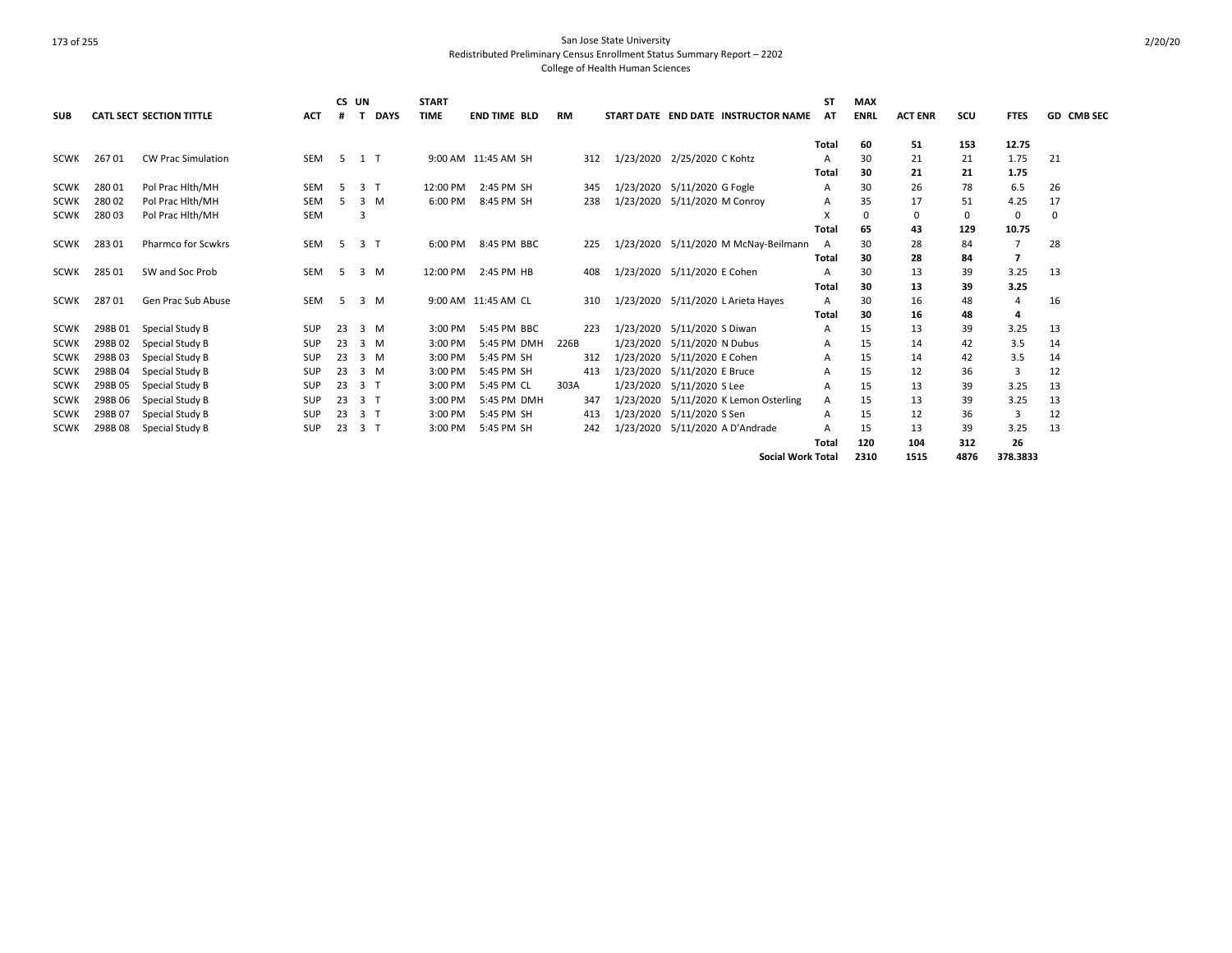|             |         |                                 |            |     | CS UN          | <b>START</b> |                     |           |           |                                      | ST           | <b>MAX</b>  |                |      |                |            |
|-------------|---------|---------------------------------|------------|-----|----------------|--------------|---------------------|-----------|-----------|--------------------------------------|--------------|-------------|----------------|------|----------------|------------|
| <b>SUB</b>  |         | <b>CATL SECT SECTION TITTLE</b> | <b>ACT</b> |     | <b>DAYS</b>    | <b>TIME</b>  | <b>END TIME BLD</b> | <b>RM</b> |           | START DATE END DATE INSTRUCTOR NAME  | AT           | <b>ENRL</b> | <b>ACT ENR</b> | scu  | <b>FTES</b>    | GD CMB SEC |
|             |         |                                 |            |     |                |              |                     |           |           |                                      | <b>Total</b> | 60          | 51             | 153  | 12.75          |            |
| <b>SCWK</b> | 26701   | <b>CW Prac Simulation</b>       | <b>SEM</b> | - 5 | $1$ T          |              | 9:00 AM 11:45 AM SH | 312       |           | 1/23/2020 2/25/2020 C Kohtz          | А            | 30          | 21             | 21   | 1.75           | 21         |
|             |         |                                 |            |     |                |              |                     |           |           |                                      | Total        | 30          | 21             | 21   | 1.75           |            |
| <b>SCWK</b> | 28001   | Pol Prac Hith/MH                | <b>SEM</b> | -5  | 3 <sub>1</sub> | 12:00 PM     | 2:45 PM SH          | 345       |           | 1/23/2020 5/11/2020 G Fogle          | A            | 30          | 26             | 78   | 6.5            | 26         |
| <b>SCWK</b> | 28002   | Pol Prac Hith/MH                | <b>SEM</b> | .5  | 3<br>M         | 6:00 PM      | 8:45 PM SH          | 238       |           | 1/23/2020 5/11/2020 M Conroy         | А            | 35          | 17             | 51   | 4.25           | 17         |
| <b>SCWK</b> | 28003   | Pol Prac Hith/MH                | <b>SEM</b> |     |                |              |                     |           |           |                                      | X            | 0           | 0              | 0    | 0              | 0          |
|             |         |                                 |            |     |                |              |                     |           |           |                                      | Total        | 65          | 43             | 129  | 10.75          |            |
| <b>SCWK</b> | 283 01  | <b>Pharmco for Scwkrs</b>       | <b>SEM</b> | -5  | 3 <sub>1</sub> | 6:00 PM      | 8:45 PM BBC         | 225       |           | 1/23/2020 5/11/2020 M McNay-Beilmann | A            | 30          | 28             | 84   | $\overline{7}$ | 28         |
|             |         |                                 |            |     |                |              |                     |           |           |                                      | Total        | 30          | 28             | 84   |                |            |
| <b>SCWK</b> | 285 01  | SW and Soc Prob                 | <b>SEM</b> | -5  | 3 M            | 12:00 PM     | 2:45 PM HB          | 408       |           | 1/23/2020 5/11/2020 E Cohen          | A            | 30          | 13             | 39   | 3.25           | 13         |
|             |         |                                 |            |     |                |              |                     |           |           |                                      | Total        | 30          | 13             | 39   | 3.25           |            |
| SCWK        | 28701   | Gen Prac Sub Abuse              | <b>SEM</b> | -5  | 3 M            |              | 9:00 AM 11:45 AM CL | 310       |           | 1/23/2020 5/11/2020 L Arieta Hayes   | Α            | 30          | 16             | 48   | $\overline{4}$ | 16         |
|             |         |                                 |            |     |                |              |                     |           |           |                                      | Total        | 30          | 16             | 48   | 4              |            |
| SCWK        | 298B 01 | Special Study B                 | <b>SUP</b> | 23  | $3 \, M$       | 3:00 PM      | 5:45 PM BBC         | 223       |           | 1/23/2020 5/11/2020 S Diwan          | А            | 15          | 13             | 39   | 3.25           | 13         |
| <b>SCWK</b> | 298B02  | Special Study B                 | SUP        | 23  | 3 M            | 3:00 PM      | 5:45 PM DMH         | 226B      | 1/23/2020 | 5/11/2020 N Dubus                    | Α            | 15          | 14             | 42   | 3.5            | 14         |
| <b>SCWK</b> | 298B03  | Special Study B                 | <b>SUP</b> | 23  | 3 M            | 3:00 PM      | 5:45 PM SH          | 312       | 1/23/2020 | 5/11/2020 E Cohen                    | A            | 15          | 14             | 42   | 3.5            | 14         |
| <b>SCWK</b> | 298B04  | Special Study B                 | SUP        | 23  | 3 M            | 3:00 PM      | 5:45 PM SH          | 413       | 1/23/2020 | 5/11/2020 E Bruce                    | А            | 15          | 12             | 36   | 3              | 12         |
| <b>SCWK</b> | 298B05  | Special Study B                 | <b>SUP</b> | 23  | 3 <sub>1</sub> | 3:00 PM      | 5:45 PM CL          | 303A      | 1/23/2020 | 5/11/2020 S Lee                      | A            | 15          | 13             | 39   | 3.25           | 13         |
| <b>SCWK</b> | 298B 06 | Special Study B                 | <b>SUP</b> | 23  | 3 <sub>1</sub> | 3:00 PM      | 5:45 PM DMH         | 347       | 1/23/2020 | 5/11/2020 K Lemon Osterling          | A            | 15          | 13             | 39   | 3.25           | 13         |
| <b>SCWK</b> | 298B 07 | Special Study B                 | <b>SUP</b> | 23  | 3 <sub>1</sub> | 3:00 PM      | 5:45 PM SH          | 413       |           | 1/23/2020 5/11/2020 S Sen            | A            | 15          | 12             | 36   | 3              | 12         |
| SCWK        | 298B08  | Special Study B                 | <b>SUP</b> | 23  | 3              | 3:00 PM      | 5:45 PM SH          | 242       |           | 1/23/2020 5/11/2020 A D'Andrade      | А            | 15          | 13             | 39   | 3.25           | 13         |
|             |         |                                 |            |     |                |              |                     |           |           |                                      | Total        | 120         | 104            | 312  | 26             |            |
|             |         |                                 |            |     |                |              |                     |           |           | <b>Social Work Total</b>             |              | 2310        | 1515           | 4876 | 378.3833       |            |